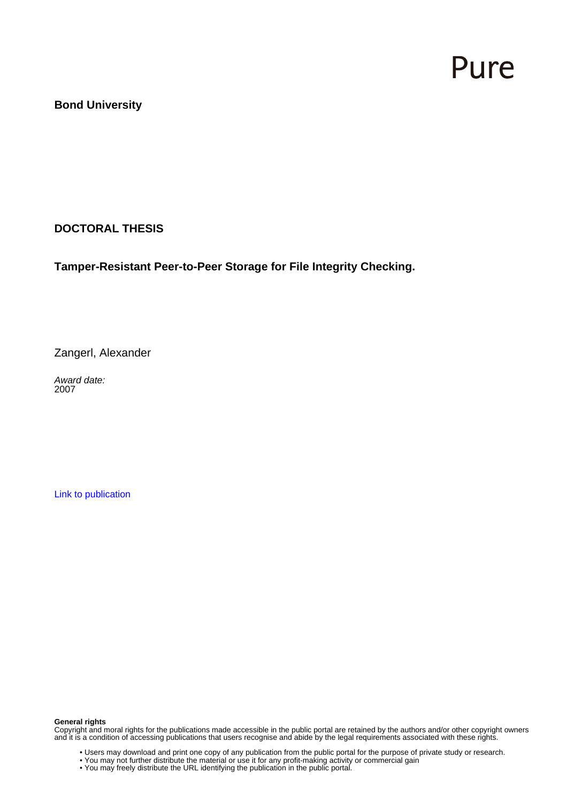# Pure

#### **Bond University**

**DOCTORAL THESIS**

**Tamper-Resistant Peer-to-Peer Storage for File Integrity Checking.**

Zangerl, Alexander

Award date: 2007

[Link to publication](https://research.bond.edu.au/en/studentTheses/80c3e5fb-de99-47df-b952-b971eaa3a92e)

#### **General rights**

Copyright and moral rights for the publications made accessible in the public portal are retained by the authors and/or other copyright owners and it is a condition of accessing publications that users recognise and abide by the legal requirements associated with these rights.

- Users may download and print one copy of any publication from the public portal for the purpose of private study or research.
- You may not further distribute the material or use it for any profit-making activity or commercial gain
- You may freely distribute the URL identifying the publication in the public portal.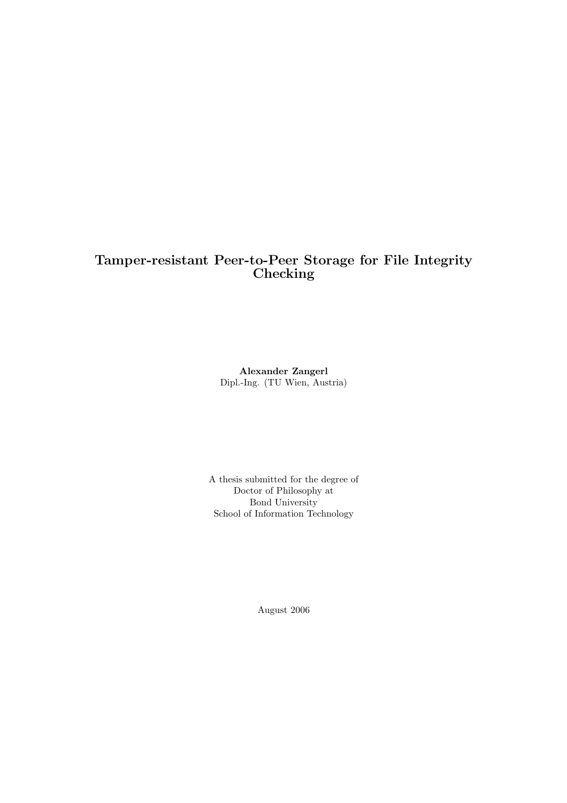#### Tamper-resistant Peer-to-Peer Storage for File Integrity Checking

Alexander Zangerl Dipl.-Ing. (TU Wien, Austria)

A thesis submitted for the degree of Doctor of Philosophy at Bond University School of Information Technology

August 2006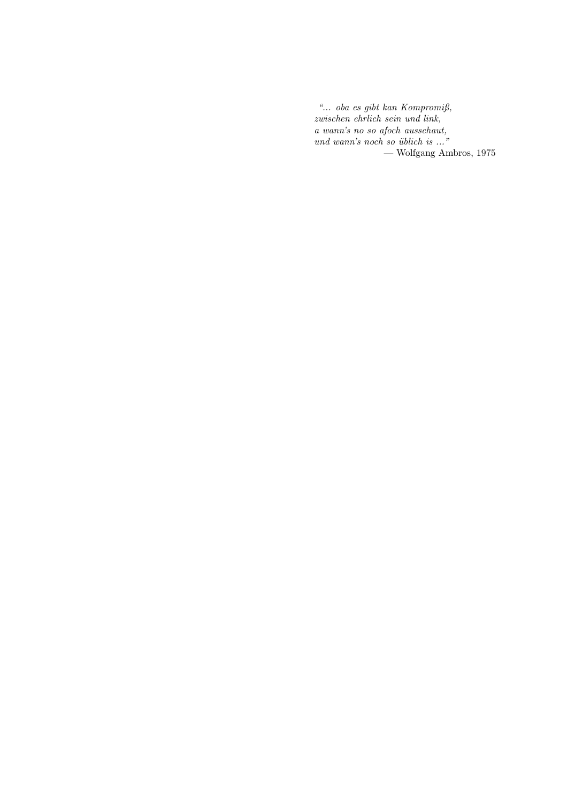"... oba es gibt kan Kompromiß, zwischen ehrlich sein und link, a wann's no so afoch ausschaut,  $und$  wann's noch so  $üblich$  is  $\ldots$ " — Wolfgang Ambros, 1975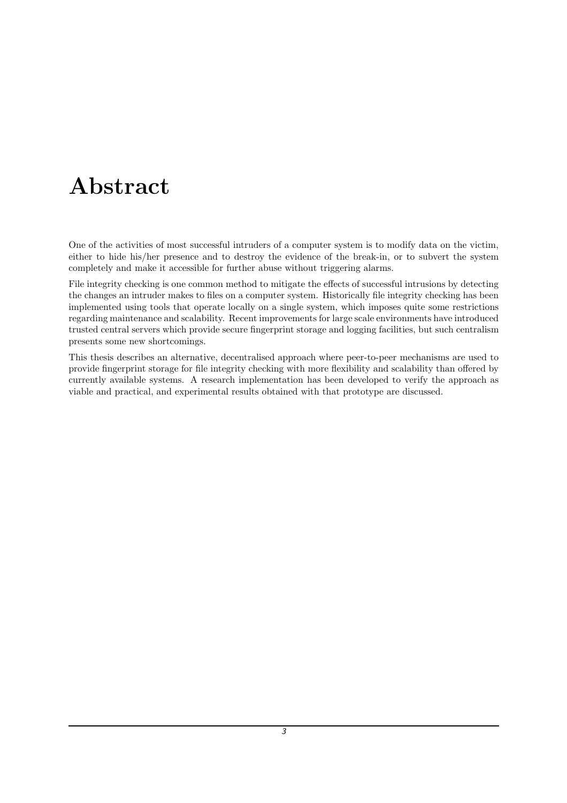## Abstract

One of the activities of most successful intruders of a computer system is to modify data on the victim, either to hide his/her presence and to destroy the evidence of the break-in, or to subvert the system completely and make it accessible for further abuse without triggering alarms.

File integrity checking is one common method to mitigate the effects of successful intrusions by detecting the changes an intruder makes to files on a computer system. Historically file integrity checking has been implemented using tools that operate locally on a single system, which imposes quite some restrictions regarding maintenance and scalability. Recent improvements for large scale environments have introduced trusted central servers which provide secure fingerprint storage and logging facilities, but such centralism presents some new shortcomings.

This thesis describes an alternative, decentralised approach where peer-to-peer mechanisms are used to provide fingerprint storage for file integrity checking with more flexibility and scalability than offered by currently available systems. A research implementation has been developed to verify the approach as viable and practical, and experimental results obtained with that prototype are discussed.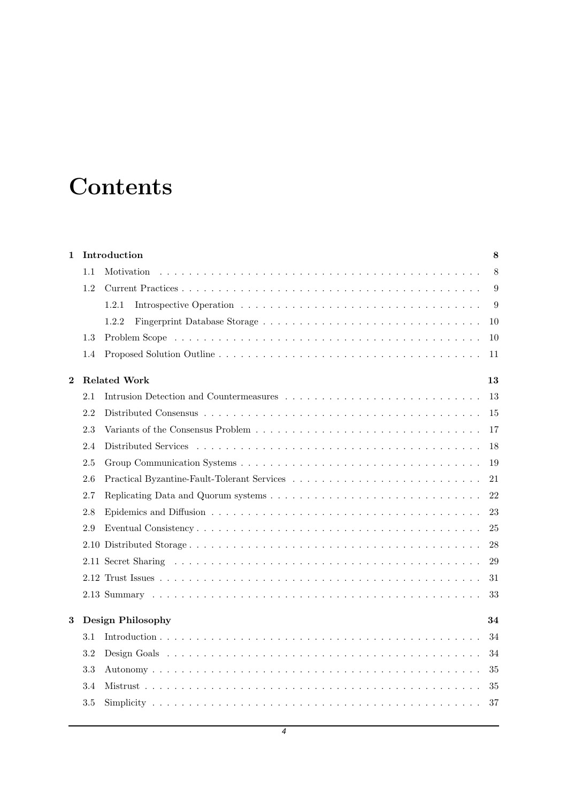## **Contents**

| $\mathbf{1}$ |     | Introduction<br>$\bf 8$                                                                                         |    |  |  |  |  |  |
|--------------|-----|-----------------------------------------------------------------------------------------------------------------|----|--|--|--|--|--|
|              | 1.1 | Motivation                                                                                                      | 8  |  |  |  |  |  |
|              | 1.2 |                                                                                                                 | 9  |  |  |  |  |  |
|              |     | 1.2.1                                                                                                           | 9  |  |  |  |  |  |
|              |     | 1.2.2                                                                                                           | 10 |  |  |  |  |  |
|              | 1.3 |                                                                                                                 | 10 |  |  |  |  |  |
|              | 1.4 |                                                                                                                 | 11 |  |  |  |  |  |
| $\bf{2}$     |     | <b>Related Work</b>                                                                                             | 13 |  |  |  |  |  |
|              | 2.1 | Intrusion Detection and Countermeasures $\ldots \ldots \ldots \ldots \ldots \ldots \ldots \ldots \ldots \ldots$ | 13 |  |  |  |  |  |
|              | 2.2 |                                                                                                                 | 15 |  |  |  |  |  |
|              | 2.3 |                                                                                                                 | 17 |  |  |  |  |  |
|              | 2.4 |                                                                                                                 | 18 |  |  |  |  |  |
|              | 2.5 |                                                                                                                 | 19 |  |  |  |  |  |
|              | 2.6 |                                                                                                                 | 21 |  |  |  |  |  |
|              | 2.7 |                                                                                                                 | 22 |  |  |  |  |  |
|              | 2.8 |                                                                                                                 | 23 |  |  |  |  |  |
|              | 2.9 |                                                                                                                 | 25 |  |  |  |  |  |
|              |     |                                                                                                                 | 28 |  |  |  |  |  |
|              |     |                                                                                                                 | 29 |  |  |  |  |  |
|              |     |                                                                                                                 | 31 |  |  |  |  |  |
|              |     |                                                                                                                 | 33 |  |  |  |  |  |
| 3            |     | <b>Design Philosophy</b>                                                                                        | 34 |  |  |  |  |  |
|              | 3.1 |                                                                                                                 | 34 |  |  |  |  |  |
|              | 3.2 |                                                                                                                 | 34 |  |  |  |  |  |
|              | 3.3 |                                                                                                                 | 35 |  |  |  |  |  |
|              | 3.4 |                                                                                                                 | 35 |  |  |  |  |  |
|              | 3.5 |                                                                                                                 | 37 |  |  |  |  |  |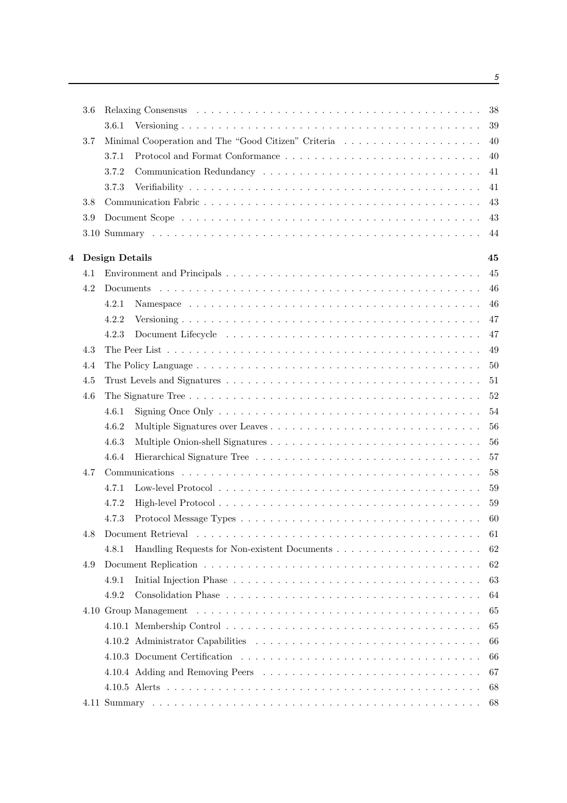|   | 3.6 |                                                     | 38 |
|---|-----|-----------------------------------------------------|----|
|   |     | 3.6.1                                               | 39 |
|   | 3.7 | Minimal Cooperation and The "Good Citizen" Criteria | 40 |
|   |     | 3.7.1                                               | 40 |
|   |     | 3.7.2                                               | 41 |
|   |     | 3.7.3                                               | 41 |
|   | 3.8 |                                                     | 43 |
|   | 3.9 |                                                     | 43 |
|   |     |                                                     | 44 |
| 4 |     | Design Details                                      | 45 |
|   | 4.1 |                                                     | 45 |
|   | 4.2 |                                                     | 46 |
|   |     | 4.2.1                                               | 46 |
|   |     | 4.2.2                                               | 47 |
|   |     | 4.2.3                                               | 47 |
|   | 4.3 |                                                     | 49 |
|   | 4.4 |                                                     | 50 |
|   | 4.5 |                                                     | 51 |
|   | 4.6 |                                                     | 52 |
|   |     | 4.6.1                                               | 54 |
|   |     | 4.6.2                                               | 56 |
|   |     | 4.6.3                                               | 56 |
|   |     | 4.6.4                                               | 57 |
|   | 4.7 |                                                     | 58 |
|   |     | 4.7.1                                               | 59 |
|   |     | 4.7.2                                               | 59 |
|   |     | 4.7.3                                               | 60 |
|   | 4.8 |                                                     | 61 |
|   |     | 4.8.1                                               | 62 |
|   | 4.9 |                                                     | 62 |
|   |     | 4.9.1                                               | 63 |
|   |     | 4.9.2                                               | 64 |
|   |     |                                                     | 65 |
|   |     |                                                     | 65 |
|   |     |                                                     | 66 |
|   |     |                                                     | 66 |
|   |     |                                                     | 67 |
|   |     |                                                     | 68 |
|   |     |                                                     | 68 |
|   |     |                                                     |    |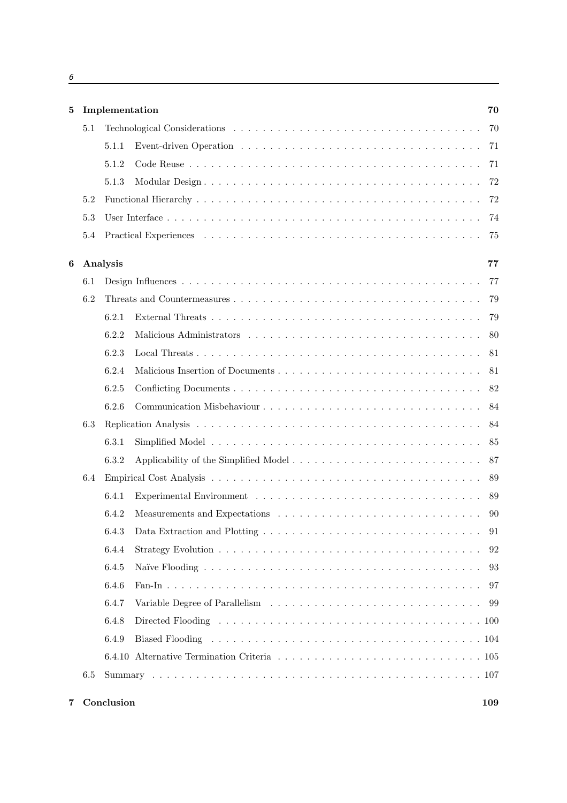| b      |  |  |  |
|--------|--|--|--|
|        |  |  |  |
| $\sim$ |  |  |  |

| 5 |     | Implementation<br>70 |  |    |  |  |
|---|-----|----------------------|--|----|--|--|
|   | 5.1 |                      |  | 70 |  |  |
|   |     | 5.1.1                |  | 71 |  |  |
|   |     | 5.1.2                |  | 71 |  |  |
|   |     | 5.1.3                |  | 72 |  |  |
|   | 5.2 |                      |  | 72 |  |  |
|   | 5.3 |                      |  | 74 |  |  |
|   | 5.4 |                      |  | 75 |  |  |
| 6 |     | Analysis             |  | 77 |  |  |
|   | 6.1 |                      |  | 77 |  |  |
|   | 6.2 |                      |  | 79 |  |  |
|   |     | 6.2.1                |  | 79 |  |  |
|   |     | 6.2.2                |  | 80 |  |  |
|   |     | 6.2.3                |  | 81 |  |  |
|   |     | 6.2.4                |  | 81 |  |  |
|   |     | 6.2.5                |  | 82 |  |  |
|   |     | 6.2.6                |  | 84 |  |  |
|   | 6.3 |                      |  | 84 |  |  |
|   |     | 6.3.1                |  | 85 |  |  |
|   |     | 6.3.2                |  | 87 |  |  |
|   | 6.4 |                      |  | 89 |  |  |
|   |     | 6.4.1                |  | 89 |  |  |
|   |     | 6.4.2                |  | 90 |  |  |
|   |     | 6.4.3                |  |    |  |  |
|   |     | 6.4.4                |  | 92 |  |  |
|   |     | 6.4.5                |  | 93 |  |  |
|   |     | 6.4.6                |  | 97 |  |  |
|   |     | 6.4.7                |  | 99 |  |  |
|   |     | 6.4.8                |  |    |  |  |
|   |     | 6.4.9                |  |    |  |  |
|   |     |                      |  |    |  |  |
|   | 6.5 |                      |  |    |  |  |
|   |     |                      |  |    |  |  |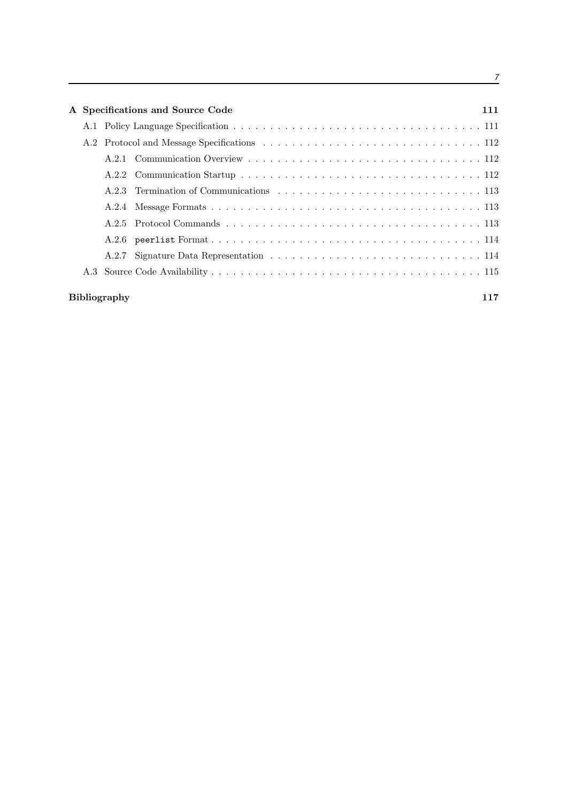| A Specifications and Source Code |                     |  |     |  |  |
|----------------------------------|---------------------|--|-----|--|--|
|                                  |                     |  |     |  |  |
|                                  |                     |  |     |  |  |
|                                  |                     |  |     |  |  |
|                                  |                     |  |     |  |  |
|                                  |                     |  |     |  |  |
|                                  |                     |  |     |  |  |
|                                  |                     |  |     |  |  |
|                                  |                     |  |     |  |  |
|                                  | A.2.7               |  |     |  |  |
|                                  |                     |  |     |  |  |
|                                  | <b>Bibliography</b> |  | 117 |  |  |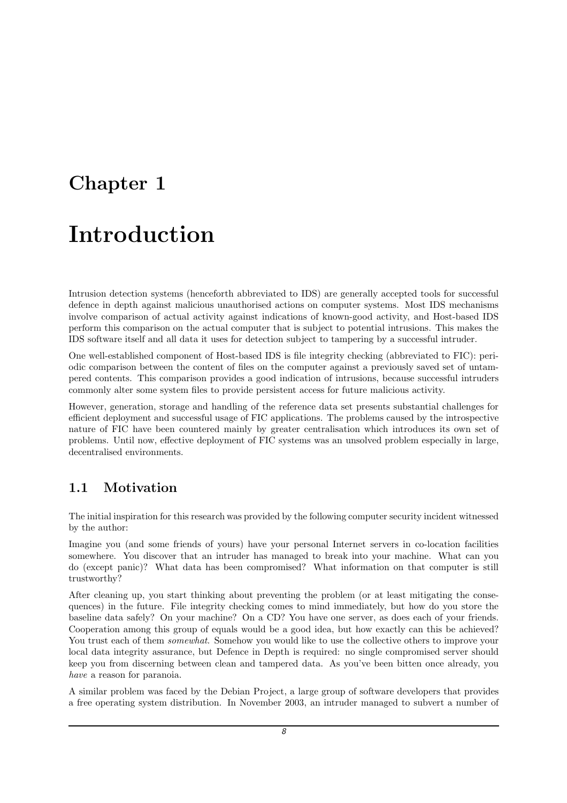### Chapter 1

### Introduction

Intrusion detection systems (henceforth abbreviated to IDS) are generally accepted tools for successful defence in depth against malicious unauthorised actions on computer systems. Most IDS mechanisms involve comparison of actual activity against indications of known-good activity, and Host-based IDS perform this comparison on the actual computer that is subject to potential intrusions. This makes the IDS software itself and all data it uses for detection subject to tampering by a successful intruder.

One well-established component of Host-based IDS is file integrity checking (abbreviated to FIC): periodic comparison between the content of files on the computer against a previously saved set of untampered contents. This comparison provides a good indication of intrusions, because successful intruders commonly alter some system files to provide persistent access for future malicious activity.

However, generation, storage and handling of the reference data set presents substantial challenges for efficient deployment and successful usage of FIC applications. The problems caused by the introspective nature of FIC have been countered mainly by greater centralisation which introduces its own set of problems. Until now, effective deployment of FIC systems was an unsolved problem especially in large, decentralised environments.

### 1.1 Motivation

The initial inspiration for this research was provided by the following computer security incident witnessed by the author:

Imagine you (and some friends of yours) have your personal Internet servers in co-location facilities somewhere. You discover that an intruder has managed to break into your machine. What can you do (except panic)? What data has been compromised? What information on that computer is still trustworthy?

After cleaning up, you start thinking about preventing the problem (or at least mitigating the consequences) in the future. File integrity checking comes to mind immediately, but how do you store the baseline data safely? On your machine? On a CD? You have one server, as does each of your friends. Cooperation among this group of equals would be a good idea, but how exactly can this be achieved? You trust each of them *somewhat*. Somehow you would like to use the collective others to improve your local data integrity assurance, but Defence in Depth is required: no single compromised server should keep you from discerning between clean and tampered data. As you've been bitten once already, you have a reason for paranoia.

A similar problem was faced by the Debian Project, a large group of software developers that provides a free operating system distribution. In November 2003, an intruder managed to subvert a number of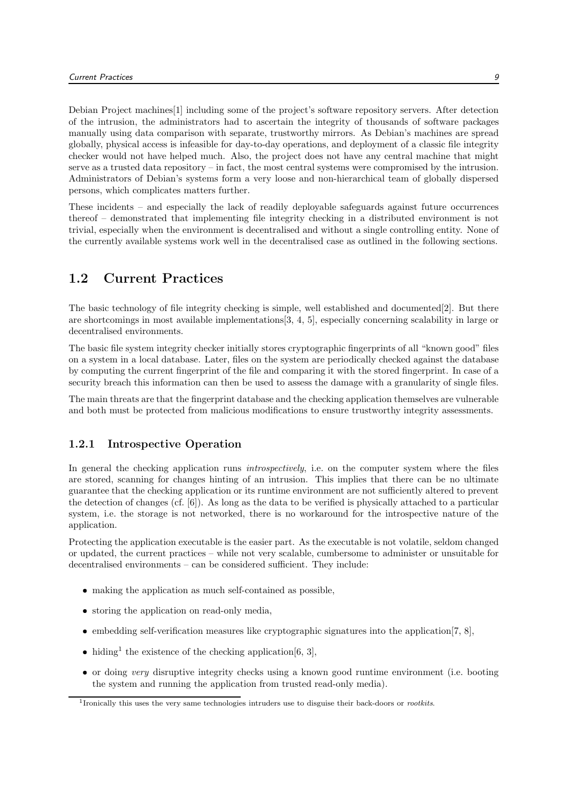Debian Project machines[1] including some of the project's software repository servers. After detection of the intrusion, the administrators had to ascertain the integrity of thousands of software packages manually using data comparison with separate, trustworthy mirrors. As Debian's machines are spread globally, physical access is infeasible for day-to-day operations, and deployment of a classic file integrity checker would not have helped much. Also, the project does not have any central machine that might serve as a trusted data repository – in fact, the most central systems were compromised by the intrusion. Administrators of Debian's systems form a very loose and non-hierarchical team of globally dispersed persons, which complicates matters further.

These incidents – and especially the lack of readily deployable safeguards against future occurrences thereof – demonstrated that implementing file integrity checking in a distributed environment is not trivial, especially when the environment is decentralised and without a single controlling entity. None of the currently available systems work well in the decentralised case as outlined in the following sections.

#### 1.2 Current Practices

The basic technology of file integrity checking is simple, well established and documented[2]. But there are shortcomings in most available implementations[3, 4, 5], especially concerning scalability in large or decentralised environments.

The basic file system integrity checker initially stores cryptographic fingerprints of all "known good" files on a system in a local database. Later, files on the system are periodically checked against the database by computing the current fingerprint of the file and comparing it with the stored fingerprint. In case of a security breach this information can then be used to assess the damage with a granularity of single files.

The main threats are that the fingerprint database and the checking application themselves are vulnerable and both must be protected from malicious modifications to ensure trustworthy integrity assessments.

#### 1.2.1 Introspective Operation

In general the checking application runs *introspectively*, i.e. on the computer system where the files are stored, scanning for changes hinting of an intrusion. This implies that there can be no ultimate guarantee that the checking application or its runtime environment are not sufficiently altered to prevent the detection of changes (cf. [6]). As long as the data to be verified is physically attached to a particular system, i.e. the storage is not networked, there is no workaround for the introspective nature of the application.

Protecting the application executable is the easier part. As the executable is not volatile, seldom changed or updated, the current practices – while not very scalable, cumbersome to administer or unsuitable for decentralised environments – can be considered sufficient. They include:

- making the application as much self-contained as possible,
- storing the application on read-only media,
- embedding self-verification measures like cryptographic signatures into the application  $[7, 8]$ ,
- iding<sup>1</sup> the existence of the checking application [6, 3],
- or doing very disruptive integrity checks using a known good runtime environment (i.e. booting the system and running the application from trusted read-only media).

<sup>&</sup>lt;sup>1</sup>Ironically this uses the very same technologies intruders use to disguise their back-doors or *rootkits*.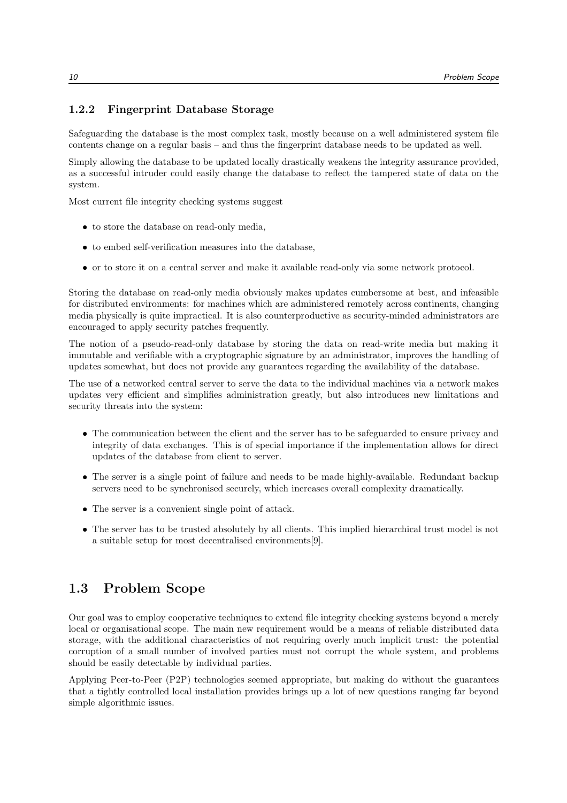#### 1.2.2 Fingerprint Database Storage

Safeguarding the database is the most complex task, mostly because on a well administered system file contents change on a regular basis – and thus the fingerprint database needs to be updated as well.

Simply allowing the database to be updated locally drastically weakens the integrity assurance provided, as a successful intruder could easily change the database to reflect the tampered state of data on the system.

Most current file integrity checking systems suggest

- to store the database on read-only media,
- to embed self-verification measures into the database,
- or to store it on a central server and make it available read-only via some network protocol.

Storing the database on read-only media obviously makes updates cumbersome at best, and infeasible for distributed environments: for machines which are administered remotely across continents, changing media physically is quite impractical. It is also counterproductive as security-minded administrators are encouraged to apply security patches frequently.

The notion of a pseudo-read-only database by storing the data on read-write media but making it immutable and verifiable with a cryptographic signature by an administrator, improves the handling of updates somewhat, but does not provide any guarantees regarding the availability of the database.

The use of a networked central server to serve the data to the individual machines via a network makes updates very efficient and simplifies administration greatly, but also introduces new limitations and security threats into the system:

- The communication between the client and the server has to be safeguarded to ensure privacy and integrity of data exchanges. This is of special importance if the implementation allows for direct updates of the database from client to server.
- The server is a single point of failure and needs to be made highly-available. Redundant backup servers need to be synchronised securely, which increases overall complexity dramatically.
- The server is a convenient single point of attack.
- The server has to be trusted absolutely by all clients. This implied hierarchical trust model is not a suitable setup for most decentralised environments[9].

#### 1.3 Problem Scope

Our goal was to employ cooperative techniques to extend file integrity checking systems beyond a merely local or organisational scope. The main new requirement would be a means of reliable distributed data storage, with the additional characteristics of not requiring overly much implicit trust: the potential corruption of a small number of involved parties must not corrupt the whole system, and problems should be easily detectable by individual parties.

Applying Peer-to-Peer (P2P) technologies seemed appropriate, but making do without the guarantees that a tightly controlled local installation provides brings up a lot of new questions ranging far beyond simple algorithmic issues.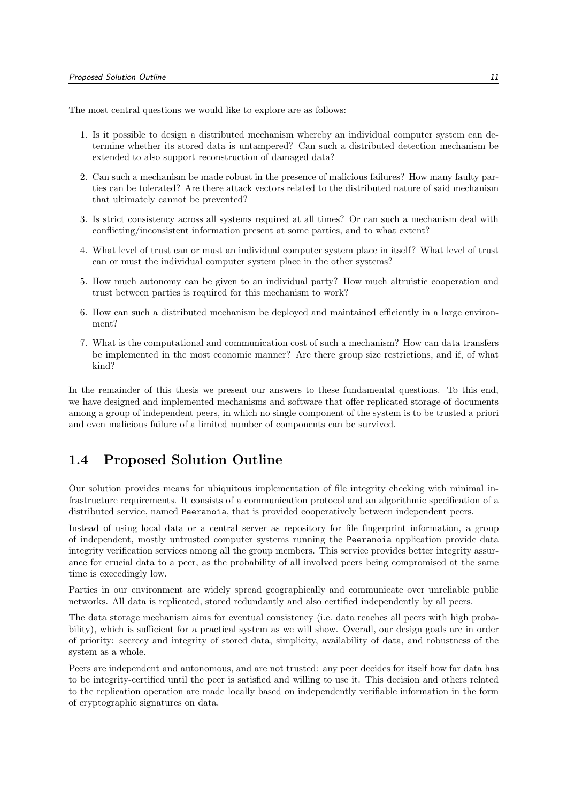The most central questions we would like to explore are as follows:

- 1. Is it possible to design a distributed mechanism whereby an individual computer system can determine whether its stored data is untampered? Can such a distributed detection mechanism be extended to also support reconstruction of damaged data?
- 2. Can such a mechanism be made robust in the presence of malicious failures? How many faulty parties can be tolerated? Are there attack vectors related to the distributed nature of said mechanism that ultimately cannot be prevented?
- 3. Is strict consistency across all systems required at all times? Or can such a mechanism deal with conflicting/inconsistent information present at some parties, and to what extent?
- 4. What level of trust can or must an individual computer system place in itself? What level of trust can or must the individual computer system place in the other systems?
- 5. How much autonomy can be given to an individual party? How much altruistic cooperation and trust between parties is required for this mechanism to work?
- 6. How can such a distributed mechanism be deployed and maintained efficiently in a large environment?
- 7. What is the computational and communication cost of such a mechanism? How can data transfers be implemented in the most economic manner? Are there group size restrictions, and if, of what kind?

In the remainder of this thesis we present our answers to these fundamental questions. To this end, we have designed and implemented mechanisms and software that offer replicated storage of documents among a group of independent peers, in which no single component of the system is to be trusted a priori and even malicious failure of a limited number of components can be survived.

#### 1.4 Proposed Solution Outline

Our solution provides means for ubiquitous implementation of file integrity checking with minimal infrastructure requirements. It consists of a communication protocol and an algorithmic specification of a distributed service, named Peeranoia, that is provided cooperatively between independent peers.

Instead of using local data or a central server as repository for file fingerprint information, a group of independent, mostly untrusted computer systems running the Peeranoia application provide data integrity verification services among all the group members. This service provides better integrity assurance for crucial data to a peer, as the probability of all involved peers being compromised at the same time is exceedingly low.

Parties in our environment are widely spread geographically and communicate over unreliable public networks. All data is replicated, stored redundantly and also certified independently by all peers.

The data storage mechanism aims for eventual consistency (i.e. data reaches all peers with high probability), which is sufficient for a practical system as we will show. Overall, our design goals are in order of priority: secrecy and integrity of stored data, simplicity, availability of data, and robustness of the system as a whole.

Peers are independent and autonomous, and are not trusted: any peer decides for itself how far data has to be integrity-certified until the peer is satisfied and willing to use it. This decision and others related to the replication operation are made locally based on independently verifiable information in the form of cryptographic signatures on data.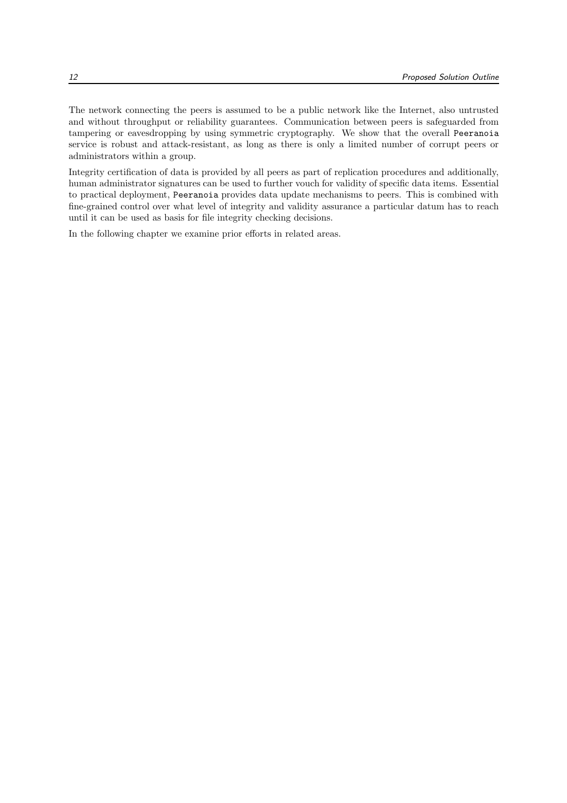The network connecting the peers is assumed to be a public network like the Internet, also untrusted and without throughput or reliability guarantees. Communication between peers is safeguarded from tampering or eavesdropping by using symmetric cryptography. We show that the overall Peeranoia service is robust and attack-resistant, as long as there is only a limited number of corrupt peers or administrators within a group.

Integrity certification of data is provided by all peers as part of replication procedures and additionally, human administrator signatures can be used to further vouch for validity of specific data items. Essential to practical deployment, Peeranoia provides data update mechanisms to peers. This is combined with fine-grained control over what level of integrity and validity assurance a particular datum has to reach until it can be used as basis for file integrity checking decisions.

In the following chapter we examine prior efforts in related areas.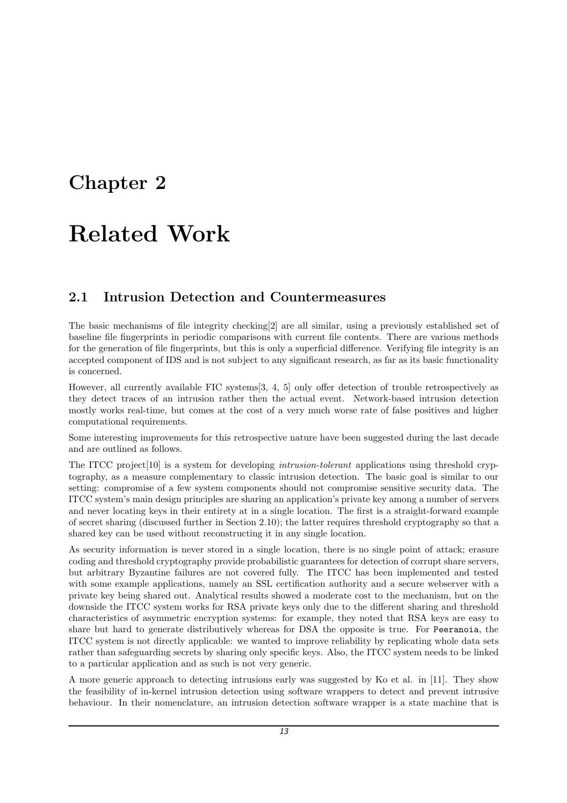### Chapter 2

### Related Work

### 2.1 Intrusion Detection and Countermeasures

The basic mechanisms of file integrity checking[2] are all similar, using a previously established set of baseline file fingerprints in periodic comparisons with current file contents. There are various methods for the generation of file fingerprints, but this is only a superficial difference. Verifying file integrity is an accepted component of IDS and is not subject to any significant research, as far as its basic functionality is concerned.

However, all currently available FIC systems[3, 4, 5] only offer detection of trouble retrospectively as they detect traces of an intrusion rather then the actual event. Network-based intrusion detection mostly works real-time, but comes at the cost of a very much worse rate of false positives and higher computational requirements.

Some interesting improvements for this retrospective nature have been suggested during the last decade and are outlined as follows.

The ITCC project [10] is a system for developing *intrusion-tolerant* applications using threshold cryptography, as a measure complementary to classic intrusion detection. The basic goal is similar to our setting: compromise of a few system components should not compromise sensitive security data. The ITCC system's main design principles are sharing an application's private key among a number of servers and never locating keys in their entirety at in a single location. The first is a straight-forward example of secret sharing (discussed further in Section 2.10); the latter requires threshold cryptography so that a shared key can be used without reconstructing it in any single location.

As security information is never stored in a single location, there is no single point of attack; erasure coding and threshold cryptography provide probabilistic guarantees for detection of corrupt share servers, but arbitrary Byzantine failures are not covered fully. The ITCC has been implemented and tested with some example applications, namely an SSL certification authority and a secure webserver with a private key being shared out. Analytical results showed a moderate cost to the mechanism, but on the downside the ITCC system works for RSA private keys only due to the different sharing and threshold characteristics of asymmetric encryption systems: for example, they noted that RSA keys are easy to share but hard to generate distributively whereas for DSA the opposite is true. For Peeranoia, the ITCC system is not directly applicable: we wanted to improve reliability by replicating whole data sets rather than safeguarding secrets by sharing only specific keys. Also, the ITCC system needs to be linked to a particular application and as such is not very generic.

A more generic approach to detecting intrusions early was suggested by Ko et al. in [11]. They show the feasibility of in-kernel intrusion detection using software wrappers to detect and prevent intrusive behaviour. In their nomenclature, an intrusion detection software wrapper is a state machine that is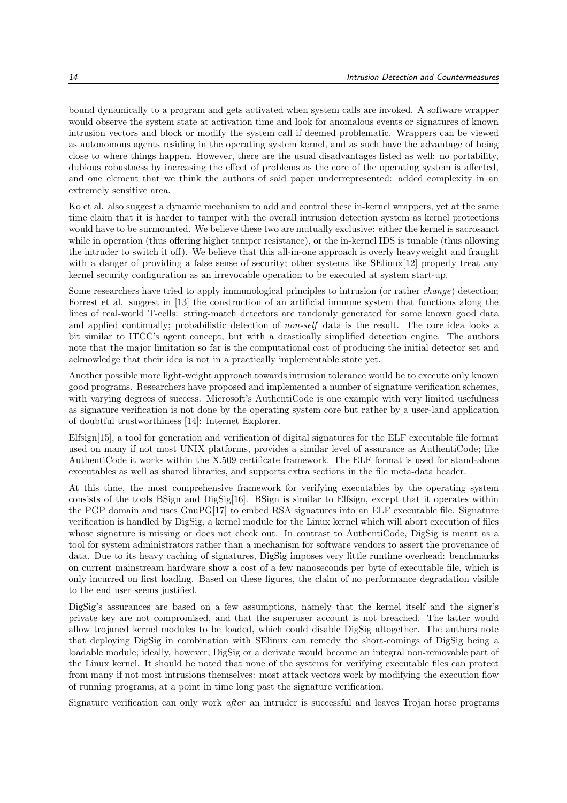bound dynamically to a program and gets activated when system calls are invoked. A software wrapper would observe the system state at activation time and look for anomalous events or signatures of known intrusion vectors and block or modify the system call if deemed problematic. Wrappers can be viewed as autonomous agents residing in the operating system kernel, and as such have the advantage of being close to where things happen. However, there are the usual disadvantages listed as well: no portability, dubious robustness by increasing the effect of problems as the core of the operating system is affected, and one element that we think the authors of said paper underrepresented: added complexity in an extremely sensitive area.

Ko et al. also suggest a dynamic mechanism to add and control these in-kernel wrappers, yet at the same time claim that it is harder to tamper with the overall intrusion detection system as kernel protections would have to be surmounted. We believe these two are mutually exclusive: either the kernel is sacrosanct while in operation (thus offering higher tamper resistance), or the in-kernel IDS is tunable (thus allowing the intruder to switch it off). We believe that this all-in-one approach is overly heavyweight and fraught with a danger of providing a false sense of security; other systems like SElinux[12] properly treat any kernel security configuration as an irrevocable operation to be executed at system start-up.

Some researchers have tried to apply immunological principles to intrusion (or rather change) detection; Forrest et al. suggest in [13] the construction of an artificial immune system that functions along the lines of real-world T-cells: string-match detectors are randomly generated for some known good data and applied continually; probabilistic detection of non-self data is the result. The core idea looks a bit similar to ITCC's agent concept, but with a drastically simplified detection engine. The authors note that the major limitation so far is the computational cost of producing the initial detector set and acknowledge that their idea is not in a practically implementable state yet.

Another possible more light-weight approach towards intrusion tolerance would be to execute only known good programs. Researchers have proposed and implemented a number of signature verification schemes, with varying degrees of success. Microsoft's AuthentiCode is one example with very limited usefulness as signature verification is not done by the operating system core but rather by a user-land application of doubtful trustworthiness [14]: Internet Explorer.

Elfsign[15], a tool for generation and verification of digital signatures for the ELF executable file format used on many if not most UNIX platforms, provides a similar level of assurance as AuthentiCode; like AuthentiCode it works within the X.509 certificate framework. The ELF format is used for stand-alone executables as well as shared libraries, and supports extra sections in the file meta-data header.

At this time, the most comprehensive framework for verifying executables by the operating system consists of the tools BSign and DigSig[16]. BSign is similar to Elfsign, except that it operates within the PGP domain and uses GnuPG[17] to embed RSA signatures into an ELF executable file. Signature verification is handled by DigSig, a kernel module for the Linux kernel which will abort execution of files whose signature is missing or does not check out. In contrast to AuthentiCode, DigSig is meant as a tool for system administrators rather than a mechanism for software vendors to assert the provenance of data. Due to its heavy caching of signatures, DigSig imposes very little runtime overhead: benchmarks on current mainstream hardware show a cost of a few nanoseconds per byte of executable file, which is only incurred on first loading. Based on these figures, the claim of no performance degradation visible to the end user seems justified.

DigSig's assurances are based on a few assumptions, namely that the kernel itself and the signer's private key are not compromised, and that the superuser account is not breached. The latter would allow trojaned kernel modules to be loaded, which could disable DigSig altogether. The authors note that deploying DigSig in combination with SElinux can remedy the short-comings of DigSig being a loadable module; ideally, however, DigSig or a derivate would become an integral non-removable part of the Linux kernel. It should be noted that none of the systems for verifying executable files can protect from many if not most intrusions themselves: most attack vectors work by modifying the execution flow of running programs, at a point in time long past the signature verification.

Signature verification can only work after an intruder is successful and leaves Trojan horse programs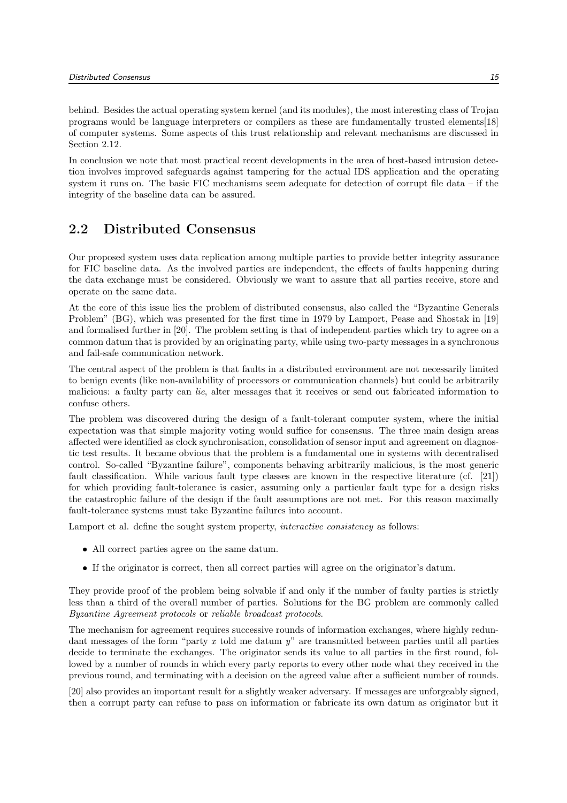behind. Besides the actual operating system kernel (and its modules), the most interesting class of Trojan programs would be language interpreters or compilers as these are fundamentally trusted elements[18] of computer systems. Some aspects of this trust relationship and relevant mechanisms are discussed in Section 2.12.

In conclusion we note that most practical recent developments in the area of host-based intrusion detection involves improved safeguards against tampering for the actual IDS application and the operating system it runs on. The basic FIC mechanisms seem adequate for detection of corrupt file data – if the integrity of the baseline data can be assured.

#### 2.2 Distributed Consensus

Our proposed system uses data replication among multiple parties to provide better integrity assurance for FIC baseline data. As the involved parties are independent, the effects of faults happening during the data exchange must be considered. Obviously we want to assure that all parties receive, store and operate on the same data.

At the core of this issue lies the problem of distributed consensus, also called the "Byzantine Generals Problem" (BG), which was presented for the first time in 1979 by Lamport, Pease and Shostak in [19] and formalised further in [20]. The problem setting is that of independent parties which try to agree on a common datum that is provided by an originating party, while using two-party messages in a synchronous and fail-safe communication network.

The central aspect of the problem is that faults in a distributed environment are not necessarily limited to benign events (like non-availability of processors or communication channels) but could be arbitrarily malicious: a faulty party can lie, alter messages that it receives or send out fabricated information to confuse others.

The problem was discovered during the design of a fault-tolerant computer system, where the initial expectation was that simple majority voting would suffice for consensus. The three main design areas affected were identified as clock synchronisation, consolidation of sensor input and agreement on diagnostic test results. It became obvious that the problem is a fundamental one in systems with decentralised control. So-called "Byzantine failure", components behaving arbitrarily malicious, is the most generic fault classification. While various fault type classes are known in the respective literature (cf. [21]) for which providing fault-tolerance is easier, assuming only a particular fault type for a design risks the catastrophic failure of the design if the fault assumptions are not met. For this reason maximally fault-tolerance systems must take Byzantine failures into account.

Lamport et al. define the sought system property, interactive consistency as follows:

- All correct parties agree on the same datum.
- If the originator is correct, then all correct parties will agree on the originator's datum.

They provide proof of the problem being solvable if and only if the number of faulty parties is strictly less than a third of the overall number of parties. Solutions for the BG problem are commonly called Byzantine Agreement protocols or reliable broadcast protocols.

The mechanism for agreement requires successive rounds of information exchanges, where highly redundant messages of the form "party  $x$  told me datum  $y$ " are transmitted between parties until all parties decide to terminate the exchanges. The originator sends its value to all parties in the first round, followed by a number of rounds in which every party reports to every other node what they received in the previous round, and terminating with a decision on the agreed value after a sufficient number of rounds.

[20] also provides an important result for a slightly weaker adversary. If messages are unforgeably signed, then a corrupt party can refuse to pass on information or fabricate its own datum as originator but it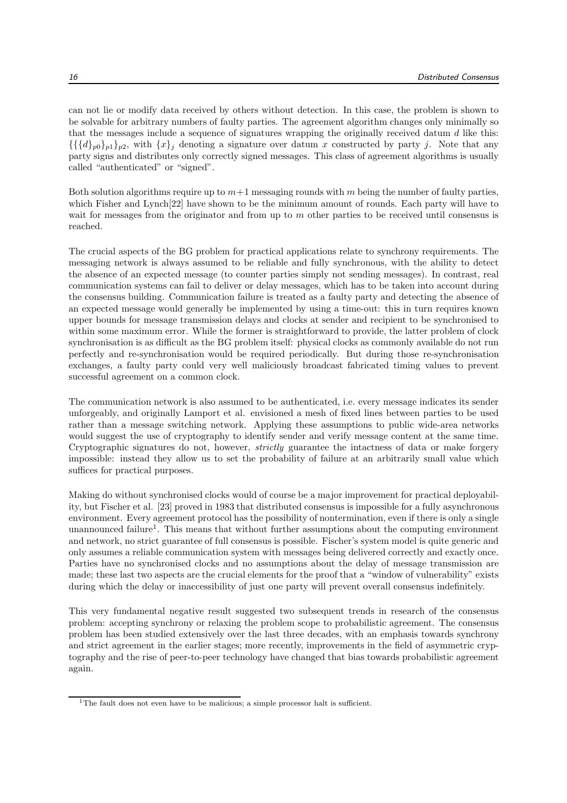can not lie or modify data received by others without detection. In this case, the problem is shown to be solvable for arbitrary numbers of faulty parties. The agreement algorithm changes only minimally so that the messages include a sequence of signatures wrapping the originally received datum  $d$  like this:  $\{\{\{d\}_{p0}\}_p\}$ , with  $\{x\}_i$  denoting a signature over datum x constructed by party j. Note that any party signs and distributes only correctly signed messages. This class of agreement algorithms is usually called "authenticated" or "signed".

Both solution algorithms require up to  $m+1$  messaging rounds with m being the number of faulty parties, which Fisher and Lynch[22] have shown to be the minimum amount of rounds. Each party will have to wait for messages from the originator and from up to m other parties to be received until consensus is reached.

The crucial aspects of the BG problem for practical applications relate to synchrony requirements. The messaging network is always assumed to be reliable and fully synchronous, with the ability to detect the absence of an expected message (to counter parties simply not sending messages). In contrast, real communication systems can fail to deliver or delay messages, which has to be taken into account during the consensus building. Communication failure is treated as a faulty party and detecting the absence of an expected message would generally be implemented by using a time-out: this in turn requires known upper bounds for message transmission delays and clocks at sender and recipient to be synchronised to within some maximum error. While the former is straightforward to provide, the latter problem of clock synchronisation is as difficult as the BG problem itself: physical clocks as commonly available do not run perfectly and re-synchronisation would be required periodically. But during those re-synchronisation exchanges, a faulty party could very well maliciously broadcast fabricated timing values to prevent successful agreement on a common clock.

The communication network is also assumed to be authenticated, i.e. every message indicates its sender unforgeably, and originally Lamport et al. envisioned a mesh of fixed lines between parties to be used rather than a message switching network. Applying these assumptions to public wide-area networks would suggest the use of cryptography to identify sender and verify message content at the same time. Cryptographic signatures do not, however, *strictly* guarantee the intactness of data or make forgery impossible: instead they allow us to set the probability of failure at an arbitrarily small value which suffices for practical purposes.

Making do without synchronised clocks would of course be a major improvement for practical deployability, but Fischer et al. [23] proved in 1983 that distributed consensus is impossible for a fully asynchronous environment. Every agreement protocol has the possibility of nontermination, even if there is only a single unannounced failure<sup>1</sup>. This means that without further assumptions about the computing environment and network, no strict guarantee of full consensus is possible. Fischer's system model is quite generic and only assumes a reliable communication system with messages being delivered correctly and exactly once. Parties have no synchronised clocks and no assumptions about the delay of message transmission are made; these last two aspects are the crucial elements for the proof that a "window of vulnerability" exists during which the delay or inaccessibility of just one party will prevent overall consensus indefinitely.

This very fundamental negative result suggested two subsequent trends in research of the consensus problem: accepting synchrony or relaxing the problem scope to probabilistic agreement. The consensus problem has been studied extensively over the last three decades, with an emphasis towards synchrony and strict agreement in the earlier stages; more recently, improvements in the field of asymmetric cryptography and the rise of peer-to-peer technology have changed that bias towards probabilistic agreement again.

<sup>&</sup>lt;sup>1</sup>The fault does not even have to be malicious; a simple processor halt is sufficient.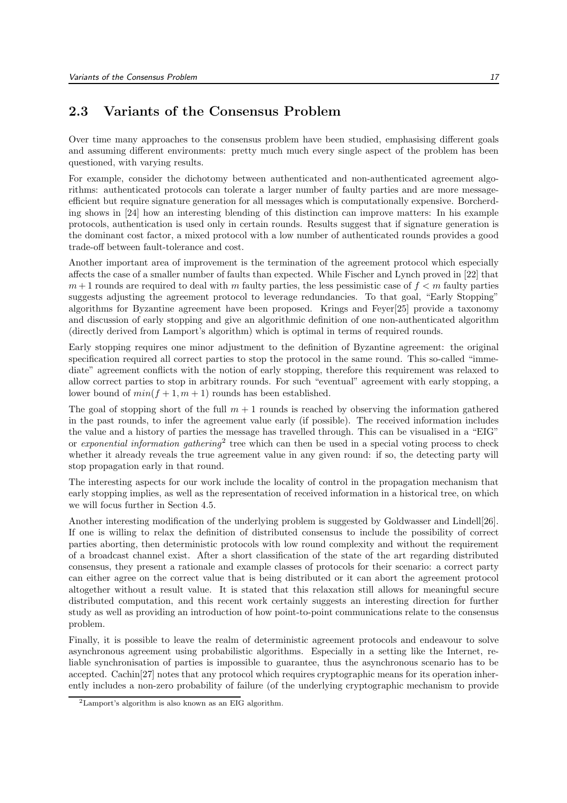#### 2.3 Variants of the Consensus Problem

Over time many approaches to the consensus problem have been studied, emphasising different goals and assuming different environments: pretty much much every single aspect of the problem has been questioned, with varying results.

For example, consider the dichotomy between authenticated and non-authenticated agreement algorithms: authenticated protocols can tolerate a larger number of faulty parties and are more messageefficient but require signature generation for all messages which is computationally expensive. Borcherding shows in [24] how an interesting blending of this distinction can improve matters: In his example protocols, authentication is used only in certain rounds. Results suggest that if signature generation is the dominant cost factor, a mixed protocol with a low number of authenticated rounds provides a good trade-off between fault-tolerance and cost.

Another important area of improvement is the termination of the agreement protocol which especially affects the case of a smaller number of faults than expected. While Fischer and Lynch proved in [22] that  $m+1$  rounds are required to deal with m faulty parties, the less pessimistic case of  $f < m$  faulty parties suggests adjusting the agreement protocol to leverage redundancies. To that goal, "Early Stopping" algorithms for Byzantine agreement have been proposed. Krings and Feyer[25] provide a taxonomy and discussion of early stopping and give an algorithmic definition of one non-authenticated algorithm (directly derived from Lamport's algorithm) which is optimal in terms of required rounds.

Early stopping requires one minor adjustment to the definition of Byzantine agreement: the original specification required all correct parties to stop the protocol in the same round. This so-called "immediate" agreement conflicts with the notion of early stopping, therefore this requirement was relaxed to allow correct parties to stop in arbitrary rounds. For such "eventual" agreement with early stopping, a lower bound of  $min(f + 1, m + 1)$  rounds has been established.

The goal of stopping short of the full  $m + 1$  rounds is reached by observing the information gathered in the past rounds, to infer the agreement value early (if possible). The received information includes the value and a history of parties the message has travelled through. This can be visualised in a "EIG" or exponential information gathering<sup>2</sup> tree which can then be used in a special voting process to check whether it already reveals the true agreement value in any given round: if so, the detecting party will stop propagation early in that round.

The interesting aspects for our work include the locality of control in the propagation mechanism that early stopping implies, as well as the representation of received information in a historical tree, on which we will focus further in Section 4.5.

Another interesting modification of the underlying problem is suggested by Goldwasser and Lindell[26]. If one is willing to relax the definition of distributed consensus to include the possibility of correct parties aborting, then deterministic protocols with low round complexity and without the requirement of a broadcast channel exist. After a short classification of the state of the art regarding distributed consensus, they present a rationale and example classes of protocols for their scenario: a correct party can either agree on the correct value that is being distributed or it can abort the agreement protocol altogether without a result value. It is stated that this relaxation still allows for meaningful secure distributed computation, and this recent work certainly suggests an interesting direction for further study as well as providing an introduction of how point-to-point communications relate to the consensus problem.

Finally, it is possible to leave the realm of deterministic agreement protocols and endeavour to solve asynchronous agreement using probabilistic algorithms. Especially in a setting like the Internet, reliable synchronisation of parties is impossible to guarantee, thus the asynchronous scenario has to be accepted. Cachin[27] notes that any protocol which requires cryptographic means for its operation inherently includes a non-zero probability of failure (of the underlying cryptographic mechanism to provide

<sup>2</sup>Lamport's algorithm is also known as an EIG algorithm.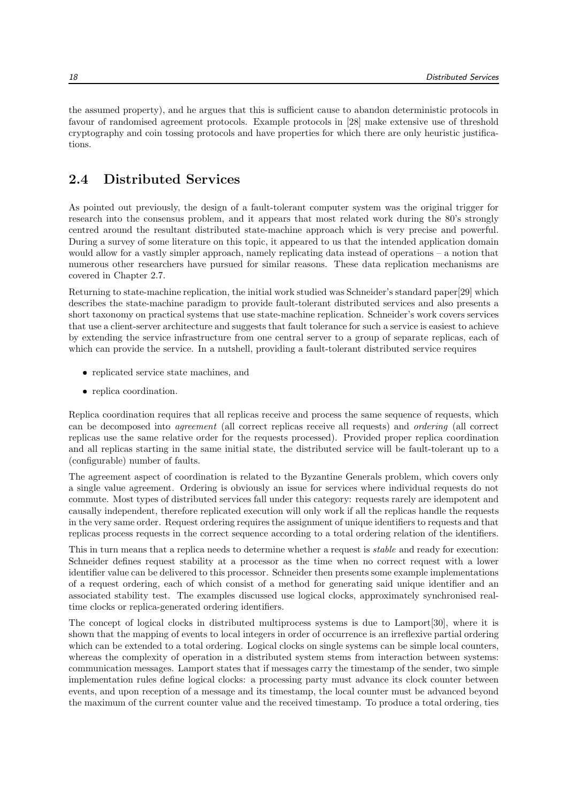the assumed property), and he argues that this is sufficient cause to abandon deterministic protocols in favour of randomised agreement protocols. Example protocols in [28] make extensive use of threshold cryptography and coin tossing protocols and have properties for which there are only heuristic justifications.

#### 2.4 Distributed Services

As pointed out previously, the design of a fault-tolerant computer system was the original trigger for research into the consensus problem, and it appears that most related work during the 80's strongly centred around the resultant distributed state-machine approach which is very precise and powerful. During a survey of some literature on this topic, it appeared to us that the intended application domain would allow for a vastly simpler approach, namely replicating data instead of operations – a notion that numerous other researchers have pursued for similar reasons. These data replication mechanisms are covered in Chapter 2.7.

Returning to state-machine replication, the initial work studied was Schneider's standard paper[29] which describes the state-machine paradigm to provide fault-tolerant distributed services and also presents a short taxonomy on practical systems that use state-machine replication. Schneider's work covers services that use a client-server architecture and suggests that fault tolerance for such a service is easiest to achieve by extending the service infrastructure from one central server to a group of separate replicas, each of which can provide the service. In a nutshell, providing a fault-tolerant distributed service requires

- replicated service state machines, and
- replica coordination.

Replica coordination requires that all replicas receive and process the same sequence of requests, which can be decomposed into agreement (all correct replicas receive all requests) and ordering (all correct replicas use the same relative order for the requests processed). Provided proper replica coordination and all replicas starting in the same initial state, the distributed service will be fault-tolerant up to a (configurable) number of faults.

The agreement aspect of coordination is related to the Byzantine Generals problem, which covers only a single value agreement. Ordering is obviously an issue for services where individual requests do not commute. Most types of distributed services fall under this category: requests rarely are idempotent and causally independent, therefore replicated execution will only work if all the replicas handle the requests in the very same order. Request ordering requires the assignment of unique identifiers to requests and that replicas process requests in the correct sequence according to a total ordering relation of the identifiers.

This in turn means that a replica needs to determine whether a request is *stable* and ready for execution: Schneider defines request stability at a processor as the time when no correct request with a lower identifier value can be delivered to this processor. Schneider then presents some example implementations of a request ordering, each of which consist of a method for generating said unique identifier and an associated stability test. The examples discussed use logical clocks, approximately synchronised realtime clocks or replica-generated ordering identifiers.

The concept of logical clocks in distributed multiprocess systems is due to Lamport[30], where it is shown that the mapping of events to local integers in order of occurrence is an irreflexive partial ordering which can be extended to a total ordering. Logical clocks on single systems can be simple local counters, whereas the complexity of operation in a distributed system stems from interaction between systems: communication messages. Lamport states that if messages carry the timestamp of the sender, two simple implementation rules define logical clocks: a processing party must advance its clock counter between events, and upon reception of a message and its timestamp, the local counter must be advanced beyond the maximum of the current counter value and the received timestamp. To produce a total ordering, ties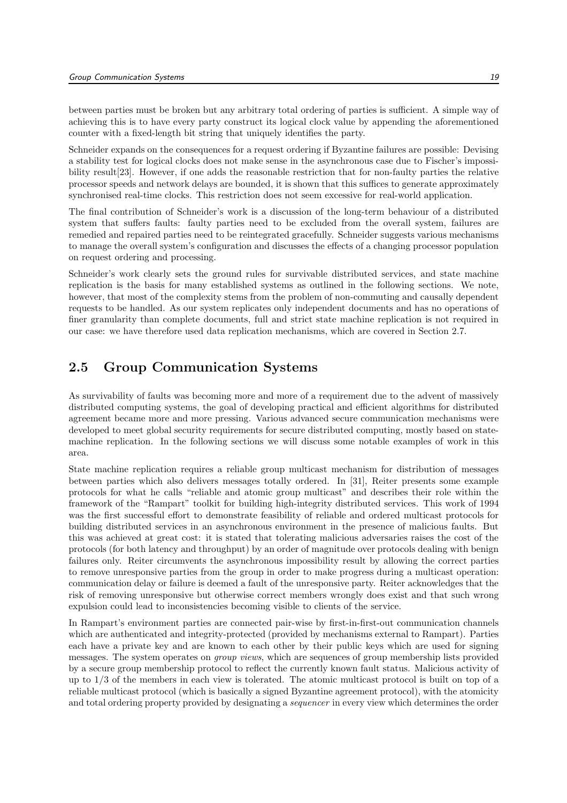between parties must be broken but any arbitrary total ordering of parties is sufficient. A simple way of achieving this is to have every party construct its logical clock value by appending the aforementioned counter with a fixed-length bit string that uniquely identifies the party.

Schneider expands on the consequences for a request ordering if Byzantine failures are possible: Devising a stability test for logical clocks does not make sense in the asynchronous case due to Fischer's impossibility result[23]. However, if one adds the reasonable restriction that for non-faulty parties the relative processor speeds and network delays are bounded, it is shown that this suffices to generate approximately synchronised real-time clocks. This restriction does not seem excessive for real-world application.

The final contribution of Schneider's work is a discussion of the long-term behaviour of a distributed system that suffers faults: faulty parties need to be excluded from the overall system, failures are remedied and repaired parties need to be reintegrated gracefully. Schneider suggests various mechanisms to manage the overall system's configuration and discusses the effects of a changing processor population on request ordering and processing.

Schneider's work clearly sets the ground rules for survivable distributed services, and state machine replication is the basis for many established systems as outlined in the following sections. We note, however, that most of the complexity stems from the problem of non-commuting and causally dependent requests to be handled. As our system replicates only independent documents and has no operations of finer granularity than complete documents, full and strict state machine replication is not required in our case: we have therefore used data replication mechanisms, which are covered in Section 2.7.

#### 2.5 Group Communication Systems

As survivability of faults was becoming more and more of a requirement due to the advent of massively distributed computing systems, the goal of developing practical and efficient algorithms for distributed agreement became more and more pressing. Various advanced secure communication mechanisms were developed to meet global security requirements for secure distributed computing, mostly based on statemachine replication. In the following sections we will discuss some notable examples of work in this area.

State machine replication requires a reliable group multicast mechanism for distribution of messages between parties which also delivers messages totally ordered. In [31], Reiter presents some example protocols for what he calls "reliable and atomic group multicast" and describes their role within the framework of the "Rampart" toolkit for building high-integrity distributed services. This work of 1994 was the first successful effort to demonstrate feasibility of reliable and ordered multicast protocols for building distributed services in an asynchronous environment in the presence of malicious faults. But this was achieved at great cost: it is stated that tolerating malicious adversaries raises the cost of the protocols (for both latency and throughput) by an order of magnitude over protocols dealing with benign failures only. Reiter circumvents the asynchronous impossibility result by allowing the correct parties to remove unresponsive parties from the group in order to make progress during a multicast operation: communication delay or failure is deemed a fault of the unresponsive party. Reiter acknowledges that the risk of removing unresponsive but otherwise correct members wrongly does exist and that such wrong expulsion could lead to inconsistencies becoming visible to clients of the service.

In Rampart's environment parties are connected pair-wise by first-in-first-out communication channels which are authenticated and integrity-protected (provided by mechanisms external to Rampart). Parties each have a private key and are known to each other by their public keys which are used for signing messages. The system operates on group views, which are sequences of group membership lists provided by a secure group membership protocol to reflect the currently known fault status. Malicious activity of up to 1/3 of the members in each view is tolerated. The atomic multicast protocol is built on top of a reliable multicast protocol (which is basically a signed Byzantine agreement protocol), with the atomicity and total ordering property provided by designating a sequencer in every view which determines the order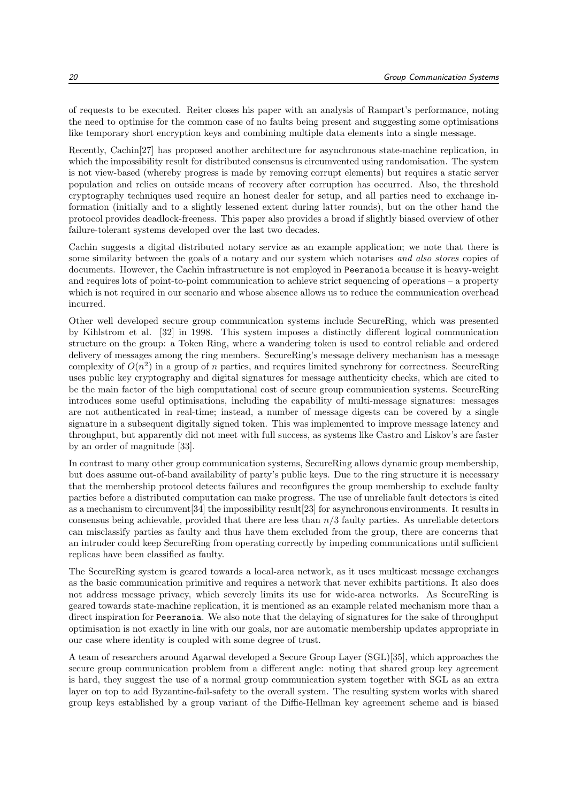of requests to be executed. Reiter closes his paper with an analysis of Rampart's performance, noting the need to optimise for the common case of no faults being present and suggesting some optimisations like temporary short encryption keys and combining multiple data elements into a single message.

Recently, Cachin[27] has proposed another architecture for asynchronous state-machine replication, in which the impossibility result for distributed consensus is circumvented using randomisation. The system is not view-based (whereby progress is made by removing corrupt elements) but requires a static server population and relies on outside means of recovery after corruption has occurred. Also, the threshold cryptography techniques used require an honest dealer for setup, and all parties need to exchange information (initially and to a slightly lessened extent during latter rounds), but on the other hand the protocol provides deadlock-freeness. This paper also provides a broad if slightly biased overview of other failure-tolerant systems developed over the last two decades.

Cachin suggests a digital distributed notary service as an example application; we note that there is some similarity between the goals of a notary and our system which notarises and also stores copies of documents. However, the Cachin infrastructure is not employed in Peeranoia because it is heavy-weight and requires lots of point-to-point communication to achieve strict sequencing of operations – a property which is not required in our scenario and whose absence allows us to reduce the communication overhead incurred.

Other well developed secure group communication systems include SecureRing, which was presented by Kihlstrom et al. [32] in 1998. This system imposes a distinctly different logical communication structure on the group: a Token Ring, where a wandering token is used to control reliable and ordered delivery of messages among the ring members. SecureRing's message delivery mechanism has a message complexity of  $O(n^2)$  in a group of n parties, and requires limited synchrony for correctness. SecureRing uses public key cryptography and digital signatures for message authenticity checks, which are cited to be the main factor of the high computational cost of secure group communication systems. SecureRing introduces some useful optimisations, including the capability of multi-message signatures: messages are not authenticated in real-time; instead, a number of message digests can be covered by a single signature in a subsequent digitally signed token. This was implemented to improve message latency and throughput, but apparently did not meet with full success, as systems like Castro and Liskov's are faster by an order of magnitude [33].

In contrast to many other group communication systems, SecureRing allows dynamic group membership, but does assume out-of-band availability of party's public keys. Due to the ring structure it is necessary that the membership protocol detects failures and reconfigures the group membership to exclude faulty parties before a distributed computation can make progress. The use of unreliable fault detectors is cited as a mechanism to circumvent [34] the impossibility result [23] for asynchronous environments. It results in consensus being achievable, provided that there are less than  $n/3$  faulty parties. As unreliable detectors can misclassify parties as faulty and thus have them excluded from the group, there are concerns that an intruder could keep SecureRing from operating correctly by impeding communications until sufficient replicas have been classified as faulty.

The SecureRing system is geared towards a local-area network, as it uses multicast message exchanges as the basic communication primitive and requires a network that never exhibits partitions. It also does not address message privacy, which severely limits its use for wide-area networks. As SecureRing is geared towards state-machine replication, it is mentioned as an example related mechanism more than a direct inspiration for Peeranoia. We also note that the delaying of signatures for the sake of throughput optimisation is not exactly in line with our goals, nor are automatic membership updates appropriate in our case where identity is coupled with some degree of trust.

A team of researchers around Agarwal developed a Secure Group Layer (SGL)[35], which approaches the secure group communication problem from a different angle: noting that shared group key agreement is hard, they suggest the use of a normal group communication system together with SGL as an extra layer on top to add Byzantine-fail-safety to the overall system. The resulting system works with shared group keys established by a group variant of the Diffie-Hellman key agreement scheme and is biased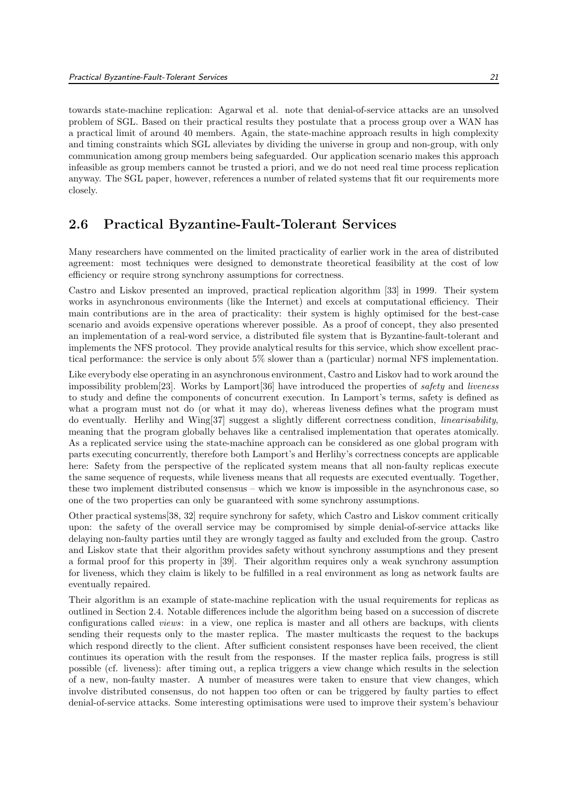towards state-machine replication: Agarwal et al. note that denial-of-service attacks are an unsolved problem of SGL. Based on their practical results they postulate that a process group over a WAN has a practical limit of around 40 members. Again, the state-machine approach results in high complexity and timing constraints which SGL alleviates by dividing the universe in group and non-group, with only communication among group members being safeguarded. Our application scenario makes this approach infeasible as group members cannot be trusted a priori, and we do not need real time process replication anyway. The SGL paper, however, references a number of related systems that fit our requirements more closely.

#### 2.6 Practical Byzantine-Fault-Tolerant Services

Many researchers have commented on the limited practicality of earlier work in the area of distributed agreement: most techniques were designed to demonstrate theoretical feasibility at the cost of low efficiency or require strong synchrony assumptions for correctness.

Castro and Liskov presented an improved, practical replication algorithm [33] in 1999. Their system works in asynchronous environments (like the Internet) and excels at computational efficiency. Their main contributions are in the area of practicality: their system is highly optimised for the best-case scenario and avoids expensive operations wherever possible. As a proof of concept, they also presented an implementation of a real-word service, a distributed file system that is Byzantine-fault-tolerant and implements the NFS protocol. They provide analytical results for this service, which show excellent practical performance: the service is only about 5% slower than a (particular) normal NFS implementation.

Like everybody else operating in an asynchronous environment, Castro and Liskov had to work around the impossibility problem[23]. Works by Lamport[36] have introduced the properties of safety and liveness to study and define the components of concurrent execution. In Lamport's terms, safety is defined as what a program must not do (or what it may do), whereas liveness defines what the program must do eventually. Herlihy and Wing[37] suggest a slightly different correctness condition, linearisability, meaning that the program globally behaves like a centralised implementation that operates atomically. As a replicated service using the state-machine approach can be considered as one global program with parts executing concurrently, therefore both Lamport's and Herlihy's correctness concepts are applicable here: Safety from the perspective of the replicated system means that all non-faulty replicas execute the same sequence of requests, while liveness means that all requests are executed eventually. Together, these two implement distributed consensus – which we know is impossible in the asynchronous case, so one of the two properties can only be guaranteed with some synchrony assumptions.

Other practical systems[38, 32] require synchrony for safety, which Castro and Liskov comment critically upon: the safety of the overall service may be compromised by simple denial-of-service attacks like delaying non-faulty parties until they are wrongly tagged as faulty and excluded from the group. Castro and Liskov state that their algorithm provides safety without synchrony assumptions and they present a formal proof for this property in [39]. Their algorithm requires only a weak synchrony assumption for liveness, which they claim is likely to be fulfilled in a real environment as long as network faults are eventually repaired.

Their algorithm is an example of state-machine replication with the usual requirements for replicas as outlined in Section 2.4. Notable differences include the algorithm being based on a succession of discrete configurations called views: in a view, one replica is master and all others are backups, with clients sending their requests only to the master replica. The master multicasts the request to the backups which respond directly to the client. After sufficient consistent responses have been received, the client continues its operation with the result from the responses. If the master replica fails, progress is still possible (cf. liveness): after timing out, a replica triggers a view change which results in the selection of a new, non-faulty master. A number of measures were taken to ensure that view changes, which involve distributed consensus, do not happen too often or can be triggered by faulty parties to effect denial-of-service attacks. Some interesting optimisations were used to improve their system's behaviour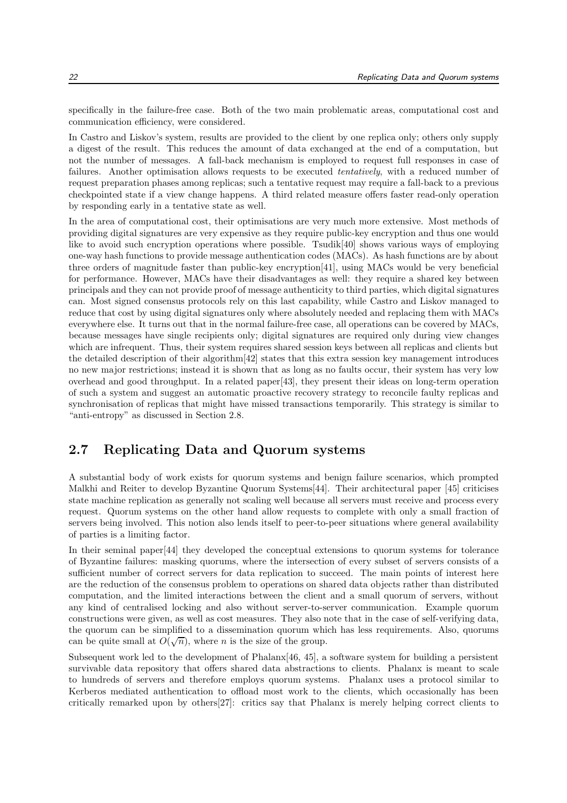specifically in the failure-free case. Both of the two main problematic areas, computational cost and communication efficiency, were considered.

In Castro and Liskov's system, results are provided to the client by one replica only; others only supply a digest of the result. This reduces the amount of data exchanged at the end of a computation, but not the number of messages. A fall-back mechanism is employed to request full responses in case of failures. Another optimisation allows requests to be executed tentatively, with a reduced number of request preparation phases among replicas; such a tentative request may require a fall-back to a previous checkpointed state if a view change happens. A third related measure offers faster read-only operation by responding early in a tentative state as well.

In the area of computational cost, their optimisations are very much more extensive. Most methods of providing digital signatures are very expensive as they require public-key encryption and thus one would like to avoid such encryption operations where possible. Tsudik[40] shows various ways of employing one-way hash functions to provide message authentication codes (MACs). As hash functions are by about three orders of magnitude faster than public-key encryption[41], using MACs would be very beneficial for performance. However, MACs have their disadvantages as well: they require a shared key between principals and they can not provide proof of message authenticity to third parties, which digital signatures can. Most signed consensus protocols rely on this last capability, while Castro and Liskov managed to reduce that cost by using digital signatures only where absolutely needed and replacing them with MACs everywhere else. It turns out that in the normal failure-free case, all operations can be covered by MACs, because messages have single recipients only; digital signatures are required only during view changes which are infrequent. Thus, their system requires shared session keys between all replicas and clients but the detailed description of their algorithm[42] states that this extra session key management introduces no new major restrictions; instead it is shown that as long as no faults occur, their system has very low overhead and good throughput. In a related paper[43], they present their ideas on long-term operation of such a system and suggest an automatic proactive recovery strategy to reconcile faulty replicas and synchronisation of replicas that might have missed transactions temporarily. This strategy is similar to "anti-entropy" as discussed in Section 2.8.

#### 2.7 Replicating Data and Quorum systems

A substantial body of work exists for quorum systems and benign failure scenarios, which prompted Malkhi and Reiter to develop Byzantine Quorum Systems[44]. Their architectural paper [45] criticises state machine replication as generally not scaling well because all servers must receive and process every request. Quorum systems on the other hand allow requests to complete with only a small fraction of servers being involved. This notion also lends itself to peer-to-peer situations where general availability of parties is a limiting factor.

In their seminal paper[44] they developed the conceptual extensions to quorum systems for tolerance of Byzantine failures: masking quorums, where the intersection of every subset of servers consists of a sufficient number of correct servers for data replication to succeed. The main points of interest here are the reduction of the consensus problem to operations on shared data objects rather than distributed computation, and the limited interactions between the client and a small quorum of servers, without any kind of centralised locking and also without server-to-server communication. Example quorum constructions were given, as well as cost measures. They also note that in the case of self-verifying data, the quorum can be simplified to a dissemination quorum which has less requirements. Also, quorums can be quite small at  $O(\sqrt{n})$ , where *n* is the size of the group.

Subsequent work led to the development of Phalanx[46, 45], a software system for building a persistent survivable data repository that offers shared data abstractions to clients. Phalanx is meant to scale to hundreds of servers and therefore employs quorum systems. Phalanx uses a protocol similar to Kerberos mediated authentication to offload most work to the clients, which occasionally has been critically remarked upon by others[27]: critics say that Phalanx is merely helping correct clients to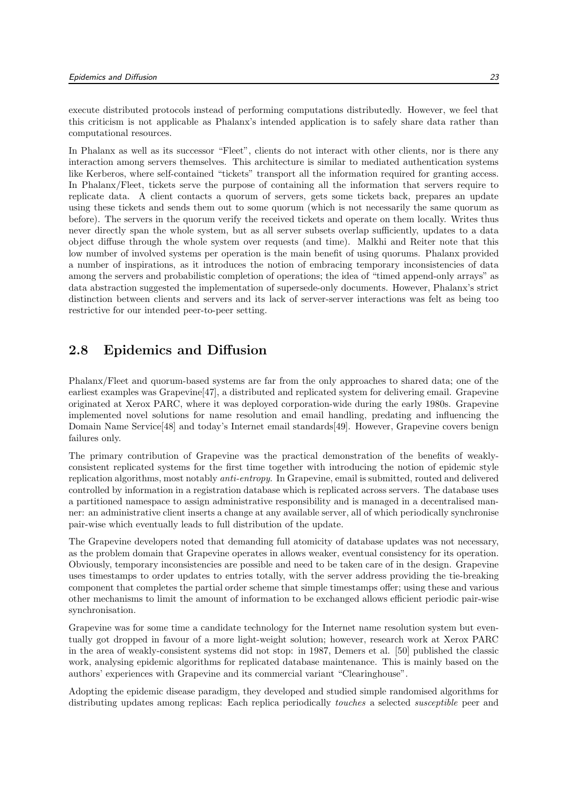execute distributed protocols instead of performing computations distributedly. However, we feel that this criticism is not applicable as Phalanx's intended application is to safely share data rather than computational resources.

In Phalanx as well as its successor "Fleet", clients do not interact with other clients, nor is there any interaction among servers themselves. This architecture is similar to mediated authentication systems like Kerberos, where self-contained "tickets" transport all the information required for granting access. In Phalanx/Fleet, tickets serve the purpose of containing all the information that servers require to replicate data. A client contacts a quorum of servers, gets some tickets back, prepares an update using these tickets and sends them out to some quorum (which is not necessarily the same quorum as before). The servers in the quorum verify the received tickets and operate on them locally. Writes thus never directly span the whole system, but as all server subsets overlap sufficiently, updates to a data object diffuse through the whole system over requests (and time). Malkhi and Reiter note that this low number of involved systems per operation is the main benefit of using quorums. Phalanx provided a number of inspirations, as it introduces the notion of embracing temporary inconsistencies of data among the servers and probabilistic completion of operations; the idea of "timed append-only arrays" as data abstraction suggested the implementation of supersede-only documents. However, Phalanx's strict distinction between clients and servers and its lack of server-server interactions was felt as being too restrictive for our intended peer-to-peer setting.

#### 2.8 Epidemics and Diffusion

Phalanx/Fleet and quorum-based systems are far from the only approaches to shared data; one of the earliest examples was Grapevine[47], a distributed and replicated system for delivering email. Grapevine originated at Xerox PARC, where it was deployed corporation-wide during the early 1980s. Grapevine implemented novel solutions for name resolution and email handling, predating and influencing the Domain Name Service[48] and today's Internet email standards[49]. However, Grapevine covers benign failures only.

The primary contribution of Grapevine was the practical demonstration of the benefits of weaklyconsistent replicated systems for the first time together with introducing the notion of epidemic style replication algorithms, most notably anti-entropy. In Grapevine, email is submitted, routed and delivered controlled by information in a registration database which is replicated across servers. The database uses a partitioned namespace to assign administrative responsibility and is managed in a decentralised manner: an administrative client inserts a change at any available server, all of which periodically synchronise pair-wise which eventually leads to full distribution of the update.

The Grapevine developers noted that demanding full atomicity of database updates was not necessary, as the problem domain that Grapevine operates in allows weaker, eventual consistency for its operation. Obviously, temporary inconsistencies are possible and need to be taken care of in the design. Grapevine uses timestamps to order updates to entries totally, with the server address providing the tie-breaking component that completes the partial order scheme that simple timestamps offer; using these and various other mechanisms to limit the amount of information to be exchanged allows efficient periodic pair-wise synchronisation.

Grapevine was for some time a candidate technology for the Internet name resolution system but eventually got dropped in favour of a more light-weight solution; however, research work at Xerox PARC in the area of weakly-consistent systems did not stop: in 1987, Demers et al. [50] published the classic work, analysing epidemic algorithms for replicated database maintenance. This is mainly based on the authors' experiences with Grapevine and its commercial variant "Clearinghouse".

Adopting the epidemic disease paradigm, they developed and studied simple randomised algorithms for distributing updates among replicas: Each replica periodically *touches* a selected *susceptible* peer and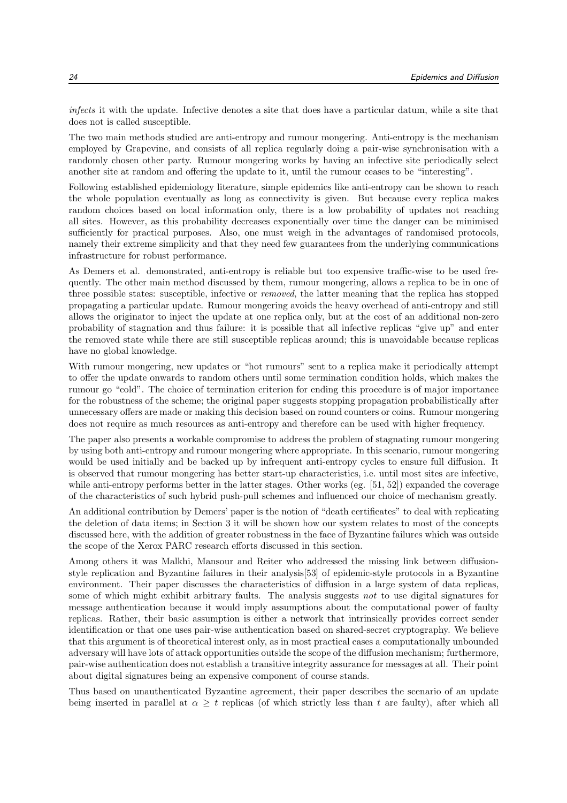infects it with the update. Infective denotes a site that does have a particular datum, while a site that does not is called susceptible.

The two main methods studied are anti-entropy and rumour mongering. Anti-entropy is the mechanism employed by Grapevine, and consists of all replica regularly doing a pair-wise synchronisation with a randomly chosen other party. Rumour mongering works by having an infective site periodically select another site at random and offering the update to it, until the rumour ceases to be "interesting".

Following established epidemiology literature, simple epidemics like anti-entropy can be shown to reach the whole population eventually as long as connectivity is given. But because every replica makes random choices based on local information only, there is a low probability of updates not reaching all sites. However, as this probability decreases exponentially over time the danger can be minimised sufficiently for practical purposes. Also, one must weigh in the advantages of randomised protocols, namely their extreme simplicity and that they need few guarantees from the underlying communications infrastructure for robust performance.

As Demers et al. demonstrated, anti-entropy is reliable but too expensive traffic-wise to be used frequently. The other main method discussed by them, rumour mongering, allows a replica to be in one of three possible states: susceptible, infective or removed, the latter meaning that the replica has stopped propagating a particular update. Rumour mongering avoids the heavy overhead of anti-entropy and still allows the originator to inject the update at one replica only, but at the cost of an additional non-zero probability of stagnation and thus failure: it is possible that all infective replicas "give up" and enter the removed state while there are still susceptible replicas around; this is unavoidable because replicas have no global knowledge.

With rumour mongering, new updates or "hot rumours" sent to a replica make it periodically attempt to offer the update onwards to random others until some termination condition holds, which makes the rumour go "cold". The choice of termination criterion for ending this procedure is of major importance for the robustness of the scheme; the original paper suggests stopping propagation probabilistically after unnecessary offers are made or making this decision based on round counters or coins. Rumour mongering does not require as much resources as anti-entropy and therefore can be used with higher frequency.

The paper also presents a workable compromise to address the problem of stagnating rumour mongering by using both anti-entropy and rumour mongering where appropriate. In this scenario, rumour mongering would be used initially and be backed up by infrequent anti-entropy cycles to ensure full diffusion. It is observed that rumour mongering has better start-up characteristics, i.e. until most sites are infective, while anti-entropy performs better in the latter stages. Other works (eg. [51, 52]) expanded the coverage of the characteristics of such hybrid push-pull schemes and influenced our choice of mechanism greatly.

An additional contribution by Demers' paper is the notion of "death certificates" to deal with replicating the deletion of data items; in Section 3 it will be shown how our system relates to most of the concepts discussed here, with the addition of greater robustness in the face of Byzantine failures which was outside the scope of the Xerox PARC research efforts discussed in this section.

Among others it was Malkhi, Mansour and Reiter who addressed the missing link between diffusionstyle replication and Byzantine failures in their analysis[53] of epidemic-style protocols in a Byzantine environment. Their paper discusses the characteristics of diffusion in a large system of data replicas, some of which might exhibit arbitrary faults. The analysis suggests not to use digital signatures for message authentication because it would imply assumptions about the computational power of faulty replicas. Rather, their basic assumption is either a network that intrinsically provides correct sender identification or that one uses pair-wise authentication based on shared-secret cryptography. We believe that this argument is of theoretical interest only, as in most practical cases a computationally unbounded adversary will have lots of attack opportunities outside the scope of the diffusion mechanism; furthermore, pair-wise authentication does not establish a transitive integrity assurance for messages at all. Their point about digital signatures being an expensive component of course stands.

Thus based on unauthenticated Byzantine agreement, their paper describes the scenario of an update being inserted in parallel at  $\alpha \geq t$  replicas (of which strictly less than t are faulty), after which all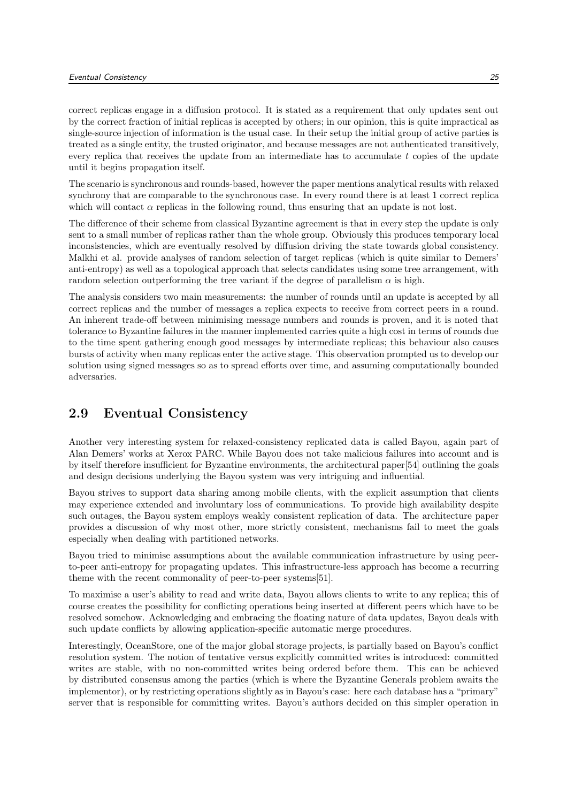correct replicas engage in a diffusion protocol. It is stated as a requirement that only updates sent out by the correct fraction of initial replicas is accepted by others; in our opinion, this is quite impractical as single-source injection of information is the usual case. In their setup the initial group of active parties is treated as a single entity, the trusted originator, and because messages are not authenticated transitively, every replica that receives the update from an intermediate has to accumulate  $t$  copies of the update until it begins propagation itself.

The scenario is synchronous and rounds-based, however the paper mentions analytical results with relaxed synchrony that are comparable to the synchronous case. In every round there is at least 1 correct replica which will contact  $\alpha$  replicas in the following round, thus ensuring that an update is not lost.

The difference of their scheme from classical Byzantine agreement is that in every step the update is only sent to a small number of replicas rather than the whole group. Obviously this produces temporary local inconsistencies, which are eventually resolved by diffusion driving the state towards global consistency. Malkhi et al. provide analyses of random selection of target replicas (which is quite similar to Demers' anti-entropy) as well as a topological approach that selects candidates using some tree arrangement, with random selection outperforming the tree variant if the degree of parallelism  $\alpha$  is high.

The analysis considers two main measurements: the number of rounds until an update is accepted by all correct replicas and the number of messages a replica expects to receive from correct peers in a round. An inherent trade-off between minimising message numbers and rounds is proven, and it is noted that tolerance to Byzantine failures in the manner implemented carries quite a high cost in terms of rounds due to the time spent gathering enough good messages by intermediate replicas; this behaviour also causes bursts of activity when many replicas enter the active stage. This observation prompted us to develop our solution using signed messages so as to spread efforts over time, and assuming computationally bounded adversaries.

#### 2.9 Eventual Consistency

Another very interesting system for relaxed-consistency replicated data is called Bayou, again part of Alan Demers' works at Xerox PARC. While Bayou does not take malicious failures into account and is by itself therefore insufficient for Byzantine environments, the architectural paper[54] outlining the goals and design decisions underlying the Bayou system was very intriguing and influential.

Bayou strives to support data sharing among mobile clients, with the explicit assumption that clients may experience extended and involuntary loss of communications. To provide high availability despite such outages, the Bayou system employs weakly consistent replication of data. The architecture paper provides a discussion of why most other, more strictly consistent, mechanisms fail to meet the goals especially when dealing with partitioned networks.

Bayou tried to minimise assumptions about the available communication infrastructure by using peerto-peer anti-entropy for propagating updates. This infrastructure-less approach has become a recurring theme with the recent commonality of peer-to-peer systems[51].

To maximise a user's ability to read and write data, Bayou allows clients to write to any replica; this of course creates the possibility for conflicting operations being inserted at different peers which have to be resolved somehow. Acknowledging and embracing the floating nature of data updates, Bayou deals with such update conflicts by allowing application-specific automatic merge procedures.

Interestingly, OceanStore, one of the major global storage projects, is partially based on Bayou's conflict resolution system. The notion of tentative versus explicitly committed writes is introduced: committed writes are stable, with no non-committed writes being ordered before them. This can be achieved by distributed consensus among the parties (which is where the Byzantine Generals problem awaits the implementor), or by restricting operations slightly as in Bayou's case: here each database has a "primary" server that is responsible for committing writes. Bayou's authors decided on this simpler operation in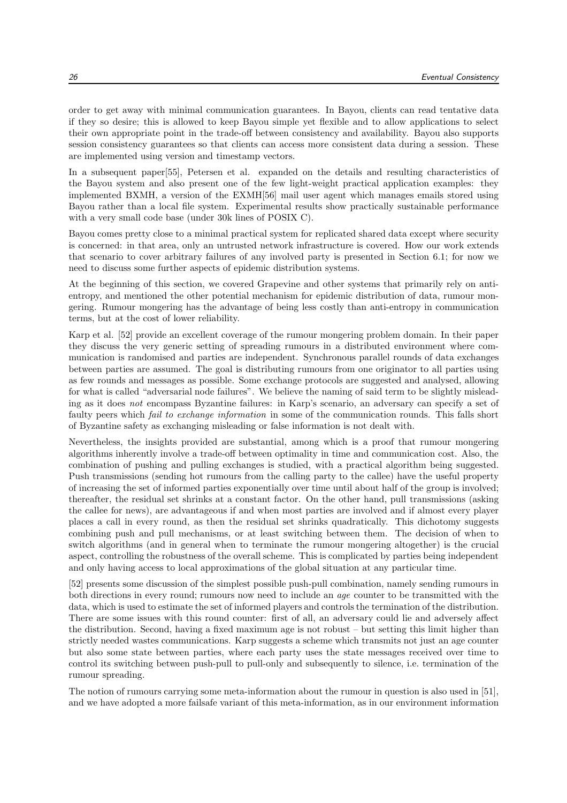order to get away with minimal communication guarantees. In Bayou, clients can read tentative data if they so desire; this is allowed to keep Bayou simple yet flexible and to allow applications to select their own appropriate point in the trade-off between consistency and availability. Bayou also supports session consistency guarantees so that clients can access more consistent data during a session. These are implemented using version and timestamp vectors.

In a subsequent paper[55], Petersen et al. expanded on the details and resulting characteristics of the Bayou system and also present one of the few light-weight practical application examples: they implemented BXMH, a version of the EXMH[56] mail user agent which manages emails stored using Bayou rather than a local file system. Experimental results show practically sustainable performance with a very small code base (under 30k lines of POSIX C).

Bayou comes pretty close to a minimal practical system for replicated shared data except where security is concerned: in that area, only an untrusted network infrastructure is covered. How our work extends that scenario to cover arbitrary failures of any involved party is presented in Section 6.1; for now we need to discuss some further aspects of epidemic distribution systems.

At the beginning of this section, we covered Grapevine and other systems that primarily rely on antientropy, and mentioned the other potential mechanism for epidemic distribution of data, rumour mongering. Rumour mongering has the advantage of being less costly than anti-entropy in communication terms, but at the cost of lower reliability.

Karp et al. [52] provide an excellent coverage of the rumour mongering problem domain. In their paper they discuss the very generic setting of spreading rumours in a distributed environment where communication is randomised and parties are independent. Synchronous parallel rounds of data exchanges between parties are assumed. The goal is distributing rumours from one originator to all parties using as few rounds and messages as possible. Some exchange protocols are suggested and analysed, allowing for what is called "adversarial node failures". We believe the naming of said term to be slightly misleading as it does not encompass Byzantine failures: in Karp's scenario, an adversary can specify a set of faulty peers which fail to exchange information in some of the communication rounds. This falls short of Byzantine safety as exchanging misleading or false information is not dealt with.

Nevertheless, the insights provided are substantial, among which is a proof that rumour mongering algorithms inherently involve a trade-off between optimality in time and communication cost. Also, the combination of pushing and pulling exchanges is studied, with a practical algorithm being suggested. Push transmissions (sending hot rumours from the calling party to the callee) have the useful property of increasing the set of informed parties exponentially over time until about half of the group is involved; thereafter, the residual set shrinks at a constant factor. On the other hand, pull transmissions (asking the callee for news), are advantageous if and when most parties are involved and if almost every player places a call in every round, as then the residual set shrinks quadratically. This dichotomy suggests combining push and pull mechanisms, or at least switching between them. The decision of when to switch algorithms (and in general when to terminate the rumour mongering altogether) is the crucial aspect, controlling the robustness of the overall scheme. This is complicated by parties being independent and only having access to local approximations of the global situation at any particular time.

[52] presents some discussion of the simplest possible push-pull combination, namely sending rumours in both directions in every round; rumours now need to include an age counter to be transmitted with the data, which is used to estimate the set of informed players and controls the termination of the distribution. There are some issues with this round counter: first of all, an adversary could lie and adversely affect the distribution. Second, having a fixed maximum age is not robust – but setting this limit higher than strictly needed wastes communications. Karp suggests a scheme which transmits not just an age counter but also some state between parties, where each party uses the state messages received over time to control its switching between push-pull to pull-only and subsequently to silence, i.e. termination of the rumour spreading.

The notion of rumours carrying some meta-information about the rumour in question is also used in [51], and we have adopted a more failsafe variant of this meta-information, as in our environment information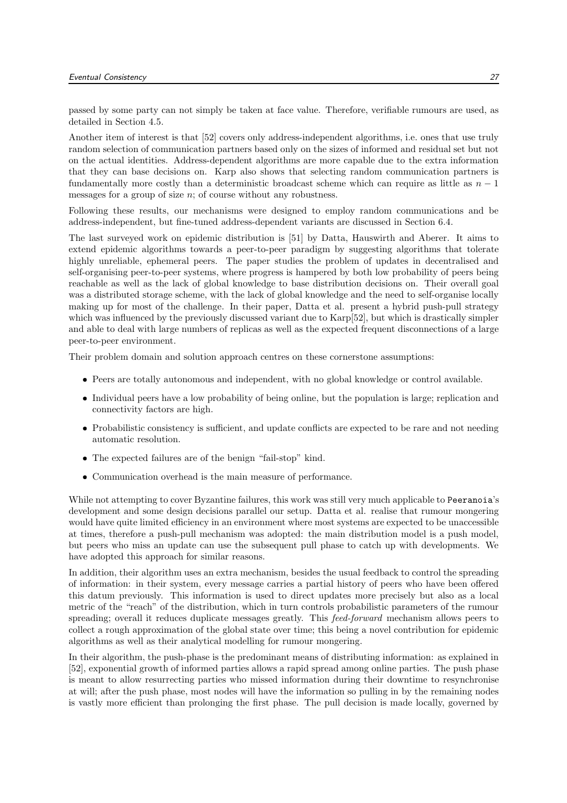passed by some party can not simply be taken at face value. Therefore, verifiable rumours are used, as detailed in Section 4.5.

Another item of interest is that [52] covers only address-independent algorithms, i.e. ones that use truly random selection of communication partners based only on the sizes of informed and residual set but not on the actual identities. Address-dependent algorithms are more capable due to the extra information that they can base decisions on. Karp also shows that selecting random communication partners is fundamentally more costly than a deterministic broadcast scheme which can require as little as  $n - 1$ messages for a group of size  $n$ ; of course without any robustness.

Following these results, our mechanisms were designed to employ random communications and be address-independent, but fine-tuned address-dependent variants are discussed in Section 6.4.

The last surveyed work on epidemic distribution is [51] by Datta, Hauswirth and Aberer. It aims to extend epidemic algorithms towards a peer-to-peer paradigm by suggesting algorithms that tolerate highly unreliable, ephemeral peers. The paper studies the problem of updates in decentralised and self-organising peer-to-peer systems, where progress is hampered by both low probability of peers being reachable as well as the lack of global knowledge to base distribution decisions on. Their overall goal was a distributed storage scheme, with the lack of global knowledge and the need to self-organise locally making up for most of the challenge. In their paper, Datta et al. present a hybrid push-pull strategy which was influenced by the previously discussed variant due to Karp[52], but which is drastically simpler and able to deal with large numbers of replicas as well as the expected frequent disconnections of a large peer-to-peer environment.

Their problem domain and solution approach centres on these cornerstone assumptions:

- Peers are totally autonomous and independent, with no global knowledge or control available.
- Individual peers have a low probability of being online, but the population is large; replication and connectivity factors are high.
- Probabilistic consistency is sufficient, and update conflicts are expected to be rare and not needing automatic resolution.
- The expected failures are of the benign "fail-stop" kind.
- Communication overhead is the main measure of performance.

While not attempting to cover Byzantine failures, this work was still very much applicable to Peeranoia's development and some design decisions parallel our setup. Datta et al. realise that rumour mongering would have quite limited efficiency in an environment where most systems are expected to be unaccessible at times, therefore a push-pull mechanism was adopted: the main distribution model is a push model, but peers who miss an update can use the subsequent pull phase to catch up with developments. We have adopted this approach for similar reasons.

In addition, their algorithm uses an extra mechanism, besides the usual feedback to control the spreading of information: in their system, every message carries a partial history of peers who have been offered this datum previously. This information is used to direct updates more precisely but also as a local metric of the "reach" of the distribution, which in turn controls probabilistic parameters of the rumour spreading; overall it reduces duplicate messages greatly. This feed-forward mechanism allows peers to collect a rough approximation of the global state over time; this being a novel contribution for epidemic algorithms as well as their analytical modelling for rumour mongering.

In their algorithm, the push-phase is the predominant means of distributing information: as explained in [52], exponential growth of informed parties allows a rapid spread among online parties. The push phase is meant to allow resurrecting parties who missed information during their downtime to resynchronise at will; after the push phase, most nodes will have the information so pulling in by the remaining nodes is vastly more efficient than prolonging the first phase. The pull decision is made locally, governed by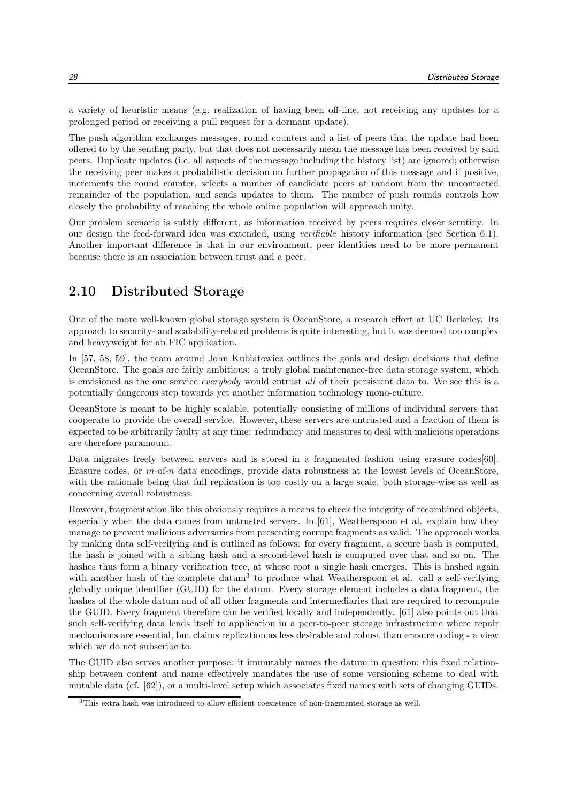a variety of heuristic means (e.g. realization of having been off-line, not receiving any updates for a prolonged period or receiving a pull request for a dormant update).

The push algorithm exchanges messages, round counters and a list of peers that the update had been offered to by the sending party, but that does not necessarily mean the message has been received by said peers. Duplicate updates (i.e. all aspects of the message including the history list) are ignored; otherwise the receiving peer makes a probabilistic decision on further propagation of this message and if positive, increments the round counter, selects a number of candidate peers at random from the uncontacted remainder of the population, and sends updates to them. The number of push rounds controls how closely the probability of reaching the whole online population will approach unity.

Our problem scenario is subtly different, as information received by peers requires closer scrutiny. In our design the feed-forward idea was extended, using verifiable history information (see Section 6.1). Another important difference is that in our environment, peer identities need to be more permanent because there is an association between trust and a peer.

#### 2.10 Distributed Storage

One of the more well-known global storage system is OceanStore, a research effort at UC Berkeley. Its approach to security- and scalability-related problems is quite interesting, but it was deemed too complex and heavyweight for an FIC application.

In [57, 58, 59], the team around John Kubiatowicz outlines the goals and design decisions that define OceanStore. The goals are fairly ambitious: a truly global maintenance-free data storage system, which is envisioned as the one service everybody would entrust all of their persistent data to. We see this is a potentially dangerous step towards yet another information technology mono-culture.

OceanStore is meant to be highly scalable, potentially consisting of millions of individual servers that cooperate to provide the overall service. However, these servers are untrusted and a fraction of them is expected to be arbitrarily faulty at any time: redundancy and measures to deal with malicious operations are therefore paramount.

Data migrates freely between servers and is stored in a fragmented fashion using erasure codes [60]. Erasure codes, or m-of-n data encodings, provide data robustness at the lowest levels of OceanStore, with the rationale being that full replication is too costly on a large scale, both storage-wise as well as concerning overall robustness.

However, fragmentation like this obviously requires a means to check the integrity of recombined objects, especially when the data comes from untrusted servers. In [61], Weatherspoon et al. explain how they manage to prevent malicious adversaries from presenting corrupt fragments as valid. The approach works by making data self-verifying and is outlined as follows: for every fragment, a secure hash is computed, the hash is joined with a sibling hash and a second-level hash is computed over that and so on. The hashes thus form a binary verification tree, at whose root a single hash emerges. This is hashed again with another hash of the complete datum<sup>3</sup> to produce what Weatherspoon et al. call a self-verifying globally unique identifier (GUID) for the datum. Every storage element includes a data fragment, the hashes of the whole datum and of all other fragments and intermediaries that are required to recompute the GUID. Every fragment therefore can be verified locally and independently. [61] also points out that such self-verifying data lends itself to application in a peer-to-peer storage infrastructure where repair mechanisms are essential, but claims replication as less desirable and robust than erasure coding - a view which we do not subscribe to.

The GUID also serves another purpose: it immutably names the datum in question; this fixed relationship between content and name effectively mandates the use of some versioning scheme to deal with mutable data (cf. [62]), or a multi-level setup which associates fixed names with sets of changing GUIDs.

<sup>3</sup>This extra hash was introduced to allow efficient coexistence of non-fragmented storage as well.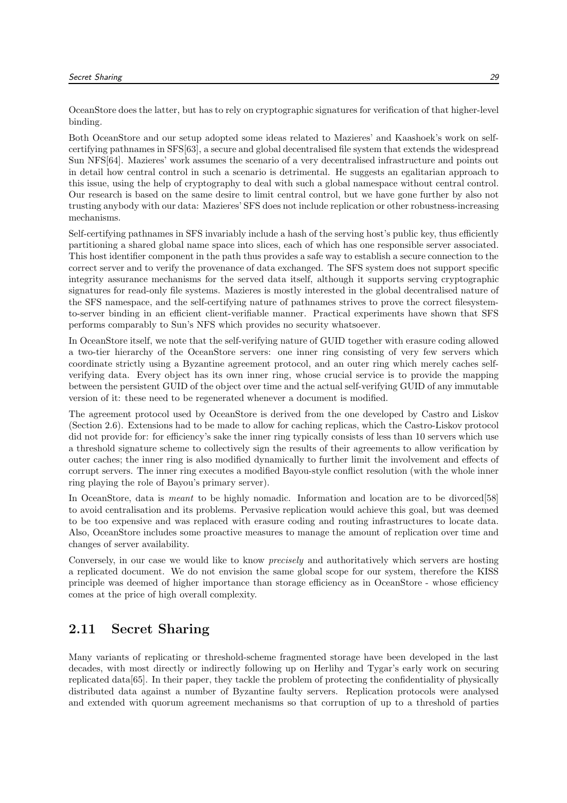OceanStore does the latter, but has to rely on cryptographic signatures for verification of that higher-level binding.

Both OceanStore and our setup adopted some ideas related to Mazieres' and Kaashoek's work on selfcertifying pathnames in SFS[63], a secure and global decentralised file system that extends the widespread Sun NFS[64]. Mazieres' work assumes the scenario of a very decentralised infrastructure and points out in detail how central control in such a scenario is detrimental. He suggests an egalitarian approach to this issue, using the help of cryptography to deal with such a global namespace without central control. Our research is based on the same desire to limit central control, but we have gone further by also not trusting anybody with our data: Mazieres' SFS does not include replication or other robustness-increasing mechanisms.

Self-certifying pathnames in SFS invariably include a hash of the serving host's public key, thus efficiently partitioning a shared global name space into slices, each of which has one responsible server associated. This host identifier component in the path thus provides a safe way to establish a secure connection to the correct server and to verify the provenance of data exchanged. The SFS system does not support specific integrity assurance mechanisms for the served data itself, although it supports serving cryptographic signatures for read-only file systems. Mazieres is mostly interested in the global decentralised nature of the SFS namespace, and the self-certifying nature of pathnames strives to prove the correct filesystemto-server binding in an efficient client-verifiable manner. Practical experiments have shown that SFS performs comparably to Sun's NFS which provides no security whatsoever.

In OceanStore itself, we note that the self-verifying nature of GUID together with erasure coding allowed a two-tier hierarchy of the OceanStore servers: one inner ring consisting of very few servers which coordinate strictly using a Byzantine agreement protocol, and an outer ring which merely caches selfverifying data. Every object has its own inner ring, whose crucial service is to provide the mapping between the persistent GUID of the object over time and the actual self-verifying GUID of any immutable version of it: these need to be regenerated whenever a document is modified.

The agreement protocol used by OceanStore is derived from the one developed by Castro and Liskov (Section 2.6). Extensions had to be made to allow for caching replicas, which the Castro-Liskov protocol did not provide for: for efficiency's sake the inner ring typically consists of less than 10 servers which use a threshold signature scheme to collectively sign the results of their agreements to allow verification by outer caches; the inner ring is also modified dynamically to further limit the involvement and effects of corrupt servers. The inner ring executes a modified Bayou-style conflict resolution (with the whole inner ring playing the role of Bayou's primary server).

In OceanStore, data is *meant* to be highly nomadic. Information and location are to be divorced[58] to avoid centralisation and its problems. Pervasive replication would achieve this goal, but was deemed to be too expensive and was replaced with erasure coding and routing infrastructures to locate data. Also, OceanStore includes some proactive measures to manage the amount of replication over time and changes of server availability.

Conversely, in our case we would like to know precisely and authoritatively which servers are hosting a replicated document. We do not envision the same global scope for our system, therefore the KISS principle was deemed of higher importance than storage efficiency as in OceanStore - whose efficiency comes at the price of high overall complexity.

#### 2.11 Secret Sharing

Many variants of replicating or threshold-scheme fragmented storage have been developed in the last decades, with most directly or indirectly following up on Herlihy and Tygar's early work on securing replicated data[65]. In their paper, they tackle the problem of protecting the confidentiality of physically distributed data against a number of Byzantine faulty servers. Replication protocols were analysed and extended with quorum agreement mechanisms so that corruption of up to a threshold of parties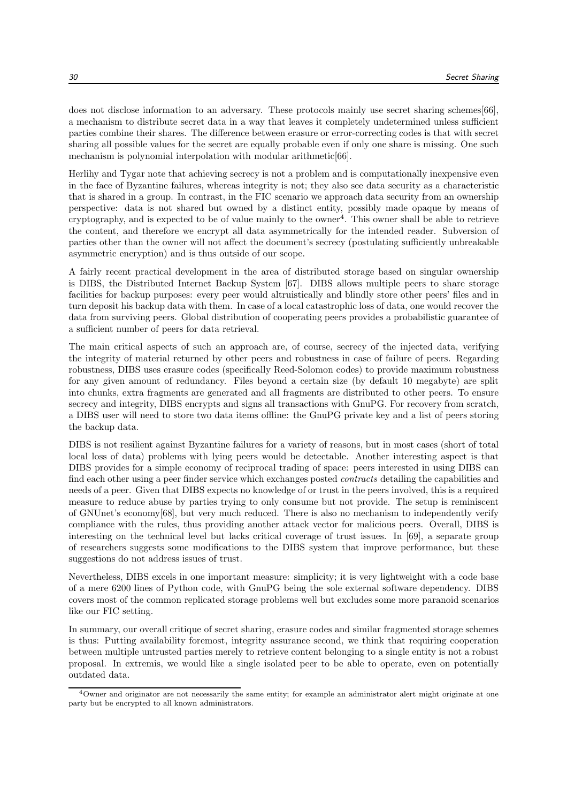does not disclose information to an adversary. These protocols mainly use secret sharing schemes[66], a mechanism to distribute secret data in a way that leaves it completely undetermined unless sufficient parties combine their shares. The difference between erasure or error-correcting codes is that with secret sharing all possible values for the secret are equally probable even if only one share is missing. One such mechanism is polynomial interpolation with modular arithmetic [66].

Herlihy and Tygar note that achieving secrecy is not a problem and is computationally inexpensive even in the face of Byzantine failures, whereas integrity is not; they also see data security as a characteristic that is shared in a group. In contrast, in the FIC scenario we approach data security from an ownership perspective: data is not shared but owned by a distinct entity, possibly made opaque by means of cryptography, and is expected to be of value mainly to the owner<sup>4</sup>. This owner shall be able to retrieve the content, and therefore we encrypt all data asymmetrically for the intended reader. Subversion of parties other than the owner will not affect the document's secrecy (postulating sufficiently unbreakable asymmetric encryption) and is thus outside of our scope.

A fairly recent practical development in the area of distributed storage based on singular ownership is DIBS, the Distributed Internet Backup System [67]. DIBS allows multiple peers to share storage facilities for backup purposes: every peer would altruistically and blindly store other peers' files and in turn deposit his backup data with them. In case of a local catastrophic loss of data, one would recover the data from surviving peers. Global distribution of cooperating peers provides a probabilistic guarantee of a sufficient number of peers for data retrieval.

The main critical aspects of such an approach are, of course, secrecy of the injected data, verifying the integrity of material returned by other peers and robustness in case of failure of peers. Regarding robustness, DIBS uses erasure codes (specifically Reed-Solomon codes) to provide maximum robustness for any given amount of redundancy. Files beyond a certain size (by default 10 megabyte) are split into chunks, extra fragments are generated and all fragments are distributed to other peers. To ensure secrecy and integrity, DIBS encrypts and signs all transactions with GnuPG. For recovery from scratch, a DIBS user will need to store two data items offline: the GnuPG private key and a list of peers storing the backup data.

DIBS is not resilient against Byzantine failures for a variety of reasons, but in most cases (short of total local loss of data) problems with lying peers would be detectable. Another interesting aspect is that DIBS provides for a simple economy of reciprocal trading of space: peers interested in using DIBS can find each other using a peer finder service which exchanges posted contracts detailing the capabilities and needs of a peer. Given that DIBS expects no knowledge of or trust in the peers involved, this is a required measure to reduce abuse by parties trying to only consume but not provide. The setup is reminiscent of GNUnet's economy[68], but very much reduced. There is also no mechanism to independently verify compliance with the rules, thus providing another attack vector for malicious peers. Overall, DIBS is interesting on the technical level but lacks critical coverage of trust issues. In [69], a separate group of researchers suggests some modifications to the DIBS system that improve performance, but these suggestions do not address issues of trust.

Nevertheless, DIBS excels in one important measure: simplicity; it is very lightweight with a code base of a mere 6200 lines of Python code, with GnuPG being the sole external software dependency. DIBS covers most of the common replicated storage problems well but excludes some more paranoid scenarios like our FIC setting.

In summary, our overall critique of secret sharing, erasure codes and similar fragmented storage schemes is thus: Putting availability foremost, integrity assurance second, we think that requiring cooperation between multiple untrusted parties merely to retrieve content belonging to a single entity is not a robust proposal. In extremis, we would like a single isolated peer to be able to operate, even on potentially outdated data.

 $4$ Owner and originator are not necessarily the same entity; for example an administrator alert might originate at one party but be encrypted to all known administrators.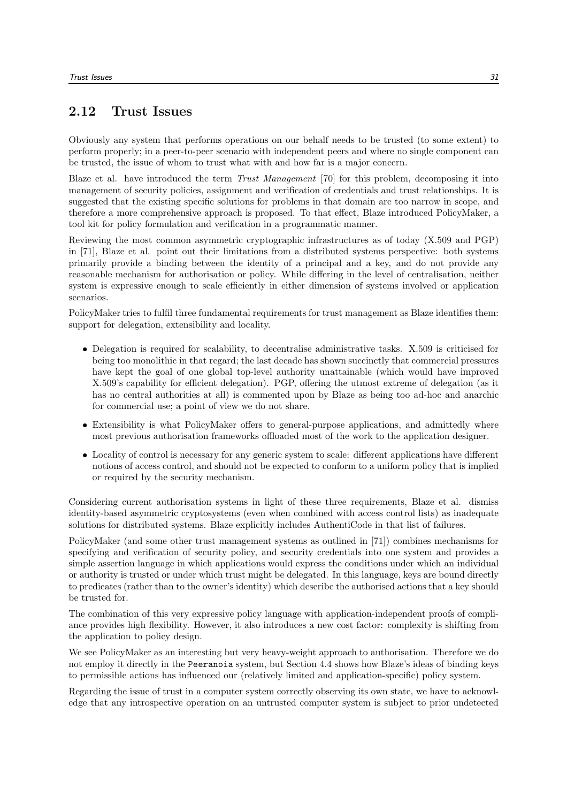#### 2.12 Trust Issues

Obviously any system that performs operations on our behalf needs to be trusted (to some extent) to perform properly; in a peer-to-peer scenario with independent peers and where no single component can be trusted, the issue of whom to trust what with and how far is a major concern.

Blaze et al. have introduced the term Trust Management [70] for this problem, decomposing it into management of security policies, assignment and verification of credentials and trust relationships. It is suggested that the existing specific solutions for problems in that domain are too narrow in scope, and therefore a more comprehensive approach is proposed. To that effect, Blaze introduced PolicyMaker, a tool kit for policy formulation and verification in a programmatic manner.

Reviewing the most common asymmetric cryptographic infrastructures as of today (X.509 and PGP) in [71], Blaze et al. point out their limitations from a distributed systems perspective: both systems primarily provide a binding between the identity of a principal and a key, and do not provide any reasonable mechanism for authorisation or policy. While differing in the level of centralisation, neither system is expressive enough to scale efficiently in either dimension of systems involved or application scenarios.

PolicyMaker tries to fulfil three fundamental requirements for trust management as Blaze identifies them: support for delegation, extensibility and locality.

- Delegation is required for scalability, to decentralise administrative tasks. X.509 is criticised for being too monolithic in that regard; the last decade has shown succinctly that commercial pressures have kept the goal of one global top-level authority unattainable (which would have improved X.509's capability for efficient delegation). PGP, offering the utmost extreme of delegation (as it has no central authorities at all) is commented upon by Blaze as being too ad-hoc and anarchic for commercial use; a point of view we do not share.
- Extensibility is what PolicyMaker offers to general-purpose applications, and admittedly where most previous authorisation frameworks offloaded most of the work to the application designer.
- Locality of control is necessary for any generic system to scale: different applications have different notions of access control, and should not be expected to conform to a uniform policy that is implied or required by the security mechanism.

Considering current authorisation systems in light of these three requirements, Blaze et al. dismiss identity-based asymmetric cryptosystems (even when combined with access control lists) as inadequate solutions for distributed systems. Blaze explicitly includes AuthentiCode in that list of failures.

PolicyMaker (and some other trust management systems as outlined in [71]) combines mechanisms for specifying and verification of security policy, and security credentials into one system and provides a simple assertion language in which applications would express the conditions under which an individual or authority is trusted or under which trust might be delegated. In this language, keys are bound directly to predicates (rather than to the owner's identity) which describe the authorised actions that a key should be trusted for.

The combination of this very expressive policy language with application-independent proofs of compliance provides high flexibility. However, it also introduces a new cost factor: complexity is shifting from the application to policy design.

We see PolicyMaker as an interesting but very heavy-weight approach to authorisation. Therefore we do not employ it directly in the Peeranoia system, but Section 4.4 shows how Blaze's ideas of binding keys to permissible actions has influenced our (relatively limited and application-specific) policy system.

Regarding the issue of trust in a computer system correctly observing its own state, we have to acknowledge that any introspective operation on an untrusted computer system is subject to prior undetected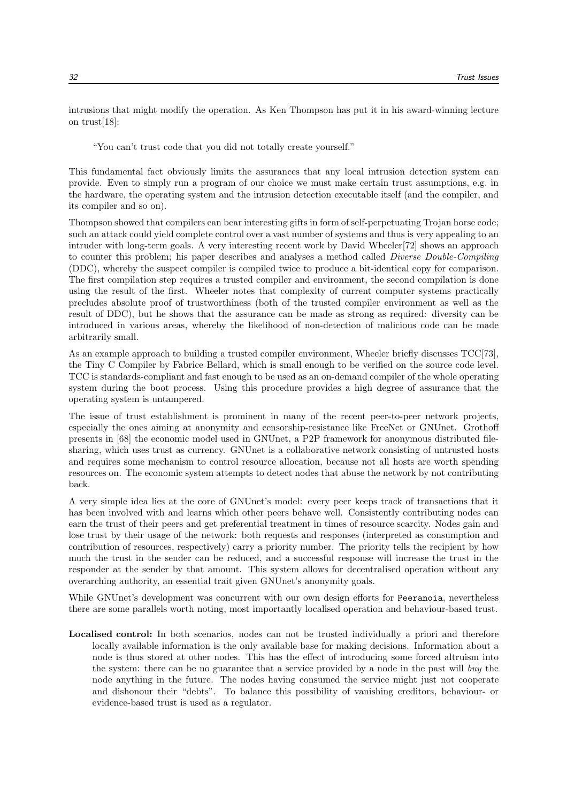intrusions that might modify the operation. As Ken Thompson has put it in his award-winning lecture on trust[18]:

"You can't trust code that you did not totally create yourself."

This fundamental fact obviously limits the assurances that any local intrusion detection system can provide. Even to simply run a program of our choice we must make certain trust assumptions, e.g. in the hardware, the operating system and the intrusion detection executable itself (and the compiler, and its compiler and so on).

Thompson showed that compilers can bear interesting gifts in form of self-perpetuating Trojan horse code; such an attack could yield complete control over a vast number of systems and thus is very appealing to an intruder with long-term goals. A very interesting recent work by David Wheeler[72] shows an approach to counter this problem; his paper describes and analyses a method called Diverse Double-Compiling (DDC), whereby the suspect compiler is compiled twice to produce a bit-identical copy for comparison. The first compilation step requires a trusted compiler and environment, the second compilation is done using the result of the first. Wheeler notes that complexity of current computer systems practically precludes absolute proof of trustworthiness (both of the trusted compiler environment as well as the result of DDC), but he shows that the assurance can be made as strong as required: diversity can be introduced in various areas, whereby the likelihood of non-detection of malicious code can be made arbitrarily small.

As an example approach to building a trusted compiler environment, Wheeler briefly discusses TCC[73], the Tiny C Compiler by Fabrice Bellard, which is small enough to be verified on the source code level. TCC is standards-compliant and fast enough to be used as an on-demand compiler of the whole operating system during the boot process. Using this procedure provides a high degree of assurance that the operating system is untampered.

The issue of trust establishment is prominent in many of the recent peer-to-peer network projects, especially the ones aiming at anonymity and censorship-resistance like FreeNet or GNUnet. Grothoff presents in [68] the economic model used in GNUnet, a P2P framework for anonymous distributed filesharing, which uses trust as currency. GNUnet is a collaborative network consisting of untrusted hosts and requires some mechanism to control resource allocation, because not all hosts are worth spending resources on. The economic system attempts to detect nodes that abuse the network by not contributing back.

A very simple idea lies at the core of GNUnet's model: every peer keeps track of transactions that it has been involved with and learns which other peers behave well. Consistently contributing nodes can earn the trust of their peers and get preferential treatment in times of resource scarcity. Nodes gain and lose trust by their usage of the network: both requests and responses (interpreted as consumption and contribution of resources, respectively) carry a priority number. The priority tells the recipient by how much the trust in the sender can be reduced, and a successful response will increase the trust in the responder at the sender by that amount. This system allows for decentralised operation without any overarching authority, an essential trait given GNUnet's anonymity goals.

While GNUnet's development was concurrent with our own design efforts for Peeranoia, nevertheless there are some parallels worth noting, most importantly localised operation and behaviour-based trust.

Localised control: In both scenarios, nodes can not be trusted individually a priori and therefore locally available information is the only available base for making decisions. Information about a node is thus stored at other nodes. This has the effect of introducing some forced altruism into the system: there can be no guarantee that a service provided by a node in the past will buy the node anything in the future. The nodes having consumed the service might just not cooperate and dishonour their "debts". To balance this possibility of vanishing creditors, behaviour- or evidence-based trust is used as a regulator.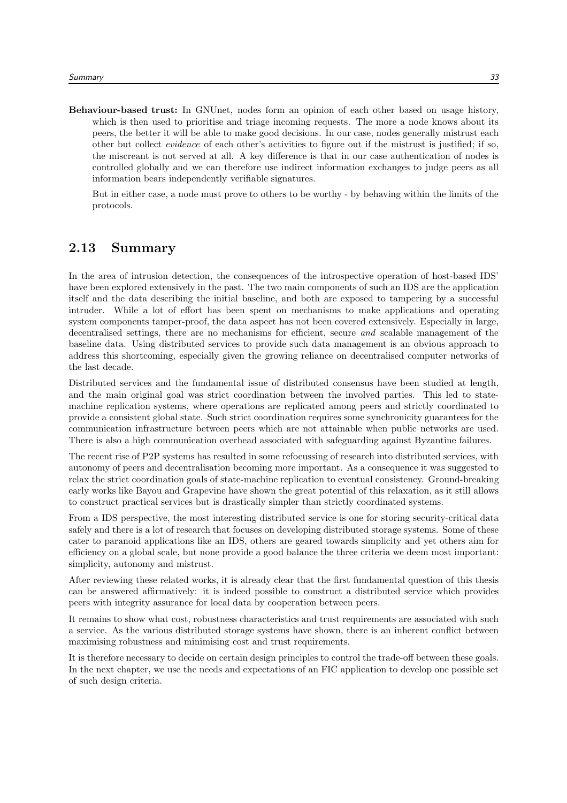Behaviour-based trust: In GNUnet, nodes form an opinion of each other based on usage history, which is then used to prioritise and triage incoming requests. The more a node knows about its peers, the better it will be able to make good decisions. In our case, nodes generally mistrust each other but collect evidence of each other's activities to figure out if the mistrust is justified; if so, the miscreant is not served at all. A key difference is that in our case authentication of nodes is controlled globally and we can therefore use indirect information exchanges to judge peers as all information bears independently verifiable signatures.

But in either case, a node must prove to others to be worthy - by behaving within the limits of the protocols.

#### 2.13 Summary

In the area of intrusion detection, the consequences of the introspective operation of host-based IDS' have been explored extensively in the past. The two main components of such an IDS are the application itself and the data describing the initial baseline, and both are exposed to tampering by a successful intruder. While a lot of effort has been spent on mechanisms to make applications and operating system components tamper-proof, the data aspect has not been covered extensively. Especially in large, decentralised settings, there are no mechanisms for efficient, secure and scalable management of the baseline data. Using distributed services to provide such data management is an obvious approach to address this shortcoming, especially given the growing reliance on decentralised computer networks of the last decade.

Distributed services and the fundamental issue of distributed consensus have been studied at length, and the main original goal was strict coordination between the involved parties. This led to statemachine replication systems, where operations are replicated among peers and strictly coordinated to provide a consistent global state. Such strict coordination requires some synchronicity guarantees for the communication infrastructure between peers which are not attainable when public networks are used. There is also a high communication overhead associated with safeguarding against Byzantine failures.

The recent rise of P2P systems has resulted in some refocussing of research into distributed services, with autonomy of peers and decentralisation becoming more important. As a consequence it was suggested to relax the strict coordination goals of state-machine replication to eventual consistency. Ground-breaking early works like Bayou and Grapevine have shown the great potential of this relaxation, as it still allows to construct practical services but is drastically simpler than strictly coordinated systems.

From a IDS perspective, the most interesting distributed service is one for storing security-critical data safely and there is a lot of research that focuses on developing distributed storage systems. Some of these cater to paranoid applications like an IDS, others are geared towards simplicity and yet others aim for efficiency on a global scale, but none provide a good balance the three criteria we deem most important: simplicity, autonomy and mistrust.

After reviewing these related works, it is already clear that the first fundamental question of this thesis can be answered affirmatively: it is indeed possible to construct a distributed service which provides peers with integrity assurance for local data by cooperation between peers.

It remains to show what cost, robustness characteristics and trust requirements are associated with such a service. As the various distributed storage systems have shown, there is an inherent conflict between maximising robustness and minimising cost and trust requirements.

It is therefore necessary to decide on certain design principles to control the trade-off between these goals. In the next chapter, we use the needs and expectations of an FIC application to develop one possible set of such design criteria.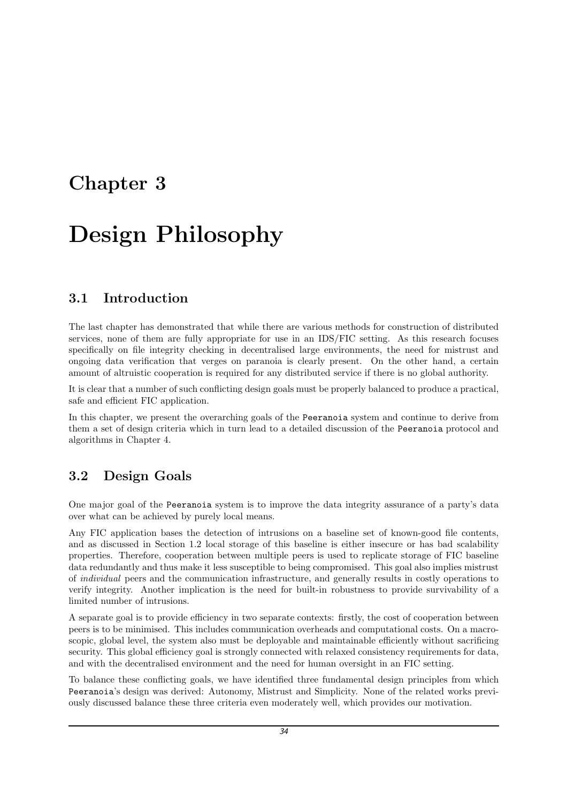### Chapter 3

## Design Philosophy

#### 3.1 Introduction

The last chapter has demonstrated that while there are various methods for construction of distributed services, none of them are fully appropriate for use in an IDS/FIC setting. As this research focuses specifically on file integrity checking in decentralised large environments, the need for mistrust and ongoing data verification that verges on paranoia is clearly present. On the other hand, a certain amount of altruistic cooperation is required for any distributed service if there is no global authority.

It is clear that a number of such conflicting design goals must be properly balanced to produce a practical, safe and efficient FIC application.

In this chapter, we present the overarching goals of the Peeranoia system and continue to derive from them a set of design criteria which in turn lead to a detailed discussion of the Peeranoia protocol and algorithms in Chapter 4.

#### 3.2 Design Goals

One major goal of the Peeranoia system is to improve the data integrity assurance of a party's data over what can be achieved by purely local means.

Any FIC application bases the detection of intrusions on a baseline set of known-good file contents, and as discussed in Section 1.2 local storage of this baseline is either insecure or has bad scalability properties. Therefore, cooperation between multiple peers is used to replicate storage of FIC baseline data redundantly and thus make it less susceptible to being compromised. This goal also implies mistrust of individual peers and the communication infrastructure, and generally results in costly operations to verify integrity. Another implication is the need for built-in robustness to provide survivability of a limited number of intrusions.

A separate goal is to provide efficiency in two separate contexts: firstly, the cost of cooperation between peers is to be minimised. This includes communication overheads and computational costs. On a macroscopic, global level, the system also must be deployable and maintainable efficiently without sacrificing security. This global efficiency goal is strongly connected with relaxed consistency requirements for data, and with the decentralised environment and the need for human oversight in an FIC setting.

To balance these conflicting goals, we have identified three fundamental design principles from which Peeranoia's design was derived: Autonomy, Mistrust and Simplicity. None of the related works previously discussed balance these three criteria even moderately well, which provides our motivation.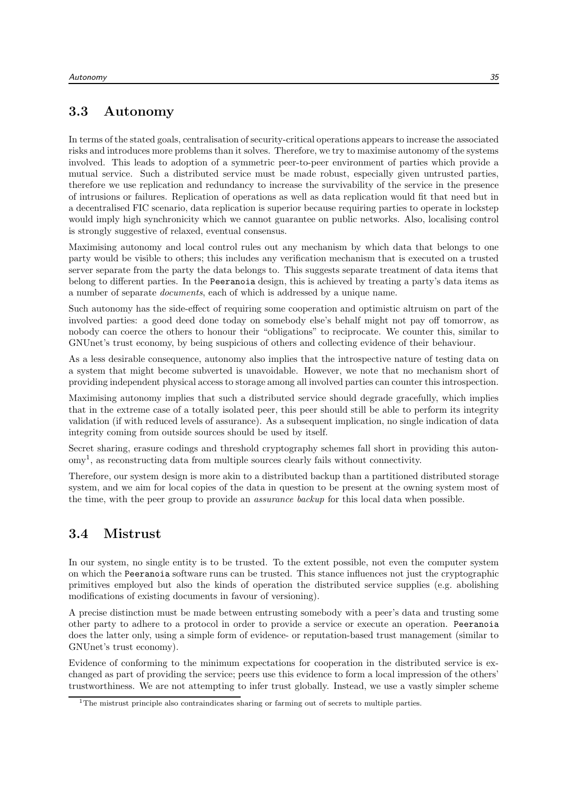#### 3.3 Autonomy

In terms of the stated goals, centralisation of security-critical operations appears to increase the associated risks and introduces more problems than it solves. Therefore, we try to maximise autonomy of the systems involved. This leads to adoption of a symmetric peer-to-peer environment of parties which provide a mutual service. Such a distributed service must be made robust, especially given untrusted parties, therefore we use replication and redundancy to increase the survivability of the service in the presence of intrusions or failures. Replication of operations as well as data replication would fit that need but in a decentralised FIC scenario, data replication is superior because requiring parties to operate in lockstep would imply high synchronicity which we cannot guarantee on public networks. Also, localising control is strongly suggestive of relaxed, eventual consensus.

Maximising autonomy and local control rules out any mechanism by which data that belongs to one party would be visible to others; this includes any verification mechanism that is executed on a trusted server separate from the party the data belongs to. This suggests separate treatment of data items that belong to different parties. In the Peeranoia design, this is achieved by treating a party's data items as a number of separate documents, each of which is addressed by a unique name.

Such autonomy has the side-effect of requiring some cooperation and optimistic altruism on part of the involved parties: a good deed done today on somebody else's behalf might not pay off tomorrow, as nobody can coerce the others to honour their "obligations" to reciprocate. We counter this, similar to GNUnet's trust economy, by being suspicious of others and collecting evidence of their behaviour.

As a less desirable consequence, autonomy also implies that the introspective nature of testing data on a system that might become subverted is unavoidable. However, we note that no mechanism short of providing independent physical access to storage among all involved parties can counter this introspection.

Maximising autonomy implies that such a distributed service should degrade gracefully, which implies that in the extreme case of a totally isolated peer, this peer should still be able to perform its integrity validation (if with reduced levels of assurance). As a subsequent implication, no single indication of data integrity coming from outside sources should be used by itself.

Secret sharing, erasure codings and threshold cryptography schemes fall short in providing this autonomy<sup>1</sup> , as reconstructing data from multiple sources clearly fails without connectivity.

Therefore, our system design is more akin to a distributed backup than a partitioned distributed storage system, and we aim for local copies of the data in question to be present at the owning system most of the time, with the peer group to provide an assurance backup for this local data when possible.

#### 3.4 Mistrust

In our system, no single entity is to be trusted. To the extent possible, not even the computer system on which the Peeranoia software runs can be trusted. This stance influences not just the cryptographic primitives employed but also the kinds of operation the distributed service supplies (e.g. abolishing modifications of existing documents in favour of versioning).

A precise distinction must be made between entrusting somebody with a peer's data and trusting some other party to adhere to a protocol in order to provide a service or execute an operation. Peeranoia does the latter only, using a simple form of evidence- or reputation-based trust management (similar to GNUnet's trust economy).

Evidence of conforming to the minimum expectations for cooperation in the distributed service is exchanged as part of providing the service; peers use this evidence to form a local impression of the others' trustworthiness. We are not attempting to infer trust globally. Instead, we use a vastly simpler scheme

<sup>&</sup>lt;sup>1</sup>The mistrust principle also contraindicates sharing or farming out of secrets to multiple parties.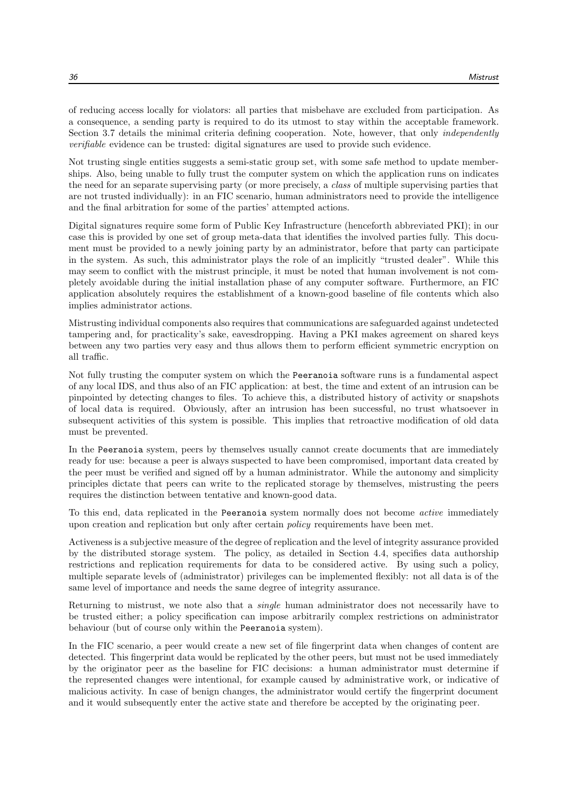of reducing access locally for violators: all parties that misbehave are excluded from participation. As a consequence, a sending party is required to do its utmost to stay within the acceptable framework. Section 3.7 details the minimal criteria defining cooperation. Note, however, that only *independently* verifiable evidence can be trusted: digital signatures are used to provide such evidence.

Not trusting single entities suggests a semi-static group set, with some safe method to update memberships. Also, being unable to fully trust the computer system on which the application runs on indicates the need for an separate supervising party (or more precisely, a class of multiple supervising parties that are not trusted individually): in an FIC scenario, human administrators need to provide the intelligence and the final arbitration for some of the parties' attempted actions.

Digital signatures require some form of Public Key Infrastructure (henceforth abbreviated PKI); in our case this is provided by one set of group meta-data that identifies the involved parties fully. This document must be provided to a newly joining party by an administrator, before that party can participate in the system. As such, this administrator plays the role of an implicitly "trusted dealer". While this may seem to conflict with the mistrust principle, it must be noted that human involvement is not completely avoidable during the initial installation phase of any computer software. Furthermore, an FIC application absolutely requires the establishment of a known-good baseline of file contents which also implies administrator actions.

Mistrusting individual components also requires that communications are safeguarded against undetected tampering and, for practicality's sake, eavesdropping. Having a PKI makes agreement on shared keys between any two parties very easy and thus allows them to perform efficient symmetric encryption on all traffic.

Not fully trusting the computer system on which the Peeranoia software runs is a fundamental aspect of any local IDS, and thus also of an FIC application: at best, the time and extent of an intrusion can be pinpointed by detecting changes to files. To achieve this, a distributed history of activity or snapshots of local data is required. Obviously, after an intrusion has been successful, no trust whatsoever in subsequent activities of this system is possible. This implies that retroactive modification of old data must be prevented.

In the Peeranoia system, peers by themselves usually cannot create documents that are immediately ready for use: because a peer is always suspected to have been compromised, important data created by the peer must be verified and signed off by a human administrator. While the autonomy and simplicity principles dictate that peers can write to the replicated storage by themselves, mistrusting the peers requires the distinction between tentative and known-good data.

To this end, data replicated in the Peeranoia system normally does not become *active* immediately upon creation and replication but only after certain policy requirements have been met.

Activeness is a subjective measure of the degree of replication and the level of integrity assurance provided by the distributed storage system. The policy, as detailed in Section 4.4, specifies data authorship restrictions and replication requirements for data to be considered active. By using such a policy, multiple separate levels of (administrator) privileges can be implemented flexibly: not all data is of the same level of importance and needs the same degree of integrity assurance.

Returning to mistrust, we note also that a *single* human administrator does not necessarily have to be trusted either; a policy specification can impose arbitrarily complex restrictions on administrator behaviour (but of course only within the Peeranoia system).

In the FIC scenario, a peer would create a new set of file fingerprint data when changes of content are detected. This fingerprint data would be replicated by the other peers, but must not be used immediately by the originator peer as the baseline for FIC decisions: a human administrator must determine if the represented changes were intentional, for example caused by administrative work, or indicative of malicious activity. In case of benign changes, the administrator would certify the fingerprint document and it would subsequently enter the active state and therefore be accepted by the originating peer.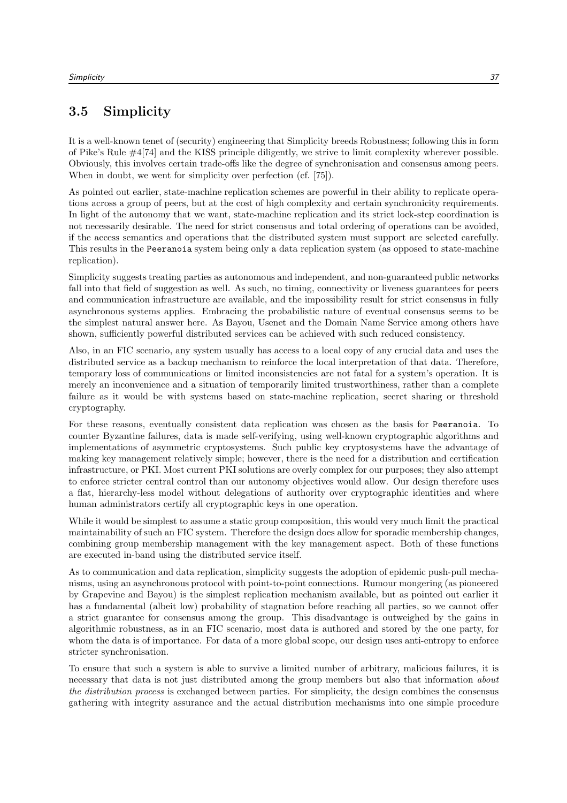## 3.5 Simplicity

It is a well-known tenet of (security) engineering that Simplicity breeds Robustness; following this in form of Pike's Rule #4[74] and the KISS principle diligently, we strive to limit complexity wherever possible. Obviously, this involves certain trade-offs like the degree of synchronisation and consensus among peers. When in doubt, we went for simplicity over perfection (cf. [75]).

As pointed out earlier, state-machine replication schemes are powerful in their ability to replicate operations across a group of peers, but at the cost of high complexity and certain synchronicity requirements. In light of the autonomy that we want, state-machine replication and its strict lock-step coordination is not necessarily desirable. The need for strict consensus and total ordering of operations can be avoided, if the access semantics and operations that the distributed system must support are selected carefully. This results in the Peeranoia system being only a data replication system (as opposed to state-machine replication).

Simplicity suggests treating parties as autonomous and independent, and non-guaranteed public networks fall into that field of suggestion as well. As such, no timing, connectivity or liveness guarantees for peers and communication infrastructure are available, and the impossibility result for strict consensus in fully asynchronous systems applies. Embracing the probabilistic nature of eventual consensus seems to be the simplest natural answer here. As Bayou, Usenet and the Domain Name Service among others have shown, sufficiently powerful distributed services can be achieved with such reduced consistency.

Also, in an FIC scenario, any system usually has access to a local copy of any crucial data and uses the distributed service as a backup mechanism to reinforce the local interpretation of that data. Therefore, temporary loss of communications or limited inconsistencies are not fatal for a system's operation. It is merely an inconvenience and a situation of temporarily limited trustworthiness, rather than a complete failure as it would be with systems based on state-machine replication, secret sharing or threshold cryptography.

For these reasons, eventually consistent data replication was chosen as the basis for Peeranoia. To counter Byzantine failures, data is made self-verifying, using well-known cryptographic algorithms and implementations of asymmetric cryptosystems. Such public key cryptosystems have the advantage of making key management relatively simple; however, there is the need for a distribution and certification infrastructure, or PKI. Most current PKI solutions are overly complex for our purposes; they also attempt to enforce stricter central control than our autonomy objectives would allow. Our design therefore uses a flat, hierarchy-less model without delegations of authority over cryptographic identities and where human administrators certify all cryptographic keys in one operation.

While it would be simplest to assume a static group composition, this would very much limit the practical maintainability of such an FIC system. Therefore the design does allow for sporadic membership changes, combining group membership management with the key management aspect. Both of these functions are executed in-band using the distributed service itself.

As to communication and data replication, simplicity suggests the adoption of epidemic push-pull mechanisms, using an asynchronous protocol with point-to-point connections. Rumour mongering (as pioneered by Grapevine and Bayou) is the simplest replication mechanism available, but as pointed out earlier it has a fundamental (albeit low) probability of stagnation before reaching all parties, so we cannot offer a strict guarantee for consensus among the group. This disadvantage is outweighed by the gains in algorithmic robustness, as in an FIC scenario, most data is authored and stored by the one party, for whom the data is of importance. For data of a more global scope, our design uses anti-entropy to enforce stricter synchronisation.

To ensure that such a system is able to survive a limited number of arbitrary, malicious failures, it is necessary that data is not just distributed among the group members but also that information *about* the distribution process is exchanged between parties. For simplicity, the design combines the consensus gathering with integrity assurance and the actual distribution mechanisms into one simple procedure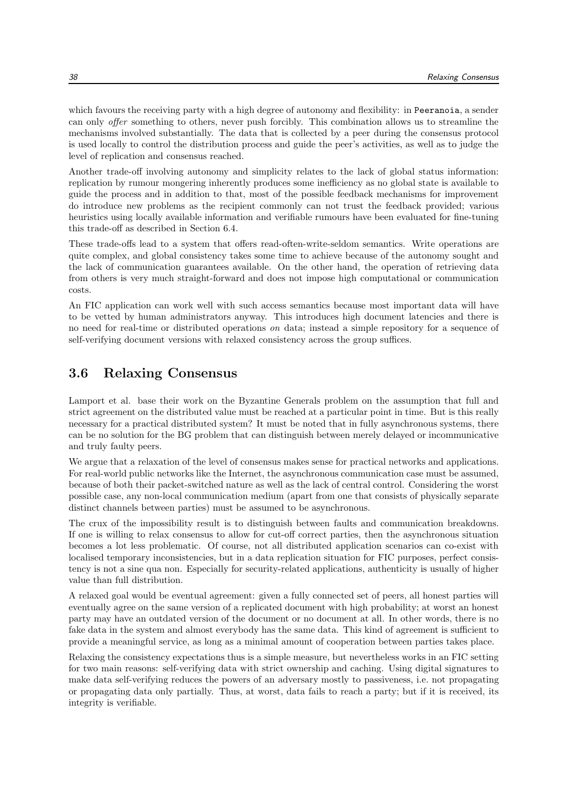which favours the receiving party with a high degree of autonomy and flexibility: in Peeranoia, a sender can only offer something to others, never push forcibly. This combination allows us to streamline the mechanisms involved substantially. The data that is collected by a peer during the consensus protocol is used locally to control the distribution process and guide the peer's activities, as well as to judge the level of replication and consensus reached.

Another trade-off involving autonomy and simplicity relates to the lack of global status information: replication by rumour mongering inherently produces some inefficiency as no global state is available to guide the process and in addition to that, most of the possible feedback mechanisms for improvement do introduce new problems as the recipient commonly can not trust the feedback provided; various heuristics using locally available information and verifiable rumours have been evaluated for fine-tuning this trade-off as described in Section 6.4.

These trade-offs lead to a system that offers read-often-write-seldom semantics. Write operations are quite complex, and global consistency takes some time to achieve because of the autonomy sought and the lack of communication guarantees available. On the other hand, the operation of retrieving data from others is very much straight-forward and does not impose high computational or communication costs.

An FIC application can work well with such access semantics because most important data will have to be vetted by human administrators anyway. This introduces high document latencies and there is no need for real-time or distributed operations on data; instead a simple repository for a sequence of self-verifying document versions with relaxed consistency across the group suffices.

## 3.6 Relaxing Consensus

Lamport et al. base their work on the Byzantine Generals problem on the assumption that full and strict agreement on the distributed value must be reached at a particular point in time. But is this really necessary for a practical distributed system? It must be noted that in fully asynchronous systems, there can be no solution for the BG problem that can distinguish between merely delayed or incommunicative and truly faulty peers.

We argue that a relaxation of the level of consensus makes sense for practical networks and applications. For real-world public networks like the Internet, the asynchronous communication case must be assumed, because of both their packet-switched nature as well as the lack of central control. Considering the worst possible case, any non-local communication medium (apart from one that consists of physically separate distinct channels between parties) must be assumed to be asynchronous.

The crux of the impossibility result is to distinguish between faults and communication breakdowns. If one is willing to relax consensus to allow for cut-off correct parties, then the asynchronous situation becomes a lot less problematic. Of course, not all distributed application scenarios can co-exist with localised temporary inconsistencies, but in a data replication situation for FIC purposes, perfect consistency is not a sine qua non. Especially for security-related applications, authenticity is usually of higher value than full distribution.

A relaxed goal would be eventual agreement: given a fully connected set of peers, all honest parties will eventually agree on the same version of a replicated document with high probability; at worst an honest party may have an outdated version of the document or no document at all. In other words, there is no fake data in the system and almost everybody has the same data. This kind of agreement is sufficient to provide a meaningful service, as long as a minimal amount of cooperation between parties takes place.

Relaxing the consistency expectations thus is a simple measure, but nevertheless works in an FIC setting for two main reasons: self-verifying data with strict ownership and caching. Using digital signatures to make data self-verifying reduces the powers of an adversary mostly to passiveness, i.e. not propagating or propagating data only partially. Thus, at worst, data fails to reach a party; but if it is received, its integrity is verifiable.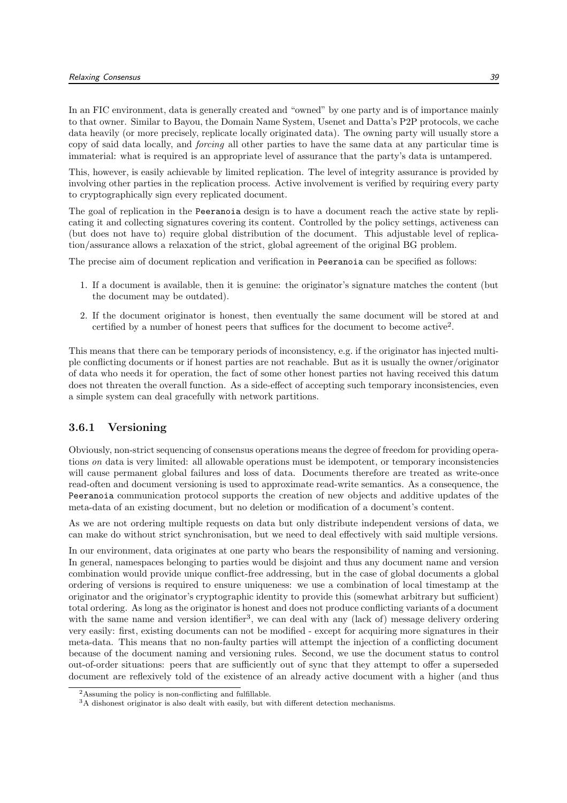In an FIC environment, data is generally created and "owned" by one party and is of importance mainly to that owner. Similar to Bayou, the Domain Name System, Usenet and Datta's P2P protocols, we cache data heavily (or more precisely, replicate locally originated data). The owning party will usually store a copy of said data locally, and forcing all other parties to have the same data at any particular time is immaterial: what is required is an appropriate level of assurance that the party's data is untampered.

This, however, is easily achievable by limited replication. The level of integrity assurance is provided by involving other parties in the replication process. Active involvement is verified by requiring every party to cryptographically sign every replicated document.

The goal of replication in the Peeranoia design is to have a document reach the active state by replicating it and collecting signatures covering its content. Controlled by the policy settings, activeness can (but does not have to) require global distribution of the document. This adjustable level of replication/assurance allows a relaxation of the strict, global agreement of the original BG problem.

The precise aim of document replication and verification in Peeranoia can be specified as follows:

- 1. If a document is available, then it is genuine: the originator's signature matches the content (but the document may be outdated).
- 2. If the document originator is honest, then eventually the same document will be stored at and certified by a number of honest peers that suffices for the document to become active<sup>2</sup> .

This means that there can be temporary periods of inconsistency, e.g. if the originator has injected multiple conflicting documents or if honest parties are not reachable. But as it is usually the owner/originator of data who needs it for operation, the fact of some other honest parties not having received this datum does not threaten the overall function. As a side-effect of accepting such temporary inconsistencies, even a simple system can deal gracefully with network partitions.

#### 3.6.1 Versioning

Obviously, non-strict sequencing of consensus operations means the degree of freedom for providing operations on data is very limited: all allowable operations must be idempotent, or temporary inconsistencies will cause permanent global failures and loss of data. Documents therefore are treated as write-once read-often and document versioning is used to approximate read-write semantics. As a consequence, the Peeranoia communication protocol supports the creation of new objects and additive updates of the meta-data of an existing document, but no deletion or modification of a document's content.

As we are not ordering multiple requests on data but only distribute independent versions of data, we can make do without strict synchronisation, but we need to deal effectively with said multiple versions.

In our environment, data originates at one party who bears the responsibility of naming and versioning. In general, namespaces belonging to parties would be disjoint and thus any document name and version combination would provide unique conflict-free addressing, but in the case of global documents a global ordering of versions is required to ensure uniqueness: we use a combination of local timestamp at the originator and the originator's cryptographic identity to provide this (somewhat arbitrary but sufficient) total ordering. As long as the originator is honest and does not produce conflicting variants of a document with the same name and version identifier<sup>3</sup>, we can deal with any (lack of) message delivery ordering very easily: first, existing documents can not be modified - except for acquiring more signatures in their meta-data. This means that no non-faulty parties will attempt the injection of a conflicting document because of the document naming and versioning rules. Second, we use the document status to control out-of-order situations: peers that are sufficiently out of sync that they attempt to offer a superseded document are reflexively told of the existence of an already active document with a higher (and thus

<sup>2</sup>Assuming the policy is non-conflicting and fulfillable.

<sup>3</sup>A dishonest originator is also dealt with easily, but with different detection mechanisms.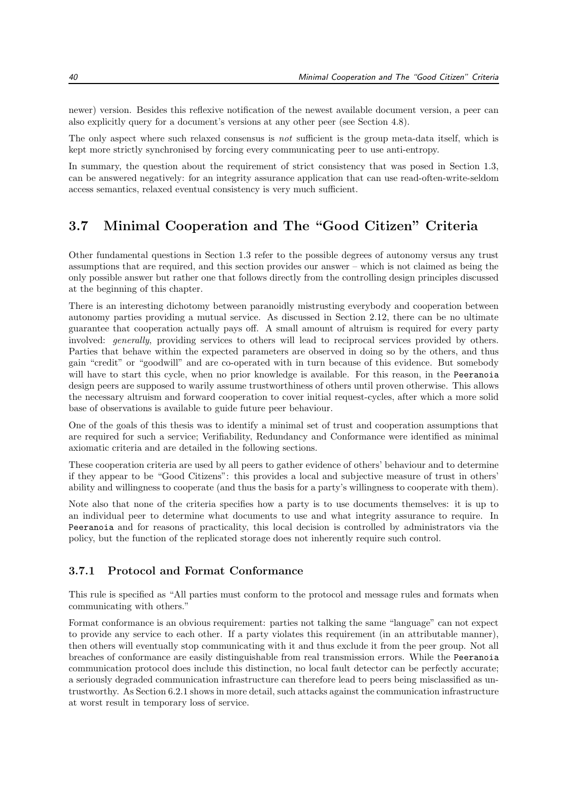newer) version. Besides this reflexive notification of the newest available document version, a peer can also explicitly query for a document's versions at any other peer (see Section 4.8).

The only aspect where such relaxed consensus is not sufficient is the group meta-data itself, which is kept more strictly synchronised by forcing every communicating peer to use anti-entropy.

In summary, the question about the requirement of strict consistency that was posed in Section 1.3, can be answered negatively: for an integrity assurance application that can use read-often-write-seldom access semantics, relaxed eventual consistency is very much sufficient.

## 3.7 Minimal Cooperation and The "Good Citizen" Criteria

Other fundamental questions in Section 1.3 refer to the possible degrees of autonomy versus any trust assumptions that are required, and this section provides our answer – which is not claimed as being the only possible answer but rather one that follows directly from the controlling design principles discussed at the beginning of this chapter.

There is an interesting dichotomy between paranoidly mistrusting everybody and cooperation between autonomy parties providing a mutual service. As discussed in Section 2.12, there can be no ultimate guarantee that cooperation actually pays off. A small amount of altruism is required for every party involved: generally, providing services to others will lead to reciprocal services provided by others. Parties that behave within the expected parameters are observed in doing so by the others, and thus gain "credit" or "goodwill" and are co-operated with in turn because of this evidence. But somebody will have to start this cycle, when no prior knowledge is available. For this reason, in the Peeranoia design peers are supposed to warily assume trustworthiness of others until proven otherwise. This allows the necessary altruism and forward cooperation to cover initial request-cycles, after which a more solid base of observations is available to guide future peer behaviour.

One of the goals of this thesis was to identify a minimal set of trust and cooperation assumptions that are required for such a service; Verifiability, Redundancy and Conformance were identified as minimal axiomatic criteria and are detailed in the following sections.

These cooperation criteria are used by all peers to gather evidence of others' behaviour and to determine if they appear to be "Good Citizens": this provides a local and subjective measure of trust in others' ability and willingness to cooperate (and thus the basis for a party's willingness to cooperate with them).

Note also that none of the criteria specifies how a party is to use documents themselves: it is up to an individual peer to determine what documents to use and what integrity assurance to require. In Peeranoia and for reasons of practicality, this local decision is controlled by administrators via the policy, but the function of the replicated storage does not inherently require such control.

### 3.7.1 Protocol and Format Conformance

This rule is specified as "All parties must conform to the protocol and message rules and formats when communicating with others."

Format conformance is an obvious requirement: parties not talking the same "language" can not expect to provide any service to each other. If a party violates this requirement (in an attributable manner), then others will eventually stop communicating with it and thus exclude it from the peer group. Not all breaches of conformance are easily distinguishable from real transmission errors. While the Peeranoia communication protocol does include this distinction, no local fault detector can be perfectly accurate; a seriously degraded communication infrastructure can therefore lead to peers being misclassified as untrustworthy. As Section 6.2.1 shows in more detail, such attacks against the communication infrastructure at worst result in temporary loss of service.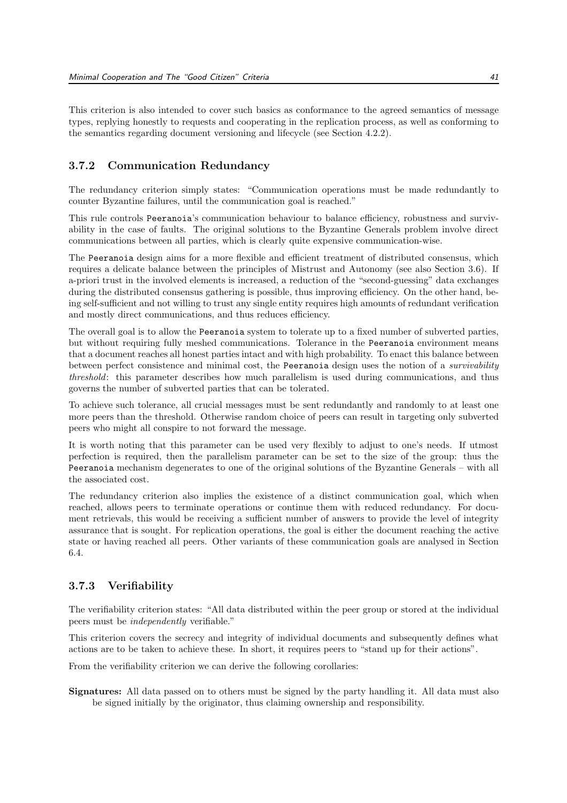This criterion is also intended to cover such basics as conformance to the agreed semantics of message types, replying honestly to requests and cooperating in the replication process, as well as conforming to the semantics regarding document versioning and lifecycle (see Section 4.2.2).

#### 3.7.2 Communication Redundancy

The redundancy criterion simply states: "Communication operations must be made redundantly to counter Byzantine failures, until the communication goal is reached."

This rule controls Peeranoia's communication behaviour to balance efficiency, robustness and survivability in the case of faults. The original solutions to the Byzantine Generals problem involve direct communications between all parties, which is clearly quite expensive communication-wise.

The Peeranoia design aims for a more flexible and efficient treatment of distributed consensus, which requires a delicate balance between the principles of Mistrust and Autonomy (see also Section 3.6). If a-priori trust in the involved elements is increased, a reduction of the "second-guessing" data exchanges during the distributed consensus gathering is possible, thus improving efficiency. On the other hand, being self-sufficient and not willing to trust any single entity requires high amounts of redundant verification and mostly direct communications, and thus reduces efficiency.

The overall goal is to allow the Peeranoia system to tolerate up to a fixed number of subverted parties, but without requiring fully meshed communications. Tolerance in the Peeranoia environment means that a document reaches all honest parties intact and with high probability. To enact this balance between between perfect consistence and minimal cost, the Peeranoia design uses the notion of a *survivability* threshold: this parameter describes how much parallelism is used during communications, and thus governs the number of subverted parties that can be tolerated.

To achieve such tolerance, all crucial messages must be sent redundantly and randomly to at least one more peers than the threshold. Otherwise random choice of peers can result in targeting only subverted peers who might all conspire to not forward the message.

It is worth noting that this parameter can be used very flexibly to adjust to one's needs. If utmost perfection is required, then the parallelism parameter can be set to the size of the group: thus the Peeranoia mechanism degenerates to one of the original solutions of the Byzantine Generals – with all the associated cost.

The redundancy criterion also implies the existence of a distinct communication goal, which when reached, allows peers to terminate operations or continue them with reduced redundancy. For document retrievals, this would be receiving a sufficient number of answers to provide the level of integrity assurance that is sought. For replication operations, the goal is either the document reaching the active state or having reached all peers. Other variants of these communication goals are analysed in Section 6.4.

#### 3.7.3 Verifiability

The verifiability criterion states: "All data distributed within the peer group or stored at the individual peers must be independently verifiable."

This criterion covers the secrecy and integrity of individual documents and subsequently defines what actions are to be taken to achieve these. In short, it requires peers to "stand up for their actions".

From the verifiability criterion we can derive the following corollaries:

Signatures: All data passed on to others must be signed by the party handling it. All data must also be signed initially by the originator, thus claiming ownership and responsibility.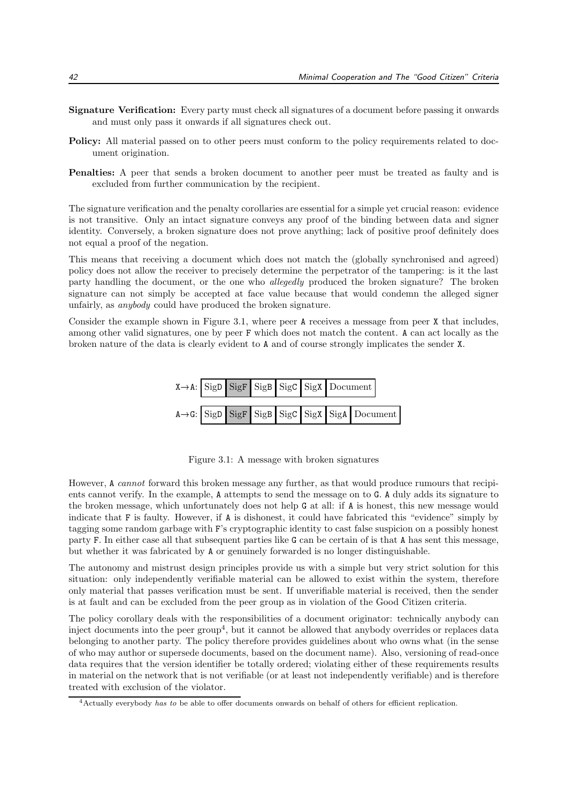- Signature Verification: Every party must check all signatures of a document before passing it onwards and must only pass it onwards if all signatures check out.
- Policy: All material passed on to other peers must conform to the policy requirements related to document origination.
- Penalties: A peer that sends a broken document to another peer must be treated as faulty and is excluded from further communication by the recipient.

The signature verification and the penalty corollaries are essential for a simple yet crucial reason: evidence is not transitive. Only an intact signature conveys any proof of the binding between data and signer identity. Conversely, a broken signature does not prove anything; lack of positive proof definitely does not equal a proof of the negation.

This means that receiving a document which does not match the (globally synchronised and agreed) policy does not allow the receiver to precisely determine the perpetrator of the tampering: is it the last party handling the document, or the one who allegedly produced the broken signature? The broken signature can not simply be accepted at face value because that would condemn the alleged signer unfairly, as anybody could have produced the broken signature.

Consider the example shown in Figure 3.1, where peer A receives a message from peer X that includes, among other valid signatures, one by peer F which does not match the content. A can act locally as the broken nature of the data is clearly evident to A and of course strongly implicates the sender X.



Figure 3.1: A message with broken signatures

However, A cannot forward this broken message any further, as that would produce rumours that recipients cannot verify. In the example, A attempts to send the message on to G. A duly adds its signature to the broken message, which unfortunately does not help G at all: if A is honest, this new message would indicate that F is faulty. However, if A is dishonest, it could have fabricated this "evidence" simply by tagging some random garbage with F's cryptographic identity to cast false suspicion on a possibly honest party F. In either case all that subsequent parties like G can be certain of is that A has sent this message, but whether it was fabricated by A or genuinely forwarded is no longer distinguishable.

The autonomy and mistrust design principles provide us with a simple but very strict solution for this situation: only independently verifiable material can be allowed to exist within the system, therefore only material that passes verification must be sent. If unverifiable material is received, then the sender is at fault and can be excluded from the peer group as in violation of the Good Citizen criteria.

The policy corollary deals with the responsibilities of a document originator: technically anybody can inject documents into the peer group<sup>4</sup>, but it cannot be allowed that anybody overrides or replaces data belonging to another party. The policy therefore provides guidelines about who owns what (in the sense of who may author or supersede documents, based on the document name). Also, versioning of read-once data requires that the version identifier be totally ordered; violating either of these requirements results in material on the network that is not verifiable (or at least not independently verifiable) and is therefore treated with exclusion of the violator.

<sup>4</sup>Actually everybody has to be able to offer documents onwards on behalf of others for efficient replication.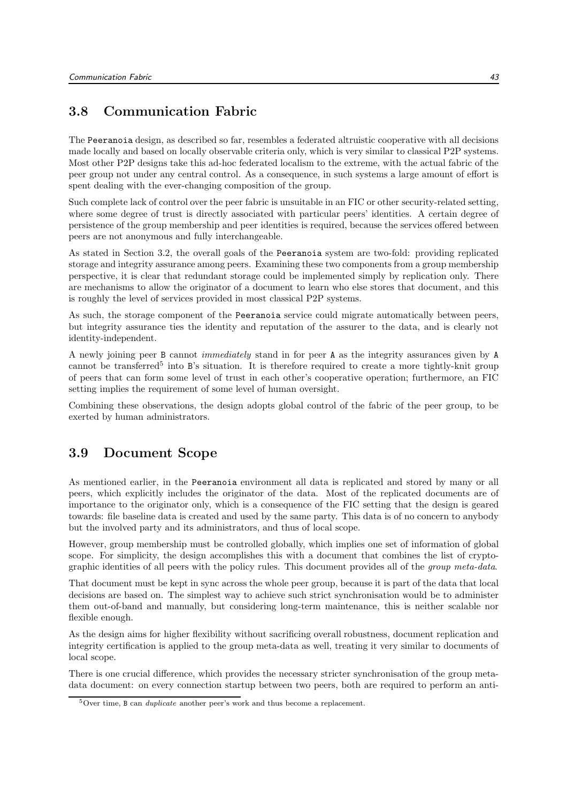## 3.8 Communication Fabric

The Peeranoia design, as described so far, resembles a federated altruistic cooperative with all decisions made locally and based on locally observable criteria only, which is very similar to classical P2P systems. Most other P2P designs take this ad-hoc federated localism to the extreme, with the actual fabric of the peer group not under any central control. As a consequence, in such systems a large amount of effort is spent dealing with the ever-changing composition of the group.

Such complete lack of control over the peer fabric is unsuitable in an FIC or other security-related setting, where some degree of trust is directly associated with particular peers' identities. A certain degree of persistence of the group membership and peer identities is required, because the services offered between peers are not anonymous and fully interchangeable.

As stated in Section 3.2, the overall goals of the Peeranoia system are two-fold: providing replicated storage and integrity assurance among peers. Examining these two components from a group membership perspective, it is clear that redundant storage could be implemented simply by replication only. There are mechanisms to allow the originator of a document to learn who else stores that document, and this is roughly the level of services provided in most classical P2P systems.

As such, the storage component of the Peeranoia service could migrate automatically between peers, but integrity assurance ties the identity and reputation of the assurer to the data, and is clearly not identity-independent.

A newly joining peer B cannot immediately stand in for peer A as the integrity assurances given by A cannot be transferred<sup>5</sup> into B's situation. It is therefore required to create a more tightly-knit group of peers that can form some level of trust in each other's cooperative operation; furthermore, an FIC setting implies the requirement of some level of human oversight.

Combining these observations, the design adopts global control of the fabric of the peer group, to be exerted by human administrators.

## 3.9 Document Scope

As mentioned earlier, in the Peeranoia environment all data is replicated and stored by many or all peers, which explicitly includes the originator of the data. Most of the replicated documents are of importance to the originator only, which is a consequence of the FIC setting that the design is geared towards: file baseline data is created and used by the same party. This data is of no concern to anybody but the involved party and its administrators, and thus of local scope.

However, group membership must be controlled globally, which implies one set of information of global scope. For simplicity, the design accomplishes this with a document that combines the list of cryptographic identities of all peers with the policy rules. This document provides all of the group meta-data.

That document must be kept in sync across the whole peer group, because it is part of the data that local decisions are based on. The simplest way to achieve such strict synchronisation would be to administer them out-of-band and manually, but considering long-term maintenance, this is neither scalable nor flexible enough.

As the design aims for higher flexibility without sacrificing overall robustness, document replication and integrity certification is applied to the group meta-data as well, treating it very similar to documents of local scope.

There is one crucial difference, which provides the necessary stricter synchronisation of the group metadata document: on every connection startup between two peers, both are required to perform an anti-

<sup>5</sup>Over time, B can duplicate another peer's work and thus become a replacement.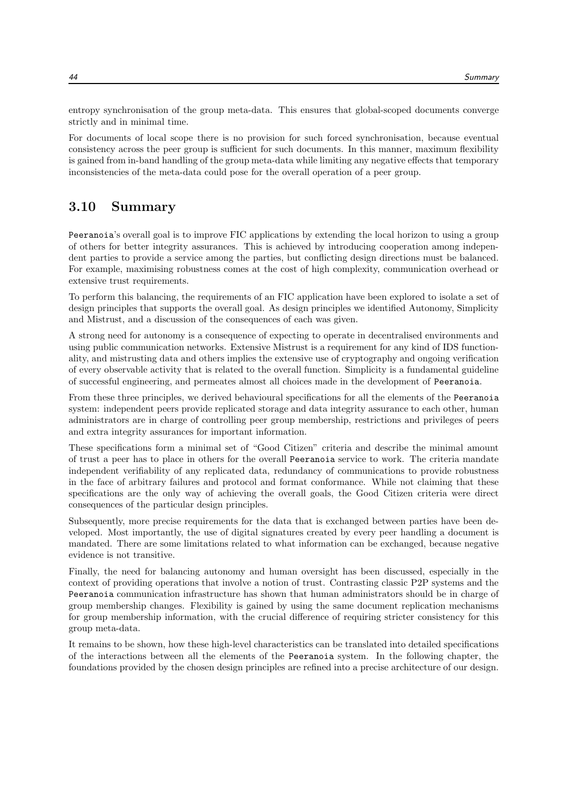entropy synchronisation of the group meta-data. This ensures that global-scoped documents converge strictly and in minimal time.

For documents of local scope there is no provision for such forced synchronisation, because eventual consistency across the peer group is sufficient for such documents. In this manner, maximum flexibility is gained from in-band handling of the group meta-data while limiting any negative effects that temporary inconsistencies of the meta-data could pose for the overall operation of a peer group.

## 3.10 Summary

Peeranoia's overall goal is to improve FIC applications by extending the local horizon to using a group of others for better integrity assurances. This is achieved by introducing cooperation among independent parties to provide a service among the parties, but conflicting design directions must be balanced. For example, maximising robustness comes at the cost of high complexity, communication overhead or extensive trust requirements.

To perform this balancing, the requirements of an FIC application have been explored to isolate a set of design principles that supports the overall goal. As design principles we identified Autonomy, Simplicity and Mistrust, and a discussion of the consequences of each was given.

A strong need for autonomy is a consequence of expecting to operate in decentralised environments and using public communication networks. Extensive Mistrust is a requirement for any kind of IDS functionality, and mistrusting data and others implies the extensive use of cryptography and ongoing verification of every observable activity that is related to the overall function. Simplicity is a fundamental guideline of successful engineering, and permeates almost all choices made in the development of Peeranoia.

From these three principles, we derived behavioural specifications for all the elements of the Peeranoia system: independent peers provide replicated storage and data integrity assurance to each other, human administrators are in charge of controlling peer group membership, restrictions and privileges of peers and extra integrity assurances for important information.

These specifications form a minimal set of "Good Citizen" criteria and describe the minimal amount of trust a peer has to place in others for the overall Peeranoia service to work. The criteria mandate independent verifiability of any replicated data, redundancy of communications to provide robustness in the face of arbitrary failures and protocol and format conformance. While not claiming that these specifications are the only way of achieving the overall goals, the Good Citizen criteria were direct consequences of the particular design principles.

Subsequently, more precise requirements for the data that is exchanged between parties have been developed. Most importantly, the use of digital signatures created by every peer handling a document is mandated. There are some limitations related to what information can be exchanged, because negative evidence is not transitive.

Finally, the need for balancing autonomy and human oversight has been discussed, especially in the context of providing operations that involve a notion of trust. Contrasting classic P2P systems and the Peeranoia communication infrastructure has shown that human administrators should be in charge of group membership changes. Flexibility is gained by using the same document replication mechanisms for group membership information, with the crucial difference of requiring stricter consistency for this group meta-data.

It remains to be shown, how these high-level characteristics can be translated into detailed specifications of the interactions between all the elements of the Peeranoia system. In the following chapter, the foundations provided by the chosen design principles are refined into a precise architecture of our design.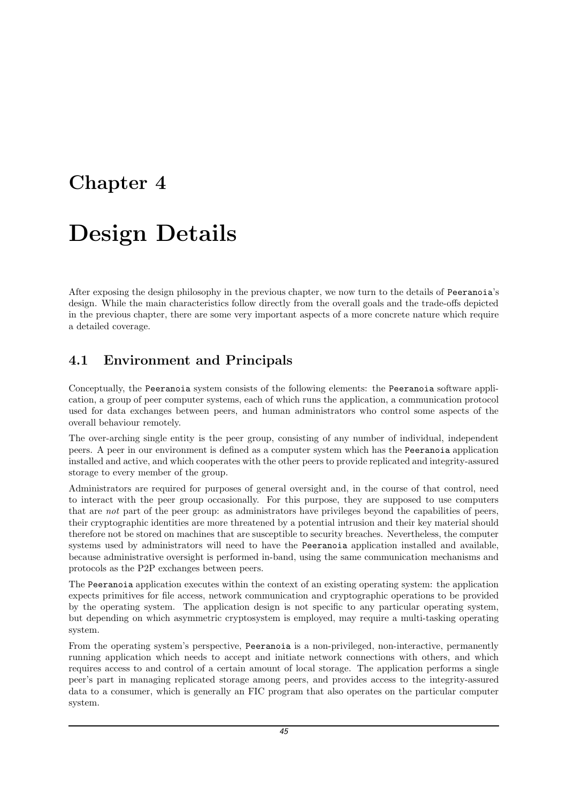## Chapter 4

# Design Details

After exposing the design philosophy in the previous chapter, we now turn to the details of Peeranoia's design. While the main characteristics follow directly from the overall goals and the trade-offs depicted in the previous chapter, there are some very important aspects of a more concrete nature which require a detailed coverage.

## 4.1 Environment and Principals

Conceptually, the Peeranoia system consists of the following elements: the Peeranoia software application, a group of peer computer systems, each of which runs the application, a communication protocol used for data exchanges between peers, and human administrators who control some aspects of the overall behaviour remotely.

The over-arching single entity is the peer group, consisting of any number of individual, independent peers. A peer in our environment is defined as a computer system which has the Peeranoia application installed and active, and which cooperates with the other peers to provide replicated and integrity-assured storage to every member of the group.

Administrators are required for purposes of general oversight and, in the course of that control, need to interact with the peer group occasionally. For this purpose, they are supposed to use computers that are not part of the peer group: as administrators have privileges beyond the capabilities of peers, their cryptographic identities are more threatened by a potential intrusion and their key material should therefore not be stored on machines that are susceptible to security breaches. Nevertheless, the computer systems used by administrators will need to have the Peeranoia application installed and available, because administrative oversight is performed in-band, using the same communication mechanisms and protocols as the P2P exchanges between peers.

The Peeranoia application executes within the context of an existing operating system: the application expects primitives for file access, network communication and cryptographic operations to be provided by the operating system. The application design is not specific to any particular operating system, but depending on which asymmetric cryptosystem is employed, may require a multi-tasking operating system.

From the operating system's perspective, Peeranoia is a non-privileged, non-interactive, permanently running application which needs to accept and initiate network connections with others, and which requires access to and control of a certain amount of local storage. The application performs a single peer's part in managing replicated storage among peers, and provides access to the integrity-assured data to a consumer, which is generally an FIC program that also operates on the particular computer system.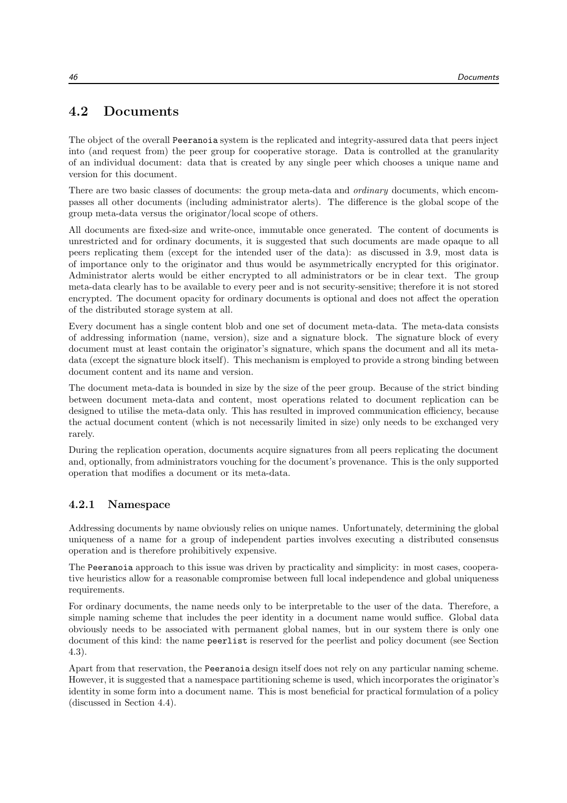## 4.2 Documents

The object of the overall Peeranoia system is the replicated and integrity-assured data that peers inject into (and request from) the peer group for cooperative storage. Data is controlled at the granularity of an individual document: data that is created by any single peer which chooses a unique name and version for this document.

There are two basic classes of documents: the group meta-data and *ordinary* documents, which encompasses all other documents (including administrator alerts). The difference is the global scope of the group meta-data versus the originator/local scope of others.

All documents are fixed-size and write-once, immutable once generated. The content of documents is unrestricted and for ordinary documents, it is suggested that such documents are made opaque to all peers replicating them (except for the intended user of the data): as discussed in 3.9, most data is of importance only to the originator and thus would be asymmetrically encrypted for this originator. Administrator alerts would be either encrypted to all administrators or be in clear text. The group meta-data clearly has to be available to every peer and is not security-sensitive; therefore it is not stored encrypted. The document opacity for ordinary documents is optional and does not affect the operation of the distributed storage system at all.

Every document has a single content blob and one set of document meta-data. The meta-data consists of addressing information (name, version), size and a signature block. The signature block of every document must at least contain the originator's signature, which spans the document and all its metadata (except the signature block itself). This mechanism is employed to provide a strong binding between document content and its name and version.

The document meta-data is bounded in size by the size of the peer group. Because of the strict binding between document meta-data and content, most operations related to document replication can be designed to utilise the meta-data only. This has resulted in improved communication efficiency, because the actual document content (which is not necessarily limited in size) only needs to be exchanged very rarely.

During the replication operation, documents acquire signatures from all peers replicating the document and, optionally, from administrators vouching for the document's provenance. This is the only supported operation that modifies a document or its meta-data.

#### 4.2.1 Namespace

Addressing documents by name obviously relies on unique names. Unfortunately, determining the global uniqueness of a name for a group of independent parties involves executing a distributed consensus operation and is therefore prohibitively expensive.

The Peeranoia approach to this issue was driven by practicality and simplicity: in most cases, cooperative heuristics allow for a reasonable compromise between full local independence and global uniqueness requirements.

For ordinary documents, the name needs only to be interpretable to the user of the data. Therefore, a simple naming scheme that includes the peer identity in a document name would suffice. Global data obviously needs to be associated with permanent global names, but in our system there is only one document of this kind: the name peerlist is reserved for the peerlist and policy document (see Section 4.3).

Apart from that reservation, the Peeranoia design itself does not rely on any particular naming scheme. However, it is suggested that a namespace partitioning scheme is used, which incorporates the originator's identity in some form into a document name. This is most beneficial for practical formulation of a policy (discussed in Section 4.4).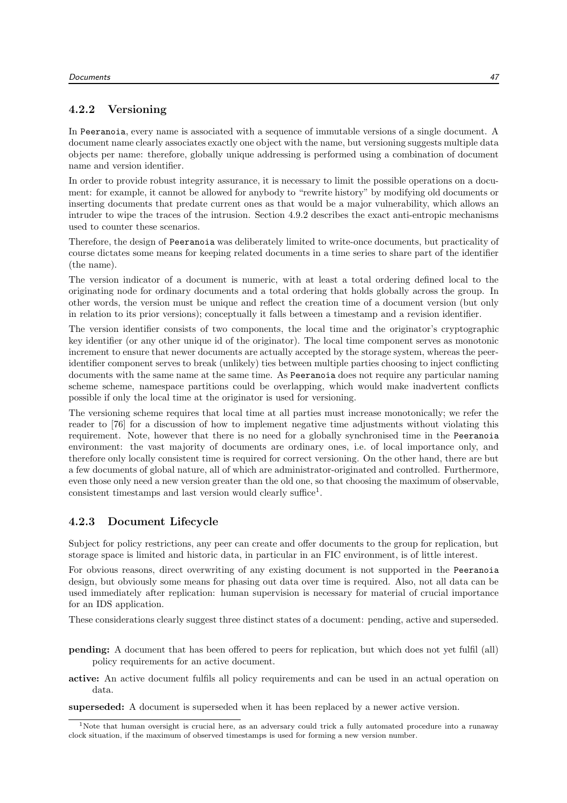### 4.2.2 Versioning

In Peeranoia, every name is associated with a sequence of immutable versions of a single document. A document name clearly associates exactly one object with the name, but versioning suggests multiple data objects per name: therefore, globally unique addressing is performed using a combination of document name and version identifier.

In order to provide robust integrity assurance, it is necessary to limit the possible operations on a document: for example, it cannot be allowed for anybody to "rewrite history" by modifying old documents or inserting documents that predate current ones as that would be a major vulnerability, which allows an intruder to wipe the traces of the intrusion. Section 4.9.2 describes the exact anti-entropic mechanisms used to counter these scenarios.

Therefore, the design of Peeranoia was deliberately limited to write-once documents, but practicality of course dictates some means for keeping related documents in a time series to share part of the identifier (the name).

The version indicator of a document is numeric, with at least a total ordering defined local to the originating node for ordinary documents and a total ordering that holds globally across the group. In other words, the version must be unique and reflect the creation time of a document version (but only in relation to its prior versions); conceptually it falls between a timestamp and a revision identifier.

The version identifier consists of two components, the local time and the originator's cryptographic key identifier (or any other unique id of the originator). The local time component serves as monotonic increment to ensure that newer documents are actually accepted by the storage system, whereas the peeridentifier component serves to break (unlikely) ties between multiple parties choosing to inject conflicting documents with the same name at the same time. As Peeranoia does not require any particular naming scheme scheme, namespace partitions could be overlapping, which would make inadvertent conflicts possible if only the local time at the originator is used for versioning.

The versioning scheme requires that local time at all parties must increase monotonically; we refer the reader to [76] for a discussion of how to implement negative time adjustments without violating this requirement. Note, however that there is no need for a globally synchronised time in the Peeranoia environment: the vast majority of documents are ordinary ones, i.e. of local importance only, and therefore only locally consistent time is required for correct versioning. On the other hand, there are but a few documents of global nature, all of which are administrator-originated and controlled. Furthermore, even those only need a new version greater than the old one, so that choosing the maximum of observable, consistent timestamps and last version would clearly suffice<sup>1</sup>.

#### 4.2.3 Document Lifecycle

Subject for policy restrictions, any peer can create and offer documents to the group for replication, but storage space is limited and historic data, in particular in an FIC environment, is of little interest.

For obvious reasons, direct overwriting of any existing document is not supported in the Peeranoia design, but obviously some means for phasing out data over time is required. Also, not all data can be used immediately after replication: human supervision is necessary for material of crucial importance for an IDS application.

These considerations clearly suggest three distinct states of a document: pending, active and superseded.

- pending: A document that has been offered to peers for replication, but which does not yet fulfil (all) policy requirements for an active document.
- active: An active document fulfils all policy requirements and can be used in an actual operation on data.

superseded: A document is superseded when it has been replaced by a newer active version.

<sup>1</sup>Note that human oversight is crucial here, as an adversary could trick a fully automated procedure into a runaway clock situation, if the maximum of observed timestamps is used for forming a new version number.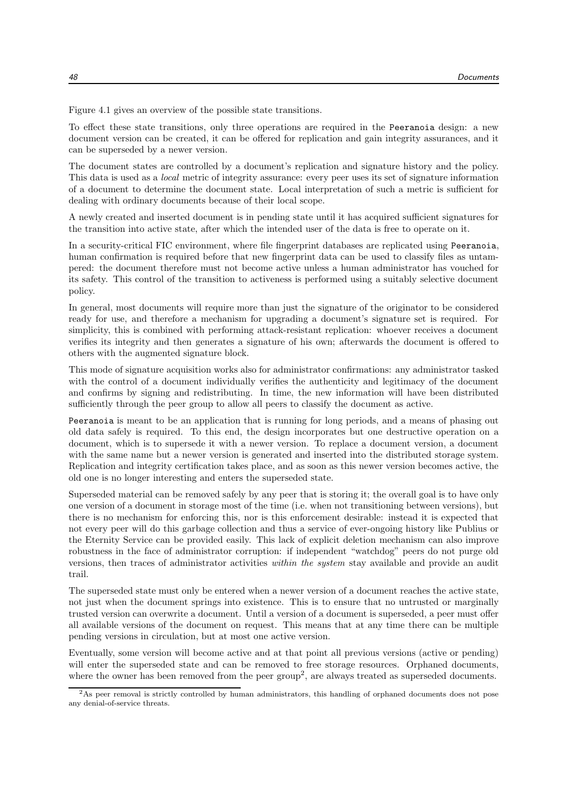Figure 4.1 gives an overview of the possible state transitions.

To effect these state transitions, only three operations are required in the Peeranoia design: a new document version can be created, it can be offered for replication and gain integrity assurances, and it can be superseded by a newer version.

The document states are controlled by a document's replication and signature history and the policy. This data is used as a local metric of integrity assurance: every peer uses its set of signature information of a document to determine the document state. Local interpretation of such a metric is sufficient for dealing with ordinary documents because of their local scope.

A newly created and inserted document is in pending state until it has acquired sufficient signatures for the transition into active state, after which the intended user of the data is free to operate on it.

In a security-critical FIC environment, where file fingerprint databases are replicated using Peeranoia, human confirmation is required before that new fingerprint data can be used to classify files as untampered: the document therefore must not become active unless a human administrator has vouched for its safety. This control of the transition to activeness is performed using a suitably selective document policy.

In general, most documents will require more than just the signature of the originator to be considered ready for use, and therefore a mechanism for upgrading a document's signature set is required. For simplicity, this is combined with performing attack-resistant replication: whoever receives a document verifies its integrity and then generates a signature of his own; afterwards the document is offered to others with the augmented signature block.

This mode of signature acquisition works also for administrator confirmations: any administrator tasked with the control of a document individually verifies the authenticity and legitimacy of the document and confirms by signing and redistributing. In time, the new information will have been distributed sufficiently through the peer group to allow all peers to classify the document as active.

Peeranoia is meant to be an application that is running for long periods, and a means of phasing out old data safely is required. To this end, the design incorporates but one destructive operation on a document, which is to supersede it with a newer version. To replace a document version, a document with the same name but a newer version is generated and inserted into the distributed storage system. Replication and integrity certification takes place, and as soon as this newer version becomes active, the old one is no longer interesting and enters the superseded state.

Superseded material can be removed safely by any peer that is storing it; the overall goal is to have only one version of a document in storage most of the time (i.e. when not transitioning between versions), but there is no mechanism for enforcing this, nor is this enforcement desirable: instead it is expected that not every peer will do this garbage collection and thus a service of ever-ongoing history like Publius or the Eternity Service can be provided easily. This lack of explicit deletion mechanism can also improve robustness in the face of administrator corruption: if independent "watchdog" peers do not purge old versions, then traces of administrator activities within the system stay available and provide an audit trail.

The superseded state must only be entered when a newer version of a document reaches the active state, not just when the document springs into existence. This is to ensure that no untrusted or marginally trusted version can overwrite a document. Until a version of a document is superseded, a peer must offer all available versions of the document on request. This means that at any time there can be multiple pending versions in circulation, but at most one active version.

Eventually, some version will become active and at that point all previous versions (active or pending) will enter the superseded state and can be removed to free storage resources. Orphaned documents, where the owner has been removed from the peer group<sup>2</sup>, are always treated as superseded documents.

<sup>2</sup>As peer removal is strictly controlled by human administrators, this handling of orphaned documents does not pose any denial-of-service threats.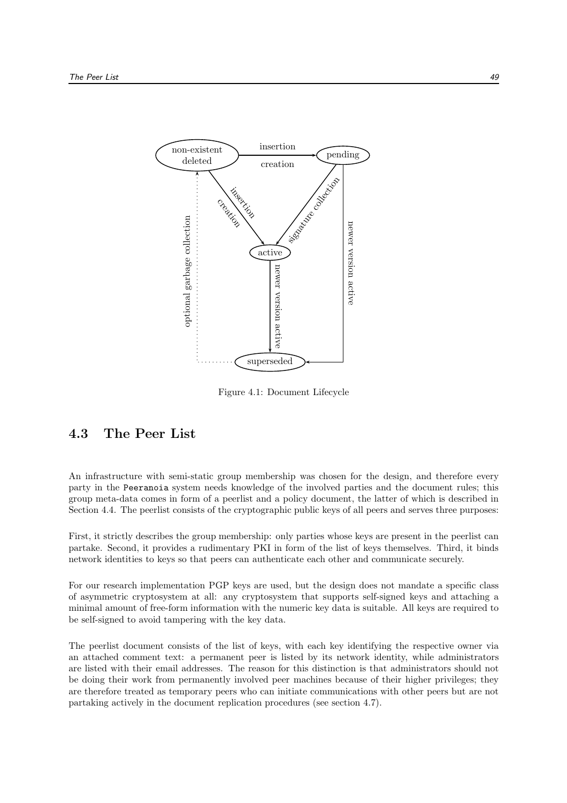

Figure 4.1: Document Lifecycle

## 4.3 The Peer List

An infrastructure with semi-static group membership was chosen for the design, and therefore every party in the Peeranoia system needs knowledge of the involved parties and the document rules; this group meta-data comes in form of a peerlist and a policy document, the latter of which is described in Section 4.4. The peerlist consists of the cryptographic public keys of all peers and serves three purposes:

First, it strictly describes the group membership: only parties whose keys are present in the peerlist can partake. Second, it provides a rudimentary PKI in form of the list of keys themselves. Third, it binds network identities to keys so that peers can authenticate each other and communicate securely.

For our research implementation PGP keys are used, but the design does not mandate a specific class of asymmetric cryptosystem at all: any cryptosystem that supports self-signed keys and attaching a minimal amount of free-form information with the numeric key data is suitable. All keys are required to be self-signed to avoid tampering with the key data.

The peerlist document consists of the list of keys, with each key identifying the respective owner via an attached comment text: a permanent peer is listed by its network identity, while administrators are listed with their email addresses. The reason for this distinction is that administrators should not be doing their work from permanently involved peer machines because of their higher privileges; they are therefore treated as temporary peers who can initiate communications with other peers but are not partaking actively in the document replication procedures (see section 4.7).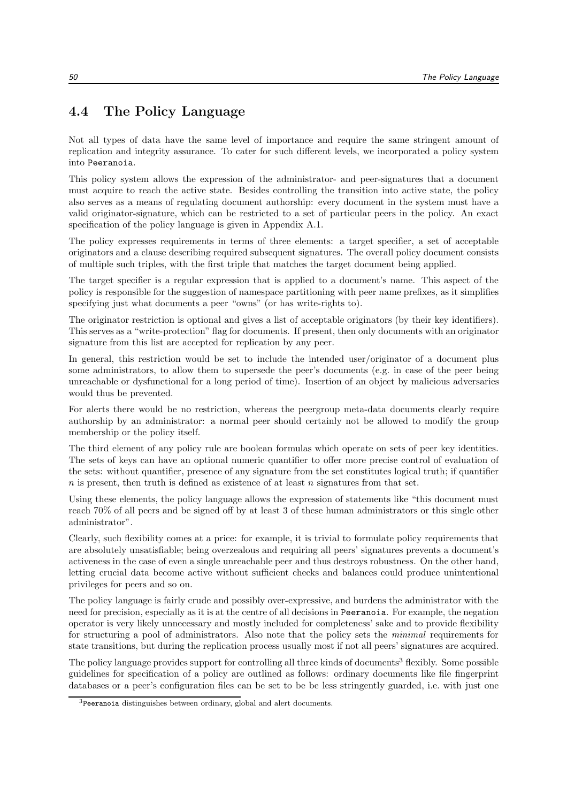## 4.4 The Policy Language

Not all types of data have the same level of importance and require the same stringent amount of replication and integrity assurance. To cater for such different levels, we incorporated a policy system into Peeranoia.

This policy system allows the expression of the administrator- and peer-signatures that a document must acquire to reach the active state. Besides controlling the transition into active state, the policy also serves as a means of regulating document authorship: every document in the system must have a valid originator-signature, which can be restricted to a set of particular peers in the policy. An exact specification of the policy language is given in Appendix A.1.

The policy expresses requirements in terms of three elements: a target specifier, a set of acceptable originators and a clause describing required subsequent signatures. The overall policy document consists of multiple such triples, with the first triple that matches the target document being applied.

The target specifier is a regular expression that is applied to a document's name. This aspect of the policy is responsible for the suggestion of namespace partitioning with peer name prefixes, as it simplifies specifying just what documents a peer "owns" (or has write-rights to).

The originator restriction is optional and gives a list of acceptable originators (by their key identifiers). This serves as a "write-protection" flag for documents. If present, then only documents with an originator signature from this list are accepted for replication by any peer.

In general, this restriction would be set to include the intended user/originator of a document plus some administrators, to allow them to supersede the peer's documents (e.g. in case of the peer being unreachable or dysfunctional for a long period of time). Insertion of an object by malicious adversaries would thus be prevented.

For alerts there would be no restriction, whereas the peergroup meta-data documents clearly require authorship by an administrator: a normal peer should certainly not be allowed to modify the group membership or the policy itself.

The third element of any policy rule are boolean formulas which operate on sets of peer key identities. The sets of keys can have an optional numeric quantifier to offer more precise control of evaluation of the sets: without quantifier, presence of any signature from the set constitutes logical truth; if quantifier  $n$  is present, then truth is defined as existence of at least  $n$  signatures from that set.

Using these elements, the policy language allows the expression of statements like "this document must reach 70% of all peers and be signed off by at least 3 of these human administrators or this single other administrator".

Clearly, such flexibility comes at a price: for example, it is trivial to formulate policy requirements that are absolutely unsatisfiable; being overzealous and requiring all peers' signatures prevents a document's activeness in the case of even a single unreachable peer and thus destroys robustness. On the other hand, letting crucial data become active without sufficient checks and balances could produce unintentional privileges for peers and so on.

The policy language is fairly crude and possibly over-expressive, and burdens the administrator with the need for precision, especially as it is at the centre of all decisions in Peeranoia. For example, the negation operator is very likely unnecessary and mostly included for completeness' sake and to provide flexibility for structuring a pool of administrators. Also note that the policy sets the minimal requirements for state transitions, but during the replication process usually most if not all peers' signatures are acquired.

The policy language provides support for controlling all three kinds of documents<sup>3</sup> flexibly. Some possible guidelines for specification of a policy are outlined as follows: ordinary documents like file fingerprint databases or a peer's configuration files can be set to be be less stringently guarded, i.e. with just one

<sup>3</sup>Peeranoia distinguishes between ordinary, global and alert documents.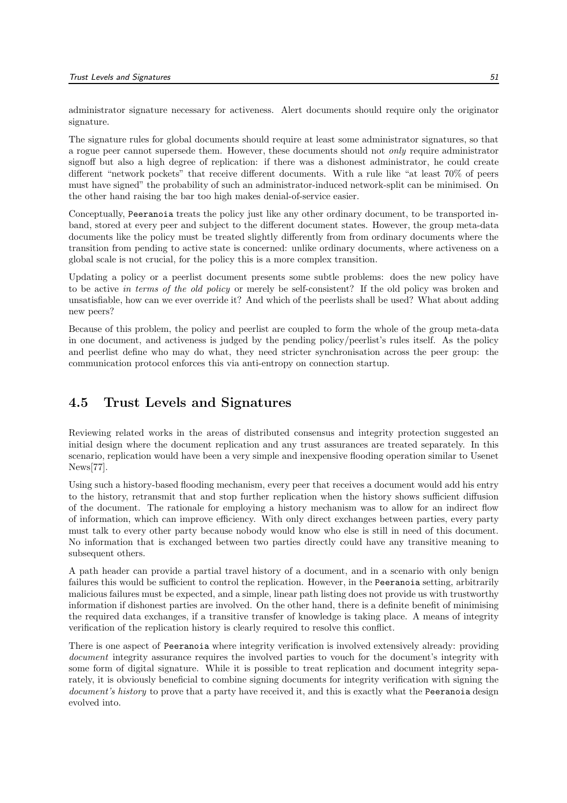administrator signature necessary for activeness. Alert documents should require only the originator signature.

The signature rules for global documents should require at least some administrator signatures, so that a rogue peer cannot supersede them. However, these documents should not only require administrator signoff but also a high degree of replication: if there was a dishonest administrator, he could create different "network pockets" that receive different documents. With a rule like "at least 70% of peers must have signed" the probability of such an administrator-induced network-split can be minimised. On the other hand raising the bar too high makes denial-of-service easier.

Conceptually, Peeranoia treats the policy just like any other ordinary document, to be transported inband, stored at every peer and subject to the different document states. However, the group meta-data documents like the policy must be treated slightly differently from from ordinary documents where the transition from pending to active state is concerned: unlike ordinary documents, where activeness on a global scale is not crucial, for the policy this is a more complex transition.

Updating a policy or a peerlist document presents some subtle problems: does the new policy have to be active in terms of the old policy or merely be self-consistent? If the old policy was broken and unsatisfiable, how can we ever override it? And which of the peerlists shall be used? What about adding new peers?

Because of this problem, the policy and peerlist are coupled to form the whole of the group meta-data in one document, and activeness is judged by the pending policy/peerlist's rules itself. As the policy and peerlist define who may do what, they need stricter synchronisation across the peer group: the communication protocol enforces this via anti-entropy on connection startup.

## 4.5 Trust Levels and Signatures

Reviewing related works in the areas of distributed consensus and integrity protection suggested an initial design where the document replication and any trust assurances are treated separately. In this scenario, replication would have been a very simple and inexpensive flooding operation similar to Usenet News[77].

Using such a history-based flooding mechanism, every peer that receives a document would add his entry to the history, retransmit that and stop further replication when the history shows sufficient diffusion of the document. The rationale for employing a history mechanism was to allow for an indirect flow of information, which can improve efficiency. With only direct exchanges between parties, every party must talk to every other party because nobody would know who else is still in need of this document. No information that is exchanged between two parties directly could have any transitive meaning to subsequent others.

A path header can provide a partial travel history of a document, and in a scenario with only benign failures this would be sufficient to control the replication. However, in the Peeranoia setting, arbitrarily malicious failures must be expected, and a simple, linear path listing does not provide us with trustworthy information if dishonest parties are involved. On the other hand, there is a definite benefit of minimising the required data exchanges, if a transitive transfer of knowledge is taking place. A means of integrity verification of the replication history is clearly required to resolve this conflict.

There is one aspect of Peeranoia where integrity verification is involved extensively already: providing document integrity assurance requires the involved parties to vouch for the document's integrity with some form of digital signature. While it is possible to treat replication and document integrity separately, it is obviously beneficial to combine signing documents for integrity verification with signing the document's history to prove that a party have received it, and this is exactly what the Peeranoia design evolved into.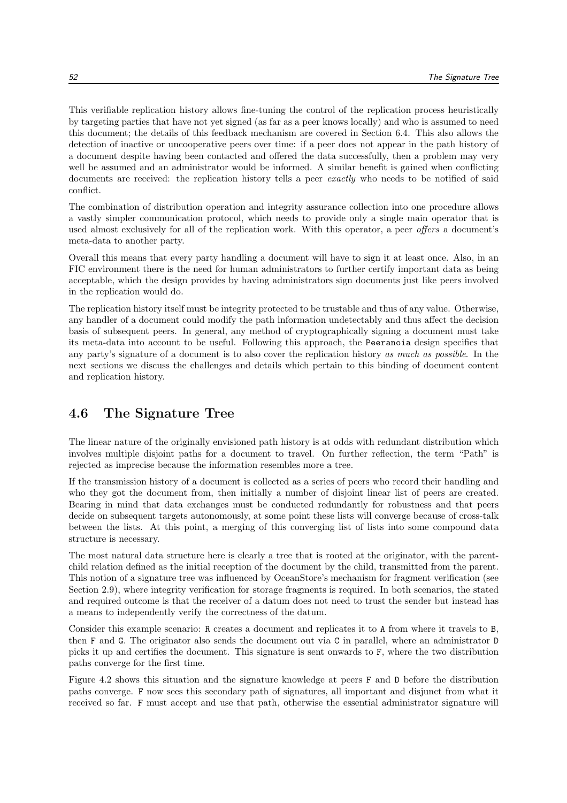This verifiable replication history allows fine-tuning the control of the replication process heuristically by targeting parties that have not yet signed (as far as a peer knows locally) and who is assumed to need this document; the details of this feedback mechanism are covered in Section 6.4. This also allows the detection of inactive or uncooperative peers over time: if a peer does not appear in the path history of a document despite having been contacted and offered the data successfully, then a problem may very well be assumed and an administrator would be informed. A similar benefit is gained when conflicting documents are received: the replication history tells a peer *exactly* who needs to be notified of said conflict.

The combination of distribution operation and integrity assurance collection into one procedure allows a vastly simpler communication protocol, which needs to provide only a single main operator that is used almost exclusively for all of the replication work. With this operator, a peer offers a document's meta-data to another party.

Overall this means that every party handling a document will have to sign it at least once. Also, in an FIC environment there is the need for human administrators to further certify important data as being acceptable, which the design provides by having administrators sign documents just like peers involved in the replication would do.

The replication history itself must be integrity protected to be trustable and thus of any value. Otherwise, any handler of a document could modify the path information undetectably and thus affect the decision basis of subsequent peers. In general, any method of cryptographically signing a document must take its meta-data into account to be useful. Following this approach, the Peeranoia design specifies that any party's signature of a document is to also cover the replication history as much as possible. In the next sections we discuss the challenges and details which pertain to this binding of document content and replication history.

## 4.6 The Signature Tree

The linear nature of the originally envisioned path history is at odds with redundant distribution which involves multiple disjoint paths for a document to travel. On further reflection, the term "Path" is rejected as imprecise because the information resembles more a tree.

If the transmission history of a document is collected as a series of peers who record their handling and who they got the document from, then initially a number of disjoint linear list of peers are created. Bearing in mind that data exchanges must be conducted redundantly for robustness and that peers decide on subsequent targets autonomously, at some point these lists will converge because of cross-talk between the lists. At this point, a merging of this converging list of lists into some compound data structure is necessary.

The most natural data structure here is clearly a tree that is rooted at the originator, with the parentchild relation defined as the initial reception of the document by the child, transmitted from the parent. This notion of a signature tree was influenced by OceanStore's mechanism for fragment verification (see Section 2.9), where integrity verification for storage fragments is required. In both scenarios, the stated and required outcome is that the receiver of a datum does not need to trust the sender but instead has a means to independently verify the correctness of the datum.

Consider this example scenario: R creates a document and replicates it to A from where it travels to B, then F and G. The originator also sends the document out via C in parallel, where an administrator D picks it up and certifies the document. This signature is sent onwards to F, where the two distribution paths converge for the first time.

Figure 4.2 shows this situation and the signature knowledge at peers F and D before the distribution paths converge. F now sees this secondary path of signatures, all important and disjunct from what it received so far. F must accept and use that path, otherwise the essential administrator signature will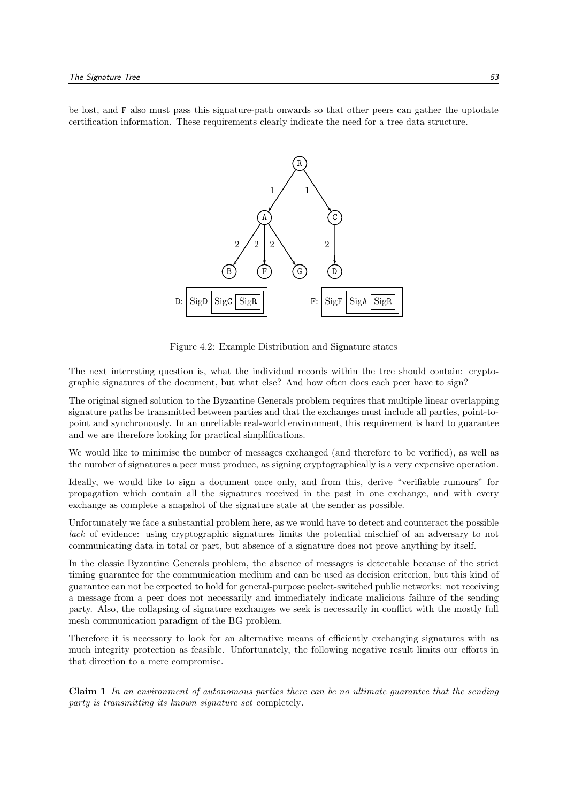be lost, and F also must pass this signature-path onwards so that other peers can gather the uptodate certification information. These requirements clearly indicate the need for a tree data structure.



Figure 4.2: Example Distribution and Signature states

The next interesting question is, what the individual records within the tree should contain: cryptographic signatures of the document, but what else? And how often does each peer have to sign?

The original signed solution to the Byzantine Generals problem requires that multiple linear overlapping signature paths be transmitted between parties and that the exchanges must include all parties, point-topoint and synchronously. In an unreliable real-world environment, this requirement is hard to guarantee and we are therefore looking for practical simplifications.

We would like to minimise the number of messages exchanged (and therefore to be verified), as well as the number of signatures a peer must produce, as signing cryptographically is a very expensive operation.

Ideally, we would like to sign a document once only, and from this, derive "verifiable rumours" for propagation which contain all the signatures received in the past in one exchange, and with every exchange as complete a snapshot of the signature state at the sender as possible.

Unfortunately we face a substantial problem here, as we would have to detect and counteract the possible lack of evidence: using cryptographic signatures limits the potential mischief of an adversary to not communicating data in total or part, but absence of a signature does not prove anything by itself.

In the classic Byzantine Generals problem, the absence of messages is detectable because of the strict timing guarantee for the communication medium and can be used as decision criterion, but this kind of guarantee can not be expected to hold for general-purpose packet-switched public networks: not receiving a message from a peer does not necessarily and immediately indicate malicious failure of the sending party. Also, the collapsing of signature exchanges we seek is necessarily in conflict with the mostly full mesh communication paradigm of the BG problem.

Therefore it is necessary to look for an alternative means of efficiently exchanging signatures with as much integrity protection as feasible. Unfortunately, the following negative result limits our efforts in that direction to a mere compromise.

Claim 1 In an environment of autonomous parties there can be no ultimate guarantee that the sending party is transmitting its known signature set completely.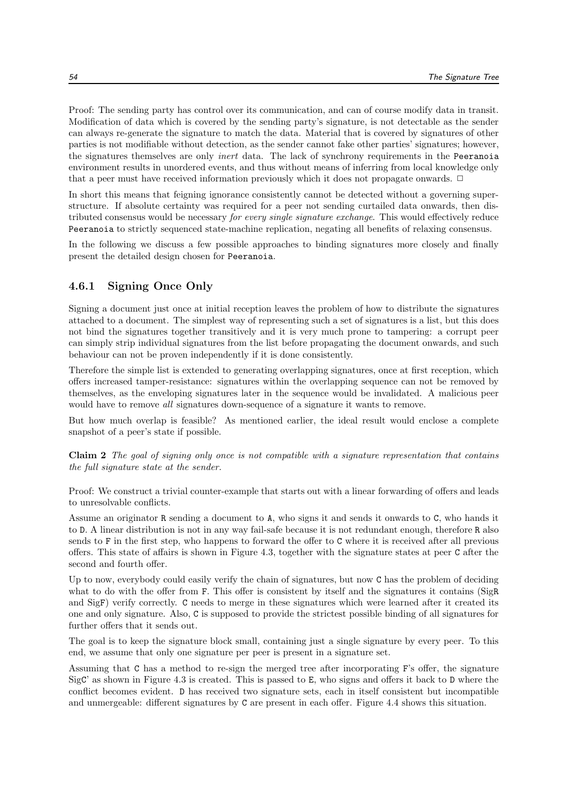Proof: The sending party has control over its communication, and can of course modify data in transit. Modification of data which is covered by the sending party's signature, is not detectable as the sender can always re-generate the signature to match the data. Material that is covered by signatures of other parties is not modifiable without detection, as the sender cannot fake other parties' signatures; however, the signatures themselves are only *inert* data. The lack of synchrony requirements in the Peeranoia environment results in unordered events, and thus without means of inferring from local knowledge only that a peer must have received information previously which it does not propagate onwards.  $\Box$ 

In short this means that feigning ignorance consistently cannot be detected without a governing superstructure. If absolute certainty was required for a peer not sending curtailed data onwards, then distributed consensus would be necessary for every single signature exchange. This would effectively reduce Peeranoia to strictly sequenced state-machine replication, negating all benefits of relaxing consensus.

In the following we discuss a few possible approaches to binding signatures more closely and finally present the detailed design chosen for Peeranoia.

### 4.6.1 Signing Once Only

Signing a document just once at initial reception leaves the problem of how to distribute the signatures attached to a document. The simplest way of representing such a set of signatures is a list, but this does not bind the signatures together transitively and it is very much prone to tampering: a corrupt peer can simply strip individual signatures from the list before propagating the document onwards, and such behaviour can not be proven independently if it is done consistently.

Therefore the simple list is extended to generating overlapping signatures, once at first reception, which offers increased tamper-resistance: signatures within the overlapping sequence can not be removed by themselves, as the enveloping signatures later in the sequence would be invalidated. A malicious peer would have to remove all signatures down-sequence of a signature it wants to remove.

But how much overlap is feasible? As mentioned earlier, the ideal result would enclose a complete snapshot of a peer's state if possible.

Claim 2 The goal of signing only once is not compatible with a signature representation that contains the full signature state at the sender.

Proof: We construct a trivial counter-example that starts out with a linear forwarding of offers and leads to unresolvable conflicts.

Assume an originator R sending a document to A, who signs it and sends it onwards to C, who hands it to D. A linear distribution is not in any way fail-safe because it is not redundant enough, therefore R also sends to F in the first step, who happens to forward the offer to C where it is received after all previous offers. This state of affairs is shown in Figure 4.3, together with the signature states at peer C after the second and fourth offer.

Up to now, everybody could easily verify the chain of signatures, but now C has the problem of deciding what to do with the offer from F. This offer is consistent by itself and the signatures it contains (SigR and SigF) verify correctly. C needs to merge in these signatures which were learned after it created its one and only signature. Also, C is supposed to provide the strictest possible binding of all signatures for further offers that it sends out.

The goal is to keep the signature block small, containing just a single signature by every peer. To this end, we assume that only one signature per peer is present in a signature set.

Assuming that C has a method to re-sign the merged tree after incorporating F's offer, the signature SigC' as shown in Figure 4.3 is created. This is passed to E, who signs and offers it back to D where the conflict becomes evident. D has received two signature sets, each in itself consistent but incompatible and unmergeable: different signatures by C are present in each offer. Figure 4.4 shows this situation.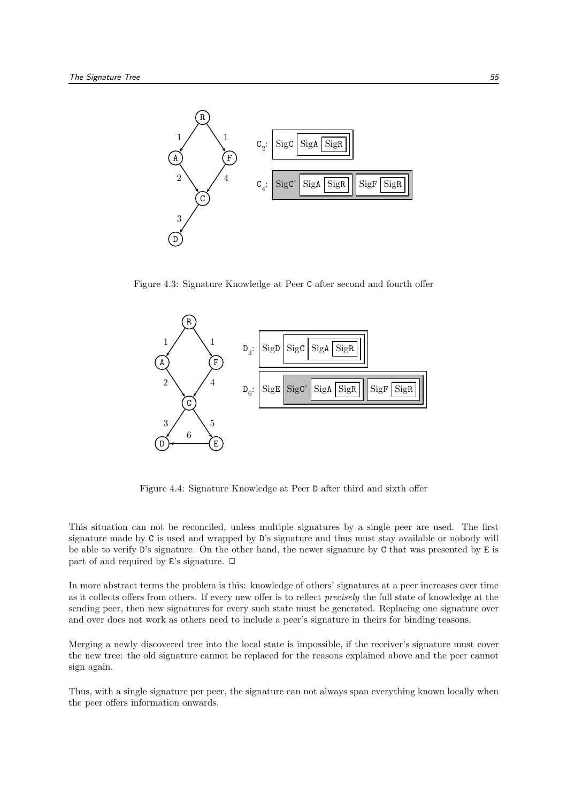

Figure 4.3: Signature Knowledge at Peer C after second and fourth offer



Figure 4.4: Signature Knowledge at Peer D after third and sixth offer

This situation can not be reconciled, unless multiple signatures by a single peer are used. The first signature made by C is used and wrapped by D's signature and thus must stay available or nobody will be able to verify D's signature. On the other hand, the newer signature by C that was presented by E is part of and required by E's signature.  $\Box$ 

In more abstract terms the problem is this: knowledge of others' signatures at a peer increases over time as it collects offers from others. If every new offer is to reflect precisely the full state of knowledge at the sending peer, then new signatures for every such state must be generated. Replacing one signature over and over does not work as others need to include a peer's signature in theirs for binding reasons.

Merging a newly discovered tree into the local state is impossible, if the receiver's signature must cover the new tree: the old signature cannot be replaced for the reasons explained above and the peer cannot sign again.

Thus, with a single signature per peer, the signature can not always span everything known locally when the peer offers information onwards.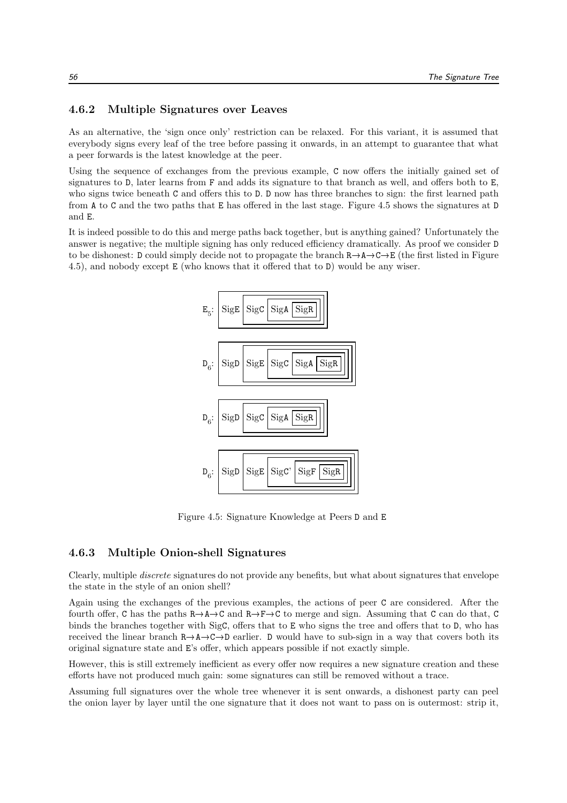#### 4.6.2 Multiple Signatures over Leaves

As an alternative, the 'sign once only' restriction can be relaxed. For this variant, it is assumed that everybody signs every leaf of the tree before passing it onwards, in an attempt to guarantee that what a peer forwards is the latest knowledge at the peer.

Using the sequence of exchanges from the previous example, C now offers the initially gained set of signatures to D, later learns from F and adds its signature to that branch as well, and offers both to E, who signs twice beneath C and offers this to D. D now has three branches to sign: the first learned path from A to C and the two paths that E has offered in the last stage. Figure 4.5 shows the signatures at D and E.

It is indeed possible to do this and merge paths back together, but is anything gained? Unfortunately the answer is negative; the multiple signing has only reduced efficiency dramatically. As proof we consider D to be dishonest: D could simply decide not to propagate the branch  $R\to A\to C\to E$  (the first listed in Figure 4.5), and nobody except E (who knows that it offered that to D) would be any wiser.



Figure 4.5: Signature Knowledge at Peers D and E

#### 4.6.3 Multiple Onion-shell Signatures

Clearly, multiple discrete signatures do not provide any benefits, but what about signatures that envelope the state in the style of an onion shell?

Again using the exchanges of the previous examples, the actions of peer C are considered. After the fourth offer, C has the paths  $R\rightarrow A\rightarrow C$  and  $R\rightarrow F\rightarrow C$  to merge and sign. Assuming that C can do that, C binds the branches together with SigC, offers that to E who signs the tree and offers that to D, who has received the linear branch  $R \rightarrow A \rightarrow C \rightarrow D$  earlier. D would have to sub-sign in a way that covers both its original signature state and E's offer, which appears possible if not exactly simple.

However, this is still extremely inefficient as every offer now requires a new signature creation and these efforts have not produced much gain: some signatures can still be removed without a trace.

Assuming full signatures over the whole tree whenever it is sent onwards, a dishonest party can peel the onion layer by layer until the one signature that it does not want to pass on is outermost: strip it,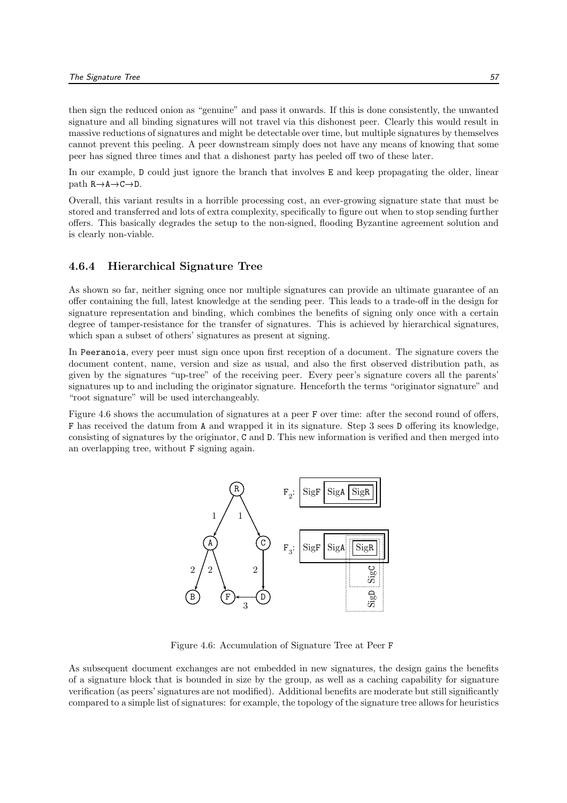then sign the reduced onion as "genuine" and pass it onwards. If this is done consistently, the unwanted signature and all binding signatures will not travel via this dishonest peer. Clearly this would result in massive reductions of signatures and might be detectable over time, but multiple signatures by themselves cannot prevent this peeling. A peer downstream simply does not have any means of knowing that some peer has signed three times and that a dishonest party has peeled off two of these later.

In our example, D could just ignore the branch that involves E and keep propagating the older, linear  $path R \rightarrow A \rightarrow C \rightarrow D.$ 

Overall, this variant results in a horrible processing cost, an ever-growing signature state that must be stored and transferred and lots of extra complexity, specifically to figure out when to stop sending further offers. This basically degrades the setup to the non-signed, flooding Byzantine agreement solution and is clearly non-viable.

#### 4.6.4 Hierarchical Signature Tree

As shown so far, neither signing once nor multiple signatures can provide an ultimate guarantee of an offer containing the full, latest knowledge at the sending peer. This leads to a trade-off in the design for signature representation and binding, which combines the benefits of signing only once with a certain degree of tamper-resistance for the transfer of signatures. This is achieved by hierarchical signatures, which span a subset of others' signatures as present at signing.

In Peeranoia, every peer must sign once upon first reception of a document. The signature covers the document content, name, version and size as usual, and also the first observed distribution path, as given by the signatures "up-tree" of the receiving peer. Every peer's signature covers all the parents' signatures up to and including the originator signature. Henceforth the terms "originator signature" and "root signature" will be used interchangeably.

Figure 4.6 shows the accumulation of signatures at a peer F over time: after the second round of offers, F has received the datum from A and wrapped it in its signature. Step 3 sees D offering its knowledge, consisting of signatures by the originator, C and D. This new information is verified and then merged into an overlapping tree, without F signing again.



Figure 4.6: Accumulation of Signature Tree at Peer F

As subsequent document exchanges are not embedded in new signatures, the design gains the benefits of a signature block that is bounded in size by the group, as well as a caching capability for signature verification (as peers' signatures are not modified). Additional benefits are moderate but still significantly compared to a simple list of signatures: for example, the topology of the signature tree allows for heuristics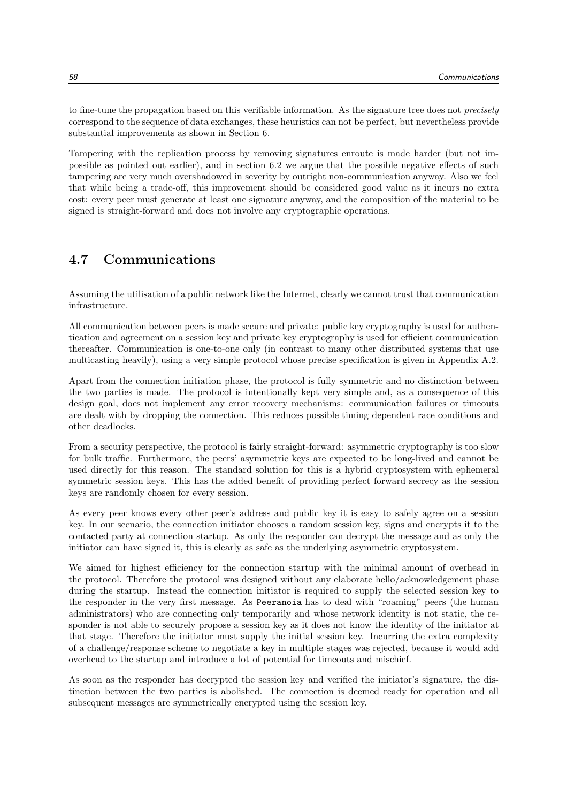to fine-tune the propagation based on this verifiable information. As the signature tree does not precisely correspond to the sequence of data exchanges, these heuristics can not be perfect, but nevertheless provide substantial improvements as shown in Section 6.

Tampering with the replication process by removing signatures enroute is made harder (but not impossible as pointed out earlier), and in section 6.2 we argue that the possible negative effects of such tampering are very much overshadowed in severity by outright non-communication anyway. Also we feel that while being a trade-off, this improvement should be considered good value as it incurs no extra cost: every peer must generate at least one signature anyway, and the composition of the material to be signed is straight-forward and does not involve any cryptographic operations.

## 4.7 Communications

Assuming the utilisation of a public network like the Internet, clearly we cannot trust that communication infrastructure.

All communication between peers is made secure and private: public key cryptography is used for authentication and agreement on a session key and private key cryptography is used for efficient communication thereafter. Communication is one-to-one only (in contrast to many other distributed systems that use multicasting heavily), using a very simple protocol whose precise specification is given in Appendix A.2.

Apart from the connection initiation phase, the protocol is fully symmetric and no distinction between the two parties is made. The protocol is intentionally kept very simple and, as a consequence of this design goal, does not implement any error recovery mechanisms: communication failures or timeouts are dealt with by dropping the connection. This reduces possible timing dependent race conditions and other deadlocks.

From a security perspective, the protocol is fairly straight-forward: asymmetric cryptography is too slow for bulk traffic. Furthermore, the peers' asymmetric keys are expected to be long-lived and cannot be used directly for this reason. The standard solution for this is a hybrid cryptosystem with ephemeral symmetric session keys. This has the added benefit of providing perfect forward secrecy as the session keys are randomly chosen for every session.

As every peer knows every other peer's address and public key it is easy to safely agree on a session key. In our scenario, the connection initiator chooses a random session key, signs and encrypts it to the contacted party at connection startup. As only the responder can decrypt the message and as only the initiator can have signed it, this is clearly as safe as the underlying asymmetric cryptosystem.

We aimed for highest efficiency for the connection startup with the minimal amount of overhead in the protocol. Therefore the protocol was designed without any elaborate hello/acknowledgement phase during the startup. Instead the connection initiator is required to supply the selected session key to the responder in the very first message. As Peeranoia has to deal with "roaming" peers (the human administrators) who are connecting only temporarily and whose network identity is not static, the responder is not able to securely propose a session key as it does not know the identity of the initiator at that stage. Therefore the initiator must supply the initial session key. Incurring the extra complexity of a challenge/response scheme to negotiate a key in multiple stages was rejected, because it would add overhead to the startup and introduce a lot of potential for timeouts and mischief.

As soon as the responder has decrypted the session key and verified the initiator's signature, the distinction between the two parties is abolished. The connection is deemed ready for operation and all subsequent messages are symmetrically encrypted using the session key.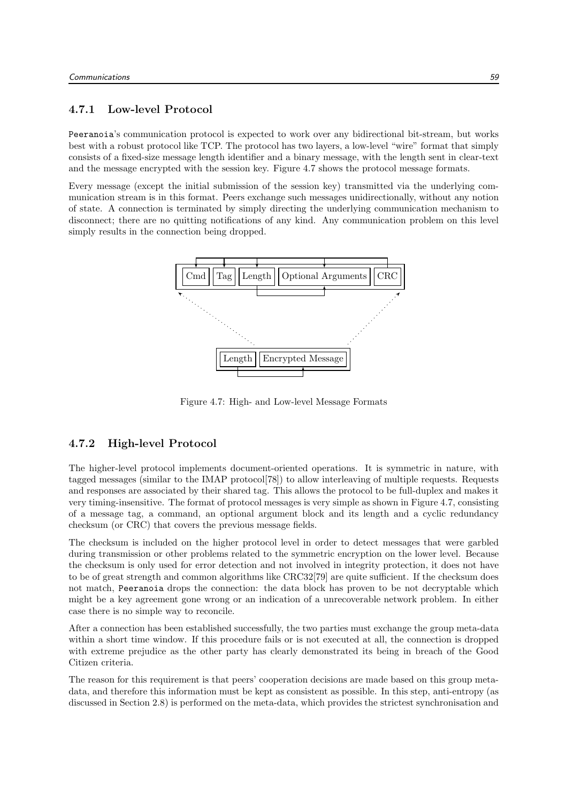#### 4.7.1 Low-level Protocol

Peeranoia's communication protocol is expected to work over any bidirectional bit-stream, but works best with a robust protocol like TCP. The protocol has two layers, a low-level "wire" format that simply consists of a fixed-size message length identifier and a binary message, with the length sent in clear-text and the message encrypted with the session key. Figure 4.7 shows the protocol message formats.

Every message (except the initial submission of the session key) transmitted via the underlying communication stream is in this format. Peers exchange such messages unidirectionally, without any notion of state. A connection is terminated by simply directing the underlying communication mechanism to disconnect; there are no quitting notifications of any kind. Any communication problem on this level simply results in the connection being dropped.



Figure 4.7: High- and Low-level Message Formats

#### 4.7.2 High-level Protocol

The higher-level protocol implements document-oriented operations. It is symmetric in nature, with tagged messages (similar to the IMAP protocol[78]) to allow interleaving of multiple requests. Requests and responses are associated by their shared tag. This allows the protocol to be full-duplex and makes it very timing-insensitive. The format of protocol messages is very simple as shown in Figure 4.7, consisting of a message tag, a command, an optional argument block and its length and a cyclic redundancy checksum (or CRC) that covers the previous message fields.

The checksum is included on the higher protocol level in order to detect messages that were garbled during transmission or other problems related to the symmetric encryption on the lower level. Because the checksum is only used for error detection and not involved in integrity protection, it does not have to be of great strength and common algorithms like CRC32[79] are quite sufficient. If the checksum does not match, Peeranoia drops the connection: the data block has proven to be not decryptable which might be a key agreement gone wrong or an indication of a unrecoverable network problem. In either case there is no simple way to reconcile.

After a connection has been established successfully, the two parties must exchange the group meta-data within a short time window. If this procedure fails or is not executed at all, the connection is dropped with extreme prejudice as the other party has clearly demonstrated its being in breach of the Good Citizen criteria.

The reason for this requirement is that peers' cooperation decisions are made based on this group metadata, and therefore this information must be kept as consistent as possible. In this step, anti-entropy (as discussed in Section 2.8) is performed on the meta-data, which provides the strictest synchronisation and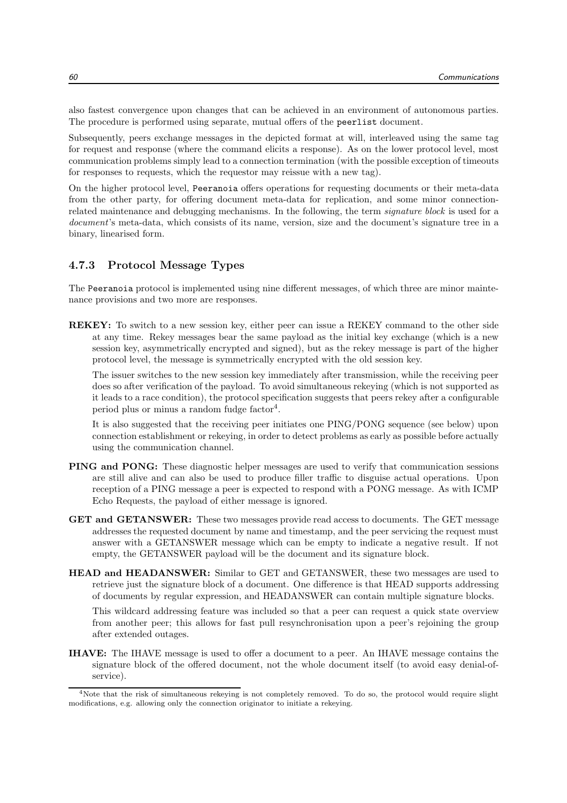also fastest convergence upon changes that can be achieved in an environment of autonomous parties. The procedure is performed using separate, mutual offers of the peerlist document.

Subsequently, peers exchange messages in the depicted format at will, interleaved using the same tag for request and response (where the command elicits a response). As on the lower protocol level, most communication problems simply lead to a connection termination (with the possible exception of timeouts for responses to requests, which the requestor may reissue with a new tag).

On the higher protocol level, Peeranoia offers operations for requesting documents or their meta-data from the other party, for offering document meta-data for replication, and some minor connectionrelated maintenance and debugging mechanisms. In the following, the term signature block is used for a document's meta-data, which consists of its name, version, size and the document's signature tree in a binary, linearised form.

#### 4.7.3 Protocol Message Types

The Peeranoia protocol is implemented using nine different messages, of which three are minor maintenance provisions and two more are responses.

REKEY: To switch to a new session key, either peer can issue a REKEY command to the other side at any time. Rekey messages bear the same payload as the initial key exchange (which is a new session key, asymmetrically encrypted and signed), but as the rekey message is part of the higher protocol level, the message is symmetrically encrypted with the old session key.

The issuer switches to the new session key immediately after transmission, while the receiving peer does so after verification of the payload. To avoid simultaneous rekeying (which is not supported as it leads to a race condition), the protocol specification suggests that peers rekey after a configurable period plus or minus a random fudge factor<sup>4</sup>.

It is also suggested that the receiving peer initiates one PING/PONG sequence (see below) upon connection establishment or rekeying, in order to detect problems as early as possible before actually using the communication channel.

- PING and PONG: These diagnostic helper messages are used to verify that communication sessions are still alive and can also be used to produce filler traffic to disguise actual operations. Upon reception of a PING message a peer is expected to respond with a PONG message. As with ICMP Echo Requests, the payload of either message is ignored.
- GET and GETANSWER: These two messages provide read access to documents. The GET message addresses the requested document by name and timestamp, and the peer servicing the request must answer with a GETANSWER message which can be empty to indicate a negative result. If not empty, the GETANSWER payload will be the document and its signature block.
- HEAD and HEADANSWER: Similar to GET and GETANSWER, these two messages are used to retrieve just the signature block of a document. One difference is that HEAD supports addressing of documents by regular expression, and HEADANSWER can contain multiple signature blocks.

This wildcard addressing feature was included so that a peer can request a quick state overview from another peer; this allows for fast pull resynchronisation upon a peer's rejoining the group after extended outages.

IHAVE: The IHAVE message is used to offer a document to a peer. An IHAVE message contains the signature block of the offered document, not the whole document itself (to avoid easy denial-ofservice).

<sup>&</sup>lt;sup>4</sup>Note that the risk of simultaneous rekeying is not completely removed. To do so, the protocol would require slight modifications, e.g. allowing only the connection originator to initiate a rekeying.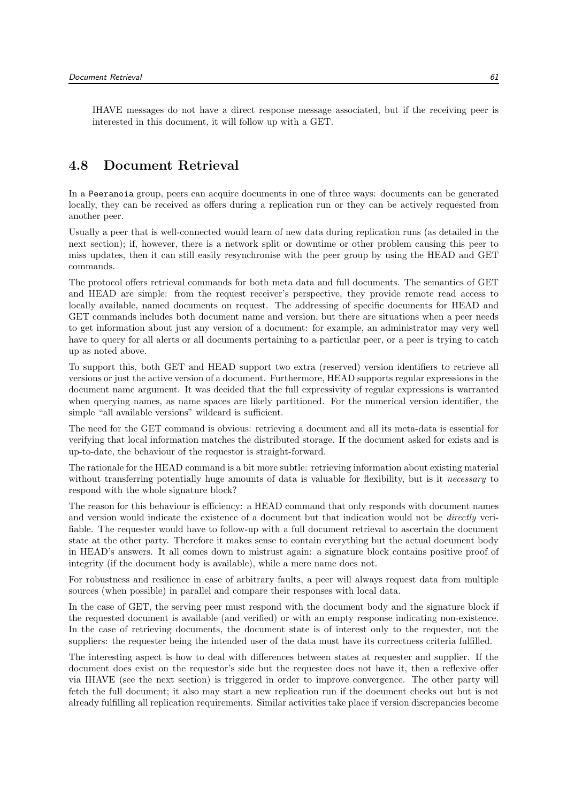IHAVE messages do not have a direct response message associated, but if the receiving peer is interested in this document, it will follow up with a GET.

## 4.8 Document Retrieval

In a Peeranoia group, peers can acquire documents in one of three ways: documents can be generated locally, they can be received as offers during a replication run or they can be actively requested from another peer.

Usually a peer that is well-connected would learn of new data during replication runs (as detailed in the next section); if, however, there is a network split or downtime or other problem causing this peer to miss updates, then it can still easily resynchronise with the peer group by using the HEAD and GET commands.

The protocol offers retrieval commands for both meta data and full documents. The semantics of GET and HEAD are simple: from the request receiver's perspective, they provide remote read access to locally available, named documents on request. The addressing of specific documents for HEAD and GET commands includes both document name and version, but there are situations when a peer needs to get information about just any version of a document: for example, an administrator may very well have to query for all alerts or all documents pertaining to a particular peer, or a peer is trying to catch up as noted above.

To support this, both GET and HEAD support two extra (reserved) version identifiers to retrieve all versions or just the active version of a document. Furthermore, HEAD supports regular expressions in the document name argument. It was decided that the full expressivity of regular expressions is warranted when querying names, as name spaces are likely partitioned. For the numerical version identifier, the simple "all available versions" wildcard is sufficient.

The need for the GET command is obvious: retrieving a document and all its meta-data is essential for verifying that local information matches the distributed storage. If the document asked for exists and is up-to-date, the behaviour of the requestor is straight-forward.

The rationale for the HEAD command is a bit more subtle: retrieving information about existing material without transferring potentially huge amounts of data is valuable for flexibility, but is it *necessary* to respond with the whole signature block?

The reason for this behaviour is efficiency: a HEAD command that only responds with document names and version would indicate the existence of a document but that indication would not be directly verifiable. The requester would have to follow-up with a full document retrieval to ascertain the document state at the other party. Therefore it makes sense to contain everything but the actual document body in HEAD's answers. It all comes down to mistrust again: a signature block contains positive proof of integrity (if the document body is available), while a mere name does not.

For robustness and resilience in case of arbitrary faults, a peer will always request data from multiple sources (when possible) in parallel and compare their responses with local data.

In the case of GET, the serving peer must respond with the document body and the signature block if the requested document is available (and verified) or with an empty response indicating non-existence. In the case of retrieving documents, the document state is of interest only to the requester, not the suppliers: the requester being the intended user of the data must have its correctness criteria fulfilled.

The interesting aspect is how to deal with differences between states at requester and supplier. If the document does exist on the requestor's side but the requestee does not have it, then a reflexive offer via IHAVE (see the next section) is triggered in order to improve convergence. The other party will fetch the full document; it also may start a new replication run if the document checks out but is not already fulfilling all replication requirements. Similar activities take place if version discrepancies become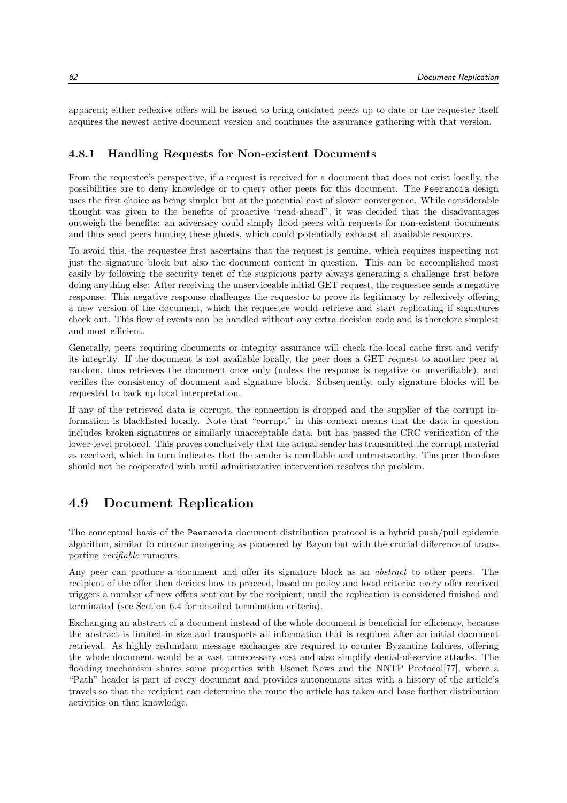apparent; either reflexive offers will be issued to bring outdated peers up to date or the requester itself acquires the newest active document version and continues the assurance gathering with that version.

#### 4.8.1 Handling Requests for Non-existent Documents

From the requestee's perspective, if a request is received for a document that does not exist locally, the possibilities are to deny knowledge or to query other peers for this document. The Peeranoia design uses the first choice as being simpler but at the potential cost of slower convergence. While considerable thought was given to the benefits of proactive "read-ahead", it was decided that the disadvantages outweigh the benefits: an adversary could simply flood peers with requests for non-existent documents and thus send peers hunting these ghosts, which could potentially exhaust all available resources.

To avoid this, the requestee first ascertains that the request is genuine, which requires inspecting not just the signature block but also the document content in question. This can be accomplished most easily by following the security tenet of the suspicious party always generating a challenge first before doing anything else: After receiving the unserviceable initial GET request, the requestee sends a negative response. This negative response challenges the requestor to prove its legitimacy by reflexively offering a new version of the document, which the requestee would retrieve and start replicating if signatures check out. This flow of events can be handled without any extra decision code and is therefore simplest and most efficient.

Generally, peers requiring documents or integrity assurance will check the local cache first and verify its integrity. If the document is not available locally, the peer does a GET request to another peer at random, thus retrieves the document once only (unless the response is negative or unverifiable), and verifies the consistency of document and signature block. Subsequently, only signature blocks will be requested to back up local interpretation.

If any of the retrieved data is corrupt, the connection is dropped and the supplier of the corrupt information is blacklisted locally. Note that "corrupt" in this context means that the data in question includes broken signatures or similarly unacceptable data, but has passed the CRC verification of the lower-level protocol. This proves conclusively that the actual sender has transmitted the corrupt material as received, which in turn indicates that the sender is unreliable and untrustworthy. The peer therefore should not be cooperated with until administrative intervention resolves the problem.

## 4.9 Document Replication

The conceptual basis of the Peeranoia document distribution protocol is a hybrid push/pull epidemic algorithm, similar to rumour mongering as pioneered by Bayou but with the crucial difference of transporting verifiable rumours.

Any peer can produce a document and offer its signature block as an abstract to other peers. The recipient of the offer then decides how to proceed, based on policy and local criteria: every offer received triggers a number of new offers sent out by the recipient, until the replication is considered finished and terminated (see Section 6.4 for detailed termination criteria).

Exchanging an abstract of a document instead of the whole document is beneficial for efficiency, because the abstract is limited in size and transports all information that is required after an initial document retrieval. As highly redundant message exchanges are required to counter Byzantine failures, offering the whole document would be a vast unnecessary cost and also simplify denial-of-service attacks. The flooding mechanism shares some properties with Usenet News and the NNTP Protocol[77], where a "Path" header is part of every document and provides autonomous sites with a history of the article's travels so that the recipient can determine the route the article has taken and base further distribution activities on that knowledge.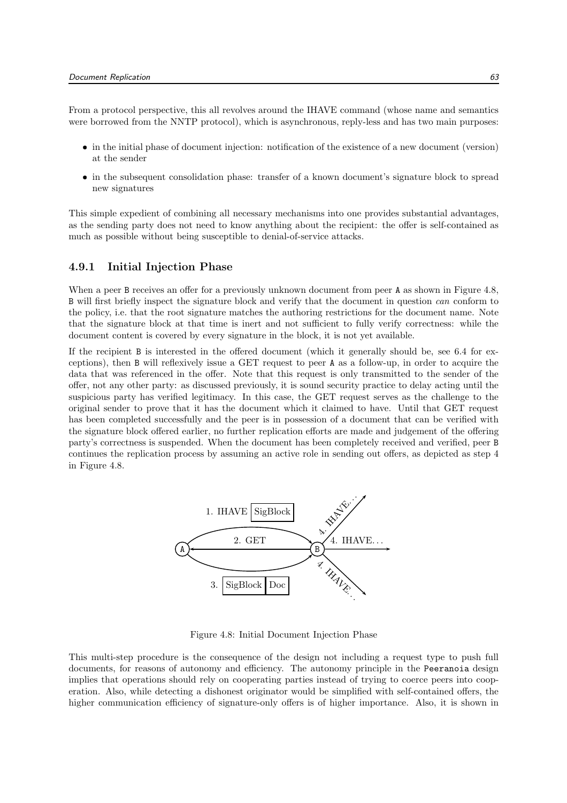From a protocol perspective, this all revolves around the IHAVE command (whose name and semantics were borrowed from the NNTP protocol), which is asynchronous, reply-less and has two main purposes:

- in the initial phase of document injection: notification of the existence of a new document (version) at the sender
- in the subsequent consolidation phase: transfer of a known document's signature block to spread new signatures

This simple expedient of combining all necessary mechanisms into one provides substantial advantages, as the sending party does not need to know anything about the recipient: the offer is self-contained as much as possible without being susceptible to denial-of-service attacks.

#### 4.9.1 Initial Injection Phase

When a peer B receives an offer for a previously unknown document from peer A as shown in Figure 4.8, B will first briefly inspect the signature block and verify that the document in question can conform to the policy, i.e. that the root signature matches the authoring restrictions for the document name. Note that the signature block at that time is inert and not sufficient to fully verify correctness: while the document content is covered by every signature in the block, it is not yet available.

If the recipient B is interested in the offered document (which it generally should be, see 6.4 for exceptions), then B will reflexively issue a GET request to peer A as a follow-up, in order to acquire the data that was referenced in the offer. Note that this request is only transmitted to the sender of the offer, not any other party: as discussed previously, it is sound security practice to delay acting until the suspicious party has verified legitimacy. In this case, the GET request serves as the challenge to the original sender to prove that it has the document which it claimed to have. Until that GET request has been completed successfully and the peer is in possession of a document that can be verified with the signature block offered earlier, no further replication efforts are made and judgement of the offering party's correctness is suspended. When the document has been completely received and verified, peer B continues the replication process by assuming an active role in sending out offers, as depicted as step 4 in Figure 4.8.



Figure 4.8: Initial Document Injection Phase

This multi-step procedure is the consequence of the design not including a request type to push full documents, for reasons of autonomy and efficiency. The autonomy principle in the Peeranoia design implies that operations should rely on cooperating parties instead of trying to coerce peers into cooperation. Also, while detecting a dishonest originator would be simplified with self-contained offers, the higher communication efficiency of signature-only offers is of higher importance. Also, it is shown in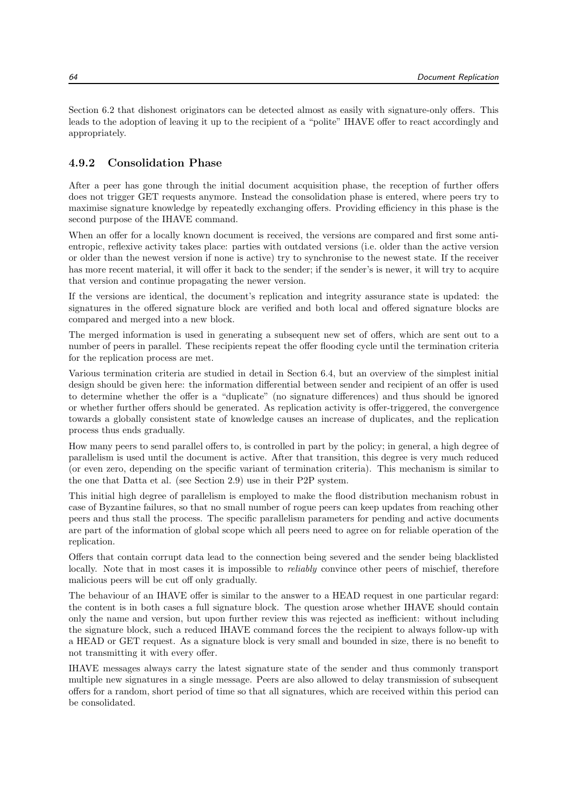Section 6.2 that dishonest originators can be detected almost as easily with signature-only offers. This leads to the adoption of leaving it up to the recipient of a "polite" IHAVE offer to react accordingly and appropriately.

#### 4.9.2 Consolidation Phase

After a peer has gone through the initial document acquisition phase, the reception of further offers does not trigger GET requests anymore. Instead the consolidation phase is entered, where peers try to maximise signature knowledge by repeatedly exchanging offers. Providing efficiency in this phase is the second purpose of the IHAVE command.

When an offer for a locally known document is received, the versions are compared and first some antientropic, reflexive activity takes place: parties with outdated versions (i.e. older than the active version or older than the newest version if none is active) try to synchronise to the newest state. If the receiver has more recent material, it will offer it back to the sender; if the sender's is newer, it will try to acquire that version and continue propagating the newer version.

If the versions are identical, the document's replication and integrity assurance state is updated: the signatures in the offered signature block are verified and both local and offered signature blocks are compared and merged into a new block.

The merged information is used in generating a subsequent new set of offers, which are sent out to a number of peers in parallel. These recipients repeat the offer flooding cycle until the termination criteria for the replication process are met.

Various termination criteria are studied in detail in Section 6.4, but an overview of the simplest initial design should be given here: the information differential between sender and recipient of an offer is used to determine whether the offer is a "duplicate" (no signature differences) and thus should be ignored or whether further offers should be generated. As replication activity is offer-triggered, the convergence towards a globally consistent state of knowledge causes an increase of duplicates, and the replication process thus ends gradually.

How many peers to send parallel offers to, is controlled in part by the policy; in general, a high degree of parallelism is used until the document is active. After that transition, this degree is very much reduced (or even zero, depending on the specific variant of termination criteria). This mechanism is similar to the one that Datta et al. (see Section 2.9) use in their P2P system.

This initial high degree of parallelism is employed to make the flood distribution mechanism robust in case of Byzantine failures, so that no small number of rogue peers can keep updates from reaching other peers and thus stall the process. The specific parallelism parameters for pending and active documents are part of the information of global scope which all peers need to agree on for reliable operation of the replication.

Offers that contain corrupt data lead to the connection being severed and the sender being blacklisted locally. Note that in most cases it is impossible to *reliably* convince other peers of mischief, therefore malicious peers will be cut off only gradually.

The behaviour of an IHAVE offer is similar to the answer to a HEAD request in one particular regard: the content is in both cases a full signature block. The question arose whether IHAVE should contain only the name and version, but upon further review this was rejected as inefficient: without including the signature block, such a reduced IHAVE command forces the the recipient to always follow-up with a HEAD or GET request. As a signature block is very small and bounded in size, there is no benefit to not transmitting it with every offer.

IHAVE messages always carry the latest signature state of the sender and thus commonly transport multiple new signatures in a single message. Peers are also allowed to delay transmission of subsequent offers for a random, short period of time so that all signatures, which are received within this period can be consolidated.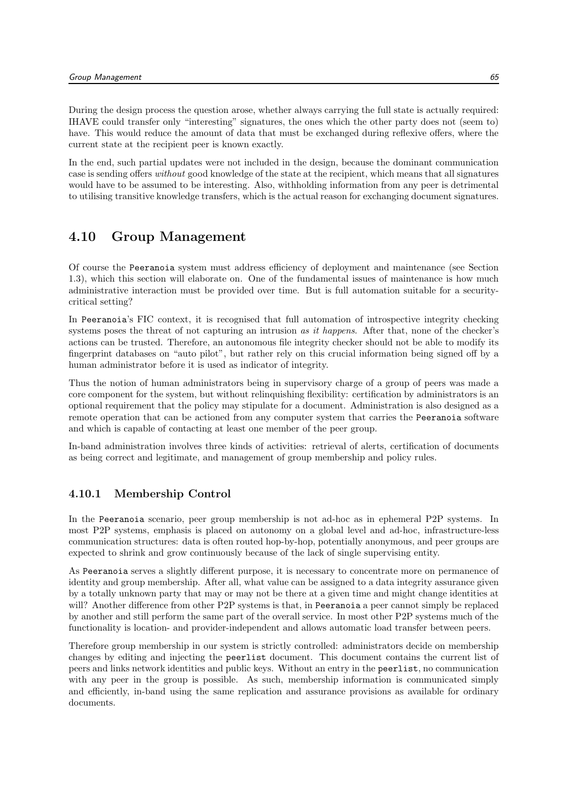During the design process the question arose, whether always carrying the full state is actually required: IHAVE could transfer only "interesting" signatures, the ones which the other party does not (seem to) have. This would reduce the amount of data that must be exchanged during reflexive offers, where the current state at the recipient peer is known exactly.

In the end, such partial updates were not included in the design, because the dominant communication case is sending offers without good knowledge of the state at the recipient, which means that all signatures would have to be assumed to be interesting. Also, withholding information from any peer is detrimental to utilising transitive knowledge transfers, which is the actual reason for exchanging document signatures.

## 4.10 Group Management

Of course the Peeranoia system must address efficiency of deployment and maintenance (see Section 1.3), which this section will elaborate on. One of the fundamental issues of maintenance is how much administrative interaction must be provided over time. But is full automation suitable for a securitycritical setting?

In Peeranoia's FIC context, it is recognised that full automation of introspective integrity checking systems poses the threat of not capturing an intrusion as it happens. After that, none of the checker's actions can be trusted. Therefore, an autonomous file integrity checker should not be able to modify its fingerprint databases on "auto pilot", but rather rely on this crucial information being signed off by a human administrator before it is used as indicator of integrity.

Thus the notion of human administrators being in supervisory charge of a group of peers was made a core component for the system, but without relinquishing flexibility: certification by administrators is an optional requirement that the policy may stipulate for a document. Administration is also designed as a remote operation that can be actioned from any computer system that carries the Peeranoia software and which is capable of contacting at least one member of the peer group.

In-band administration involves three kinds of activities: retrieval of alerts, certification of documents as being correct and legitimate, and management of group membership and policy rules.

## 4.10.1 Membership Control

In the Peeranoia scenario, peer group membership is not ad-hoc as in ephemeral P2P systems. In most P2P systems, emphasis is placed on autonomy on a global level and ad-hoc, infrastructure-less communication structures: data is often routed hop-by-hop, potentially anonymous, and peer groups are expected to shrink and grow continuously because of the lack of single supervising entity.

As Peeranoia serves a slightly different purpose, it is necessary to concentrate more on permanence of identity and group membership. After all, what value can be assigned to a data integrity assurance given by a totally unknown party that may or may not be there at a given time and might change identities at will? Another difference from other P2P systems is that, in Peeranoia a peer cannot simply be replaced by another and still perform the same part of the overall service. In most other P2P systems much of the functionality is location- and provider-independent and allows automatic load transfer between peers.

Therefore group membership in our system is strictly controlled: administrators decide on membership changes by editing and injecting the peerlist document. This document contains the current list of peers and links network identities and public keys. Without an entry in the peerlist, no communication with any peer in the group is possible. As such, membership information is communicated simply and efficiently, in-band using the same replication and assurance provisions as available for ordinary documents.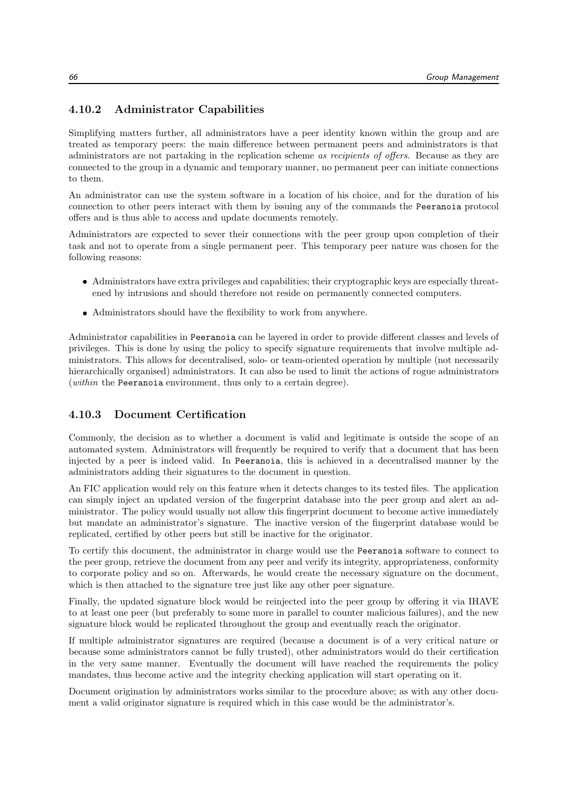### 4.10.2 Administrator Capabilities

Simplifying matters further, all administrators have a peer identity known within the group and are treated as temporary peers: the main difference between permanent peers and administrators is that administrators are not partaking in the replication scheme as recipients of offers. Because as they are connected to the group in a dynamic and temporary manner, no permanent peer can initiate connections to them.

An administrator can use the system software in a location of his choice, and for the duration of his connection to other peers interact with them by issuing any of the commands the Peeranoia protocol offers and is thus able to access and update documents remotely.

Administrators are expected to sever their connections with the peer group upon completion of their task and not to operate from a single permanent peer. This temporary peer nature was chosen for the following reasons:

- Administrators have extra privileges and capabilities; their cryptographic keys are especially threatened by intrusions and should therefore not reside on permanently connected computers.
- Administrators should have the flexibility to work from anywhere.

Administrator capabilities in Peeranoia can be layered in order to provide different classes and levels of privileges. This is done by using the policy to specify signature requirements that involve multiple administrators. This allows for decentralised, solo- or team-oriented operation by multiple (not necessarily hierarchically organised) administrators. It can also be used to limit the actions of rogue administrators (within the Peeranoia environment, thus only to a certain degree).

#### 4.10.3 Document Certification

Commonly, the decision as to whether a document is valid and legitimate is outside the scope of an automated system. Administrators will frequently be required to verify that a document that has been injected by a peer is indeed valid. In Peeranoia, this is achieved in a decentralised manner by the administrators adding their signatures to the document in question.

An FIC application would rely on this feature when it detects changes to its tested files. The application can simply inject an updated version of the fingerprint database into the peer group and alert an administrator. The policy would usually not allow this fingerprint document to become active immediately but mandate an administrator's signature. The inactive version of the fingerprint database would be replicated, certified by other peers but still be inactive for the originator.

To certify this document, the administrator in charge would use the Peeranoia software to connect to the peer group, retrieve the document from any peer and verify its integrity, appropriateness, conformity to corporate policy and so on. Afterwards, he would create the necessary signature on the document, which is then attached to the signature tree just like any other peer signature.

Finally, the updated signature block would be reinjected into the peer group by offering it via IHAVE to at least one peer (but preferably to some more in parallel to counter malicious failures), and the new signature block would be replicated throughout the group and eventually reach the originator.

If multiple administrator signatures are required (because a document is of a very critical nature or because some administrators cannot be fully trusted), other administrators would do their certification in the very same manner. Eventually the document will have reached the requirements the policy mandates, thus become active and the integrity checking application will start operating on it.

Document origination by administrators works similar to the procedure above; as with any other document a valid originator signature is required which in this case would be the administrator's.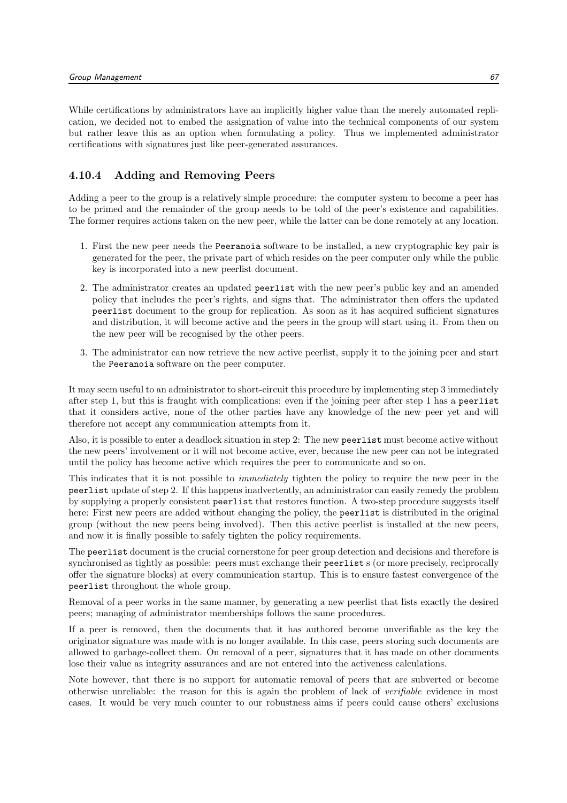While certifications by administrators have an implicitly higher value than the merely automated replication, we decided not to embed the assignation of value into the technical components of our system but rather leave this as an option when formulating a policy. Thus we implemented administrator certifications with signatures just like peer-generated assurances.

#### 4.10.4 Adding and Removing Peers

Adding a peer to the group is a relatively simple procedure: the computer system to become a peer has to be primed and the remainder of the group needs to be told of the peer's existence and capabilities. The former requires actions taken on the new peer, while the latter can be done remotely at any location.

- 1. First the new peer needs the Peeranoia software to be installed, a new cryptographic key pair is generated for the peer, the private part of which resides on the peer computer only while the public key is incorporated into a new peerlist document.
- 2. The administrator creates an updated peerlist with the new peer's public key and an amended policy that includes the peer's rights, and signs that. The administrator then offers the updated peerlist document to the group for replication. As soon as it has acquired sufficient signatures and distribution, it will become active and the peers in the group will start using it. From then on the new peer will be recognised by the other peers.
- 3. The administrator can now retrieve the new active peerlist, supply it to the joining peer and start the Peeranoia software on the peer computer.

It may seem useful to an administrator to short-circuit this procedure by implementing step 3 immediately after step 1, but this is fraught with complications: even if the joining peer after step 1 has a peerlist that it considers active, none of the other parties have any knowledge of the new peer yet and will therefore not accept any communication attempts from it.

Also, it is possible to enter a deadlock situation in step 2: The new peerlist must become active without the new peers' involvement or it will not become active, ever, because the new peer can not be integrated until the policy has become active which requires the peer to communicate and so on.

This indicates that it is not possible to *immediately* tighten the policy to require the new peer in the peerlist update of step 2. If this happens inadvertently, an administrator can easily remedy the problem by supplying a properly consistent peerlist that restores function. A two-step procedure suggests itself here: First new peers are added without changing the policy, the **peerlist** is distributed in the original group (without the new peers being involved). Then this active peerlist is installed at the new peers, and now it is finally possible to safely tighten the policy requirements.

The peerlist document is the crucial cornerstone for peer group detection and decisions and therefore is synchronised as tightly as possible: peers must exchange their **peerlist** s (or more precisely, reciprocally offer the signature blocks) at every communication startup. This is to ensure fastest convergence of the peerlist throughout the whole group.

Removal of a peer works in the same manner, by generating a new peerlist that lists exactly the desired peers; managing of administrator memberships follows the same procedures.

If a peer is removed, then the documents that it has authored become unverifiable as the key the originator signature was made with is no longer available. In this case, peers storing such documents are allowed to garbage-collect them. On removal of a peer, signatures that it has made on other documents lose their value as integrity assurances and are not entered into the activeness calculations.

Note however, that there is no support for automatic removal of peers that are subverted or become otherwise unreliable: the reason for this is again the problem of lack of verifiable evidence in most cases. It would be very much counter to our robustness aims if peers could cause others' exclusions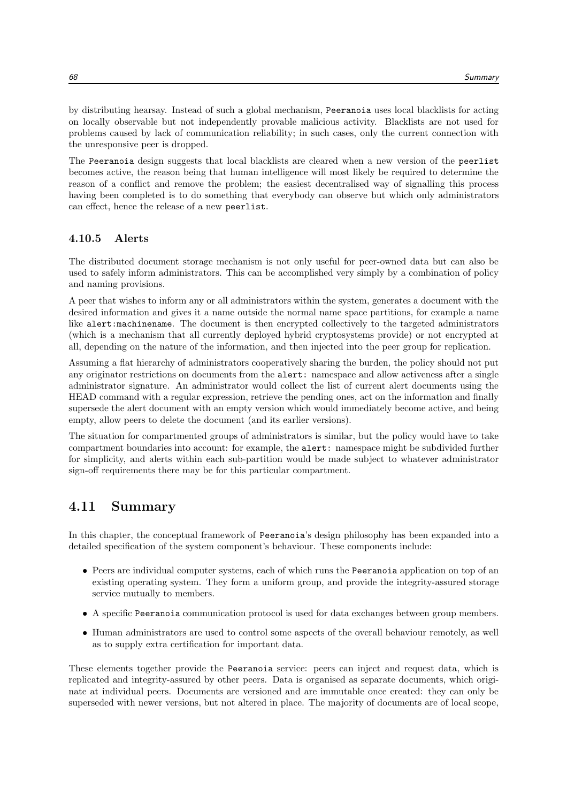by distributing hearsay. Instead of such a global mechanism, Peeranoia uses local blacklists for acting on locally observable but not independently provable malicious activity. Blacklists are not used for problems caused by lack of communication reliability; in such cases, only the current connection with the unresponsive peer is dropped.

The Peeranoia design suggests that local blacklists are cleared when a new version of the peerlist becomes active, the reason being that human intelligence will most likely be required to determine the reason of a conflict and remove the problem; the easiest decentralised way of signalling this process having been completed is to do something that everybody can observe but which only administrators can effect, hence the release of a new peerlist.

#### 4.10.5 Alerts

The distributed document storage mechanism is not only useful for peer-owned data but can also be used to safely inform administrators. This can be accomplished very simply by a combination of policy and naming provisions.

A peer that wishes to inform any or all administrators within the system, generates a document with the desired information and gives it a name outside the normal name space partitions, for example a name like alert:machinename. The document is then encrypted collectively to the targeted administrators (which is a mechanism that all currently deployed hybrid cryptosystems provide) or not encrypted at all, depending on the nature of the information, and then injected into the peer group for replication.

Assuming a flat hierarchy of administrators cooperatively sharing the burden, the policy should not put any originator restrictions on documents from the alert: namespace and allow activeness after a single administrator signature. An administrator would collect the list of current alert documents using the HEAD command with a regular expression, retrieve the pending ones, act on the information and finally supersede the alert document with an empty version which would immediately become active, and being empty, allow peers to delete the document (and its earlier versions).

The situation for compartmented groups of administrators is similar, but the policy would have to take compartment boundaries into account: for example, the alert: namespace might be subdivided further for simplicity, and alerts within each sub-partition would be made subject to whatever administrator sign-off requirements there may be for this particular compartment.

## 4.11 Summary

In this chapter, the conceptual framework of Peeranoia's design philosophy has been expanded into a detailed specification of the system component's behaviour. These components include:

- Peers are individual computer systems, each of which runs the Peeranoia application on top of an existing operating system. They form a uniform group, and provide the integrity-assured storage service mutually to members.
- A specific Peeranoia communication protocol is used for data exchanges between group members.
- Human administrators are used to control some aspects of the overall behaviour remotely, as well as to supply extra certification for important data.

These elements together provide the Peeranoia service: peers can inject and request data, which is replicated and integrity-assured by other peers. Data is organised as separate documents, which originate at individual peers. Documents are versioned and are immutable once created: they can only be superseded with newer versions, but not altered in place. The majority of documents are of local scope,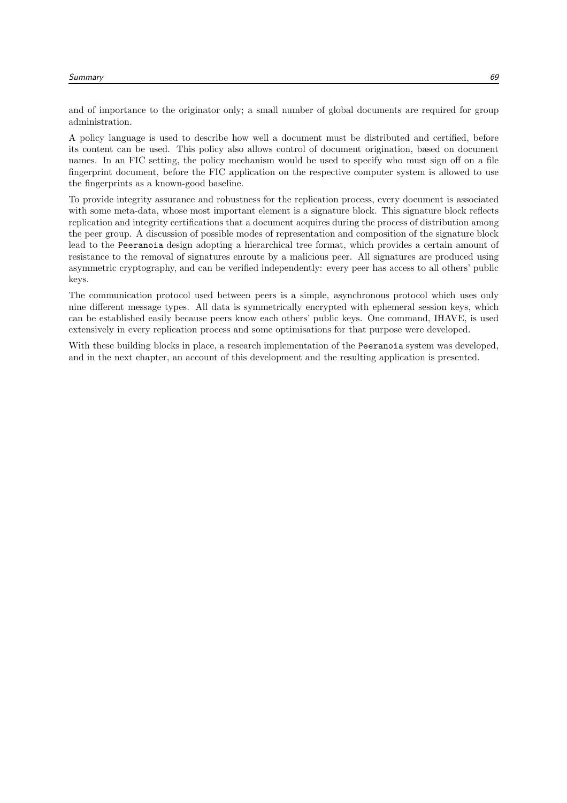and of importance to the originator only; a small number of global documents are required for group administration.

A policy language is used to describe how well a document must be distributed and certified, before its content can be used. This policy also allows control of document origination, based on document names. In an FIC setting, the policy mechanism would be used to specify who must sign off on a file fingerprint document, before the FIC application on the respective computer system is allowed to use the fingerprints as a known-good baseline.

To provide integrity assurance and robustness for the replication process, every document is associated with some meta-data, whose most important element is a signature block. This signature block reflects replication and integrity certifications that a document acquires during the process of distribution among the peer group. A discussion of possible modes of representation and composition of the signature block lead to the Peeranoia design adopting a hierarchical tree format, which provides a certain amount of resistance to the removal of signatures enroute by a malicious peer. All signatures are produced using asymmetric cryptography, and can be verified independently: every peer has access to all others' public keys.

The communication protocol used between peers is a simple, asynchronous protocol which uses only nine different message types. All data is symmetrically encrypted with ephemeral session keys, which can be established easily because peers know each others' public keys. One command, IHAVE, is used extensively in every replication process and some optimisations for that purpose were developed.

With these building blocks in place, a research implementation of the Peeranoia system was developed, and in the next chapter, an account of this development and the resulting application is presented.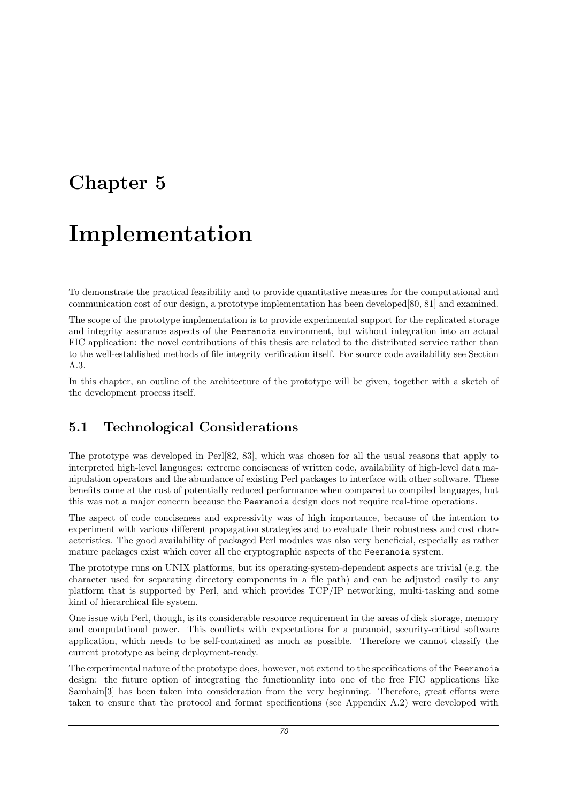## Chapter 5

# Implementation

To demonstrate the practical feasibility and to provide quantitative measures for the computational and communication cost of our design, a prototype implementation has been developed[80, 81] and examined.

The scope of the prototype implementation is to provide experimental support for the replicated storage and integrity assurance aspects of the Peeranoia environment, but without integration into an actual FIC application: the novel contributions of this thesis are related to the distributed service rather than to the well-established methods of file integrity verification itself. For source code availability see Section A.3.

In this chapter, an outline of the architecture of the prototype will be given, together with a sketch of the development process itself.

## 5.1 Technological Considerations

The prototype was developed in Perl[82, 83], which was chosen for all the usual reasons that apply to interpreted high-level languages: extreme conciseness of written code, availability of high-level data manipulation operators and the abundance of existing Perl packages to interface with other software. These benefits come at the cost of potentially reduced performance when compared to compiled languages, but this was not a major concern because the Peeranoia design does not require real-time operations.

The aspect of code conciseness and expressivity was of high importance, because of the intention to experiment with various different propagation strategies and to evaluate their robustness and cost characteristics. The good availability of packaged Perl modules was also very beneficial, especially as rather mature packages exist which cover all the cryptographic aspects of the Peeranoia system.

The prototype runs on UNIX platforms, but its operating-system-dependent aspects are trivial (e.g. the character used for separating directory components in a file path) and can be adjusted easily to any platform that is supported by Perl, and which provides TCP/IP networking, multi-tasking and some kind of hierarchical file system.

One issue with Perl, though, is its considerable resource requirement in the areas of disk storage, memory and computational power. This conflicts with expectations for a paranoid, security-critical software application, which needs to be self-contained as much as possible. Therefore we cannot classify the current prototype as being deployment-ready.

The experimental nature of the prototype does, however, not extend to the specifications of the Peeranoia design: the future option of integrating the functionality into one of the free FIC applications like Samhain[3] has been taken into consideration from the very beginning. Therefore, great efforts were taken to ensure that the protocol and format specifications (see Appendix A.2) were developed with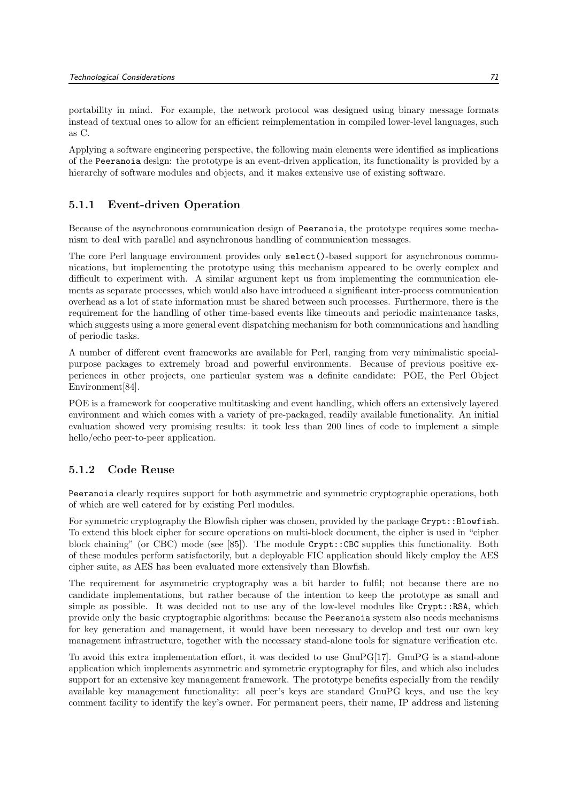portability in mind. For example, the network protocol was designed using binary message formats instead of textual ones to allow for an efficient reimplementation in compiled lower-level languages, such as C.

Applying a software engineering perspective, the following main elements were identified as implications of the Peeranoia design: the prototype is an event-driven application, its functionality is provided by a hierarchy of software modules and objects, and it makes extensive use of existing software.

## 5.1.1 Event-driven Operation

Because of the asynchronous communication design of Peeranoia, the prototype requires some mechanism to deal with parallel and asynchronous handling of communication messages.

The core Perl language environment provides only select()-based support for asynchronous communications, but implementing the prototype using this mechanism appeared to be overly complex and difficult to experiment with. A similar argument kept us from implementing the communication elements as separate processes, which would also have introduced a significant inter-process communication overhead as a lot of state information must be shared between such processes. Furthermore, there is the requirement for the handling of other time-based events like timeouts and periodic maintenance tasks, which suggests using a more general event dispatching mechanism for both communications and handling of periodic tasks.

A number of different event frameworks are available for Perl, ranging from very minimalistic specialpurpose packages to extremely broad and powerful environments. Because of previous positive experiences in other projects, one particular system was a definite candidate: POE, the Perl Object Environment[84].

POE is a framework for cooperative multitasking and event handling, which offers an extensively layered environment and which comes with a variety of pre-packaged, readily available functionality. An initial evaluation showed very promising results: it took less than 200 lines of code to implement a simple hello/echo peer-to-peer application.

## 5.1.2 Code Reuse

Peeranoia clearly requires support for both asymmetric and symmetric cryptographic operations, both of which are well catered for by existing Perl modules.

For symmetric cryptography the Blowfish cipher was chosen, provided by the package Crypt::Blowfish. To extend this block cipher for secure operations on multi-block document, the cipher is used in "cipher block chaining" (or CBC) mode (see [85]). The module Crypt::CBC supplies this functionality. Both of these modules perform satisfactorily, but a deployable FIC application should likely employ the AES cipher suite, as AES has been evaluated more extensively than Blowfish.

The requirement for asymmetric cryptography was a bit harder to fulfil; not because there are no candidate implementations, but rather because of the intention to keep the prototype as small and simple as possible. It was decided not to use any of the low-level modules like  $Crypt::RSA$ , which provide only the basic cryptographic algorithms: because the Peeranoia system also needs mechanisms for key generation and management, it would have been necessary to develop and test our own key management infrastructure, together with the necessary stand-alone tools for signature verification etc.

To avoid this extra implementation effort, it was decided to use GnuPG[17]. GnuPG is a stand-alone application which implements asymmetric and symmetric cryptography for files, and which also includes support for an extensive key management framework. The prototype benefits especially from the readily available key management functionality: all peer's keys are standard GnuPG keys, and use the key comment facility to identify the key's owner. For permanent peers, their name, IP address and listening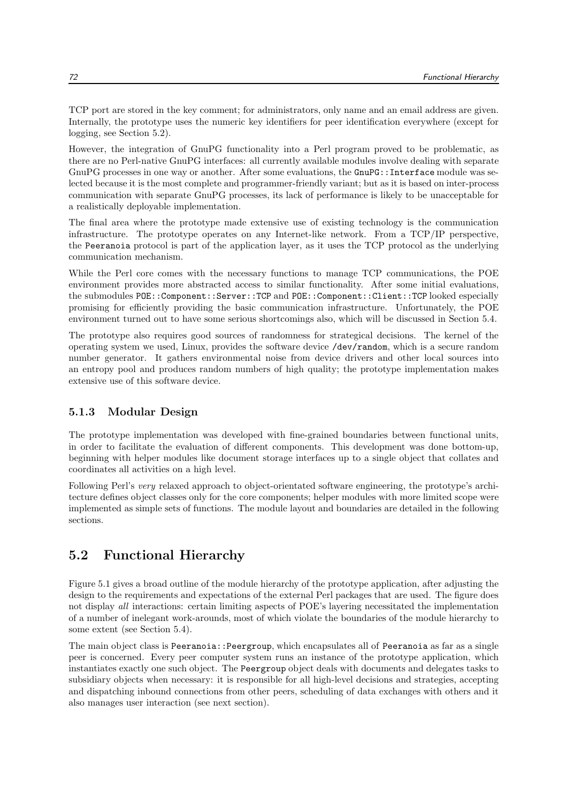TCP port are stored in the key comment; for administrators, only name and an email address are given. Internally, the prototype uses the numeric key identifiers for peer identification everywhere (except for logging, see Section 5.2).

However, the integration of GnuPG functionality into a Perl program proved to be problematic, as there are no Perl-native GnuPG interfaces: all currently available modules involve dealing with separate GnuPG processes in one way or another. After some evaluations, the GnuPG::Interface module was selected because it is the most complete and programmer-friendly variant; but as it is based on inter-process communication with separate GnuPG processes, its lack of performance is likely to be unacceptable for a realistically deployable implementation.

The final area where the prototype made extensive use of existing technology is the communication infrastructure. The prototype operates on any Internet-like network. From a TCP/IP perspective, the Peeranoia protocol is part of the application layer, as it uses the TCP protocol as the underlying communication mechanism.

While the Perl core comes with the necessary functions to manage TCP communications, the POE environment provides more abstracted access to similar functionality. After some initial evaluations, the submodules POE::Component::Server::TCP and POE::Component::Client::TCP looked especially promising for efficiently providing the basic communication infrastructure. Unfortunately, the POE environment turned out to have some serious shortcomings also, which will be discussed in Section 5.4.

The prototype also requires good sources of randomness for strategical decisions. The kernel of the operating system we used, Linux, provides the software device /dev/random, which is a secure random number generator. It gathers environmental noise from device drivers and other local sources into an entropy pool and produces random numbers of high quality; the prototype implementation makes extensive use of this software device.

#### 5.1.3 Modular Design

The prototype implementation was developed with fine-grained boundaries between functional units, in order to facilitate the evaluation of different components. This development was done bottom-up, beginning with helper modules like document storage interfaces up to a single object that collates and coordinates all activities on a high level.

Following Perl's very relaxed approach to object-orientated software engineering, the prototype's architecture defines object classes only for the core components; helper modules with more limited scope were implemented as simple sets of functions. The module layout and boundaries are detailed in the following sections.

# 5.2 Functional Hierarchy

Figure 5.1 gives a broad outline of the module hierarchy of the prototype application, after adjusting the design to the requirements and expectations of the external Perl packages that are used. The figure does not display all interactions: certain limiting aspects of POE's layering necessitated the implementation of a number of inelegant work-arounds, most of which violate the boundaries of the module hierarchy to some extent (see Section 5.4).

The main object class is Peeranoia::Peergroup, which encapsulates all of Peeranoia as far as a single peer is concerned. Every peer computer system runs an instance of the prototype application, which instantiates exactly one such object. The Peergroup object deals with documents and delegates tasks to subsidiary objects when necessary: it is responsible for all high-level decisions and strategies, accepting and dispatching inbound connections from other peers, scheduling of data exchanges with others and it also manages user interaction (see next section).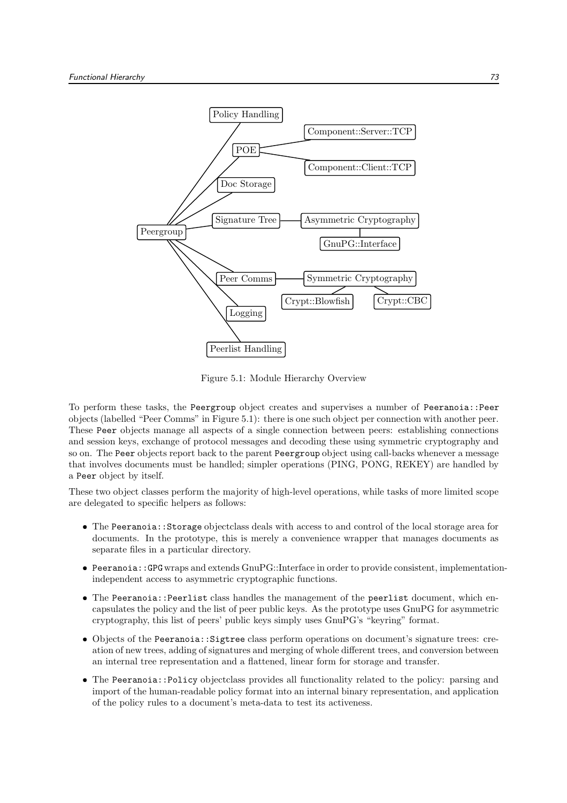

Figure 5.1: Module Hierarchy Overview

To perform these tasks, the Peergroup object creates and supervises a number of Peeranoia::Peer objects (labelled "Peer Comms" in Figure 5.1): there is one such object per connection with another peer. These Peer objects manage all aspects of a single connection between peers: establishing connections and session keys, exchange of protocol messages and decoding these using symmetric cryptography and so on. The Peer objects report back to the parent Peergroup object using call-backs whenever a message that involves documents must be handled; simpler operations (PING, PONG, REKEY) are handled by a Peer object by itself.

These two object classes perform the majority of high-level operations, while tasks of more limited scope are delegated to specific helpers as follows:

- The Peeranoia::Storage objectclass deals with access to and control of the local storage area for documents. In the prototype, this is merely a convenience wrapper that manages documents as separate files in a particular directory.
- Peeranoia::GPG wraps and extends GnuPG::Interface in order to provide consistent, implementationindependent access to asymmetric cryptographic functions.
- The Peeranoia::Peerlist class handles the management of the peerlist document, which encapsulates the policy and the list of peer public keys. As the prototype uses GnuPG for asymmetric cryptography, this list of peers' public keys simply uses GnuPG's "keyring" format.
- Objects of the Peeranoia::Sigtree class perform operations on document's signature trees: creation of new trees, adding of signatures and merging of whole different trees, and conversion between an internal tree representation and a flattened, linear form for storage and transfer.
- The Peeranoia::Policy objectclass provides all functionality related to the policy: parsing and import of the human-readable policy format into an internal binary representation, and application of the policy rules to a document's meta-data to test its activeness.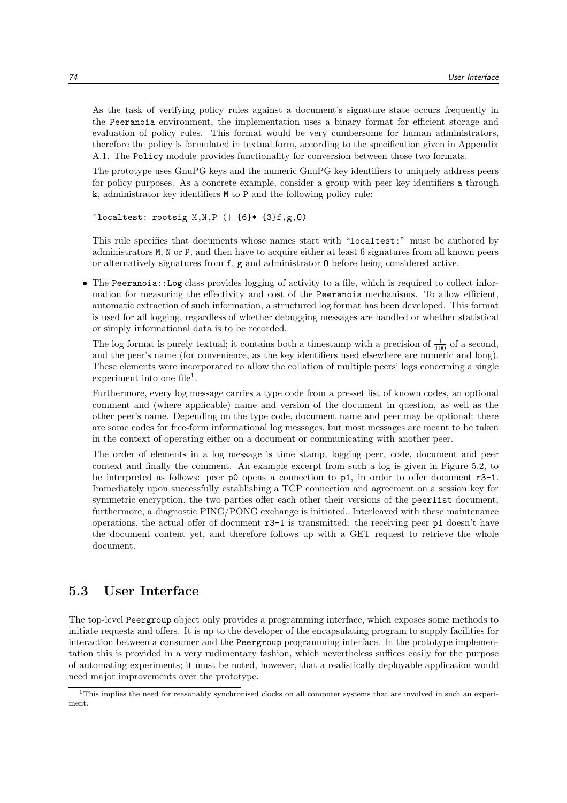As the task of verifying policy rules against a document's signature state occurs frequently in the Peeranoia environment, the implementation uses a binary format for efficient storage and evaluation of policy rules. This format would be very cumbersome for human administrators, therefore the policy is formulated in textual form, according to the specification given in Appendix A.1. The Policy module provides functionality for conversion between those two formats.

The prototype uses GnuPG keys and the numeric GnuPG key identifiers to uniquely address peers for policy purposes. As a concrete example, consider a group with peer key identifiers a through k, administrator key identifiers M to P and the following policy rule:

 $\hat{}$ localtest: rootsig M,N,P (| {6}\* {3}f,g,O)

This rule specifies that documents whose names start with "localtest:" must be authored by administrators M, N or P, and then have to acquire either at least 6 signatures from all known peers or alternatively signatures from f, g and administrator O before being considered active.

 The Peeranoia::Log class provides logging of activity to a file, which is required to collect information for measuring the effectivity and cost of the Peeranoia mechanisms. To allow efficient, automatic extraction of such information, a structured log format has been developed. This format is used for all logging, regardless of whether debugging messages are handled or whether statistical or simply informational data is to be recorded.

The log format is purely textual; it contains both a timestamp with a precision of  $\frac{1}{100}$  of a second, and the peer's name (for convenience, as the key identifiers used elsewhere are numeric and long). These elements were incorporated to allow the collation of multiple peers' logs concerning a single experiment into one file<sup>1</sup>.

Furthermore, every log message carries a type code from a pre-set list of known codes, an optional comment and (where applicable) name and version of the document in question, as well as the other peer's name. Depending on the type code, document name and peer may be optional: there are some codes for free-form informational log messages, but most messages are meant to be taken in the context of operating either on a document or communicating with another peer.

The order of elements in a log message is time stamp, logging peer, code, document and peer context and finally the comment. An example excerpt from such a log is given in Figure 5.2, to be interpreted as follows: peer  $p0$  opens a connection to  $p1$ , in order to offer document  $r3-1$ . Immediately upon successfully establishing a TCP connection and agreement on a session key for symmetric encryption, the two parties offer each other their versions of the peerlist document; furthermore, a diagnostic PING/PONG exchange is initiated. Interleaved with these maintenance operations, the actual offer of document  $r3-1$  is transmitted: the receiving peer  $p1$  doesn't have the document content yet, and therefore follows up with a GET request to retrieve the whole document.

# 5.3 User Interface

The top-level Peergroup object only provides a programming interface, which exposes some methods to initiate requests and offers. It is up to the developer of the encapsulating program to supply facilities for interaction between a consumer and the Peergroup programming interface. In the prototype implementation this is provided in a very rudimentary fashion, which nevertheless suffices easily for the purpose of automating experiments; it must be noted, however, that a realistically deployable application would need major improvements over the prototype.

<sup>&</sup>lt;sup>1</sup>This implies the need for reasonably synchronised clocks on all computer systems that are involved in such an experiment.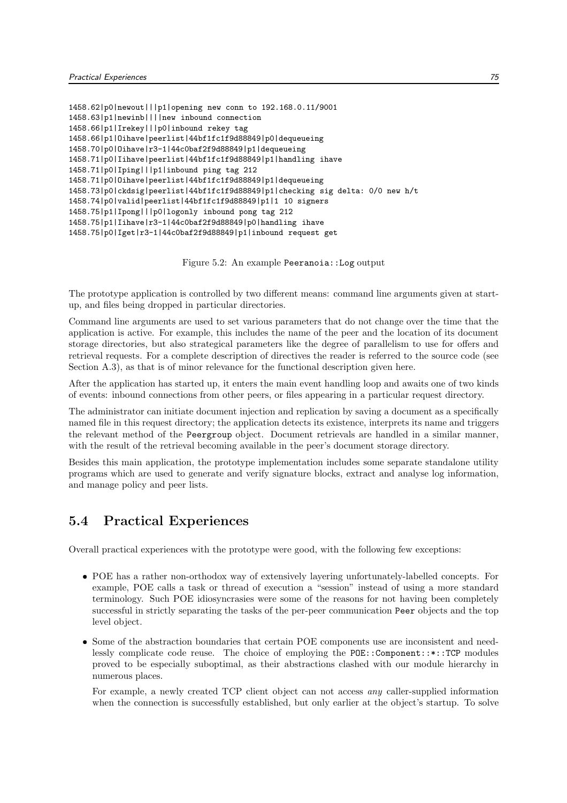1458.62|p0|newout|||p1|opening new conn to 192.168.0.11/9001 1458.63|p1|newinb||||new inbound connection 1458.66|p1|Irekey|||p0|inbound rekey tag 1458.66|p1|Oihave|peerlist|44bf1fc1f9d88849|p0|dequeueing 1458.70|p0|Oihave|r3-1|44c0baf2f9d88849|p1|dequeueing 1458.71|p0|Iihave|peerlist|44bf1fc1f9d88849|p1|handling ihave 1458.71|p0|Iping|||p1|inbound ping tag 212 1458.71|p0|Oihave|peerlist|44bf1fc1f9d88849|p1|dequeueing 1458.73|p0|ckdsig|peerlist|44bf1fc1f9d88849|p1|checking sig delta: 0/0 new h/t 1458.74|p0|valid|peerlist|44bf1fc1f9d88849|p1|1 10 signers 1458.75|p1|Ipong|||p0|logonly inbound pong tag 212 1458.75|p1|Iihave|r3-1|44c0baf2f9d88849|p0|handling ihave 1458.75|p0|Iget|r3-1|44c0baf2f9d88849|p1|inbound request get

Figure 5.2: An example Peeranoia::Log output

The prototype application is controlled by two different means: command line arguments given at startup, and files being dropped in particular directories.

Command line arguments are used to set various parameters that do not change over the time that the application is active. For example, this includes the name of the peer and the location of its document storage directories, but also strategical parameters like the degree of parallelism to use for offers and retrieval requests. For a complete description of directives the reader is referred to the source code (see Section A.3), as that is of minor relevance for the functional description given here.

After the application has started up, it enters the main event handling loop and awaits one of two kinds of events: inbound connections from other peers, or files appearing in a particular request directory.

The administrator can initiate document injection and replication by saving a document as a specifically named file in this request directory; the application detects its existence, interprets its name and triggers the relevant method of the Peergroup object. Document retrievals are handled in a similar manner, with the result of the retrieval becoming available in the peer's document storage directory.

Besides this main application, the prototype implementation includes some separate standalone utility programs which are used to generate and verify signature blocks, extract and analyse log information, and manage policy and peer lists.

# 5.4 Practical Experiences

Overall practical experiences with the prototype were good, with the following few exceptions:

- POE has a rather non-orthodox way of extensively layering unfortunately-labelled concepts. For example, POE calls a task or thread of execution a "session" instead of using a more standard terminology. Such POE idiosyncrasies were some of the reasons for not having been completely successful in strictly separating the tasks of the per-peer communication Peer objects and the top level object.
- Some of the abstraction boundaries that certain POE components use are inconsistent and needlessly complicate code reuse. The choice of employing the POE::Component::\*::TCP modules proved to be especially suboptimal, as their abstractions clashed with our module hierarchy in numerous places.

For example, a newly created TCP client object can not access any caller-supplied information when the connection is successfully established, but only earlier at the object's startup. To solve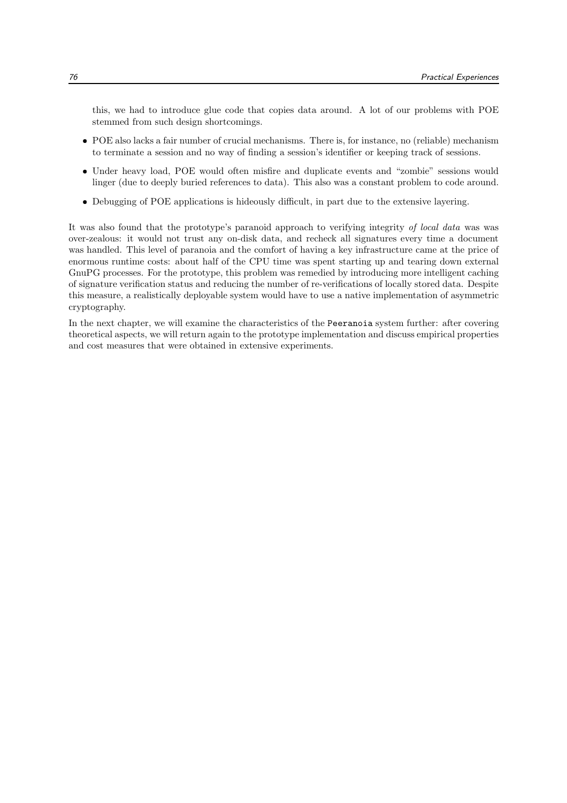this, we had to introduce glue code that copies data around. A lot of our problems with POE stemmed from such design shortcomings.

- POE also lacks a fair number of crucial mechanisms. There is, for instance, no (reliable) mechanism to terminate a session and no way of finding a session's identifier or keeping track of sessions.
- Under heavy load, POE would often misfire and duplicate events and "zombie" sessions would linger (due to deeply buried references to data). This also was a constant problem to code around.
- Debugging of POE applications is hideously difficult, in part due to the extensive layering.

It was also found that the prototype's paranoid approach to verifying integrity of local data was was over-zealous: it would not trust any on-disk data, and recheck all signatures every time a document was handled. This level of paranoia and the comfort of having a key infrastructure came at the price of enormous runtime costs: about half of the CPU time was spent starting up and tearing down external GnuPG processes. For the prototype, this problem was remedied by introducing more intelligent caching of signature verification status and reducing the number of re-verifications of locally stored data. Despite this measure, a realistically deployable system would have to use a native implementation of asymmetric cryptography.

In the next chapter, we will examine the characteristics of the Peeranoia system further: after covering theoretical aspects, we will return again to the prototype implementation and discuss empirical properties and cost measures that were obtained in extensive experiments.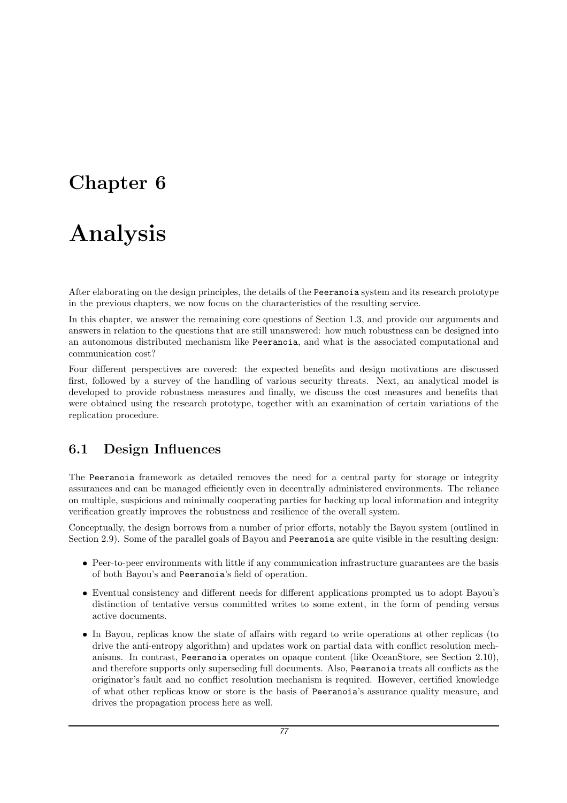# Chapter 6

# Analysis

After elaborating on the design principles, the details of the Peeranoia system and its research prototype in the previous chapters, we now focus on the characteristics of the resulting service.

In this chapter, we answer the remaining core questions of Section 1.3, and provide our arguments and answers in relation to the questions that are still unanswered: how much robustness can be designed into an autonomous distributed mechanism like Peeranoia, and what is the associated computational and communication cost?

Four different perspectives are covered: the expected benefits and design motivations are discussed first, followed by a survey of the handling of various security threats. Next, an analytical model is developed to provide robustness measures and finally, we discuss the cost measures and benefits that were obtained using the research prototype, together with an examination of certain variations of the replication procedure.

# 6.1 Design Influences

The Peeranoia framework as detailed removes the need for a central party for storage or integrity assurances and can be managed efficiently even in decentrally administered environments. The reliance on multiple, suspicious and minimally cooperating parties for backing up local information and integrity verification greatly improves the robustness and resilience of the overall system.

Conceptually, the design borrows from a number of prior efforts, notably the Bayou system (outlined in Section 2.9). Some of the parallel goals of Bayou and Peeranoia are quite visible in the resulting design:

- Peer-to-peer environments with little if any communication infrastructure guarantees are the basis of both Bayou's and Peeranoia's field of operation.
- Eventual consistency and different needs for different applications prompted us to adopt Bayou's distinction of tentative versus committed writes to some extent, in the form of pending versus active documents.
- In Bayou, replicas know the state of affairs with regard to write operations at other replicas (to drive the anti-entropy algorithm) and updates work on partial data with conflict resolution mechanisms. In contrast, Peeranoia operates on opaque content (like OceanStore, see Section 2.10), and therefore supports only superseding full documents. Also, Peeranoia treats all conflicts as the originator's fault and no conflict resolution mechanism is required. However, certified knowledge of what other replicas know or store is the basis of Peeranoia's assurance quality measure, and drives the propagation process here as well.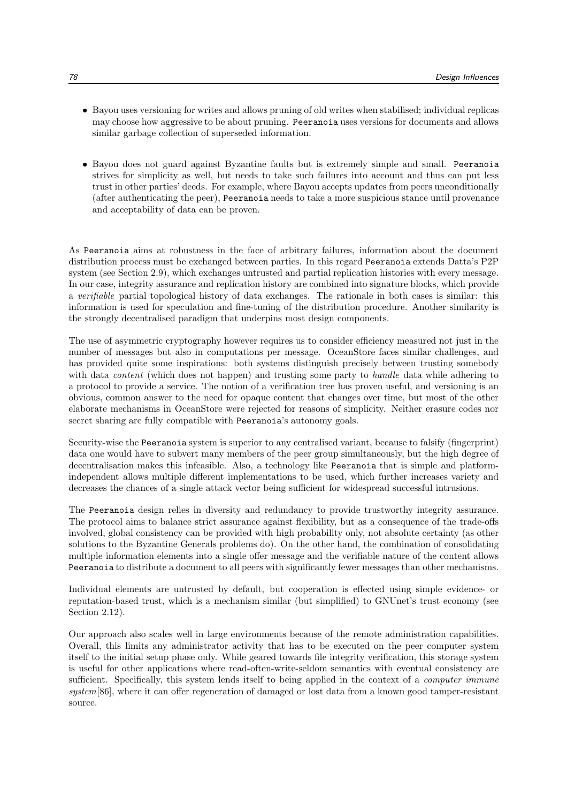- Bayou uses versioning for writes and allows pruning of old writes when stabilised; individual replicas may choose how aggressive to be about pruning. Peeranoia uses versions for documents and allows similar garbage collection of superseded information.
- Bayou does not guard against Byzantine faults but is extremely simple and small. Peeranoia strives for simplicity as well, but needs to take such failures into account and thus can put less trust in other parties' deeds. For example, where Bayou accepts updates from peers unconditionally (after authenticating the peer), Peeranoia needs to take a more suspicious stance until provenance and acceptability of data can be proven.

As Peeranoia aims at robustness in the face of arbitrary failures, information about the document distribution process must be exchanged between parties. In this regard Peeranoia extends Datta's P2P system (see Section 2.9), which exchanges untrusted and partial replication histories with every message. In our case, integrity assurance and replication history are combined into signature blocks, which provide a verifiable partial topological history of data exchanges. The rationale in both cases is similar: this information is used for speculation and fine-tuning of the distribution procedure. Another similarity is the strongly decentralised paradigm that underpins most design components.

The use of asymmetric cryptography however requires us to consider efficiency measured not just in the number of messages but also in computations per message. OceanStore faces similar challenges, and has provided quite some inspirations: both systems distinguish precisely between trusting somebody with data *content* (which does not happen) and trusting some party to *handle* data while adhering to a protocol to provide a service. The notion of a verification tree has proven useful, and versioning is an obvious, common answer to the need for opaque content that changes over time, but most of the other elaborate mechanisms in OceanStore were rejected for reasons of simplicity. Neither erasure codes nor secret sharing are fully compatible with Peeranoia's autonomy goals.

Security-wise the Peeranoia system is superior to any centralised variant, because to falsify (fingerprint) data one would have to subvert many members of the peer group simultaneously, but the high degree of decentralisation makes this infeasible. Also, a technology like Peeranoia that is simple and platformindependent allows multiple different implementations to be used, which further increases variety and decreases the chances of a single attack vector being sufficient for widespread successful intrusions.

The Peeranoia design relies in diversity and redundancy to provide trustworthy integrity assurance. The protocol aims to balance strict assurance against flexibility, but as a consequence of the trade-offs involved, global consistency can be provided with high probability only, not absolute certainty (as other solutions to the Byzantine Generals problems do). On the other hand, the combination of consolidating multiple information elements into a single offer message and the verifiable nature of the content allows Peeranoia to distribute a document to all peers with significantly fewer messages than other mechanisms.

Individual elements are untrusted by default, but cooperation is effected using simple evidence- or reputation-based trust, which is a mechanism similar (but simplified) to GNUnet's trust economy (see Section 2.12).

Our approach also scales well in large environments because of the remote administration capabilities. Overall, this limits any administrator activity that has to be executed on the peer computer system itself to the initial setup phase only. While geared towards file integrity verification, this storage system is useful for other applications where read-often-write-seldom semantics with eventual consistency are sufficient. Specifically, this system lends itself to being applied in the context of a *computer immune* system[86], where it can offer regeneration of damaged or lost data from a known good tamper-resistant source.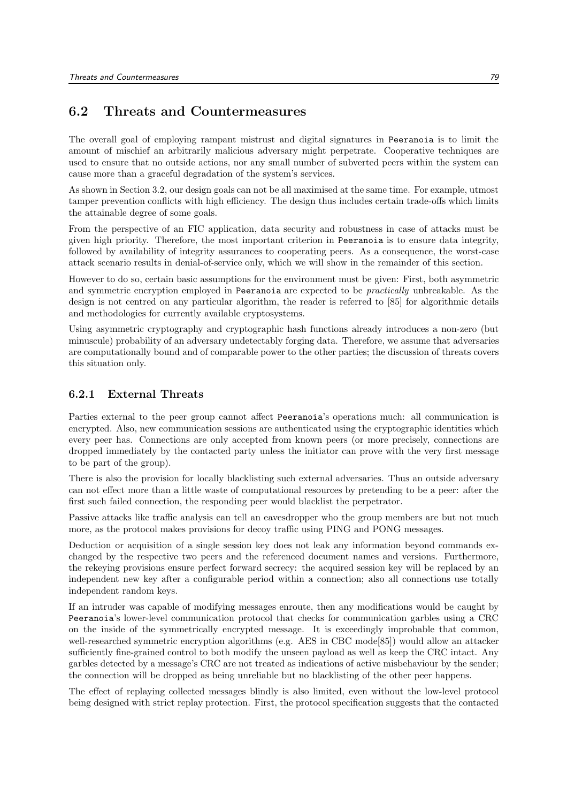# 6.2 Threats and Countermeasures

The overall goal of employing rampant mistrust and digital signatures in Peeranoia is to limit the amount of mischief an arbitrarily malicious adversary might perpetrate. Cooperative techniques are used to ensure that no outside actions, nor any small number of subverted peers within the system can cause more than a graceful degradation of the system's services.

As shown in Section 3.2, our design goals can not be all maximised at the same time. For example, utmost tamper prevention conflicts with high efficiency. The design thus includes certain trade-offs which limits the attainable degree of some goals.

From the perspective of an FIC application, data security and robustness in case of attacks must be given high priority. Therefore, the most important criterion in Peeranoia is to ensure data integrity, followed by availability of integrity assurances to cooperating peers. As a consequence, the worst-case attack scenario results in denial-of-service only, which we will show in the remainder of this section.

However to do so, certain basic assumptions for the environment must be given: First, both asymmetric and symmetric encryption employed in Peeranoia are expected to be practically unbreakable. As the design is not centred on any particular algorithm, the reader is referred to [85] for algorithmic details and methodologies for currently available cryptosystems.

Using asymmetric cryptography and cryptographic hash functions already introduces a non-zero (but minuscule) probability of an adversary undetectably forging data. Therefore, we assume that adversaries are computationally bound and of comparable power to the other parties; the discussion of threats covers this situation only.

#### 6.2.1 External Threats

Parties external to the peer group cannot affect Peeranoia's operations much: all communication is encrypted. Also, new communication sessions are authenticated using the cryptographic identities which every peer has. Connections are only accepted from known peers (or more precisely, connections are dropped immediately by the contacted party unless the initiator can prove with the very first message to be part of the group).

There is also the provision for locally blacklisting such external adversaries. Thus an outside adversary can not effect more than a little waste of computational resources by pretending to be a peer: after the first such failed connection, the responding peer would blacklist the perpetrator.

Passive attacks like traffic analysis can tell an eavesdropper who the group members are but not much more, as the protocol makes provisions for decoy traffic using PING and PONG messages.

Deduction or acquisition of a single session key does not leak any information beyond commands exchanged by the respective two peers and the referenced document names and versions. Furthermore, the rekeying provisions ensure perfect forward secrecy: the acquired session key will be replaced by an independent new key after a configurable period within a connection; also all connections use totally independent random keys.

If an intruder was capable of modifying messages enroute, then any modifications would be caught by Peeranoia's lower-level communication protocol that checks for communication garbles using a CRC on the inside of the symmetrically encrypted message. It is exceedingly improbable that common, well-researched symmetric encryption algorithms (e.g. AES in CBC mode[85]) would allow an attacker sufficiently fine-grained control to both modify the unseen payload as well as keep the CRC intact. Any garbles detected by a message's CRC are not treated as indications of active misbehaviour by the sender; the connection will be dropped as being unreliable but no blacklisting of the other peer happens.

The effect of replaying collected messages blindly is also limited, even without the low-level protocol being designed with strict replay protection. First, the protocol specification suggests that the contacted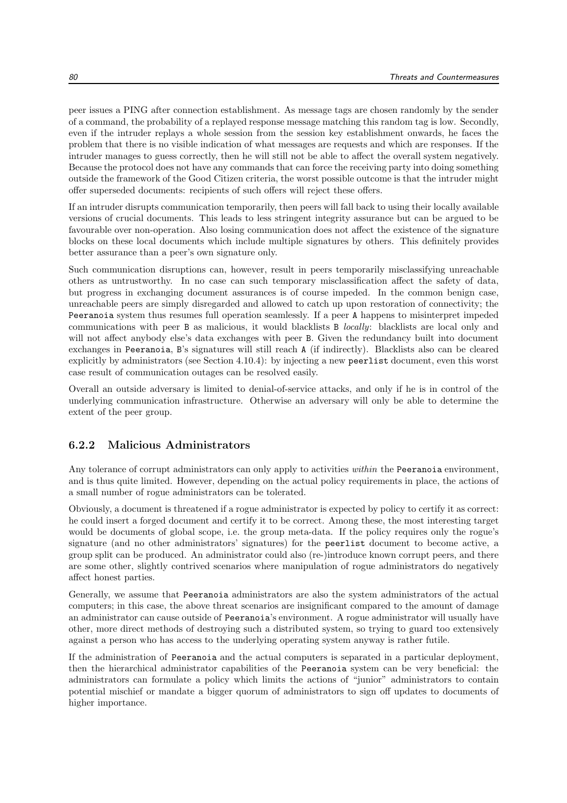peer issues a PING after connection establishment. As message tags are chosen randomly by the sender of a command, the probability of a replayed response message matching this random tag is low. Secondly, even if the intruder replays a whole session from the session key establishment onwards, he faces the problem that there is no visible indication of what messages are requests and which are responses. If the intruder manages to guess correctly, then he will still not be able to affect the overall system negatively. Because the protocol does not have any commands that can force the receiving party into doing something outside the framework of the Good Citizen criteria, the worst possible outcome is that the intruder might offer superseded documents: recipients of such offers will reject these offers.

If an intruder disrupts communication temporarily, then peers will fall back to using their locally available versions of crucial documents. This leads to less stringent integrity assurance but can be argued to be favourable over non-operation. Also losing communication does not affect the existence of the signature blocks on these local documents which include multiple signatures by others. This definitely provides better assurance than a peer's own signature only.

Such communication disruptions can, however, result in peers temporarily misclassifying unreachable others as untrustworthy. In no case can such temporary misclassification affect the safety of data, but progress in exchanging document assurances is of course impeded. In the common benign case, unreachable peers are simply disregarded and allowed to catch up upon restoration of connectivity; the Peeranoia system thus resumes full operation seamlessly. If a peer A happens to misinterpret impeded communications with peer B as malicious, it would blacklists B locally: blacklists are local only and will not affect anybody else's data exchanges with peer B. Given the redundancy built into document exchanges in Peeranoia, B's signatures will still reach A (if indirectly). Blacklists also can be cleared explicitly by administrators (see Section 4.10.4): by injecting a new peerlist document, even this worst case result of communication outages can be resolved easily.

Overall an outside adversary is limited to denial-of-service attacks, and only if he is in control of the underlying communication infrastructure. Otherwise an adversary will only be able to determine the extent of the peer group.

#### 6.2.2 Malicious Administrators

Any tolerance of corrupt administrators can only apply to activities *within* the Peeranoia environment, and is thus quite limited. However, depending on the actual policy requirements in place, the actions of a small number of rogue administrators can be tolerated.

Obviously, a document is threatened if a rogue administrator is expected by policy to certify it as correct: he could insert a forged document and certify it to be correct. Among these, the most interesting target would be documents of global scope, i.e. the group meta-data. If the policy requires only the rogue's signature (and no other administrators' signatures) for the peerlist document to become active, a group split can be produced. An administrator could also (re-)introduce known corrupt peers, and there are some other, slightly contrived scenarios where manipulation of rogue administrators do negatively affect honest parties.

Generally, we assume that Peeranoia administrators are also the system administrators of the actual computers; in this case, the above threat scenarios are insignificant compared to the amount of damage an administrator can cause outside of Peeranoia's environment. A rogue administrator will usually have other, more direct methods of destroying such a distributed system, so trying to guard too extensively against a person who has access to the underlying operating system anyway is rather futile.

If the administration of Peeranoia and the actual computers is separated in a particular deployment, then the hierarchical administrator capabilities of the Peeranoia system can be very beneficial: the administrators can formulate a policy which limits the actions of "junior" administrators to contain potential mischief or mandate a bigger quorum of administrators to sign off updates to documents of higher importance.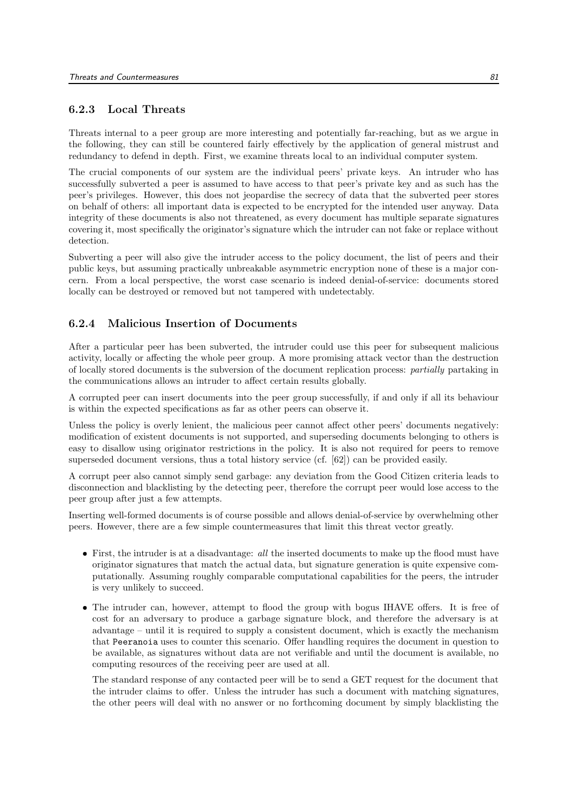#### 6.2.3 Local Threats

Threats internal to a peer group are more interesting and potentially far-reaching, but as we argue in the following, they can still be countered fairly effectively by the application of general mistrust and redundancy to defend in depth. First, we examine threats local to an individual computer system.

The crucial components of our system are the individual peers' private keys. An intruder who has successfully subverted a peer is assumed to have access to that peer's private key and as such has the peer's privileges. However, this does not jeopardise the secrecy of data that the subverted peer stores on behalf of others: all important data is expected to be encrypted for the intended user anyway. Data integrity of these documents is also not threatened, as every document has multiple separate signatures covering it, most specifically the originator's signature which the intruder can not fake or replace without detection.

Subverting a peer will also give the intruder access to the policy document, the list of peers and their public keys, but assuming practically unbreakable asymmetric encryption none of these is a major concern. From a local perspective, the worst case scenario is indeed denial-of-service: documents stored locally can be destroyed or removed but not tampered with undetectably.

#### 6.2.4 Malicious Insertion of Documents

After a particular peer has been subverted, the intruder could use this peer for subsequent malicious activity, locally or affecting the whole peer group. A more promising attack vector than the destruction of locally stored documents is the subversion of the document replication process: partially partaking in the communications allows an intruder to affect certain results globally.

A corrupted peer can insert documents into the peer group successfully, if and only if all its behaviour is within the expected specifications as far as other peers can observe it.

Unless the policy is overly lenient, the malicious peer cannot affect other peers' documents negatively: modification of existent documents is not supported, and superseding documents belonging to others is easy to disallow using originator restrictions in the policy. It is also not required for peers to remove superseded document versions, thus a total history service (cf. [62]) can be provided easily.

A corrupt peer also cannot simply send garbage: any deviation from the Good Citizen criteria leads to disconnection and blacklisting by the detecting peer, therefore the corrupt peer would lose access to the peer group after just a few attempts.

Inserting well-formed documents is of course possible and allows denial-of-service by overwhelming other peers. However, there are a few simple countermeasures that limit this threat vector greatly.

- First, the intruder is at a disadvantage: all the inserted documents to make up the flood must have originator signatures that match the actual data, but signature generation is quite expensive computationally. Assuming roughly comparable computational capabilities for the peers, the intruder is very unlikely to succeed.
- The intruder can, however, attempt to flood the group with bogus IHAVE offers. It is free of cost for an adversary to produce a garbage signature block, and therefore the adversary is at advantage – until it is required to supply a consistent document, which is exactly the mechanism that Peeranoia uses to counter this scenario. Offer handling requires the document in question to be available, as signatures without data are not verifiable and until the document is available, no computing resources of the receiving peer are used at all.

The standard response of any contacted peer will be to send a GET request for the document that the intruder claims to offer. Unless the intruder has such a document with matching signatures, the other peers will deal with no answer or no forthcoming document by simply blacklisting the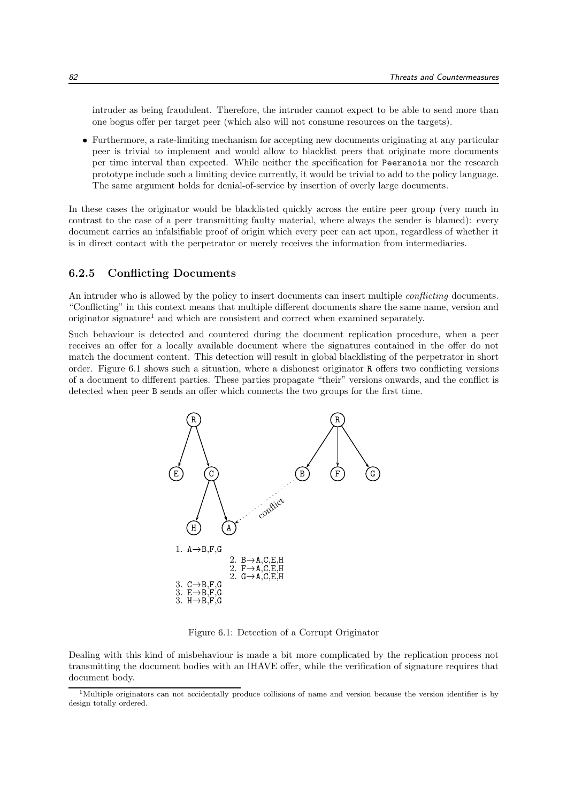intruder as being fraudulent. Therefore, the intruder cannot expect to be able to send more than one bogus offer per target peer (which also will not consume resources on the targets).

 Furthermore, a rate-limiting mechanism for accepting new documents originating at any particular peer is trivial to implement and would allow to blacklist peers that originate more documents per time interval than expected. While neither the specification for Peeranoia nor the research prototype include such a limiting device currently, it would be trivial to add to the policy language. The same argument holds for denial-of-service by insertion of overly large documents.

In these cases the originator would be blacklisted quickly across the entire peer group (very much in contrast to the case of a peer transmitting faulty material, where always the sender is blamed): every document carries an infalsifiable proof of origin which every peer can act upon, regardless of whether it is in direct contact with the perpetrator or merely receives the information from intermediaries.

#### 6.2.5 Conflicting Documents

An intruder who is allowed by the policy to insert documents can insert multiple *conflicting* documents. "Conflicting" in this context means that multiple different documents share the same name, version and originator signature<sup>1</sup> and which are consistent and correct when examined separately.

Such behaviour is detected and countered during the document replication procedure, when a peer receives an offer for a locally available document where the signatures contained in the offer do not match the document content. This detection will result in global blacklisting of the perpetrator in short order. Figure 6.1 shows such a situation, where a dishonest originator R offers two conflicting versions of a document to different parties. These parties propagate "their" versions onwards, and the conflict is detected when peer B sends an offer which connects the two groups for the first time.



Figure 6.1: Detection of a Corrupt Originator

Dealing with this kind of misbehaviour is made a bit more complicated by the replication process not transmitting the document bodies with an IHAVE offer, while the verification of signature requires that document body.

<sup>&</sup>lt;sup>1</sup>Multiple originators can not accidentally produce collisions of name and version because the version identifier is by design totally ordered.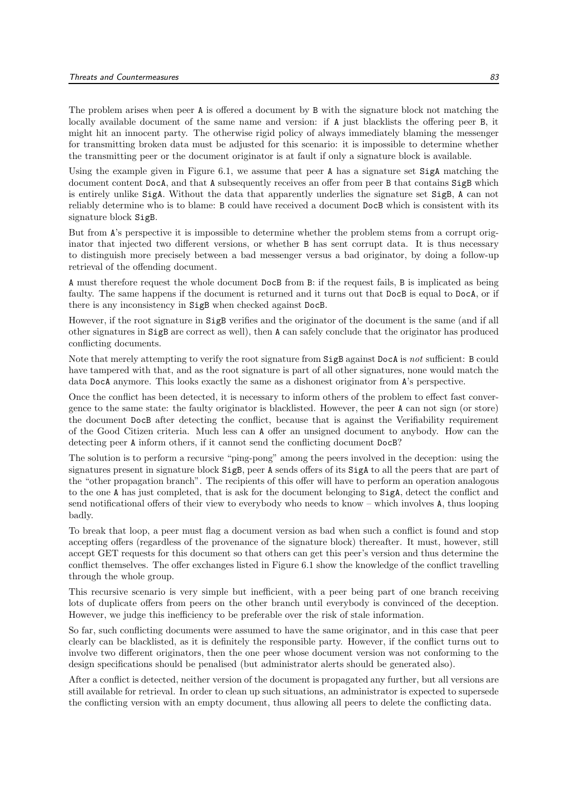The problem arises when peer A is offered a document by B with the signature block not matching the locally available document of the same name and version: if A just blacklists the offering peer B, it might hit an innocent party. The otherwise rigid policy of always immediately blaming the messenger for transmitting broken data must be adjusted for this scenario: it is impossible to determine whether the transmitting peer or the document originator is at fault if only a signature block is available.

Using the example given in Figure 6.1, we assume that peer A has a signature set SigA matching the document content DocA, and that A subsequently receives an offer from peer B that contains SigB which is entirely unlike SigA. Without the data that apparently underlies the signature set SigB, A can not reliably determine who is to blame: B could have received a document DocB which is consistent with its signature block SigB.

But from A's perspective it is impossible to determine whether the problem stems from a corrupt originator that injected two different versions, or whether B has sent corrupt data. It is thus necessary to distinguish more precisely between a bad messenger versus a bad originator, by doing a follow-up retrieval of the offending document.

A must therefore request the whole document DocB from B: if the request fails, B is implicated as being faulty. The same happens if the document is returned and it turns out that DocB is equal to DocA, or if there is any inconsistency in SigB when checked against DocB.

However, if the root signature in SigB verifies and the originator of the document is the same (and if all other signatures in SigB are correct as well), then A can safely conclude that the originator has produced conflicting documents.

Note that merely attempting to verify the root signature from SigB against DocA is not sufficient: B could have tampered with that, and as the root signature is part of all other signatures, none would match the data DocA anymore. This looks exactly the same as a dishonest originator from A's perspective.

Once the conflict has been detected, it is necessary to inform others of the problem to effect fast convergence to the same state: the faulty originator is blacklisted. However, the peer A can not sign (or store) the document DocB after detecting the conflict, because that is against the Verifiability requirement of the Good Citizen criteria. Much less can A offer an unsigned document to anybody. How can the detecting peer A inform others, if it cannot send the conflicting document DocB?

The solution is to perform a recursive "ping-pong" among the peers involved in the deception: using the signatures present in signature block SigB, peer A sends offers of its SigA to all the peers that are part of the "other propagation branch". The recipients of this offer will have to perform an operation analogous to the one A has just completed, that is ask for the document belonging to SigA, detect the conflict and send notificational offers of their view to everybody who needs to know – which involves A, thus looping badly.

To break that loop, a peer must flag a document version as bad when such a conflict is found and stop accepting offers (regardless of the provenance of the signature block) thereafter. It must, however, still accept GET requests for this document so that others can get this peer's version and thus determine the conflict themselves. The offer exchanges listed in Figure 6.1 show the knowledge of the conflict travelling through the whole group.

This recursive scenario is very simple but inefficient, with a peer being part of one branch receiving lots of duplicate offers from peers on the other branch until everybody is convinced of the deception. However, we judge this inefficiency to be preferable over the risk of stale information.

So far, such conflicting documents were assumed to have the same originator, and in this case that peer clearly can be blacklisted, as it is definitely the responsible party. However, if the conflict turns out to involve two different originators, then the one peer whose document version was not conforming to the design specifications should be penalised (but administrator alerts should be generated also).

After a conflict is detected, neither version of the document is propagated any further, but all versions are still available for retrieval. In order to clean up such situations, an administrator is expected to supersede the conflicting version with an empty document, thus allowing all peers to delete the conflicting data.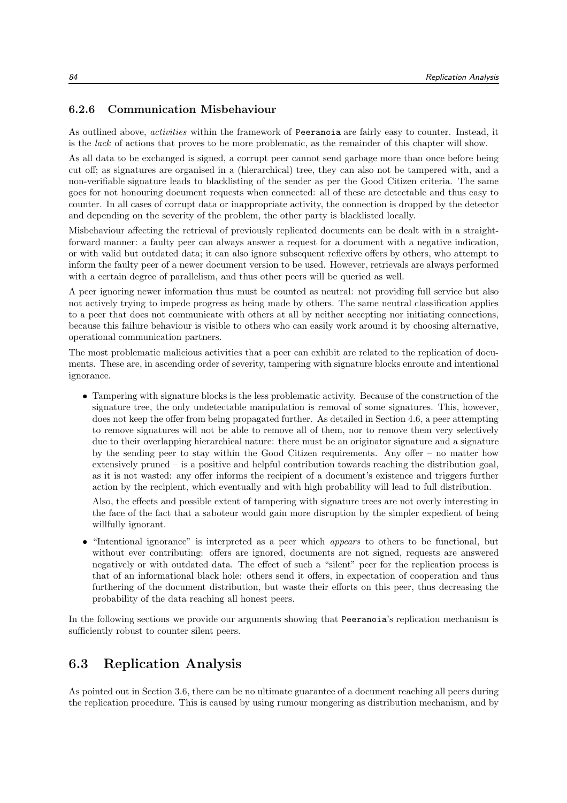#### 6.2.6 Communication Misbehaviour

As outlined above, activities within the framework of Peeranoia are fairly easy to counter. Instead, it is the lack of actions that proves to be more problematic, as the remainder of this chapter will show.

As all data to be exchanged is signed, a corrupt peer cannot send garbage more than once before being cut off; as signatures are organised in a (hierarchical) tree, they can also not be tampered with, and a non-verifiable signature leads to blacklisting of the sender as per the Good Citizen criteria. The same goes for not honouring document requests when connected: all of these are detectable and thus easy to counter. In all cases of corrupt data or inappropriate activity, the connection is dropped by the detector and depending on the severity of the problem, the other party is blacklisted locally.

Misbehaviour affecting the retrieval of previously replicated documents can be dealt with in a straightforward manner: a faulty peer can always answer a request for a document with a negative indication, or with valid but outdated data; it can also ignore subsequent reflexive offers by others, who attempt to inform the faulty peer of a newer document version to be used. However, retrievals are always performed with a certain degree of parallelism, and thus other peers will be queried as well.

A peer ignoring newer information thus must be counted as neutral: not providing full service but also not actively trying to impede progress as being made by others. The same neutral classification applies to a peer that does not communicate with others at all by neither accepting nor initiating connections, because this failure behaviour is visible to others who can easily work around it by choosing alternative, operational communication partners.

The most problematic malicious activities that a peer can exhibit are related to the replication of documents. These are, in ascending order of severity, tampering with signature blocks enroute and intentional ignorance.

 Tampering with signature blocks is the less problematic activity. Because of the construction of the signature tree, the only undetectable manipulation is removal of some signatures. This, however, does not keep the offer from being propagated further. As detailed in Section 4.6, a peer attempting to remove signatures will not be able to remove all of them, nor to remove them very selectively due to their overlapping hierarchical nature: there must be an originator signature and a signature by the sending peer to stay within the Good Citizen requirements. Any offer – no matter how extensively pruned – is a positive and helpful contribution towards reaching the distribution goal, as it is not wasted: any offer informs the recipient of a document's existence and triggers further action by the recipient, which eventually and with high probability will lead to full distribution.

Also, the effects and possible extent of tampering with signature trees are not overly interesting in the face of the fact that a saboteur would gain more disruption by the simpler expedient of being willfully ignorant.

• "Intentional ignorance" is interpreted as a peer which *appears* to others to be functional, but without ever contributing: offers are ignored, documents are not signed, requests are answered negatively or with outdated data. The effect of such a "silent" peer for the replication process is that of an informational black hole: others send it offers, in expectation of cooperation and thus furthering of the document distribution, but waste their efforts on this peer, thus decreasing the probability of the data reaching all honest peers.

In the following sections we provide our arguments showing that Peeranoia's replication mechanism is sufficiently robust to counter silent peers.

## 6.3 Replication Analysis

As pointed out in Section 3.6, there can be no ultimate guarantee of a document reaching all peers during the replication procedure. This is caused by using rumour mongering as distribution mechanism, and by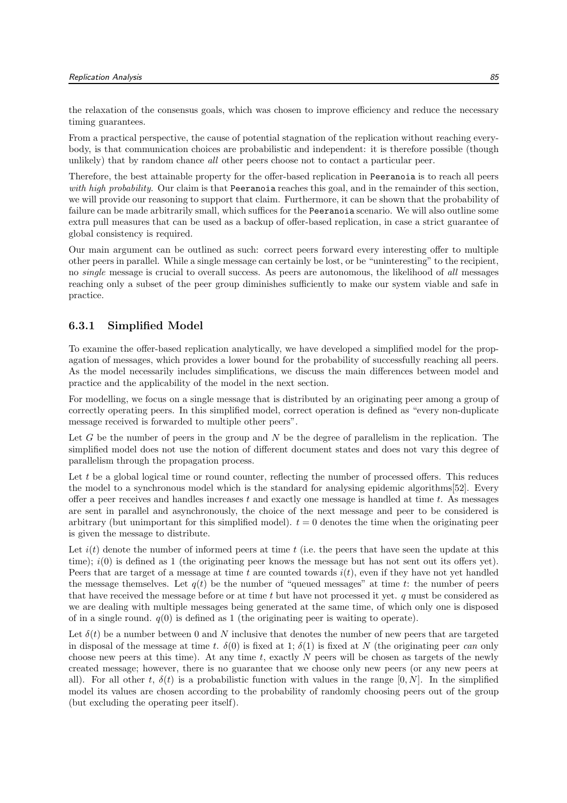the relaxation of the consensus goals, which was chosen to improve efficiency and reduce the necessary timing guarantees.

From a practical perspective, the cause of potential stagnation of the replication without reaching everybody, is that communication choices are probabilistic and independent: it is therefore possible (though unlikely) that by random chance *all* other peers choose not to contact a particular peer.

Therefore, the best attainable property for the offer-based replication in Peeranoia is to reach all peers with high probability. Our claim is that Peeranoia reaches this goal, and in the remainder of this section. we will provide our reasoning to support that claim. Furthermore, it can be shown that the probability of failure can be made arbitrarily small, which suffices for the Peeranoia scenario. We will also outline some extra pull measures that can be used as a backup of offer-based replication, in case a strict guarantee of global consistency is required.

Our main argument can be outlined as such: correct peers forward every interesting offer to multiple other peers in parallel. While a single message can certainly be lost, or be "uninteresting" to the recipient, no single message is crucial to overall success. As peers are autonomous, the likelihood of all messages reaching only a subset of the peer group diminishes sufficiently to make our system viable and safe in practice.

#### 6.3.1 Simplified Model

To examine the offer-based replication analytically, we have developed a simplified model for the propagation of messages, which provides a lower bound for the probability of successfully reaching all peers. As the model necessarily includes simplifications, we discuss the main differences between model and practice and the applicability of the model in the next section.

For modelling, we focus on a single message that is distributed by an originating peer among a group of correctly operating peers. In this simplified model, correct operation is defined as "every non-duplicate message received is forwarded to multiple other peers".

Let G be the number of peers in the group and  $N$  be the degree of parallelism in the replication. The simplified model does not use the notion of different document states and does not vary this degree of parallelism through the propagation process.

Let  $t$  be a global logical time or round counter, reflecting the number of processed offers. This reduces the model to a synchronous model which is the standard for analysing epidemic algorithms[52]. Every offer a peer receives and handles increases  $t$  and exactly one message is handled at time  $t$ . As messages are sent in parallel and asynchronously, the choice of the next message and peer to be considered is arbitrary (but unimportant for this simplified model).  $t = 0$  denotes the time when the originating peer is given the message to distribute.

Let  $i(t)$  denote the number of informed peers at time t (i.e. the peers that have seen the update at this time);  $i(0)$  is defined as 1 (the originating peer knows the message but has not sent out its offers yet). Peers that are target of a message at time t are counted towards  $i(t)$ , even if they have not yet handled the message themselves. Let  $q(t)$  be the number of "queued messages" at time t: the number of peers that have received the message before or at time t but have not processed it yet.  $q$  must be considered as we are dealing with multiple messages being generated at the same time, of which only one is disposed of in a single round.  $q(0)$  is defined as 1 (the originating peer is waiting to operate).

Let  $\delta(t)$  be a number between 0 and N inclusive that denotes the number of new peers that are targeted in disposal of the message at time t.  $\delta(0)$  is fixed at 1;  $\delta(1)$  is fixed at N (the originating peer can only choose new peers at this time). At any time t, exactly N peers will be chosen as targets of the newly created message; however, there is no guarantee that we choose only new peers (or any new peers at all). For all other t,  $\delta(t)$  is a probabilistic function with values in the range [0, N]. In the simplified model its values are chosen according to the probability of randomly choosing peers out of the group (but excluding the operating peer itself).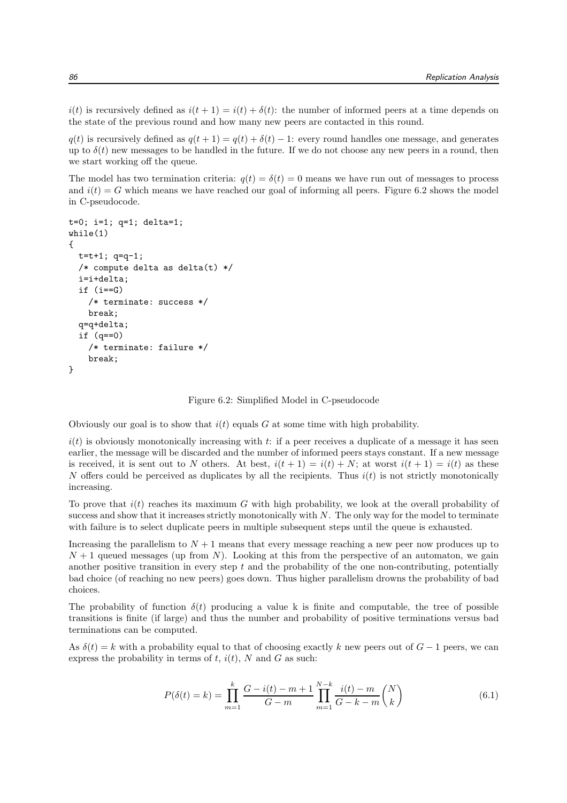$i(t)$  is recursively defined as  $i(t + 1) = i(t) + \delta(t)$ : the number of informed peers at a time depends on the state of the previous round and how many new peers are contacted in this round.

 $q(t)$  is recursively defined as  $q(t + 1) = q(t) + \delta(t) - 1$ : every round handles one message, and generates up to  $\delta(t)$  new messages to be handled in the future. If we do not choose any new peers in a round, then we start working off the queue.

The model has two termination criteria:  $q(t) = \delta(t) = 0$  means we have run out of messages to process and  $i(t) = G$  which means we have reached our goal of informing all peers. Figure 6.2 shows the model in C-pseudocode.

```
t=0; i=1; q=1; delta=1;
while(1)
{
 t=t+1; q=q-1;
  /* compute delta as delta(t) */
  i=i+delta;
  if (i == G)/* terminate: success */
    break;
  q=q+delta;
  if (q==0)
    /* terminate: failure */
    break;
}
```
Figure 6.2: Simplified Model in C-pseudocode

Obviously our goal is to show that  $i(t)$  equals G at some time with high probability.

 $i(t)$  is obviously monotonically increasing with t: if a peer receives a duplicate of a message it has seen earlier, the message will be discarded and the number of informed peers stays constant. If a new message is received, it is sent out to N others. At best,  $i(t + 1) = i(t) + N$ ; at worst  $i(t + 1) = i(t)$  as these N offers could be perceived as duplicates by all the recipients. Thus  $i(t)$  is not strictly monotonically increasing.

To prove that  $i(t)$  reaches its maximum G with high probability, we look at the overall probability of success and show that it increases strictly monotonically with N. The only way for the model to terminate with failure is to select duplicate peers in multiple subsequent steps until the queue is exhausted.

Increasing the parallelism to  $N+1$  means that every message reaching a new peer now produces up to  $N+1$  queued messages (up from N). Looking at this from the perspective of an automaton, we gain another positive transition in every step t and the probability of the one non-contributing, potentially bad choice (of reaching no new peers) goes down. Thus higher parallelism drowns the probability of bad choices.

The probability of function  $\delta(t)$  producing a value k is finite and computable, the tree of possible transitions is finite (if large) and thus the number and probability of positive terminations versus bad terminations can be computed.

As  $\delta(t) = k$  with a probability equal to that of choosing exactly k new peers out of  $G - 1$  peers, we can express the probability in terms of  $t$ ,  $i(t)$ , N and G as such:

$$
P(\delta(t) = k) = \prod_{m=1}^{k} \frac{G - i(t) - m + 1}{G - m} \prod_{m=1}^{N-k} \frac{i(t) - m}{G - k - m} {N \choose k}
$$
(6.1)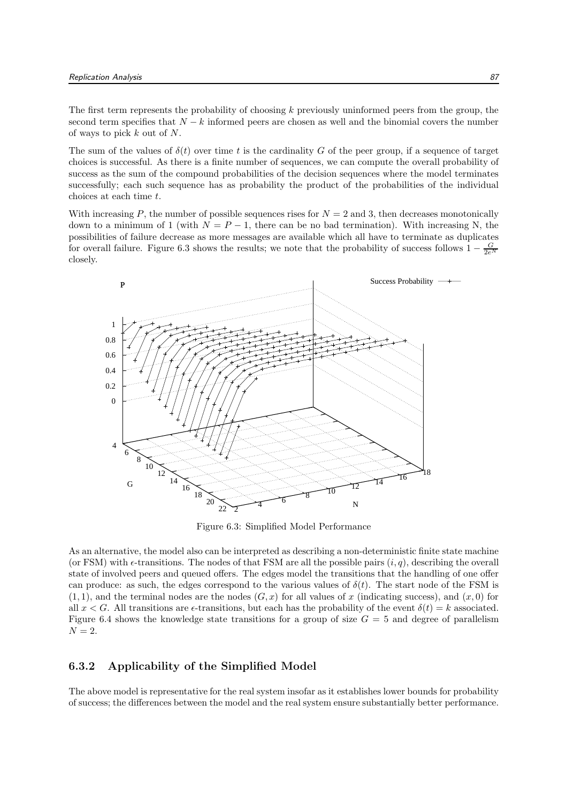The first term represents the probability of choosing k previously uninformed peers from the group, the second term specifies that  $N - k$  informed peers are chosen as well and the binomial covers the number of ways to pick k out of N.

The sum of the values of  $\delta(t)$  over time t is the cardinality G of the peer group, if a sequence of target choices is successful. As there is a finite number of sequences, we can compute the overall probability of success as the sum of the compound probabilities of the decision sequences where the model terminates successfully; each such sequence has as probability the product of the probabilities of the individual choices at each time t.

With increasing P, the number of possible sequences rises for  $N = 2$  and 3, then decreases monotonically down to a minimum of 1 (with  $N = P - 1$ , there can be no bad termination). With increasing N, the possibilities of failure decrease as more messages are available which all have to terminate as duplicates for overall failure. Figure 6.3 shows the results; we note that the probability of success follows  $1 - \frac{G}{2e^N}$ closely.



Figure 6.3: Simplified Model Performance

As an alternative, the model also can be interpreted as describing a non-deterministic finite state machine (or FSM) with  $\epsilon$ -transitions. The nodes of that FSM are all the possible pairs  $(i, q)$ , describing the overall state of involved peers and queued offers. The edges model the transitions that the handling of one offer can produce: as such, the edges correspond to the various values of  $\delta(t)$ . The start node of the FSM is  $(1, 1)$ , and the terminal nodes are the nodes  $(G, x)$  for all values of x (indicating success), and  $(x, 0)$  for all  $x < G$ . All transitions are  $\epsilon$ -transitions, but each has the probability of the event  $\delta(t) = k$  associated. Figure 6.4 shows the knowledge state transitions for a group of size  $G = 5$  and degree of parallelism  $N=2$ .

#### 6.3.2 Applicability of the Simplified Model

The above model is representative for the real system insofar as it establishes lower bounds for probability of success; the differences between the model and the real system ensure substantially better performance.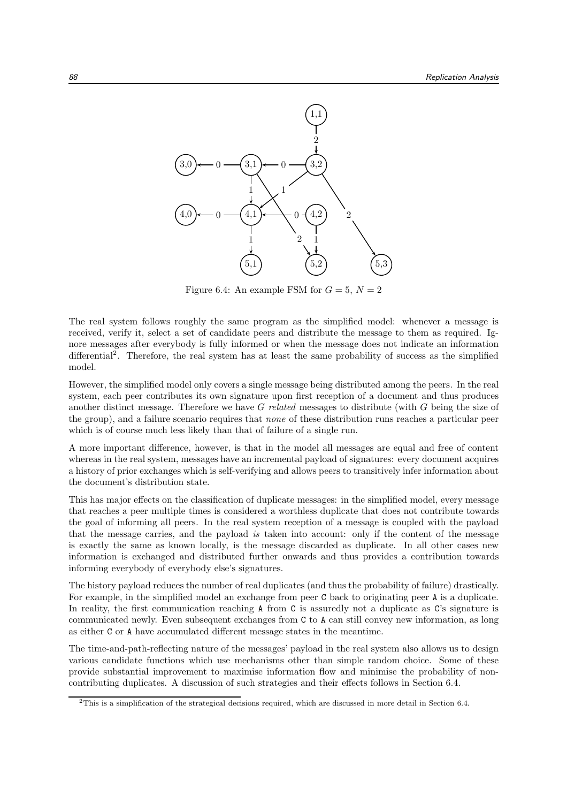

Figure 6.4: An example FSM for  $G = 5$ ,  $N = 2$ 

The real system follows roughly the same program as the simplified model: whenever a message is received, verify it, select a set of candidate peers and distribute the message to them as required. Ignore messages after everybody is fully informed or when the message does not indicate an information differential<sup>2</sup>. Therefore, the real system has at least the same probability of success as the simplified model.

However, the simplified model only covers a single message being distributed among the peers. In the real system, each peer contributes its own signature upon first reception of a document and thus produces another distinct message. Therefore we have G related messages to distribute (with G being the size of the group), and a failure scenario requires that none of these distribution runs reaches a particular peer which is of course much less likely than that of failure of a single run.

A more important difference, however, is that in the model all messages are equal and free of content whereas in the real system, messages have an incremental payload of signatures: every document acquires a history of prior exchanges which is self-verifying and allows peers to transitively infer information about the document's distribution state.

This has major effects on the classification of duplicate messages: in the simplified model, every message that reaches a peer multiple times is considered a worthless duplicate that does not contribute towards the goal of informing all peers. In the real system reception of a message is coupled with the payload that the message carries, and the payload is taken into account: only if the content of the message is exactly the same as known locally, is the message discarded as duplicate. In all other cases new information is exchanged and distributed further onwards and thus provides a contribution towards informing everybody of everybody else's signatures.

The history payload reduces the number of real duplicates (and thus the probability of failure) drastically. For example, in the simplified model an exchange from peer C back to originating peer A is a duplicate. In reality, the first communication reaching A from C is assuredly not a duplicate as C's signature is communicated newly. Even subsequent exchanges from C to A can still convey new information, as long as either C or A have accumulated different message states in the meantime.

The time-and-path-reflecting nature of the messages' payload in the real system also allows us to design various candidate functions which use mechanisms other than simple random choice. Some of these provide substantial improvement to maximise information flow and minimise the probability of noncontributing duplicates. A discussion of such strategies and their effects follows in Section 6.4.

<sup>2</sup>This is a simplification of the strategical decisions required, which are discussed in more detail in Section 6.4.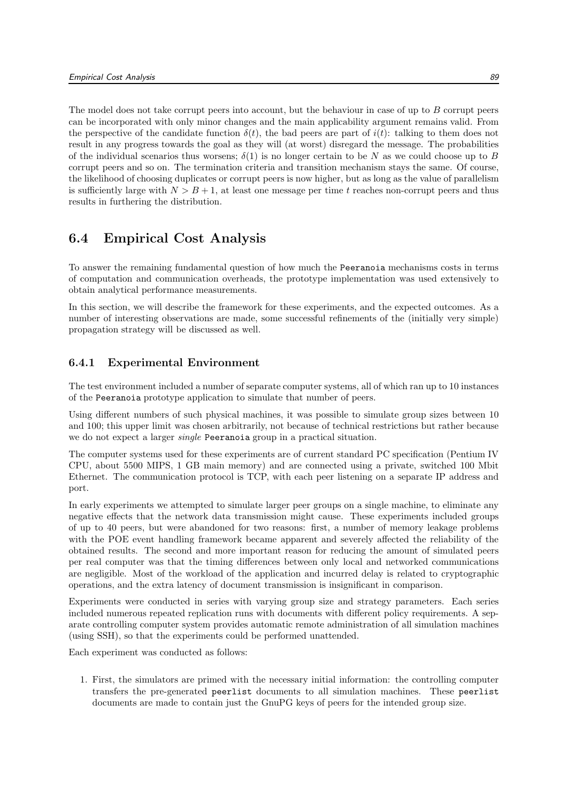The model does not take corrupt peers into account, but the behaviour in case of up to B corrupt peers can be incorporated with only minor changes and the main applicability argument remains valid. From the perspective of the candidate function  $\delta(t)$ , the bad peers are part of  $i(t)$ : talking to them does not result in any progress towards the goal as they will (at worst) disregard the message. The probabilities of the individual scenarios thus worsens;  $\delta(1)$  is no longer certain to be N as we could choose up to B corrupt peers and so on. The termination criteria and transition mechanism stays the same. Of course, the likelihood of choosing duplicates or corrupt peers is now higher, but as long as the value of parallelism is sufficiently large with  $N > B + 1$ , at least one message per time t reaches non-corrupt peers and thus results in furthering the distribution.

# 6.4 Empirical Cost Analysis

To answer the remaining fundamental question of how much the Peeranoia mechanisms costs in terms of computation and communication overheads, the prototype implementation was used extensively to obtain analytical performance measurements.

In this section, we will describe the framework for these experiments, and the expected outcomes. As a number of interesting observations are made, some successful refinements of the (initially very simple) propagation strategy will be discussed as well.

### 6.4.1 Experimental Environment

The test environment included a number of separate computer systems, all of which ran up to 10 instances of the Peeranoia prototype application to simulate that number of peers.

Using different numbers of such physical machines, it was possible to simulate group sizes between 10 and 100; this upper limit was chosen arbitrarily, not because of technical restrictions but rather because we do not expect a larger single Peeranoia group in a practical situation.

The computer systems used for these experiments are of current standard PC specification (Pentium IV CPU, about 5500 MIPS, 1 GB main memory) and are connected using a private, switched 100 Mbit Ethernet. The communication protocol is TCP, with each peer listening on a separate IP address and port.

In early experiments we attempted to simulate larger peer groups on a single machine, to eliminate any negative effects that the network data transmission might cause. These experiments included groups of up to 40 peers, but were abandoned for two reasons: first, a number of memory leakage problems with the POE event handling framework became apparent and severely affected the reliability of the obtained results. The second and more important reason for reducing the amount of simulated peers per real computer was that the timing differences between only local and networked communications are negligible. Most of the workload of the application and incurred delay is related to cryptographic operations, and the extra latency of document transmission is insignificant in comparison.

Experiments were conducted in series with varying group size and strategy parameters. Each series included numerous repeated replication runs with documents with different policy requirements. A separate controlling computer system provides automatic remote administration of all simulation machines (using SSH), so that the experiments could be performed unattended.

Each experiment was conducted as follows:

1. First, the simulators are primed with the necessary initial information: the controlling computer transfers the pre-generated peerlist documents to all simulation machines. These peerlist documents are made to contain just the GnuPG keys of peers for the intended group size.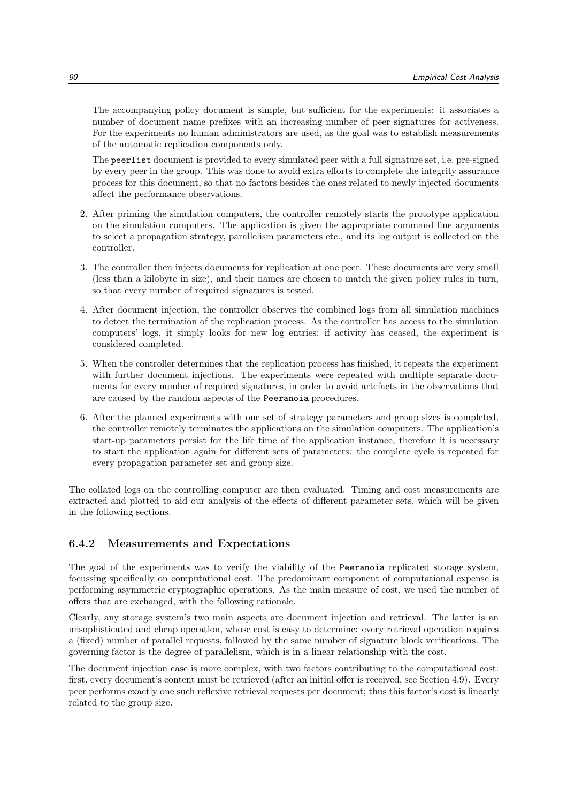The accompanying policy document is simple, but sufficient for the experiments: it associates a number of document name prefixes with an increasing number of peer signatures for activeness. For the experiments no human administrators are used, as the goal was to establish measurements of the automatic replication components only.

The peerlist document is provided to every simulated peer with a full signature set, i.e. pre-signed by every peer in the group. This was done to avoid extra efforts to complete the integrity assurance process for this document, so that no factors besides the ones related to newly injected documents affect the performance observations.

- 2. After priming the simulation computers, the controller remotely starts the prototype application on the simulation computers. The application is given the appropriate command line arguments to select a propagation strategy, parallelism parameters etc., and its log output is collected on the controller.
- 3. The controller then injects documents for replication at one peer. These documents are very small (less than a kilobyte in size), and their names are chosen to match the given policy rules in turn, so that every number of required signatures is tested.
- 4. After document injection, the controller observes the combined logs from all simulation machines to detect the termination of the replication process. As the controller has access to the simulation computers' logs, it simply looks for new log entries; if activity has ceased, the experiment is considered completed.
- 5. When the controller determines that the replication process has finished, it repeats the experiment with further document injections. The experiments were repeated with multiple separate documents for every number of required signatures, in order to avoid artefacts in the observations that are caused by the random aspects of the Peeranoia procedures.
- 6. After the planned experiments with one set of strategy parameters and group sizes is completed, the controller remotely terminates the applications on the simulation computers. The application's start-up parameters persist for the life time of the application instance, therefore it is necessary to start the application again for different sets of parameters: the complete cycle is repeated for every propagation parameter set and group size.

The collated logs on the controlling computer are then evaluated. Timing and cost measurements are extracted and plotted to aid our analysis of the effects of different parameter sets, which will be given in the following sections.

#### 6.4.2 Measurements and Expectations

The goal of the experiments was to verify the viability of the Peeranoia replicated storage system, focussing specifically on computational cost. The predominant component of computational expense is performing asymmetric cryptographic operations. As the main measure of cost, we used the number of offers that are exchanged, with the following rationale.

Clearly, any storage system's two main aspects are document injection and retrieval. The latter is an unsophisticated and cheap operation, whose cost is easy to determine: every retrieval operation requires a (fixed) number of parallel requests, followed by the same number of signature block verifications. The governing factor is the degree of parallelism, which is in a linear relationship with the cost.

The document injection case is more complex, with two factors contributing to the computational cost: first, every document's content must be retrieved (after an initial offer is received, see Section 4.9). Every peer performs exactly one such reflexive retrieval requests per document; thus this factor's cost is linearly related to the group size.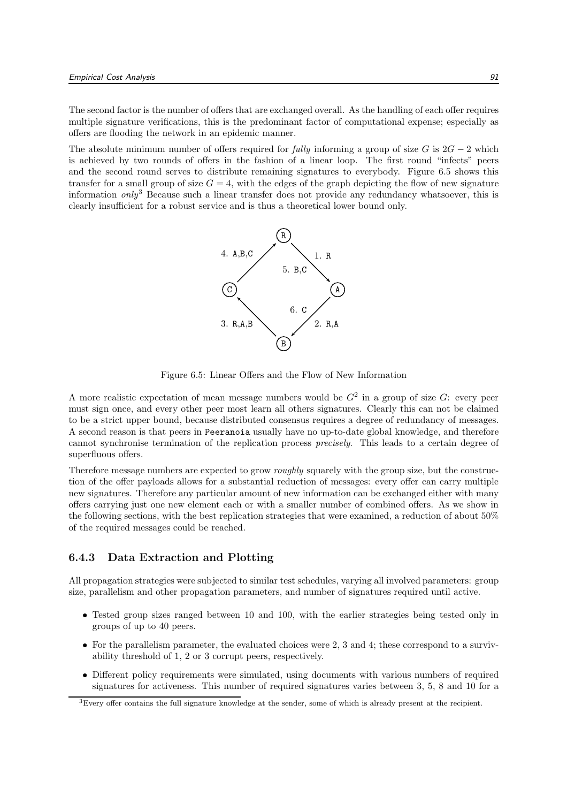The second factor is the number of offers that are exchanged overall. As the handling of each offer requires multiple signature verifications, this is the predominant factor of computational expense; especially as offers are flooding the network in an epidemic manner.

The absolute minimum number of offers required for *fully* informing a group of size G is  $2G - 2$  which is achieved by two rounds of offers in the fashion of a linear loop. The first round "infects" peers and the second round serves to distribute remaining signatures to everybody. Figure 6.5 shows this transfer for a small group of size  $G = 4$ , with the edges of the graph depicting the flow of new signature information  $\text{only}^3$  Because such a linear transfer does not provide any redundancy whatsoever, this is clearly insufficient for a robust service and is thus a theoretical lower bound only.



Figure 6.5: Linear Offers and the Flow of New Information

A more realistic expectation of mean message numbers would be  $G^2$  in a group of size G: every peer must sign once, and every other peer most learn all others signatures. Clearly this can not be claimed to be a strict upper bound, because distributed consensus requires a degree of redundancy of messages. A second reason is that peers in Peeranoia usually have no up-to-date global knowledge, and therefore cannot synchronise termination of the replication process precisely. This leads to a certain degree of superfluous offers.

Therefore message numbers are expected to grow roughly squarely with the group size, but the construction of the offer payloads allows for a substantial reduction of messages: every offer can carry multiple new signatures. Therefore any particular amount of new information can be exchanged either with many offers carrying just one new element each or with a smaller number of combined offers. As we show in the following sections, with the best replication strategies that were examined, a reduction of about 50% of the required messages could be reached.

#### 6.4.3 Data Extraction and Plotting

All propagation strategies were subjected to similar test schedules, varying all involved parameters: group size, parallelism and other propagation parameters, and number of signatures required until active.

- Tested group sizes ranged between 10 and 100, with the earlier strategies being tested only in groups of up to 40 peers.
- For the parallelism parameter, the evaluated choices were 2, 3 and 4; these correspond to a survivability threshold of 1, 2 or 3 corrupt peers, respectively.
- Different policy requirements were simulated, using documents with various numbers of required signatures for activeness. This number of required signatures varies between 3, 5, 8 and 10 for a

<sup>3</sup>Every offer contains the full signature knowledge at the sender, some of which is already present at the recipient.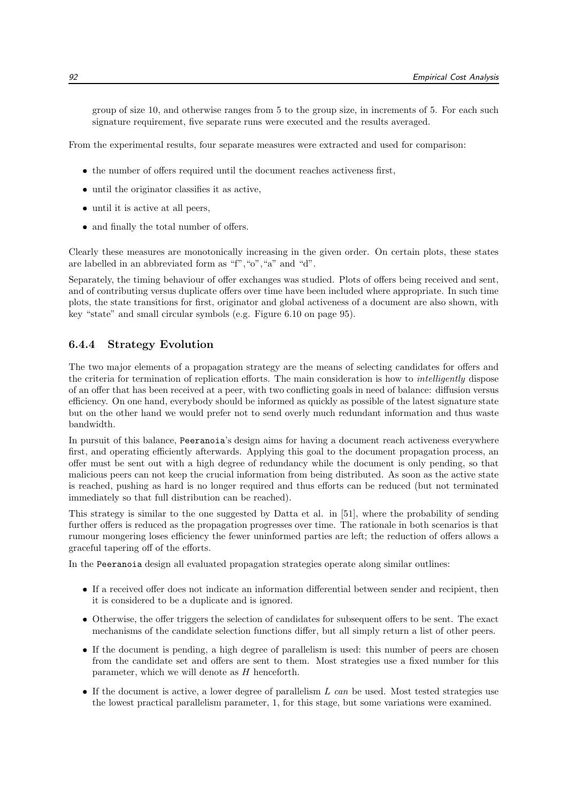group of size 10, and otherwise ranges from 5 to the group size, in increments of 5. For each such signature requirement, five separate runs were executed and the results averaged.

From the experimental results, four separate measures were extracted and used for comparison:

- the number of offers required until the document reaches activeness first,
- until the originator classifies it as active,
- until it is active at all peers,
- and finally the total number of offers.

Clearly these measures are monotonically increasing in the given order. On certain plots, these states are labelled in an abbreviated form as "f","o","a" and "d".

Separately, the timing behaviour of offer exchanges was studied. Plots of offers being received and sent, and of contributing versus duplicate offers over time have been included where appropriate. In such time plots, the state transitions for first, originator and global activeness of a document are also shown, with key "state" and small circular symbols (e.g. Figure 6.10 on page 95).

#### 6.4.4 Strategy Evolution

The two major elements of a propagation strategy are the means of selecting candidates for offers and the criteria for termination of replication efforts. The main consideration is how to intelligently dispose of an offer that has been received at a peer, with two conflicting goals in need of balance: diffusion versus efficiency. On one hand, everybody should be informed as quickly as possible of the latest signature state but on the other hand we would prefer not to send overly much redundant information and thus waste bandwidth.

In pursuit of this balance, Peeranoia's design aims for having a document reach activeness everywhere first, and operating efficiently afterwards. Applying this goal to the document propagation process, an offer must be sent out with a high degree of redundancy while the document is only pending, so that malicious peers can not keep the crucial information from being distributed. As soon as the active state is reached, pushing as hard is no longer required and thus efforts can be reduced (but not terminated immediately so that full distribution can be reached).

This strategy is similar to the one suggested by Datta et al. in [51], where the probability of sending further offers is reduced as the propagation progresses over time. The rationale in both scenarios is that rumour mongering loses efficiency the fewer uninformed parties are left; the reduction of offers allows a graceful tapering off of the efforts.

In the Peeranoia design all evaluated propagation strategies operate along similar outlines:

- If a received offer does not indicate an information differential between sender and recipient, then it is considered to be a duplicate and is ignored.
- Otherwise, the offer triggers the selection of candidates for subsequent offers to be sent. The exact mechanisms of the candidate selection functions differ, but all simply return a list of other peers.
- If the document is pending, a high degree of parallelism is used: this number of peers are chosen from the candidate set and offers are sent to them. Most strategies use a fixed number for this parameter, which we will denote as  $H$  henceforth.
- If the document is active, a lower degree of parallelism  $L$  can be used. Most tested strategies use the lowest practical parallelism parameter, 1, for this stage, but some variations were examined.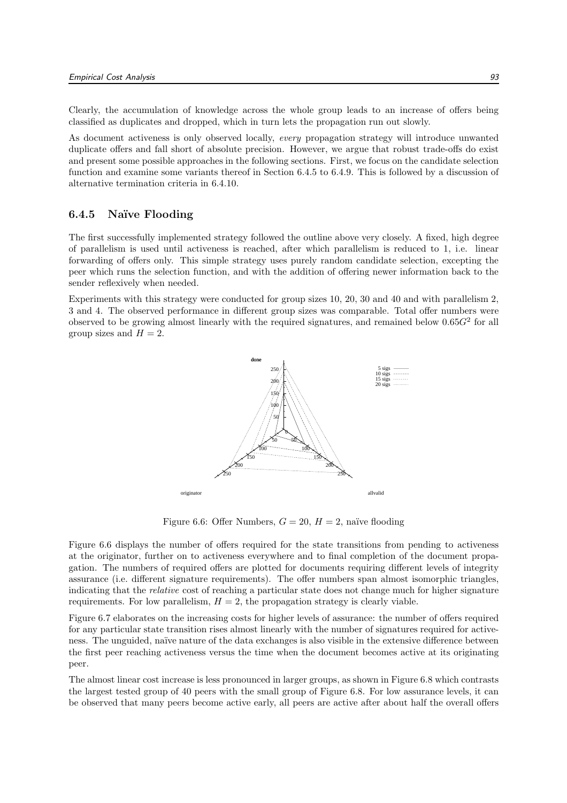Clearly, the accumulation of knowledge across the whole group leads to an increase of offers being classified as duplicates and dropped, which in turn lets the propagation run out slowly.

As document activeness is only observed locally, every propagation strategy will introduce unwanted duplicate offers and fall short of absolute precision. However, we argue that robust trade-offs do exist and present some possible approaches in the following sections. First, we focus on the candidate selection function and examine some variants thereof in Section 6.4.5 to 6.4.9. This is followed by a discussion of alternative termination criteria in 6.4.10.

#### 6.4.5 Na¨ıve Flooding

The first successfully implemented strategy followed the outline above very closely. A fixed, high degree of parallelism is used until activeness is reached, after which parallelism is reduced to 1, i.e. linear forwarding of offers only. This simple strategy uses purely random candidate selection, excepting the peer which runs the selection function, and with the addition of offering newer information back to the sender reflexively when needed.

Experiments with this strategy were conducted for group sizes 10, 20, 30 and 40 and with parallelism 2, 3 and 4. The observed performance in different group sizes was comparable. Total offer numbers were observed to be growing almost linearly with the required signatures, and remained below  $0.65G^2$  for all group sizes and  $H = 2$ .



Figure 6.6: Offer Numbers,  $G = 20$ ,  $H = 2$ , naïve flooding

Figure 6.6 displays the number of offers required for the state transitions from pending to activeness at the originator, further on to activeness everywhere and to final completion of the document propagation. The numbers of required offers are plotted for documents requiring different levels of integrity assurance (i.e. different signature requirements). The offer numbers span almost isomorphic triangles, indicating that the relative cost of reaching a particular state does not change much for higher signature requirements. For low parallelism,  $H = 2$ , the propagation strategy is clearly viable.

Figure 6.7 elaborates on the increasing costs for higher levels of assurance: the number of offers required for any particular state transition rises almost linearly with the number of signatures required for activeness. The unguided, naïve nature of the data exchanges is also visible in the extensive difference between the first peer reaching activeness versus the time when the document becomes active at its originating peer.

The almost linear cost increase is less pronounced in larger groups, as shown in Figure 6.8 which contrasts the largest tested group of 40 peers with the small group of Figure 6.8. For low assurance levels, it can be observed that many peers become active early, all peers are active after about half the overall offers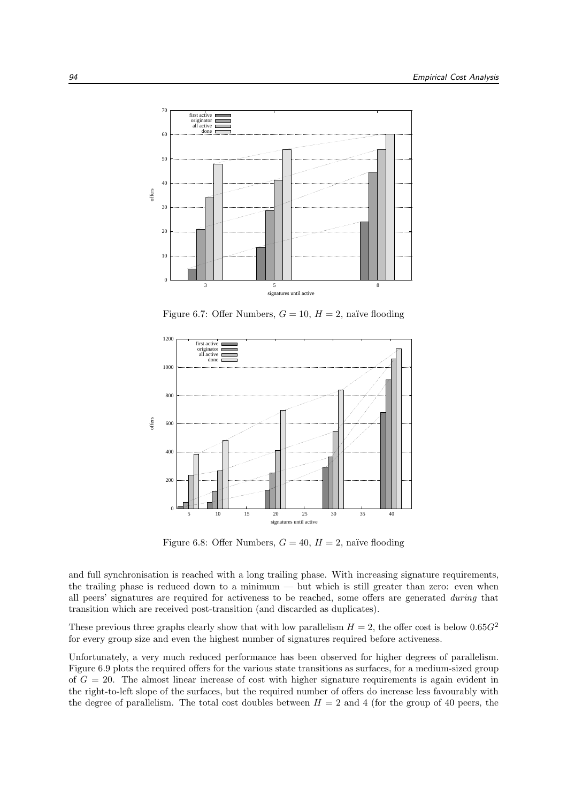

Figure 6.7: Offer Numbers,  $G = 10$ ,  $H = 2$ , naïve flooding



Figure 6.8: Offer Numbers,  $G = 40$ ,  $H = 2$ , naïve flooding

and full synchronisation is reached with a long trailing phase. With increasing signature requirements, the trailing phase is reduced down to a minimum — but which is still greater than zero: even when all peers' signatures are required for activeness to be reached, some offers are generated during that transition which are received post-transition (and discarded as duplicates).

These previous three graphs clearly show that with low parallelism  $H = 2$ , the offer cost is below 0.65 $G<sup>2</sup>$ for every group size and even the highest number of signatures required before activeness.

Unfortunately, a very much reduced performance has been observed for higher degrees of parallelism. Figure 6.9 plots the required offers for the various state transitions as surfaces, for a medium-sized group of  $G = 20$ . The almost linear increase of cost with higher signature requirements is again evident in the right-to-left slope of the surfaces, but the required number of offers do increase less favourably with the degree of parallelism. The total cost doubles between  $H = 2$  and 4 (for the group of 40 peers, the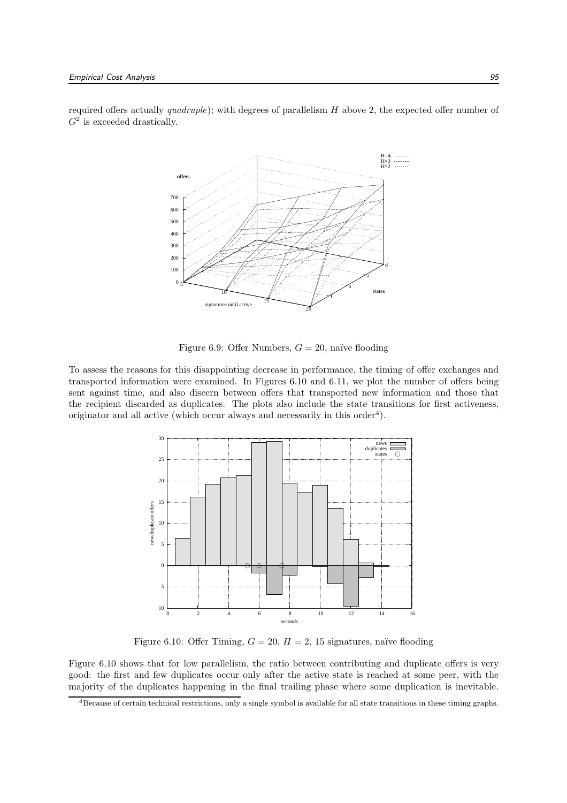required offers actually  $quadruple)$ ; with degrees of parallelism  $H$  above 2, the expected offer number of  $G^2$  is exceeded drastically.



Figure 6.9: Offer Numbers,  $G = 20$ , naïve flooding

To assess the reasons for this disappointing decrease in performance, the timing of offer exchanges and transported information were examined. In Figures 6.10 and 6.11, we plot the number of offers being sent against time, and also discern between offers that transported new information and those that the recipient discarded as duplicates. The plots also include the state transitions for first activeness, originator and all active (which occur always and necessarily in this order<sup>4</sup>).



Figure 6.10: Offer Timing,  $G = 20$ ,  $H = 2$ , 15 signatures, naïve flooding

Figure 6.10 shows that for low parallelism, the ratio between contributing and duplicate offers is very good: the first and few duplicates occur only after the active state is reached at some peer, with the majority of the duplicates happening in the final trailing phase where some duplication is inevitable.

<sup>4</sup>Because of certain technical restrictions, only a single symbol is available for all state transitions in these timing graphs.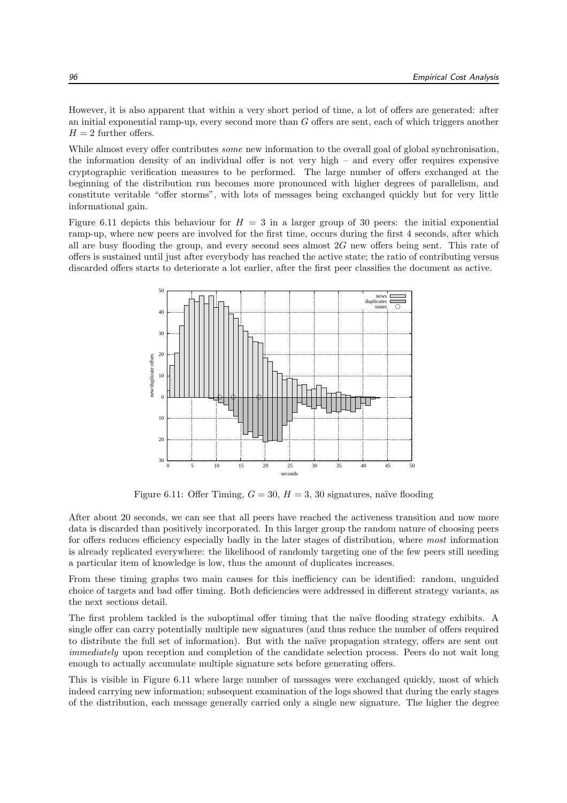However, it is also apparent that within a very short period of time, a lot of offers are generated: after an initial exponential ramp-up, every second more than G offers are sent, each of which triggers another  $H = 2$  further offers.

While almost every offer contributes *some* new information to the overall goal of global synchronisation, the information density of an individual offer is not very high – and every offer requires expensive cryptographic verification measures to be performed. The large number of offers exchanged at the beginning of the distribution run becomes more pronounced with higher degrees of parallelism, and constitute veritable "offer storms", with lots of messages being exchanged quickly but for very little informational gain.

Figure 6.11 depicts this behaviour for  $H = 3$  in a larger group of 30 peers: the initial exponential ramp-up, where new peers are involved for the first time, occurs during the first 4 seconds, after which all are busy flooding the group, and every second sees almost 2G new offers being sent. This rate of offers is sustained until just after everybody has reached the active state; the ratio of contributing versus discarded offers starts to deteriorate a lot earlier, after the first peer classifies the document as active.



Figure 6.11: Offer Timing,  $G = 30$ ,  $H = 3$ , 30 signatures, naïve flooding

After about 20 seconds, we can see that all peers have reached the activeness transition and now more data is discarded than positively incorporated. In this larger group the random nature of choosing peers for offers reduces efficiency especially badly in the later stages of distribution, where most information is already replicated everywhere: the likelihood of randomly targeting one of the few peers still needing a particular item of knowledge is low, thus the amount of duplicates increases.

From these timing graphs two main causes for this inefficiency can be identified: random, unguided choice of targets and bad offer timing. Both deficiencies were addressed in different strategy variants, as the next sections detail.

The first problem tackled is the suboptimal offer timing that the naïve flooding strategy exhibits. A single offer can carry potentially multiple new signatures (and thus reduce the number of offers required to distribute the full set of information). But with the naïve propagation strategy, offers are sent out immediately upon reception and completion of the candidate selection process. Peers do not wait long enough to actually accumulate multiple signature sets before generating offers.

This is visible in Figure 6.11 where large number of messages were exchanged quickly, most of which indeed carrying new information; subsequent examination of the logs showed that during the early stages of the distribution, each message generally carried only a single new signature. The higher the degree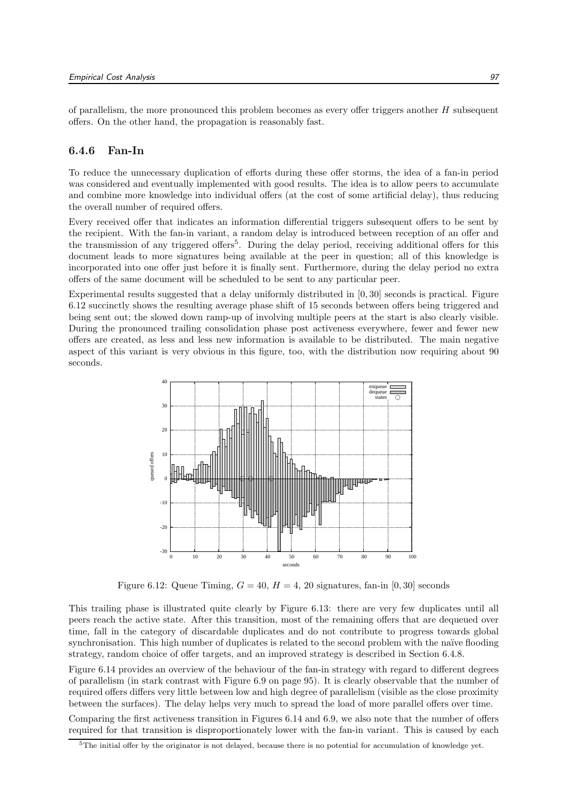of parallelism, the more pronounced this problem becomes as every offer triggers another  $H$  subsequent offers. On the other hand, the propagation is reasonably fast.

#### 6.4.6 Fan-In

To reduce the unnecessary duplication of efforts during these offer storms, the idea of a fan-in period was considered and eventually implemented with good results. The idea is to allow peers to accumulate and combine more knowledge into individual offers (at the cost of some artificial delay), thus reducing the overall number of required offers.

Every received offer that indicates an information differential triggers subsequent offers to be sent by the recipient. With the fan-in variant, a random delay is introduced between reception of an offer and the transmission of any triggered offers<sup>5</sup>. During the delay period, receiving additional offers for this document leads to more signatures being available at the peer in question; all of this knowledge is incorporated into one offer just before it is finally sent. Furthermore, during the delay period no extra offers of the same document will be scheduled to be sent to any particular peer.

Experimental results suggested that a delay uniformly distributed in [0, 30] seconds is practical. Figure 6.12 succinctly shows the resulting average phase shift of 15 seconds between offers being triggered and being sent out; the slowed down ramp-up of involving multiple peers at the start is also clearly visible. During the pronounced trailing consolidation phase post activeness everywhere, fewer and fewer new offers are created, as less and less new information is available to be distributed. The main negative aspect of this variant is very obvious in this figure, too, with the distribution now requiring about 90 seconds.



Figure 6.12: Queue Timing,  $G = 40$ ,  $H = 4$ , 20 signatures, fan-in [0, 30] seconds

This trailing phase is illustrated quite clearly by Figure 6.13: there are very few duplicates until all peers reach the active state. After this transition, most of the remaining offers that are dequeued over time, fall in the category of discardable duplicates and do not contribute to progress towards global synchronisation. This high number of duplicates is related to the second problem with the naïve flooding strategy, random choice of offer targets, and an improved strategy is described in Section 6.4.8.

Figure 6.14 provides an overview of the behaviour of the fan-in strategy with regard to different degrees of parallelism (in stark contrast with Figure 6.9 on page 95). It is clearly observable that the number of required offers differs very little between low and high degree of parallelism (visible as the close proximity between the surfaces). The delay helps very much to spread the load of more parallel offers over time.

Comparing the first activeness transition in Figures 6.14 and 6.9, we also note that the number of offers required for that transition is disproportionately lower with the fan-in variant. This is caused by each

<sup>&</sup>lt;sup>5</sup>The initial offer by the originator is not delayed, because there is no potential for accumulation of knowledge yet.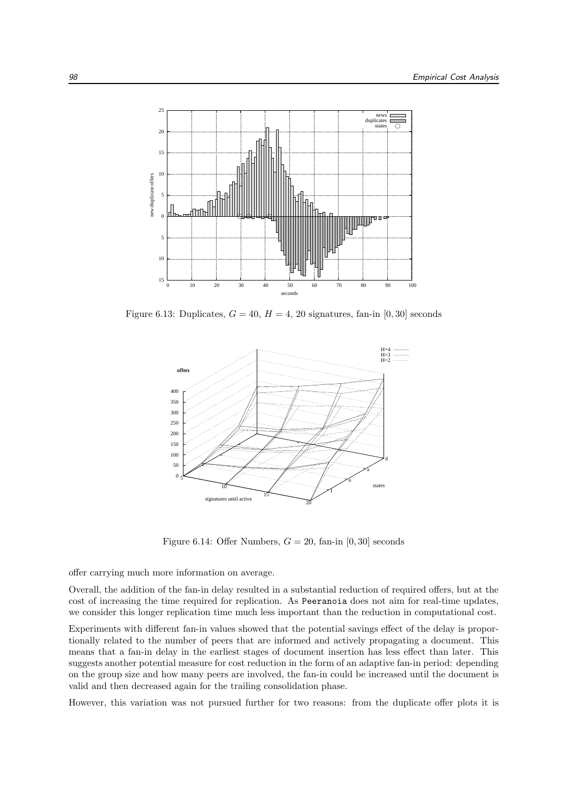

Figure 6.13: Duplicates,  $G = 40$ ,  $H = 4$ , 20 signatures, fan-in [0, 30] seconds



Figure 6.14: Offer Numbers,  $G = 20$ , fan-in [0, 30] seconds

offer carrying much more information on average.

Overall, the addition of the fan-in delay resulted in a substantial reduction of required offers, but at the cost of increasing the time required for replication. As Peeranoia does not aim for real-time updates, we consider this longer replication time much less important than the reduction in computational cost.

Experiments with different fan-in values showed that the potential savings effect of the delay is proportionally related to the number of peers that are informed and actively propagating a document. This means that a fan-in delay in the earliest stages of document insertion has less effect than later. This suggests another potential measure for cost reduction in the form of an adaptive fan-in period: depending on the group size and how many peers are involved, the fan-in could be increased until the document is valid and then decreased again for the trailing consolidation phase.

However, this variation was not pursued further for two reasons: from the duplicate offer plots it is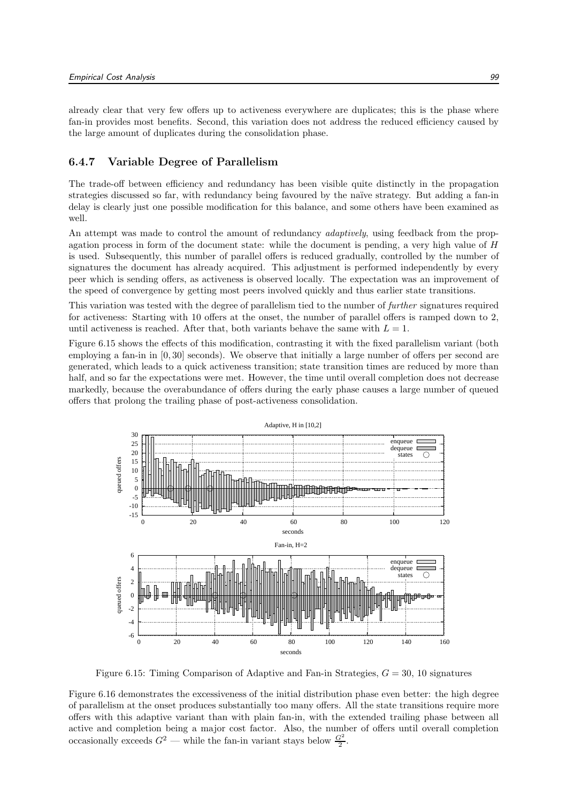already clear that very few offers up to activeness everywhere are duplicates; this is the phase where fan-in provides most benefits. Second, this variation does not address the reduced efficiency caused by the large amount of duplicates during the consolidation phase.

#### 6.4.7 Variable Degree of Parallelism

The trade-off between efficiency and redundancy has been visible quite distinctly in the propagation strategies discussed so far, with redundancy being favoured by the naïve strategy. But adding a fan-in delay is clearly just one possible modification for this balance, and some others have been examined as well.

An attempt was made to control the amount of redundancy *adaptively*, using feedback from the propagation process in form of the document state: while the document is pending, a very high value of  $H$ is used. Subsequently, this number of parallel offers is reduced gradually, controlled by the number of signatures the document has already acquired. This adjustment is performed independently by every peer which is sending offers, as activeness is observed locally. The expectation was an improvement of the speed of convergence by getting most peers involved quickly and thus earlier state transitions.

This variation was tested with the degree of parallelism tied to the number of further signatures required for activeness: Starting with 10 offers at the onset, the number of parallel offers is ramped down to 2, until activeness is reached. After that, both variants behave the same with  $L = 1$ .

Figure 6.15 shows the effects of this modification, contrasting it with the fixed parallelism variant (both employing a fan-in in [0, 30] seconds). We observe that initially a large number of offers per second are generated, which leads to a quick activeness transition; state transition times are reduced by more than half, and so far the expectations were met. However, the time until overall completion does not decrease markedly, because the overabundance of offers during the early phase causes a large number of queued offers that prolong the trailing phase of post-activeness consolidation.



Figure 6.15: Timing Comparison of Adaptive and Fan-in Strategies,  $G = 30$ , 10 signatures

Figure 6.16 demonstrates the excessiveness of the initial distribution phase even better: the high degree of parallelism at the onset produces substantially too many offers. All the state transitions require more offers with this adaptive variant than with plain fan-in, with the extended trailing phase between all active and completion being a major cost factor. Also, the number of offers until overall completion occasionally exceeds  $G^2$  — while the fan-in variant stays below  $\frac{G^2}{2}$ .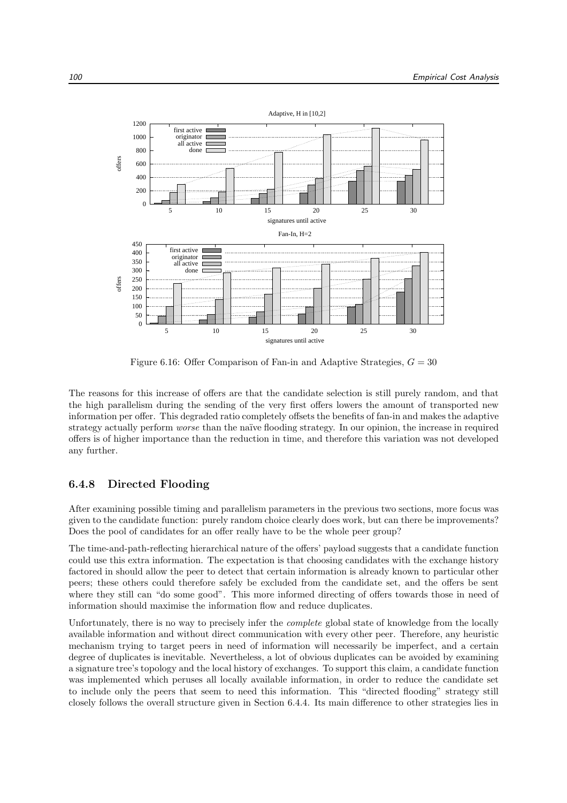

Figure 6.16: Offer Comparison of Fan-in and Adaptive Strategies,  $G = 30$ 

The reasons for this increase of offers are that the candidate selection is still purely random, and that the high parallelism during the sending of the very first offers lowers the amount of transported new information per offer. This degraded ratio completely offsets the benefits of fan-in and makes the adaptive strategy actually perform *worse* than the naïve flooding strategy. In our opinion, the increase in required offers is of higher importance than the reduction in time, and therefore this variation was not developed any further.

#### 6.4.8 Directed Flooding

After examining possible timing and parallelism parameters in the previous two sections, more focus was given to the candidate function: purely random choice clearly does work, but can there be improvements? Does the pool of candidates for an offer really have to be the whole peer group?

The time-and-path-reflecting hierarchical nature of the offers' payload suggests that a candidate function could use this extra information. The expectation is that choosing candidates with the exchange history factored in should allow the peer to detect that certain information is already known to particular other peers; these others could therefore safely be excluded from the candidate set, and the offers be sent where they still can "do some good". This more informed directing of offers towards those in need of information should maximise the information flow and reduce duplicates.

Unfortunately, there is no way to precisely infer the *complete* global state of knowledge from the locally available information and without direct communication with every other peer. Therefore, any heuristic mechanism trying to target peers in need of information will necessarily be imperfect, and a certain degree of duplicates is inevitable. Nevertheless, a lot of obvious duplicates can be avoided by examining a signature tree's topology and the local history of exchanges. To support this claim, a candidate function was implemented which peruses all locally available information, in order to reduce the candidate set to include only the peers that seem to need this information. This "directed flooding" strategy still closely follows the overall structure given in Section 6.4.4. Its main difference to other strategies lies in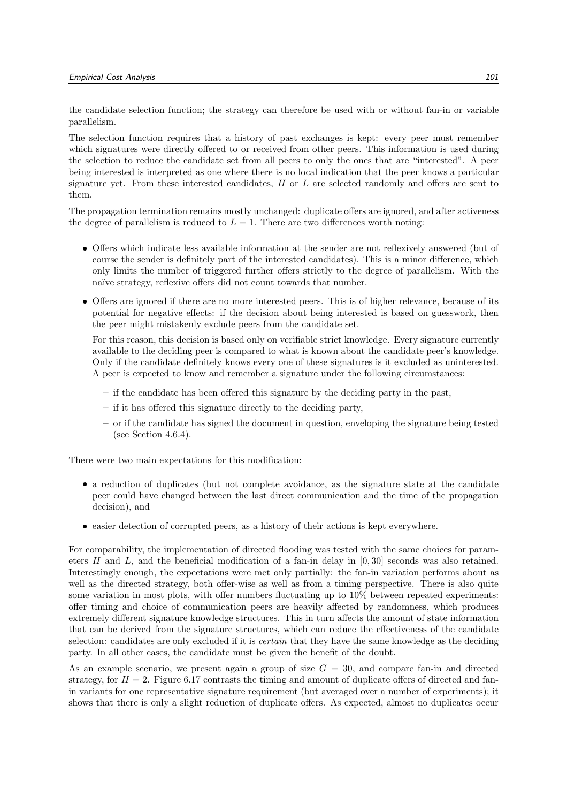the candidate selection function; the strategy can therefore be used with or without fan-in or variable parallelism.

The selection function requires that a history of past exchanges is kept: every peer must remember which signatures were directly offered to or received from other peers. This information is used during the selection to reduce the candidate set from all peers to only the ones that are "interested". A peer being interested is interpreted as one where there is no local indication that the peer knows a particular signature yet. From these interested candidates,  $H$  or  $L$  are selected randomly and offers are sent to them.

The propagation termination remains mostly unchanged: duplicate offers are ignored, and after activeness the degree of parallelism is reduced to  $L = 1$ . There are two differences worth noting:

- Offers which indicate less available information at the sender are not reflexively answered (but of course the sender is definitely part of the interested candidates). This is a minor difference, which only limits the number of triggered further offers strictly to the degree of parallelism. With the naïve strategy, reflexive offers did not count towards that number.
- Offers are ignored if there are no more interested peers. This is of higher relevance, because of its potential for negative effects: if the decision about being interested is based on guesswork, then the peer might mistakenly exclude peers from the candidate set.

For this reason, this decision is based only on verifiable strict knowledge. Every signature currently available to the deciding peer is compared to what is known about the candidate peer's knowledge. Only if the candidate definitely knows every one of these signatures is it excluded as uninterested. A peer is expected to know and remember a signature under the following circumstances:

- if the candidate has been offered this signature by the deciding party in the past,
- if it has offered this signature directly to the deciding party,
- or if the candidate has signed the document in question, enveloping the signature being tested (see Section 4.6.4).

There were two main expectations for this modification:

- a reduction of duplicates (but not complete avoidance, as the signature state at the candidate peer could have changed between the last direct communication and the time of the propagation decision), and
- easier detection of corrupted peers, as a history of their actions is kept everywhere.

For comparability, the implementation of directed flooding was tested with the same choices for parameters H and L, and the beneficial modification of a fan-in delay in [0, 30] seconds was also retained. Interestingly enough, the expectations were met only partially: the fan-in variation performs about as well as the directed strategy, both offer-wise as well as from a timing perspective. There is also quite some variation in most plots, with offer numbers fluctuating up to 10% between repeated experiments: offer timing and choice of communication peers are heavily affected by randomness, which produces extremely different signature knowledge structures. This in turn affects the amount of state information that can be derived from the signature structures, which can reduce the effectiveness of the candidate selection: candidates are only excluded if it is *certain* that they have the same knowledge as the deciding party. In all other cases, the candidate must be given the benefit of the doubt.

As an example scenario, we present again a group of size  $G = 30$ , and compare fan-in and directed strategy, for  $H = 2$ . Figure 6.17 contrasts the timing and amount of duplicate offers of directed and fanin variants for one representative signature requirement (but averaged over a number of experiments); it shows that there is only a slight reduction of duplicate offers. As expected, almost no duplicates occur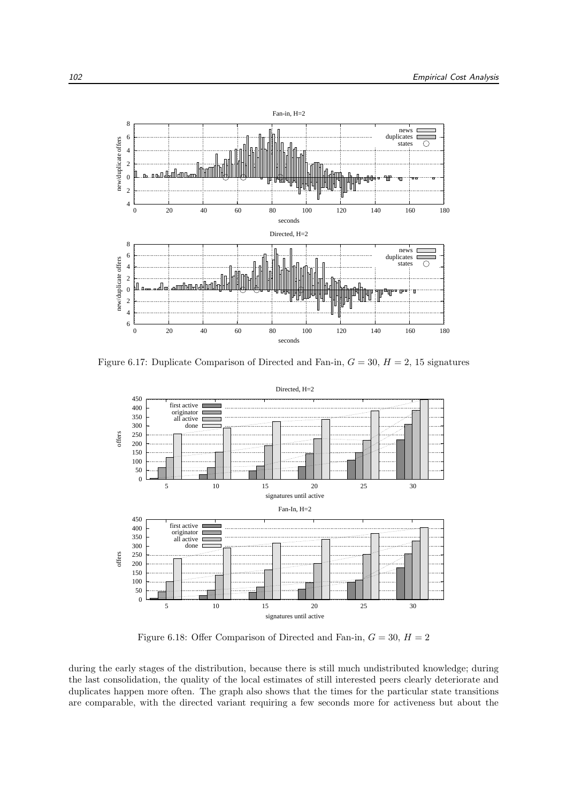

Figure 6.17: Duplicate Comparison of Directed and Fan-in,  $G = 30, H = 2, 15$  signatures



Figure 6.18: Offer Comparison of Directed and Fan-in,  $G = 30, H = 2$ 

during the early stages of the distribution, because there is still much undistributed knowledge; during the last consolidation, the quality of the local estimates of still interested peers clearly deteriorate and duplicates happen more often. The graph also shows that the times for the particular state transitions are comparable, with the directed variant requiring a few seconds more for activeness but about the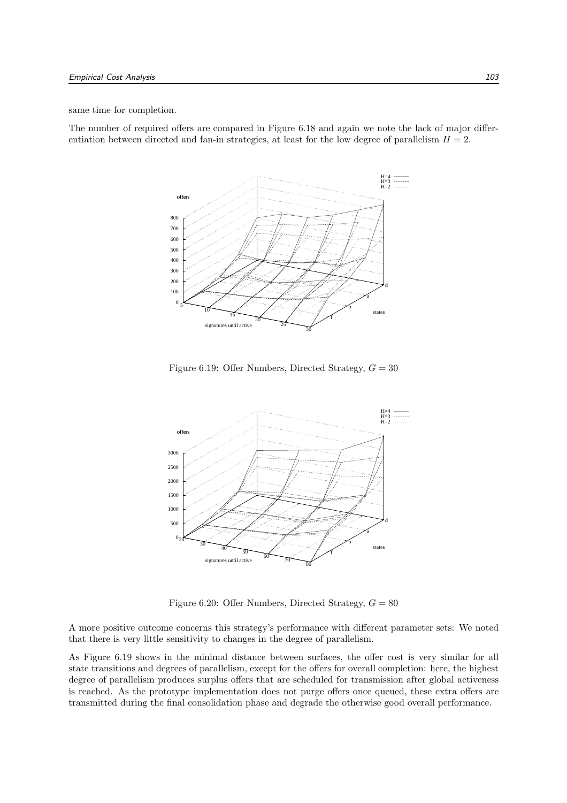same time for completion.

The number of required offers are compared in Figure 6.18 and again we note the lack of major differentiation between directed and fan-in strategies, at least for the low degree of parallelism  $H = 2$ .



Figure 6.19: Offer Numbers, Directed Strategy,  $G = 30$ 



Figure 6.20: Offer Numbers, Directed Strategy,  $G = 80$ 

A more positive outcome concerns this strategy's performance with different parameter sets: We noted that there is very little sensitivity to changes in the degree of parallelism.

As Figure 6.19 shows in the minimal distance between surfaces, the offer cost is very similar for all state transitions and degrees of parallelism, except for the offers for overall completion: here, the highest degree of parallelism produces surplus offers that are scheduled for transmission after global activeness is reached. As the prototype implementation does not purge offers once queued, these extra offers are transmitted during the final consolidation phase and degrade the otherwise good overall performance.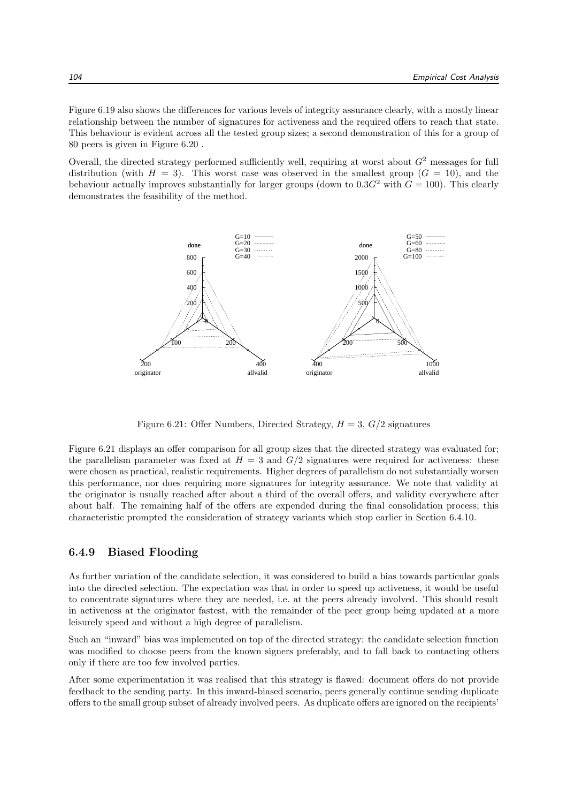Figure 6.19 also shows the differences for various levels of integrity assurance clearly, with a mostly linear relationship between the number of signatures for activeness and the required offers to reach that state. This behaviour is evident across all the tested group sizes; a second demonstration of this for a group of 80 peers is given in Figure 6.20 .

Overall, the directed strategy performed sufficiently well, requiring at worst about  $G<sup>2</sup>$  messages for full distribution (with  $H = 3$ ). This worst case was observed in the smallest group  $(G = 10)$ , and the behaviour actually improves substantially for larger groups (down to  $0.3G<sup>2</sup>$  with  $G = 100$ ). This clearly demonstrates the feasibility of the method.



Figure 6.21: Offer Numbers, Directed Strategy,  $H = 3$ ,  $G/2$  signatures

Figure 6.21 displays an offer comparison for all group sizes that the directed strategy was evaluated for; the parallelism parameter was fixed at  $H = 3$  and  $G/2$  signatures were required for activeness: these were chosen as practical, realistic requirements. Higher degrees of parallelism do not substantially worsen this performance, nor does requiring more signatures for integrity assurance. We note that validity at the originator is usually reached after about a third of the overall offers, and validity everywhere after about half. The remaining half of the offers are expended during the final consolidation process; this characteristic prompted the consideration of strategy variants which stop earlier in Section 6.4.10.

#### 6.4.9 Biased Flooding

As further variation of the candidate selection, it was considered to build a bias towards particular goals into the directed selection. The expectation was that in order to speed up activeness, it would be useful to concentrate signatures where they are needed, i.e. at the peers already involved. This should result in activeness at the originator fastest, with the remainder of the peer group being updated at a more leisurely speed and without a high degree of parallelism.

Such an "inward" bias was implemented on top of the directed strategy: the candidate selection function was modified to choose peers from the known signers preferably, and to fall back to contacting others only if there are too few involved parties.

After some experimentation it was realised that this strategy is flawed: document offers do not provide feedback to the sending party. In this inward-biased scenario, peers generally continue sending duplicate offers to the small group subset of already involved peers. As duplicate offers are ignored on the recipients'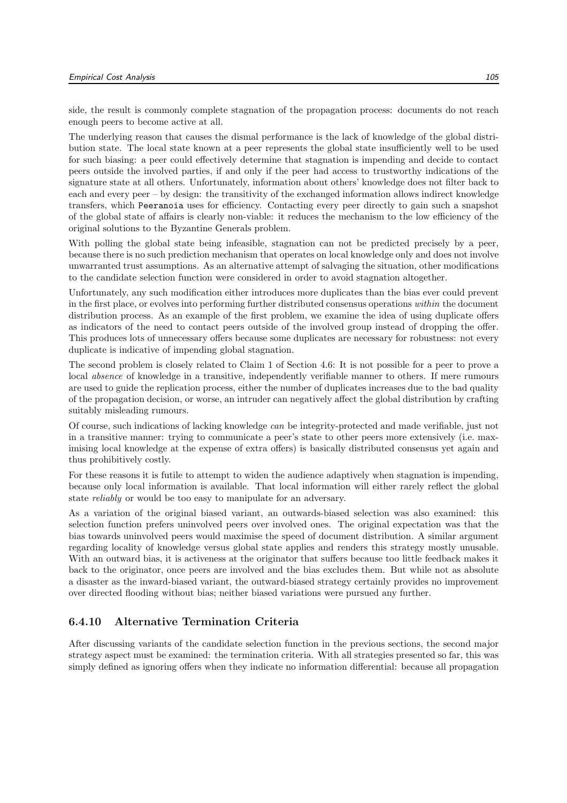side, the result is commonly complete stagnation of the propagation process: documents do not reach enough peers to become active at all.

The underlying reason that causes the dismal performance is the lack of knowledge of the global distribution state. The local state known at a peer represents the global state insufficiently well to be used for such biasing: a peer could effectively determine that stagnation is impending and decide to contact peers outside the involved parties, if and only if the peer had access to trustworthy indications of the signature state at all others. Unfortunately, information about others' knowledge does not filter back to each and every peer – by design: the transitivity of the exchanged information allows indirect knowledge transfers, which Peeranoia uses for efficiency. Contacting every peer directly to gain such a snapshot of the global state of affairs is clearly non-viable: it reduces the mechanism to the low efficiency of the original solutions to the Byzantine Generals problem.

With polling the global state being infeasible, stagnation can not be predicted precisely by a peer, because there is no such prediction mechanism that operates on local knowledge only and does not involve unwarranted trust assumptions. As an alternative attempt of salvaging the situation, other modifications to the candidate selection function were considered in order to avoid stagnation altogether.

Unfortunately, any such modification either introduces more duplicates than the bias ever could prevent in the first place, or evolves into performing further distributed consensus operations within the document distribution process. As an example of the first problem, we examine the idea of using duplicate offers as indicators of the need to contact peers outside of the involved group instead of dropping the offer. This produces lots of unnecessary offers because some duplicates are necessary for robustness: not every duplicate is indicative of impending global stagnation.

The second problem is closely related to Claim 1 of Section 4.6: It is not possible for a peer to prove a local absence of knowledge in a transitive, independently verifiable manner to others. If mere rumours are used to guide the replication process, either the number of duplicates increases due to the bad quality of the propagation decision, or worse, an intruder can negatively affect the global distribution by crafting suitably misleading rumours.

Of course, such indications of lacking knowledge can be integrity-protected and made verifiable, just not in a transitive manner: trying to communicate a peer's state to other peers more extensively (i.e. maximising local knowledge at the expense of extra offers) is basically distributed consensus yet again and thus prohibitively costly.

For these reasons it is futile to attempt to widen the audience adaptively when stagnation is impending, because only local information is available. That local information will either rarely reflect the global state reliably or would be too easy to manipulate for an adversary.

As a variation of the original biased variant, an outwards-biased selection was also examined: this selection function prefers uninvolved peers over involved ones. The original expectation was that the bias towards uninvolved peers would maximise the speed of document distribution. A similar argument regarding locality of knowledge versus global state applies and renders this strategy mostly unusable. With an outward bias, it is activeness at the originator that suffers because too little feedback makes it back to the originator, once peers are involved and the bias excludes them. But while not as absolute a disaster as the inward-biased variant, the outward-biased strategy certainly provides no improvement over directed flooding without bias; neither biased variations were pursued any further.

#### 6.4.10 Alternative Termination Criteria

After discussing variants of the candidate selection function in the previous sections, the second major strategy aspect must be examined: the termination criteria. With all strategies presented so far, this was simply defined as ignoring offers when they indicate no information differential: because all propagation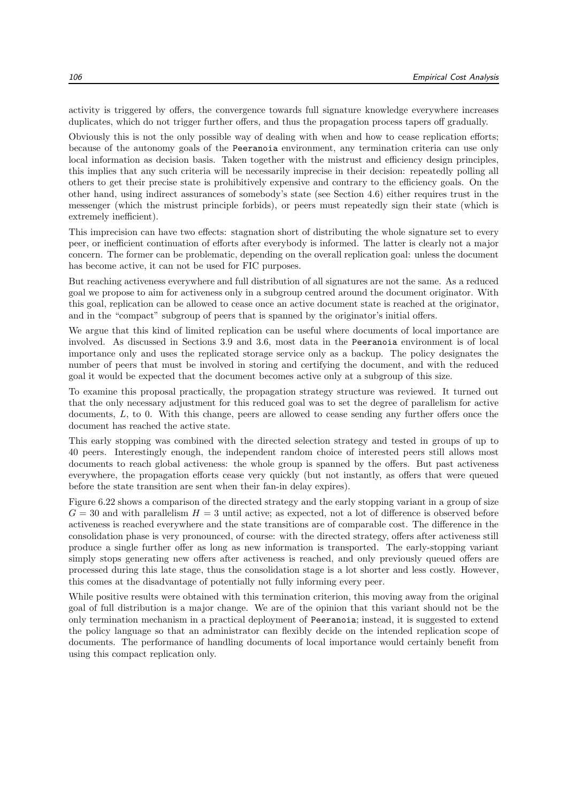activity is triggered by offers, the convergence towards full signature knowledge everywhere increases duplicates, which do not trigger further offers, and thus the propagation process tapers off gradually.

Obviously this is not the only possible way of dealing with when and how to cease replication efforts; because of the autonomy goals of the Peeranoia environment, any termination criteria can use only local information as decision basis. Taken together with the mistrust and efficiency design principles, this implies that any such criteria will be necessarily imprecise in their decision: repeatedly polling all others to get their precise state is prohibitively expensive and contrary to the efficiency goals. On the other hand, using indirect assurances of somebody's state (see Section 4.6) either requires trust in the messenger (which the mistrust principle forbids), or peers must repeatedly sign their state (which is extremely inefficient).

This imprecision can have two effects: stagnation short of distributing the whole signature set to every peer, or inefficient continuation of efforts after everybody is informed. The latter is clearly not a major concern. The former can be problematic, depending on the overall replication goal: unless the document has become active, it can not be used for FIC purposes.

But reaching activeness everywhere and full distribution of all signatures are not the same. As a reduced goal we propose to aim for activeness only in a subgroup centred around the document originator. With this goal, replication can be allowed to cease once an active document state is reached at the originator, and in the "compact" subgroup of peers that is spanned by the originator's initial offers.

We argue that this kind of limited replication can be useful where documents of local importance are involved. As discussed in Sections 3.9 and 3.6, most data in the Peeranoia environment is of local importance only and uses the replicated storage service only as a backup. The policy designates the number of peers that must be involved in storing and certifying the document, and with the reduced goal it would be expected that the document becomes active only at a subgroup of this size.

To examine this proposal practically, the propagation strategy structure was reviewed. It turned out that the only necessary adjustment for this reduced goal was to set the degree of parallelism for active documents, L, to 0. With this change, peers are allowed to cease sending any further offers once the document has reached the active state.

This early stopping was combined with the directed selection strategy and tested in groups of up to 40 peers. Interestingly enough, the independent random choice of interested peers still allows most documents to reach global activeness: the whole group is spanned by the offers. But past activeness everywhere, the propagation efforts cease very quickly (but not instantly, as offers that were queued before the state transition are sent when their fan-in delay expires).

Figure 6.22 shows a comparison of the directed strategy and the early stopping variant in a group of size  $G = 30$  and with parallelism  $H = 3$  until active; as expected, not a lot of difference is observed before activeness is reached everywhere and the state transitions are of comparable cost. The difference in the consolidation phase is very pronounced, of course: with the directed strategy, offers after activeness still produce a single further offer as long as new information is transported. The early-stopping variant simply stops generating new offers after activeness is reached, and only previously queued offers are processed during this late stage, thus the consolidation stage is a lot shorter and less costly. However, this comes at the disadvantage of potentially not fully informing every peer.

While positive results were obtained with this termination criterion, this moving away from the original goal of full distribution is a major change. We are of the opinion that this variant should not be the only termination mechanism in a practical deployment of Peeranoia; instead, it is suggested to extend the policy language so that an administrator can flexibly decide on the intended replication scope of documents. The performance of handling documents of local importance would certainly benefit from using this compact replication only.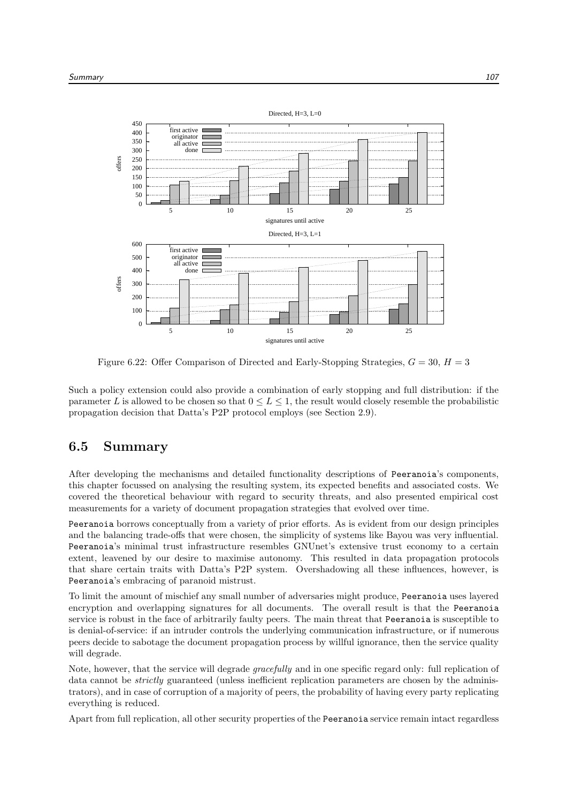

Figure 6.22: Offer Comparison of Directed and Early-Stopping Strategies,  $G = 30, H = 3$ 

Such a policy extension could also provide a combination of early stopping and full distribution: if the parameter L is allowed to be chosen so that  $0 \le L \le 1$ , the result would closely resemble the probabilistic propagation decision that Datta's P2P protocol employs (see Section 2.9).

### 6.5 Summary

After developing the mechanisms and detailed functionality descriptions of Peeranoia's components, this chapter focussed on analysing the resulting system, its expected benefits and associated costs. We covered the theoretical behaviour with regard to security threats, and also presented empirical cost measurements for a variety of document propagation strategies that evolved over time.

Peeranoia borrows conceptually from a variety of prior efforts. As is evident from our design principles and the balancing trade-offs that were chosen, the simplicity of systems like Bayou was very influential. Peeranoia's minimal trust infrastructure resembles GNUnet's extensive trust economy to a certain extent, leavened by our desire to maximise autonomy. This resulted in data propagation protocols that share certain traits with Datta's P2P system. Overshadowing all these influences, however, is Peeranoia's embracing of paranoid mistrust.

To limit the amount of mischief any small number of adversaries might produce, Peeranoia uses layered encryption and overlapping signatures for all documents. The overall result is that the Peeranoia service is robust in the face of arbitrarily faulty peers. The main threat that Peeranoia is susceptible to is denial-of-service: if an intruder controls the underlying communication infrastructure, or if numerous peers decide to sabotage the document propagation process by willful ignorance, then the service quality will degrade.

Note, however, that the service will degrade *gracefully* and in one specific regard only: full replication of data cannot be *strictly* guaranteed (unless inefficient replication parameters are chosen by the administrators), and in case of corruption of a majority of peers, the probability of having every party replicating everything is reduced.

Apart from full replication, all other security properties of the Peeranoia service remain intact regardless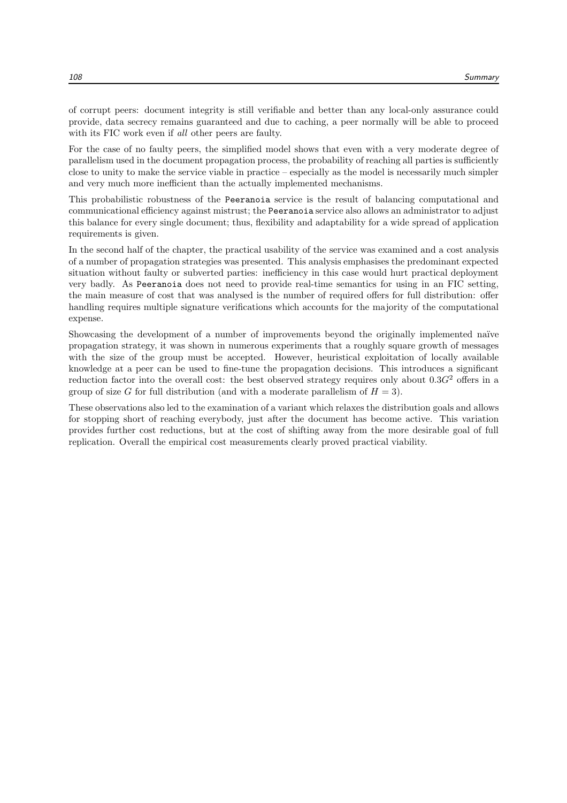of corrupt peers: document integrity is still verifiable and better than any local-only assurance could provide, data secrecy remains guaranteed and due to caching, a peer normally will be able to proceed with its FIC work even if *all* other peers are faulty.

For the case of no faulty peers, the simplified model shows that even with a very moderate degree of parallelism used in the document propagation process, the probability of reaching all parties is sufficiently close to unity to make the service viable in practice – especially as the model is necessarily much simpler and very much more inefficient than the actually implemented mechanisms.

This probabilistic robustness of the Peeranoia service is the result of balancing computational and communicational efficiency against mistrust; the Peeranoia service also allows an administrator to adjust this balance for every single document; thus, flexibility and adaptability for a wide spread of application requirements is given.

In the second half of the chapter, the practical usability of the service was examined and a cost analysis of a number of propagation strategies was presented. This analysis emphasises the predominant expected situation without faulty or subverted parties: inefficiency in this case would hurt practical deployment very badly. As Peeranoia does not need to provide real-time semantics for using in an FIC setting, the main measure of cost that was analysed is the number of required offers for full distribution: offer handling requires multiple signature verifications which accounts for the majority of the computational expense.

Showcasing the development of a number of improvements beyond the originally implemented naïve propagation strategy, it was shown in numerous experiments that a roughly square growth of messages with the size of the group must be accepted. However, heuristical exploitation of locally available knowledge at a peer can be used to fine-tune the propagation decisions. This introduces a significant reduction factor into the overall cost: the best observed strategy requires only about  $0.3G<sup>2</sup>$  offers in a group of size G for full distribution (and with a moderate parallelism of  $H = 3$ ).

These observations also led to the examination of a variant which relaxes the distribution goals and allows for stopping short of reaching everybody, just after the document has become active. This variation provides further cost reductions, but at the cost of shifting away from the more desirable goal of full replication. Overall the empirical cost measurements clearly proved practical viability.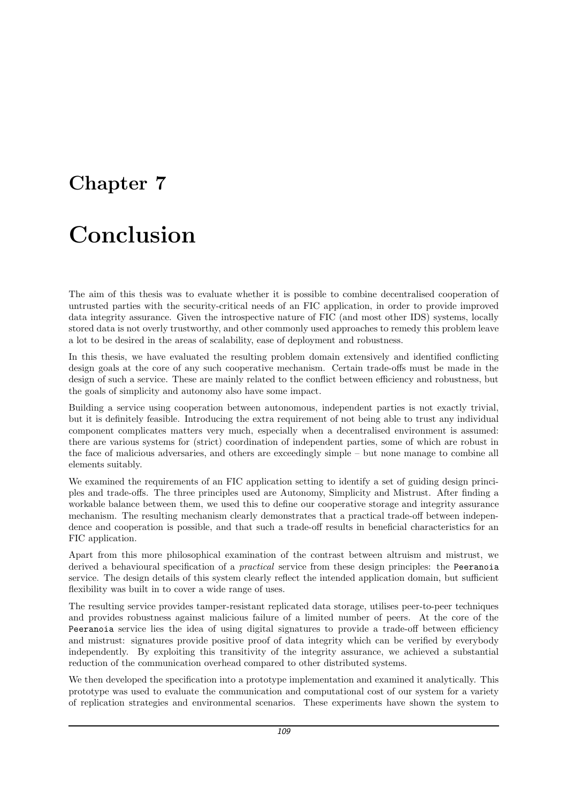### Chapter 7

# Conclusion

The aim of this thesis was to evaluate whether it is possible to combine decentralised cooperation of untrusted parties with the security-critical needs of an FIC application, in order to provide improved data integrity assurance. Given the introspective nature of FIC (and most other IDS) systems, locally stored data is not overly trustworthy, and other commonly used approaches to remedy this problem leave a lot to be desired in the areas of scalability, ease of deployment and robustness.

In this thesis, we have evaluated the resulting problem domain extensively and identified conflicting design goals at the core of any such cooperative mechanism. Certain trade-offs must be made in the design of such a service. These are mainly related to the conflict between efficiency and robustness, but the goals of simplicity and autonomy also have some impact.

Building a service using cooperation between autonomous, independent parties is not exactly trivial, but it is definitely feasible. Introducing the extra requirement of not being able to trust any individual component complicates matters very much, especially when a decentralised environment is assumed: there are various systems for (strict) coordination of independent parties, some of which are robust in the face of malicious adversaries, and others are exceedingly simple – but none manage to combine all elements suitably.

We examined the requirements of an FIC application setting to identify a set of guiding design principles and trade-offs. The three principles used are Autonomy, Simplicity and Mistrust. After finding a workable balance between them, we used this to define our cooperative storage and integrity assurance mechanism. The resulting mechanism clearly demonstrates that a practical trade-off between independence and cooperation is possible, and that such a trade-off results in beneficial characteristics for an FIC application.

Apart from this more philosophical examination of the contrast between altruism and mistrust, we derived a behavioural specification of a *practical* service from these design principles: the Peeranoia service. The design details of this system clearly reflect the intended application domain, but sufficient flexibility was built in to cover a wide range of uses.

The resulting service provides tamper-resistant replicated data storage, utilises peer-to-peer techniques and provides robustness against malicious failure of a limited number of peers. At the core of the Peeranoia service lies the idea of using digital signatures to provide a trade-off between efficiency and mistrust: signatures provide positive proof of data integrity which can be verified by everybody independently. By exploiting this transitivity of the integrity assurance, we achieved a substantial reduction of the communication overhead compared to other distributed systems.

We then developed the specification into a prototype implementation and examined it analytically. This prototype was used to evaluate the communication and computational cost of our system for a variety of replication strategies and environmental scenarios. These experiments have shown the system to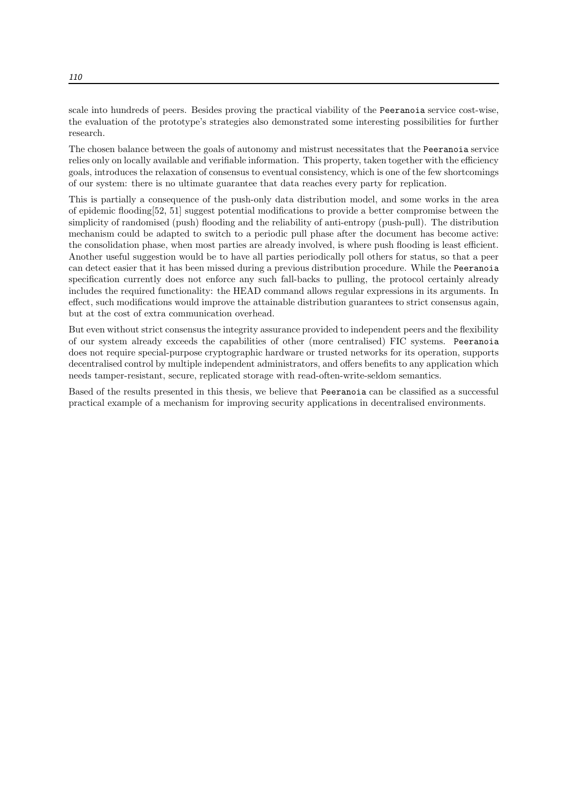scale into hundreds of peers. Besides proving the practical viability of the Peeranoia service cost-wise, the evaluation of the prototype's strategies also demonstrated some interesting possibilities for further research.

The chosen balance between the goals of autonomy and mistrust necessitates that the Peeranoia service relies only on locally available and verifiable information. This property, taken together with the efficiency goals, introduces the relaxation of consensus to eventual consistency, which is one of the few shortcomings of our system: there is no ultimate guarantee that data reaches every party for replication.

This is partially a consequence of the push-only data distribution model, and some works in the area of epidemic flooding[52, 51] suggest potential modifications to provide a better compromise between the simplicity of randomised (push) flooding and the reliability of anti-entropy (push-pull). The distribution mechanism could be adapted to switch to a periodic pull phase after the document has become active: the consolidation phase, when most parties are already involved, is where push flooding is least efficient. Another useful suggestion would be to have all parties periodically poll others for status, so that a peer can detect easier that it has been missed during a previous distribution procedure. While the Peeranoia specification currently does not enforce any such fall-backs to pulling, the protocol certainly already includes the required functionality: the HEAD command allows regular expressions in its arguments. In effect, such modifications would improve the attainable distribution guarantees to strict consensus again, but at the cost of extra communication overhead.

But even without strict consensus the integrity assurance provided to independent peers and the flexibility of our system already exceeds the capabilities of other (more centralised) FIC systems. Peeranoia does not require special-purpose cryptographic hardware or trusted networks for its operation, supports decentralised control by multiple independent administrators, and offers benefits to any application which needs tamper-resistant, secure, replicated storage with read-often-write-seldom semantics.

Based of the results presented in this thesis, we believe that Peeranoia can be classified as a successful practical example of a mechanism for improving security applications in decentralised environments.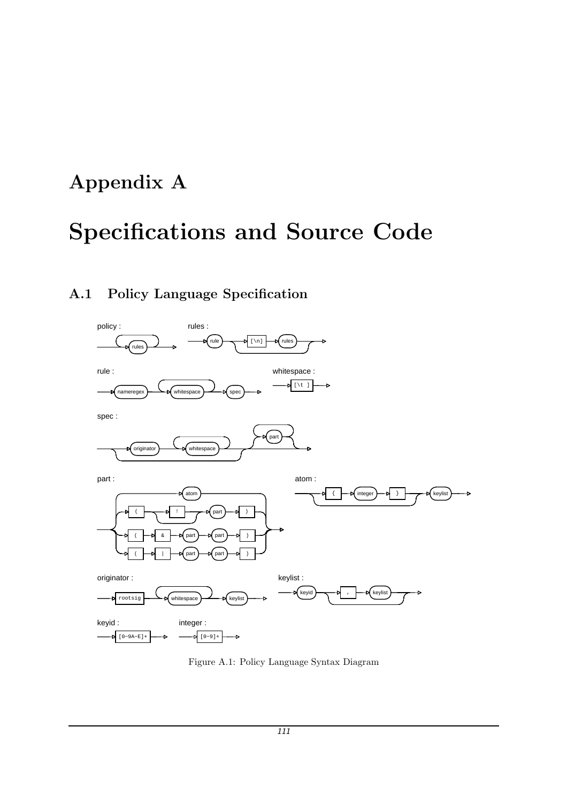## Appendix A

# Specifications and Source Code

### A.1 Policy Language Specification



Figure A.1: Policy Language Syntax Diagram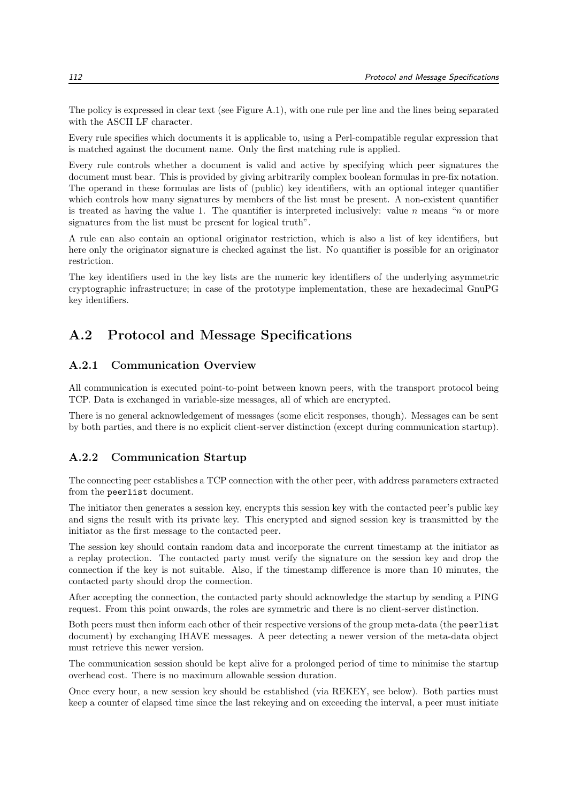The policy is expressed in clear text (see Figure A.1), with one rule per line and the lines being separated with the ASCII LF character.

Every rule specifies which documents it is applicable to, using a Perl-compatible regular expression that is matched against the document name. Only the first matching rule is applied.

Every rule controls whether a document is valid and active by specifying which peer signatures the document must bear. This is provided by giving arbitrarily complex boolean formulas in pre-fix notation. The operand in these formulas are lists of (public) key identifiers, with an optional integer quantifier which controls how many signatures by members of the list must be present. A non-existent quantifier is treated as having the value 1. The quantifier is interpreted inclusively: value n means "n or more signatures from the list must be present for logical truth".

A rule can also contain an optional originator restriction, which is also a list of key identifiers, but here only the originator signature is checked against the list. No quantifier is possible for an originator restriction.

The key identifiers used in the key lists are the numeric key identifiers of the underlying asymmetric cryptographic infrastructure; in case of the prototype implementation, these are hexadecimal GnuPG key identifiers.

#### A.2 Protocol and Message Specifications

#### A.2.1 Communication Overview

All communication is executed point-to-point between known peers, with the transport protocol being TCP. Data is exchanged in variable-size messages, all of which are encrypted.

There is no general acknowledgement of messages (some elicit responses, though). Messages can be sent by both parties, and there is no explicit client-server distinction (except during communication startup).

#### A.2.2 Communication Startup

The connecting peer establishes a TCP connection with the other peer, with address parameters extracted from the peerlist document.

The initiator then generates a session key, encrypts this session key with the contacted peer's public key and signs the result with its private key. This encrypted and signed session key is transmitted by the initiator as the first message to the contacted peer.

The session key should contain random data and incorporate the current timestamp at the initiator as a replay protection. The contacted party must verify the signature on the session key and drop the connection if the key is not suitable. Also, if the timestamp difference is more than 10 minutes, the contacted party should drop the connection.

After accepting the connection, the contacted party should acknowledge the startup by sending a PING request. From this point onwards, the roles are symmetric and there is no client-server distinction.

Both peers must then inform each other of their respective versions of the group meta-data (the peerlist document) by exchanging IHAVE messages. A peer detecting a newer version of the meta-data object must retrieve this newer version.

The communication session should be kept alive for a prolonged period of time to minimise the startup overhead cost. There is no maximum allowable session duration.

Once every hour, a new session key should be established (via REKEY, see below). Both parties must keep a counter of elapsed time since the last rekeying and on exceeding the interval, a peer must initiate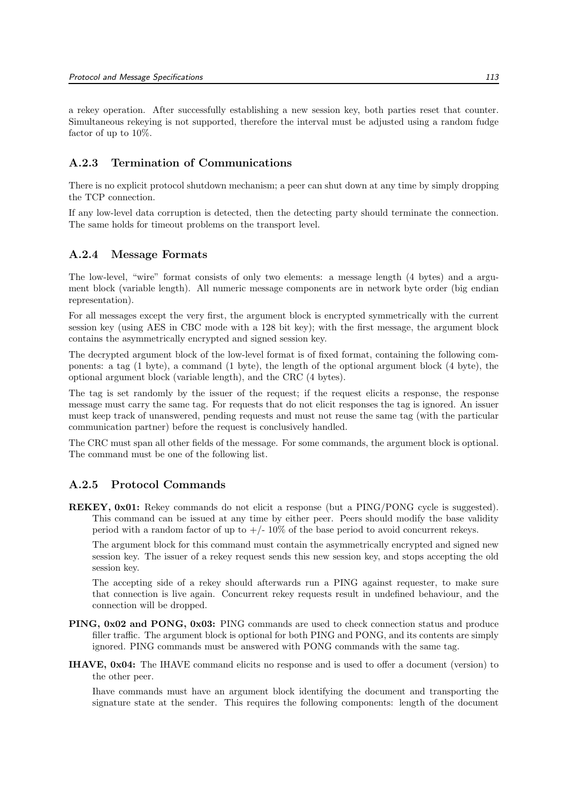a rekey operation. After successfully establishing a new session key, both parties reset that counter. Simultaneous rekeying is not supported, therefore the interval must be adjusted using a random fudge factor of up to 10%.

#### A.2.3 Termination of Communications

There is no explicit protocol shutdown mechanism; a peer can shut down at any time by simply dropping the TCP connection.

If any low-level data corruption is detected, then the detecting party should terminate the connection. The same holds for timeout problems on the transport level.

#### A.2.4 Message Formats

The low-level, "wire" format consists of only two elements: a message length (4 bytes) and a argument block (variable length). All numeric message components are in network byte order (big endian representation).

For all messages except the very first, the argument block is encrypted symmetrically with the current session key (using AES in CBC mode with a 128 bit key); with the first message, the argument block contains the asymmetrically encrypted and signed session key.

The decrypted argument block of the low-level format is of fixed format, containing the following components: a tag (1 byte), a command (1 byte), the length of the optional argument block (4 byte), the optional argument block (variable length), and the CRC (4 bytes).

The tag is set randomly by the issuer of the request; if the request elicits a response, the response message must carry the same tag. For requests that do not elicit responses the tag is ignored. An issuer must keep track of unanswered, pending requests and must not reuse the same tag (with the particular communication partner) before the request is conclusively handled.

The CRC must span all other fields of the message. For some commands, the argument block is optional. The command must be one of the following list.

#### A.2.5 Protocol Commands

REKEY, 0x01: Rekey commands do not elicit a response (but a PING/PONG cycle is suggested). This command can be issued at any time by either peer. Peers should modify the base validity period with a random factor of up to  $+/-10\%$  of the base period to avoid concurrent rekeys.

The argument block for this command must contain the asymmetrically encrypted and signed new session key. The issuer of a rekey request sends this new session key, and stops accepting the old session key.

The accepting side of a rekey should afterwards run a PING against requester, to make sure that connection is live again. Concurrent rekey requests result in undefined behaviour, and the connection will be dropped.

- PING, 0x02 and PONG, 0x03: PING commands are used to check connection status and produce filler traffic. The argument block is optional for both PING and PONG, and its contents are simply ignored. PING commands must be answered with PONG commands with the same tag.
- IHAVE, 0x04: The IHAVE command elicits no response and is used to offer a document (version) to the other peer.

Ihave commands must have an argument block identifying the document and transporting the signature state at the sender. This requires the following components: length of the document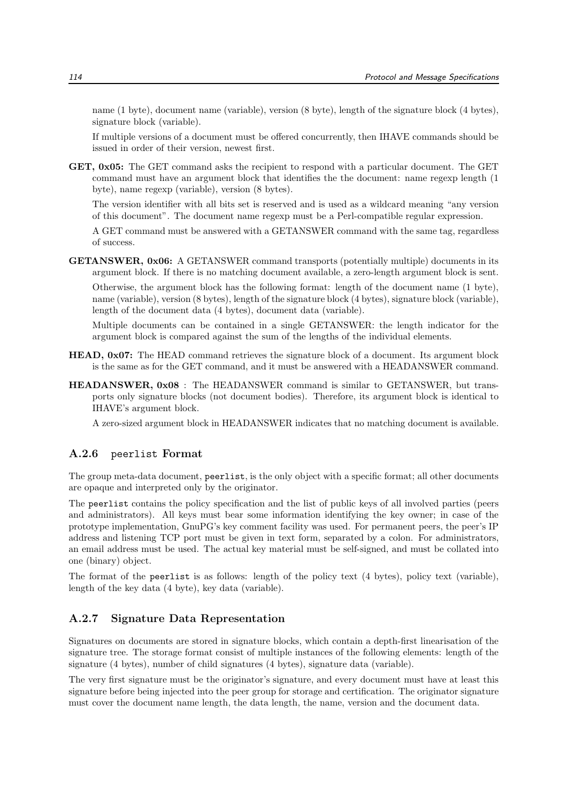name (1 byte), document name (variable), version (8 byte), length of the signature block (4 bytes), signature block (variable).

If multiple versions of a document must be offered concurrently, then IHAVE commands should be issued in order of their version, newest first.

GET,  $0x05$ : The GET command asks the recipient to respond with a particular document. The GET command must have an argument block that identifies the the document: name regexp length (1 byte), name regexp (variable), version (8 bytes).

The version identifier with all bits set is reserved and is used as a wildcard meaning "any version of this document". The document name regexp must be a Perl-compatible regular expression.

A GET command must be answered with a GETANSWER command with the same tag, regardless of success.

GETANSWER, 0x06: A GETANSWER command transports (potentially multiple) documents in its argument block. If there is no matching document available, a zero-length argument block is sent.

Otherwise, the argument block has the following format: length of the document name (1 byte), name (variable), version (8 bytes), length of the signature block (4 bytes), signature block (variable), length of the document data (4 bytes), document data (variable).

Multiple documents can be contained in a single GETANSWER: the length indicator for the argument block is compared against the sum of the lengths of the individual elements.

- HEAD, 0x07: The HEAD command retrieves the signature block of a document. Its argument block is the same as for the GET command, and it must be answered with a HEADANSWER command.
- HEADANSWER, 0x08 : The HEADANSWER command is similar to GETANSWER, but transports only signature blocks (not document bodies). Therefore, its argument block is identical to IHAVE's argument block.

A zero-sized argument block in HEADANSWER indicates that no matching document is available.

#### A.2.6 peerlist Format

The group meta-data document, peerlist, is the only object with a specific format; all other documents are opaque and interpreted only by the originator.

The peerlist contains the policy specification and the list of public keys of all involved parties (peers and administrators). All keys must bear some information identifying the key owner; in case of the prototype implementation, GnuPG's key comment facility was used. For permanent peers, the peer's IP address and listening TCP port must be given in text form, separated by a colon. For administrators, an email address must be used. The actual key material must be self-signed, and must be collated into one (binary) object.

The format of the peerlist is as follows: length of the policy text (4 bytes), policy text (variable), length of the key data (4 byte), key data (variable).

#### A.2.7 Signature Data Representation

Signatures on documents are stored in signature blocks, which contain a depth-first linearisation of the signature tree. The storage format consist of multiple instances of the following elements: length of the signature (4 bytes), number of child signatures (4 bytes), signature data (variable).

The very first signature must be the originator's signature, and every document must have at least this signature before being injected into the peer group for storage and certification. The originator signature must cover the document name length, the data length, the name, version and the document data.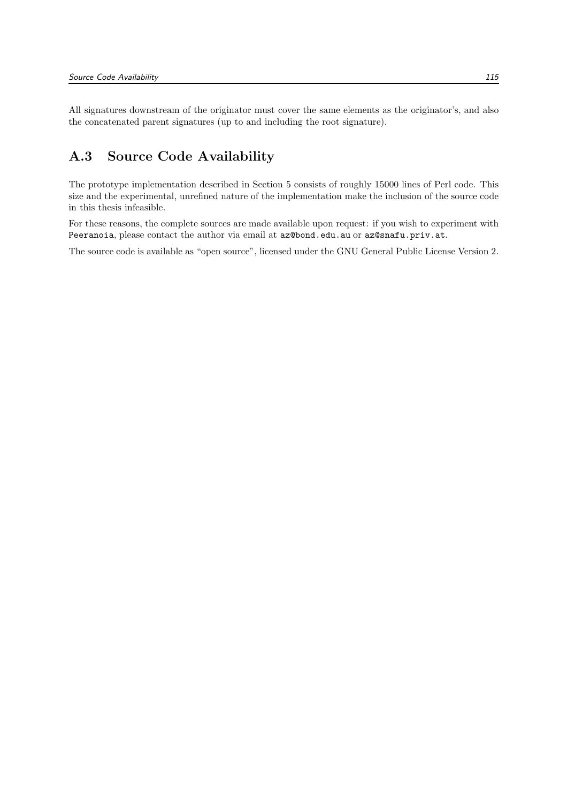All signatures downstream of the originator must cover the same elements as the originator's, and also the concatenated parent signatures (up to and including the root signature).

### A.3 Source Code Availability

The prototype implementation described in Section 5 consists of roughly 15000 lines of Perl code. This size and the experimental, unrefined nature of the implementation make the inclusion of the source code in this thesis infeasible.

For these reasons, the complete sources are made available upon request: if you wish to experiment with Peeranoia, please contact the author via email at az@bond.edu.au or az@snafu.priv.at.

The source code is available as "open source", licensed under the GNU General Public License Version 2.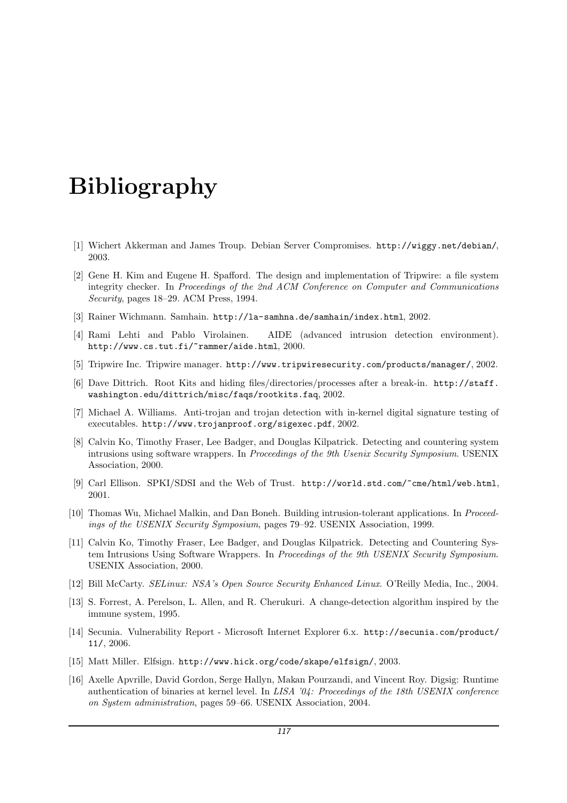## Bibliography

- [1] Wichert Akkerman and James Troup. Debian Server Compromises. http://wiggy.net/debian/, 2003.
- [2] Gene H. Kim and Eugene H. Spafford. The design and implementation of Tripwire: a file system integrity checker. In Proceedings of the 2nd ACM Conference on Computer and Communications Security, pages 18–29. ACM Press, 1994.
- [3] Rainer Wichmann. Samhain. http://la-samhna.de/samhain/index.html, 2002.
- [4] Rami Lehti and Pablo Virolainen. AIDE (advanced intrusion detection environment). http://www.cs.tut.fi/~rammer/aide.html, 2000.
- [5] Tripwire Inc. Tripwire manager. http://www.tripwiresecurity.com/products/manager/, 2002.
- [6] Dave Dittrich. Root Kits and hiding files/directories/processes after a break-in. http://staff. washington.edu/dittrich/misc/faqs/rootkits.faq, 2002.
- [7] Michael A. Williams. Anti-trojan and trojan detection with in-kernel digital signature testing of executables. http://www.trojanproof.org/sigexec.pdf, 2002.
- [8] Calvin Ko, Timothy Fraser, Lee Badger, and Douglas Kilpatrick. Detecting and countering system intrusions using software wrappers. In Proceedings of the 9th Usenix Security Symposium. USENIX Association, 2000.
- [9] Carl Ellison. SPKI/SDSI and the Web of Trust. http://world.std.com/~cme/html/web.html, 2001.
- [10] Thomas Wu, Michael Malkin, and Dan Boneh. Building intrusion-tolerant applications. In Proceedings of the USENIX Security Symposium, pages 79–92. USENIX Association, 1999.
- [11] Calvin Ko, Timothy Fraser, Lee Badger, and Douglas Kilpatrick. Detecting and Countering System Intrusions Using Software Wrappers. In Proceedings of the 9th USENIX Security Symposium. USENIX Association, 2000.
- [12] Bill McCarty. SELinux: NSA's Open Source Security Enhanced Linux. O'Reilly Media, Inc., 2004.
- [13] S. Forrest, A. Perelson, L. Allen, and R. Cherukuri. A change-detection algorithm inspired by the immune system, 1995.
- [14] Secunia. Vulnerability Report Microsoft Internet Explorer 6.x. http://secunia.com/product/ 11/, 2006.
- [15] Matt Miller. Elfsign. http://www.hick.org/code/skape/elfsign/, 2003.
- [16] Axelle Apvrille, David Gordon, Serge Hallyn, Makan Pourzandi, and Vincent Roy. Digsig: Runtime authentication of binaries at kernel level. In LISA '04: Proceedings of the 18th USENIX conference on System administration, pages 59–66. USENIX Association, 2004.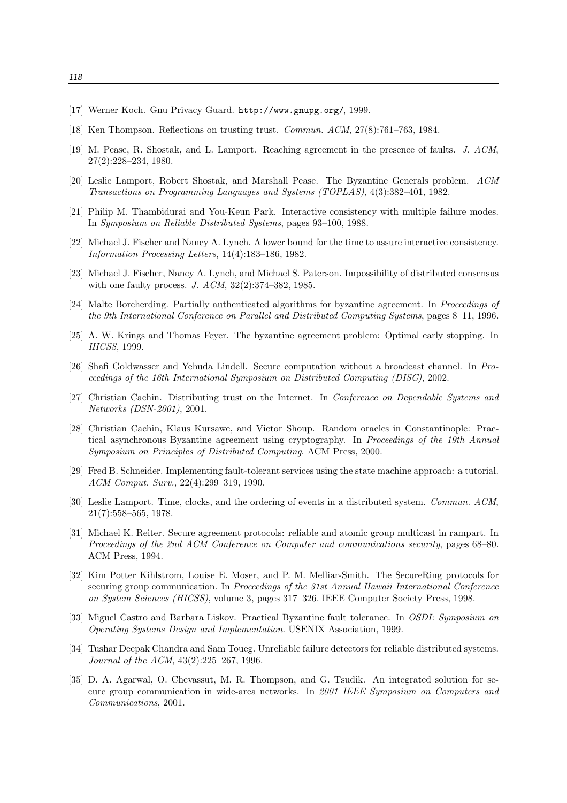- [17] Werner Koch. Gnu Privacy Guard. http://www.gnupg.org/, 1999.
- [18] Ken Thompson. Reflections on trusting trust. Commun. ACM, 27(8):761–763, 1984.
- [19] M. Pease, R. Shostak, and L. Lamport. Reaching agreement in the presence of faults. J. ACM, 27(2):228–234, 1980.
- [20] Leslie Lamport, Robert Shostak, and Marshall Pease. The Byzantine Generals problem. ACM Transactions on Programming Languages and Systems (TOPLAS), 4(3):382–401, 1982.
- [21] Philip M. Thambidurai and You-Keun Park. Interactive consistency with multiple failure modes. In Symposium on Reliable Distributed Systems, pages 93–100, 1988.
- [22] Michael J. Fischer and Nancy A. Lynch. A lower bound for the time to assure interactive consistency. Information Processing Letters, 14(4):183–186, 1982.
- [23] Michael J. Fischer, Nancy A. Lynch, and Michael S. Paterson. Impossibility of distributed consensus with one faulty process. J. ACM, 32(2):374–382, 1985.
- [24] Malte Borcherding. Partially authenticated algorithms for byzantine agreement. In Proceedings of the 9th International Conference on Parallel and Distributed Computing Systems, pages 8–11, 1996.
- [25] A. W. Krings and Thomas Feyer. The byzantine agreement problem: Optimal early stopping. In HICSS, 1999.
- [26] Shafi Goldwasser and Yehuda Lindell. Secure computation without a broadcast channel. In Proceedings of the 16th International Symposium on Distributed Computing (DISC), 2002.
- [27] Christian Cachin. Distributing trust on the Internet. In Conference on Dependable Systems and Networks (DSN-2001), 2001.
- [28] Christian Cachin, Klaus Kursawe, and Victor Shoup. Random oracles in Constantinople: Practical asynchronous Byzantine agreement using cryptography. In Proceedings of the 19th Annual Symposium on Principles of Distributed Computing. ACM Press, 2000.
- [29] Fred B. Schneider. Implementing fault-tolerant services using the state machine approach: a tutorial. ACM Comput. Surv., 22(4):299–319, 1990.
- [30] Leslie Lamport. Time, clocks, and the ordering of events in a distributed system. Commun. ACM, 21(7):558–565, 1978.
- [31] Michael K. Reiter. Secure agreement protocols: reliable and atomic group multicast in rampart. In Proceedings of the 2nd ACM Conference on Computer and communications security, pages 68–80. ACM Press, 1994.
- [32] Kim Potter Kihlstrom, Louise E. Moser, and P. M. Melliar-Smith. The SecureRing protocols for securing group communication. In Proceedings of the 31st Annual Hawaii International Conference on System Sciences (HICSS), volume 3, pages 317–326. IEEE Computer Society Press, 1998.
- [33] Miguel Castro and Barbara Liskov. Practical Byzantine fault tolerance. In OSDI: Symposium on Operating Systems Design and Implementation. USENIX Association, 1999.
- [34] Tushar Deepak Chandra and Sam Toueg. Unreliable failure detectors for reliable distributed systems. Journal of the ACM, 43(2):225–267, 1996.
- [35] D. A. Agarwal, O. Chevassut, M. R. Thompson, and G. Tsudik. An integrated solution for secure group communication in wide-area networks. In 2001 IEEE Symposium on Computers and Communications, 2001.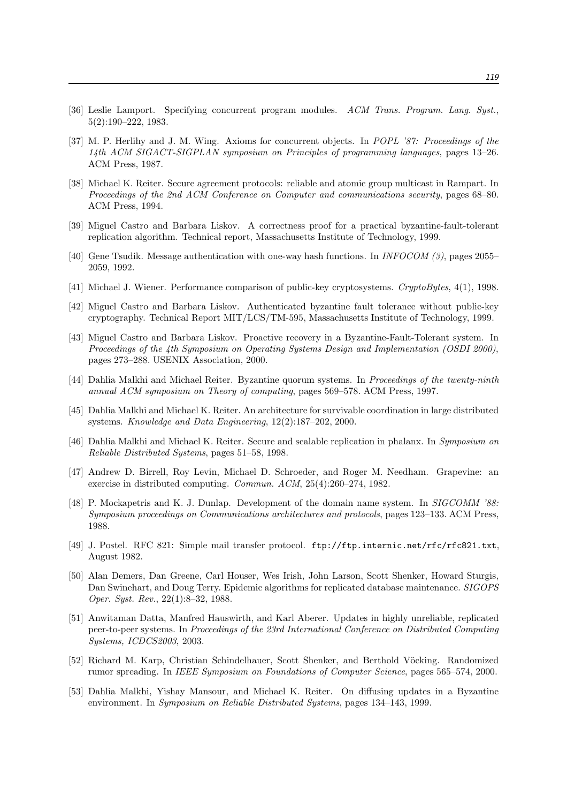- [36] Leslie Lamport. Specifying concurrent program modules. ACM Trans. Program. Lang. Syst., 5(2):190–222, 1983.
- [37] M. P. Herlihy and J. M. Wing. Axioms for concurrent objects. In POPL '87: Proceedings of the 14th ACM SIGACT-SIGPLAN symposium on Principles of programming languages, pages 13–26. ACM Press, 1987.
- [38] Michael K. Reiter. Secure agreement protocols: reliable and atomic group multicast in Rampart. In Proceedings of the 2nd ACM Conference on Computer and communications security, pages 68–80. ACM Press, 1994.
- [39] Miguel Castro and Barbara Liskov. A correctness proof for a practical byzantine-fault-tolerant replication algorithm. Technical report, Massachusetts Institute of Technology, 1999.
- [40] Gene Tsudik. Message authentication with one-way hash functions. In INFOCOM (3), pages 2055– 2059, 1992.
- [41] Michael J. Wiener. Performance comparison of public-key cryptosystems. CryptoBytes, 4(1), 1998.
- [42] Miguel Castro and Barbara Liskov. Authenticated byzantine fault tolerance without public-key cryptography. Technical Report MIT/LCS/TM-595, Massachusetts Institute of Technology, 1999.
- [43] Miguel Castro and Barbara Liskov. Proactive recovery in a Byzantine-Fault-Tolerant system. In Proceedings of the 4th Symposium on Operating Systems Design and Implementation (OSDI 2000), pages 273–288. USENIX Association, 2000.
- [44] Dahlia Malkhi and Michael Reiter. Byzantine quorum systems. In Proceedings of the twenty-ninth annual ACM symposium on Theory of computing, pages 569–578. ACM Press, 1997.
- [45] Dahlia Malkhi and Michael K. Reiter. An architecture for survivable coordination in large distributed systems. Knowledge and Data Engineering, 12(2):187–202, 2000.
- [46] Dahlia Malkhi and Michael K. Reiter. Secure and scalable replication in phalanx. In Symposium on Reliable Distributed Systems, pages 51–58, 1998.
- [47] Andrew D. Birrell, Roy Levin, Michael D. Schroeder, and Roger M. Needham. Grapevine: an exercise in distributed computing. Commun. ACM, 25(4):260–274, 1982.
- [48] P. Mockapetris and K. J. Dunlap. Development of the domain name system. In SIGCOMM '88: Symposium proceedings on Communications architectures and protocols, pages 123–133. ACM Press, 1988.
- [49] J. Postel. RFC 821: Simple mail transfer protocol. ftp://ftp.internic.net/rfc/rfc821.txt, August 1982.
- [50] Alan Demers, Dan Greene, Carl Houser, Wes Irish, John Larson, Scott Shenker, Howard Sturgis, Dan Swinehart, and Doug Terry. Epidemic algorithms for replicated database maintenance. SIGOPS Oper. Syst. Rev., 22(1):8–32, 1988.
- [51] Anwitaman Datta, Manfred Hauswirth, and Karl Aberer. Updates in highly unreliable, replicated peer-to-peer systems. In Proceedings of the 23rd International Conference on Distributed Computing Systems, ICDCS2003, 2003.
- [52] Richard M. Karp, Christian Schindelhauer, Scott Shenker, and Berthold Vöcking. Randomized rumor spreading. In IEEE Symposium on Foundations of Computer Science, pages 565–574, 2000.
- [53] Dahlia Malkhi, Yishay Mansour, and Michael K. Reiter. On diffusing updates in a Byzantine environment. In Symposium on Reliable Distributed Systems, pages 134–143, 1999.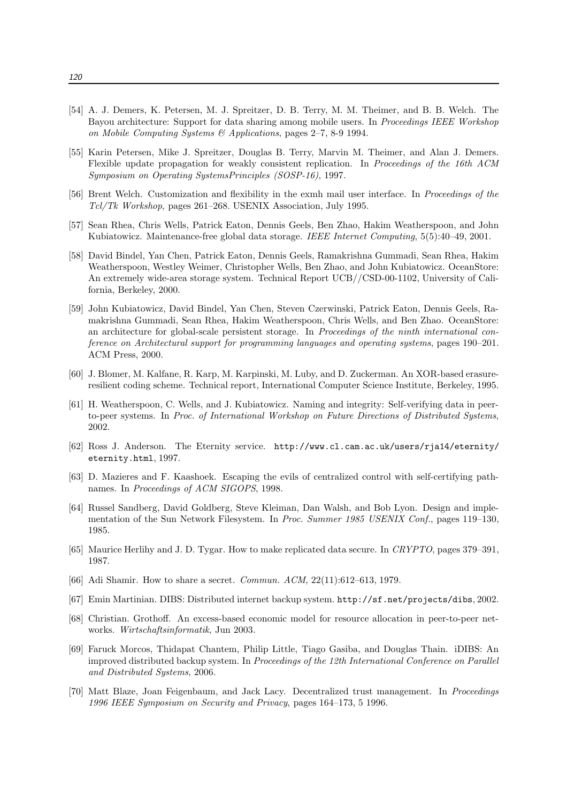- [54] A. J. Demers, K. Petersen, M. J. Spreitzer, D. B. Terry, M. M. Theimer, and B. B. Welch. The Bayou architecture: Support for data sharing among mobile users. In *Proceedings IEEE Workshop* on Mobile Computing Systems  $\mathcal{O}(A)$  Applications, pages 2–7, 8-9 1994.
- [55] Karin Petersen, Mike J. Spreitzer, Douglas B. Terry, Marvin M. Theimer, and Alan J. Demers. Flexible update propagation for weakly consistent replication. In Proceedings of the 16th ACM Symposium on Operating SystemsPrinciples (SOSP-16), 1997.
- [56] Brent Welch. Customization and flexibility in the exmh mail user interface. In Proceedings of the Tcl/Tk Workshop, pages 261–268. USENIX Association, July 1995.
- [57] Sean Rhea, Chris Wells, Patrick Eaton, Dennis Geels, Ben Zhao, Hakim Weatherspoon, and John Kubiatowicz. Maintenance-free global data storage. IEEE Internet Computing, 5(5):40–49, 2001.
- [58] David Bindel, Yan Chen, Patrick Eaton, Dennis Geels, Ramakrishna Gummadi, Sean Rhea, Hakim Weatherspoon, Westley Weimer, Christopher Wells, Ben Zhao, and John Kubiatowicz. OceanStore: An extremely wide-area storage system. Technical Report UCB//CSD-00-1102, University of California, Berkeley, 2000.
- [59] John Kubiatowicz, David Bindel, Yan Chen, Steven Czerwinski, Patrick Eaton, Dennis Geels, Ramakrishna Gummadi, Sean Rhea, Hakim Weatherspoon, Chris Wells, and Ben Zhao. OceanStore: an architecture for global-scale persistent storage. In Proceedings of the ninth international conference on Architectural support for programming languages and operating systems, pages 190–201. ACM Press, 2000.
- [60] J. Blomer, M. Kalfane, R. Karp, M. Karpinski, M. Luby, and D. Zuckerman. An XOR-based erasureresilient coding scheme. Technical report, International Computer Science Institute, Berkeley, 1995.
- [61] H. Weatherspoon, C. Wells, and J. Kubiatowicz. Naming and integrity: Self-verifying data in peerto-peer systems. In Proc. of International Workshop on Future Directions of Distributed Systems, 2002.
- [62] Ross J. Anderson. The Eternity service. http://www.cl.cam.ac.uk/users/rja14/eternity/ eternity.html, 1997.
- [63] D. Mazieres and F. Kaashoek. Escaping the evils of centralized control with self-certifying pathnames. In Proceedings of ACM SIGOPS, 1998.
- [64] Russel Sandberg, David Goldberg, Steve Kleiman, Dan Walsh, and Bob Lyon. Design and implementation of the Sun Network Filesystem. In Proc. Summer 1985 USENIX Conf., pages 119–130. 1985.
- [65] Maurice Herlihy and J. D. Tygar. How to make replicated data secure. In CRYPTO, pages 379–391, 1987.
- [66] Adi Shamir. How to share a secret. Commun. ACM, 22(11):612–613, 1979.
- [67] Emin Martinian. DIBS: Distributed internet backup system. http://sf.net/projects/dibs, 2002.
- [68] Christian. Grothoff. An excess-based economic model for resource allocation in peer-to-peer networks. Wirtschaftsinformatik, Jun 2003.
- [69] Faruck Morcos, Thidapat Chantem, Philip Little, Tiago Gasiba, and Douglas Thain. iDIBS: An improved distributed backup system. In Proceedings of the 12th International Conference on Parallel and Distributed Systems, 2006.
- [70] Matt Blaze, Joan Feigenbaum, and Jack Lacy. Decentralized trust management. In Proceedings 1996 IEEE Symposium on Security and Privacy, pages 164–173, 5 1996.